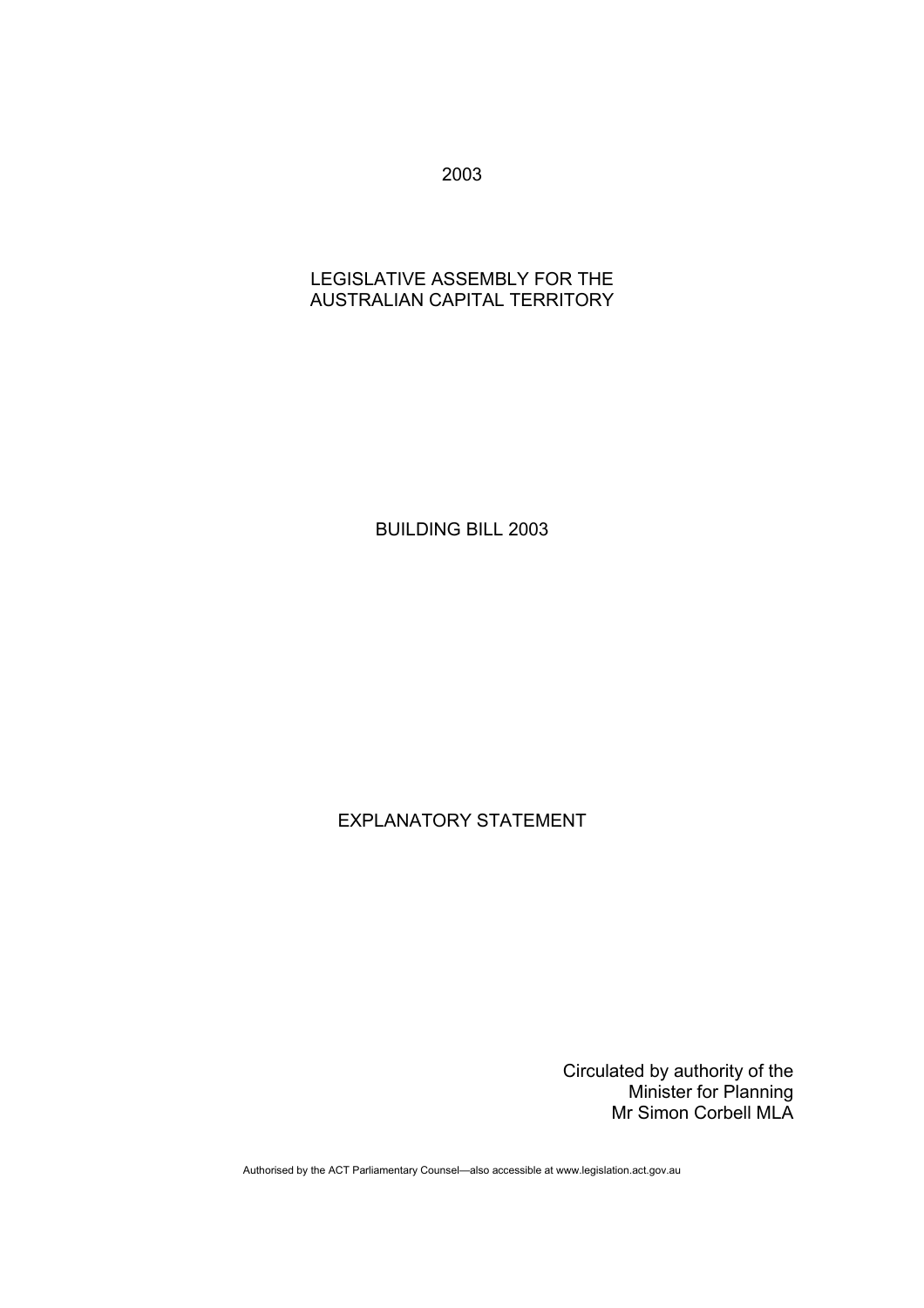2003

## LEGISLATIVE ASSEMBLY FOR THE AUSTRALIAN CAPITAL TERRITORY

BUILDING BILL 2003

EXPLANATORY STATEMENT

Circulated by authority of the Minister for Planning Mr Simon Corbell MLA

Authorised by the ACT Parliamentary Counsel—also accessible at www.legislation.act.gov.au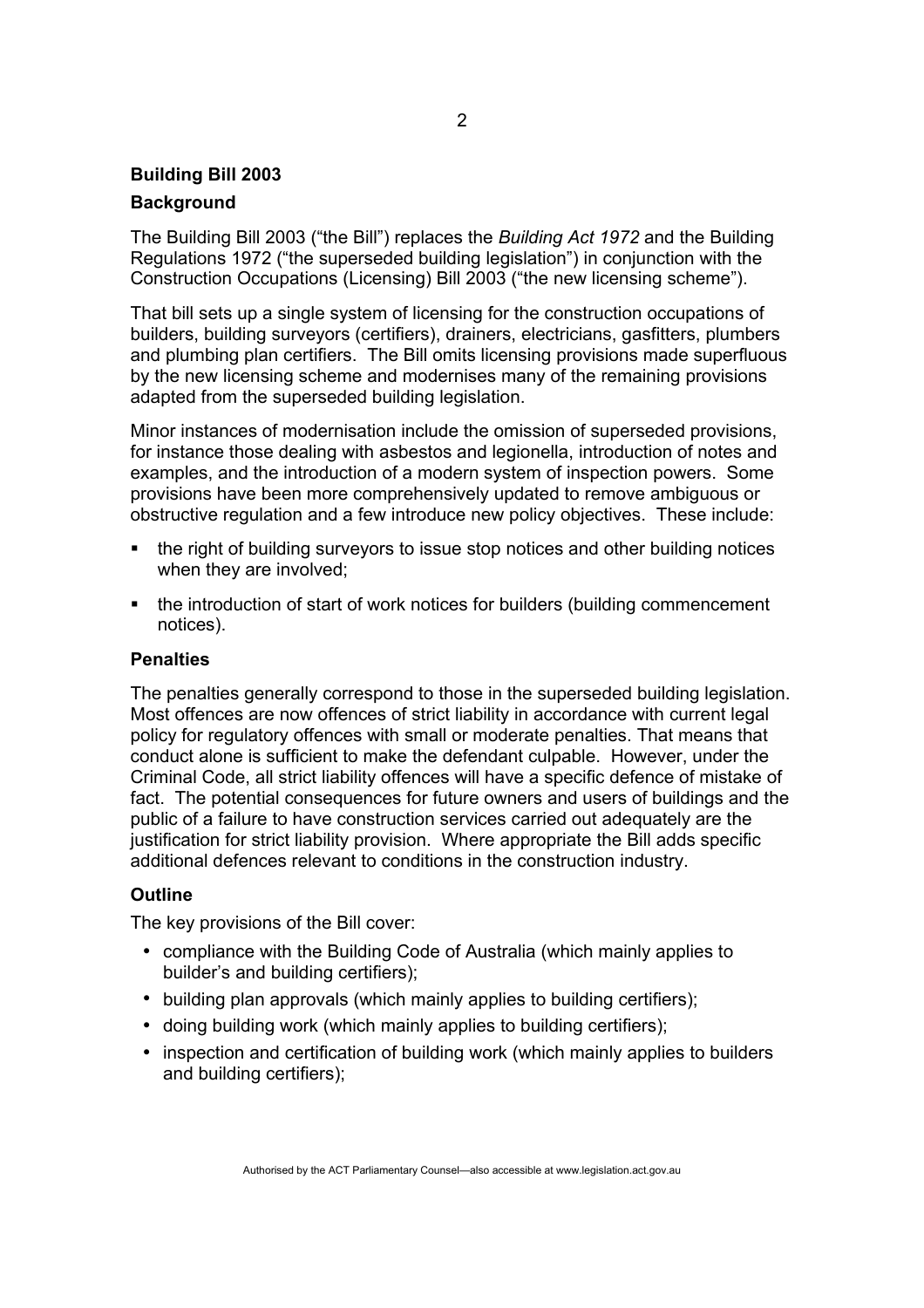# **Building Bill 2003 Background**

The Building Bill 2003 ("the Bill") replaces the *Building Act 1972* and the Building Regulations 1972 ("the superseded building legislation") in conjunction with the Construction Occupations (Licensing) Bill 2003 ("the new licensing scheme").

That bill sets up a single system of licensing for the construction occupations of builders, building surveyors (certifiers), drainers, electricians, gasfitters, plumbers and plumbing plan certifiers. The Bill omits licensing provisions made superfluous by the new licensing scheme and modernises many of the remaining provisions adapted from the superseded building legislation.

Minor instances of modernisation include the omission of superseded provisions, for instance those dealing with asbestos and legionella, introduction of notes and examples, and the introduction of a modern system of inspection powers. Some provisions have been more comprehensively updated to remove ambiguous or obstructive regulation and a few introduce new policy objectives. These include:

- the right of building surveyors to issue stop notices and other building notices when they are involved;
- the introduction of start of work notices for builders (building commencement notices).

### **Penalties**

The penalties generally correspond to those in the superseded building legislation. Most offences are now offences of strict liability in accordance with current legal policy for regulatory offences with small or moderate penalties. That means that conduct alone is sufficient to make the defendant culpable. However, under the Criminal Code, all strict liability offences will have a specific defence of mistake of fact. The potential consequences for future owners and users of buildings and the public of a failure to have construction services carried out adequately are the justification for strict liability provision. Where appropriate the Bill adds specific additional defences relevant to conditions in the construction industry.

## **Outline**

The key provisions of the Bill cover:

- compliance with the Building Code of Australia (which mainly applies to builder's and building certifiers);
- building plan approvals (which mainly applies to building certifiers);
- doing building work (which mainly applies to building certifiers);
- inspection and certification of building work (which mainly applies to builders and building certifiers);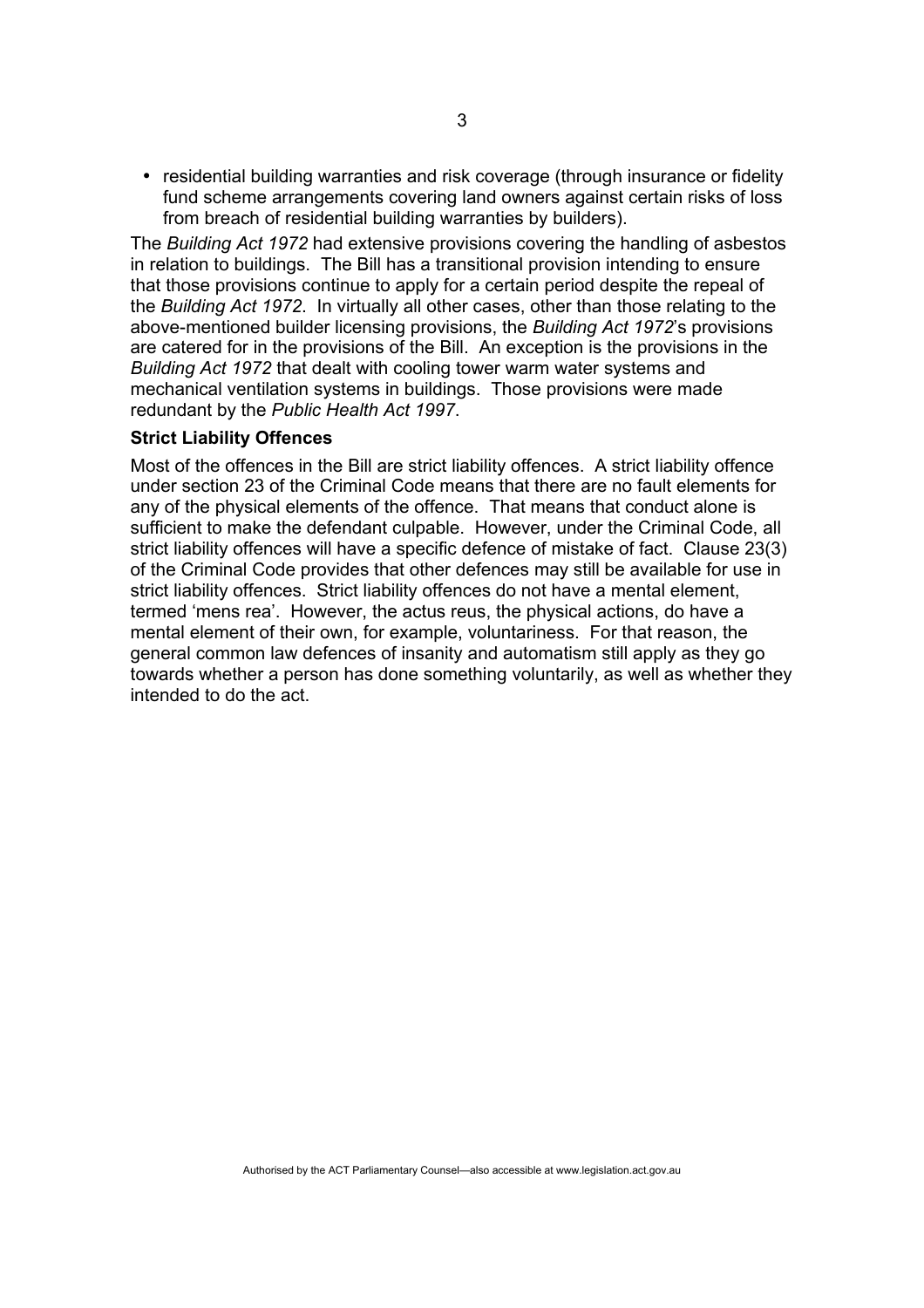• residential building warranties and risk coverage (through insurance or fidelity fund scheme arrangements covering land owners against certain risks of loss from breach of residential building warranties by builders).

The *Building Act 1972* had extensive provisions covering the handling of asbestos in relation to buildings. The Bill has a transitional provision intending to ensure that those provisions continue to apply for a certain period despite the repeal of the *Building Act 1972*. In virtually all other cases, other than those relating to the above-mentioned builder licensing provisions, the *Building Act 1972*'s provisions are catered for in the provisions of the Bill. An exception is the provisions in the *Building Act 1972* that dealt with cooling tower warm water systems and mechanical ventilation systems in buildings. Those provisions were made redundant by the *Public Health Act 1997*.

### **Strict Liability Offences**

Most of the offences in the Bill are strict liability offences. A strict liability offence under section 23 of the Criminal Code means that there are no fault elements for any of the physical elements of the offence. That means that conduct alone is sufficient to make the defendant culpable. However, under the Criminal Code, all strict liability offences will have a specific defence of mistake of fact. Clause 23(3) of the Criminal Code provides that other defences may still be available for use in strict liability offences. Strict liability offences do not have a mental element, termed 'mens rea'. However, the actus reus, the physical actions, do have a mental element of their own, for example, voluntariness. For that reason, the general common law defences of insanity and automatism still apply as they go towards whether a person has done something voluntarily, as well as whether they intended to do the act.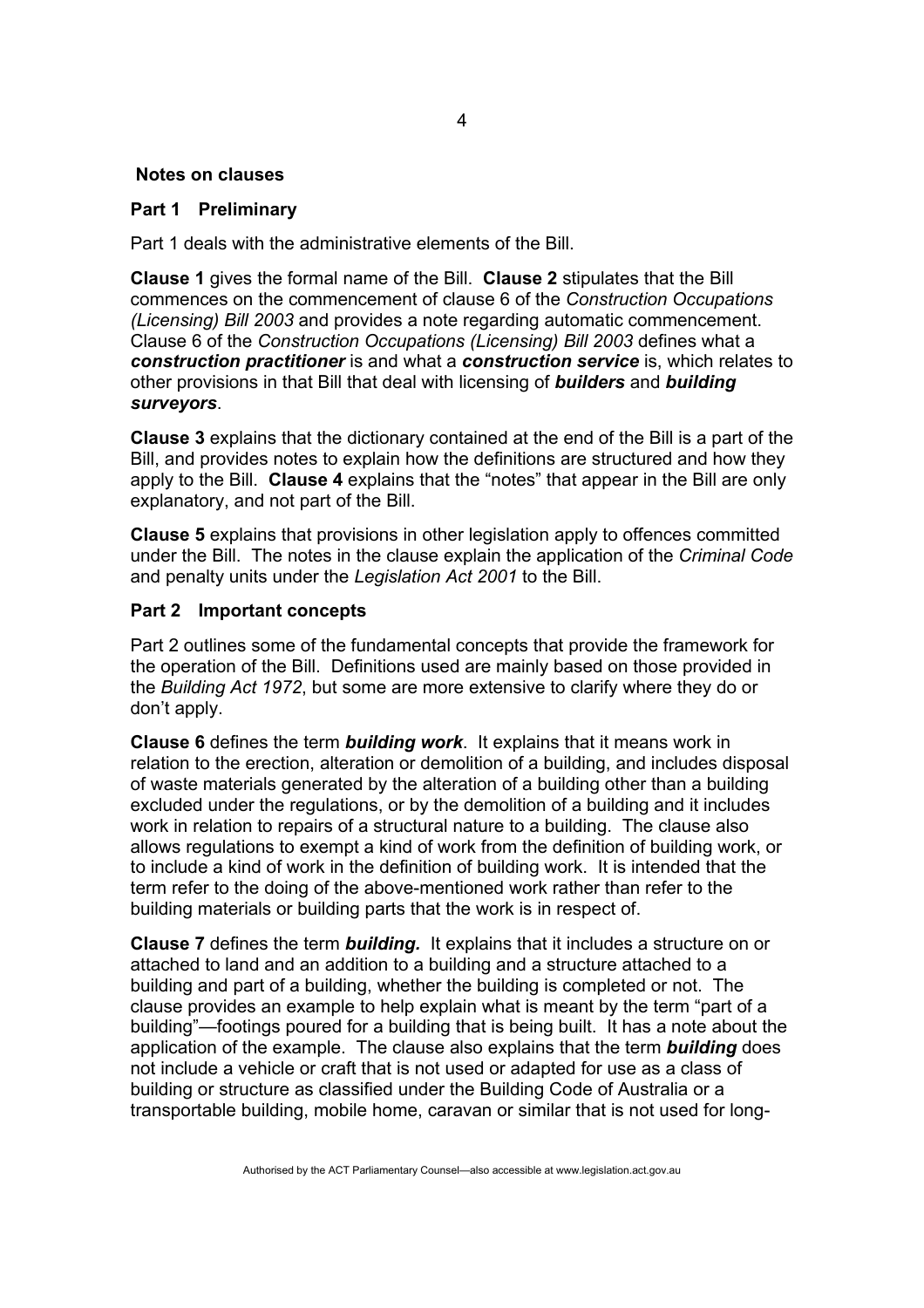### **Notes on clauses**

### **Part 1 Preliminary**

Part 1 deals with the administrative elements of the Bill.

**Clause 1** gives the formal name of the Bill. **Clause 2** stipulates that the Bill commences on the commencement of clause 6 of the *Construction Occupations (Licensing) Bill 2003* and provides a note regarding automatic commencement. Clause 6 of the *Construction Occupations (Licensing) Bill 2003* defines what a *construction practitioner* is and what a *construction service* is, which relates to other provisions in that Bill that deal with licensing of *builders* and *building surveyors*.

**Clause 3** explains that the dictionary contained at the end of the Bill is a part of the Bill, and provides notes to explain how the definitions are structured and how they apply to the Bill. **Clause 4** explains that the "notes" that appear in the Bill are only explanatory, and not part of the Bill.

**Clause 5** explains that provisions in other legislation apply to offences committed under the Bill. The notes in the clause explain the application of the *Criminal Code*  and penalty units under the *Legislation Act 2001* to the Bill.

### **Part 2 Important concepts**

Part 2 outlines some of the fundamental concepts that provide the framework for the operation of the Bill. Definitions used are mainly based on those provided in the *Building Act 1972*, but some are more extensive to clarify where they do or don't apply.

**Clause 6** defines the term *building work*. It explains that it means work in relation to the erection, alteration or demolition of a building, and includes disposal of waste materials generated by the alteration of a building other than a building excluded under the regulations, or by the demolition of a building and it includes work in relation to repairs of a structural nature to a building. The clause also allows regulations to exempt a kind of work from the definition of building work, or to include a kind of work in the definition of building work. It is intended that the term refer to the doing of the above-mentioned work rather than refer to the building materials or building parts that the work is in respect of.

**Clause 7** defines the term *building.* It explains that it includes a structure on or attached to land and an addition to a building and a structure attached to a building and part of a building, whether the building is completed or not. The clause provides an example to help explain what is meant by the term "part of a building"—footings poured for a building that is being built. It has a note about the application of the example. The clause also explains that the term *building* does not include a vehicle or craft that is not used or adapted for use as a class of building or structure as classified under the Building Code of Australia or a transportable building, mobile home, caravan or similar that is not used for long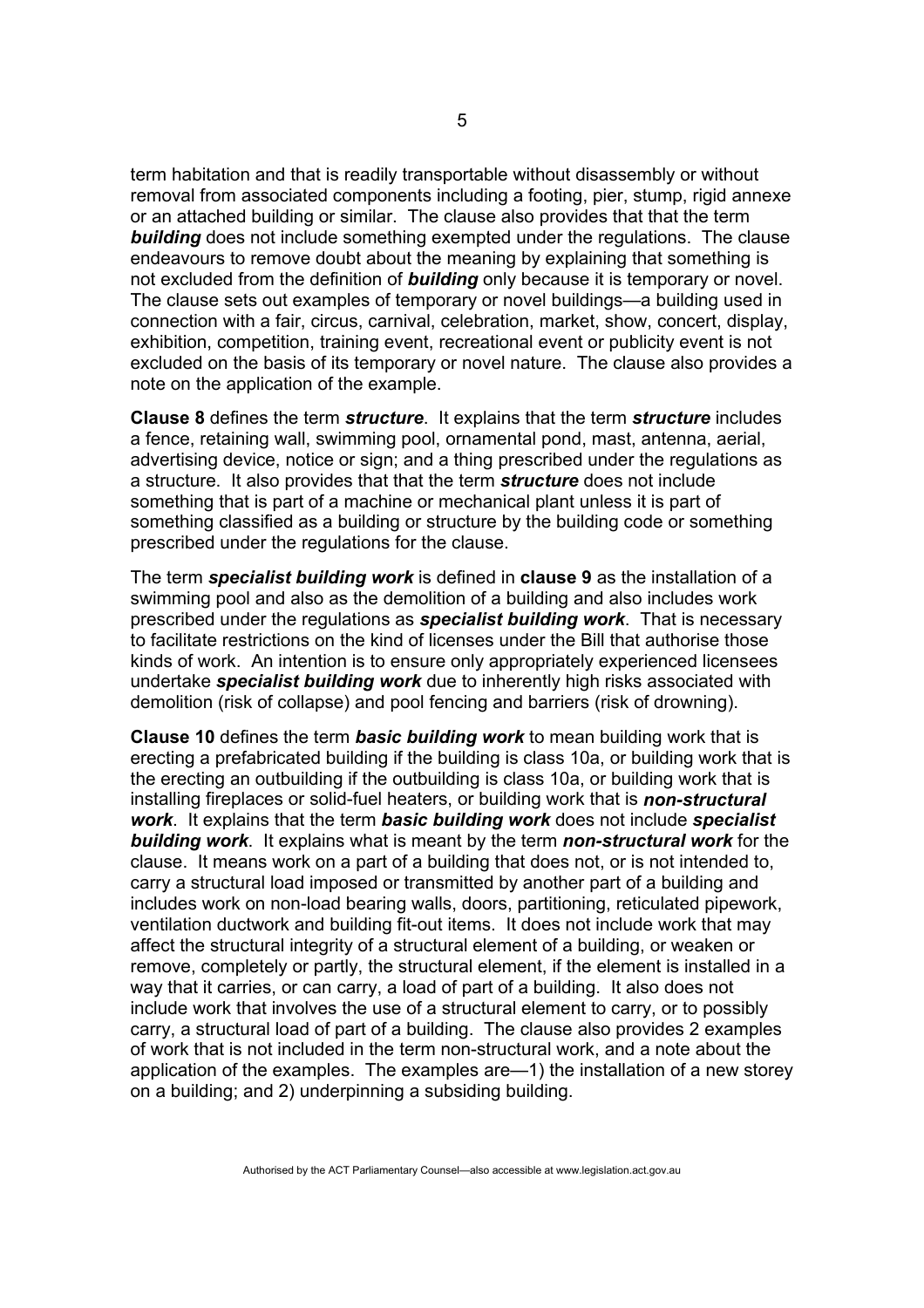term habitation and that is readily transportable without disassembly or without removal from associated components including a footing, pier, stump, rigid annexe or an attached building or similar. The clause also provides that that the term *building* does not include something exempted under the regulations. The clause endeavours to remove doubt about the meaning by explaining that something is not excluded from the definition of *building* only because it is temporary or novel. The clause sets out examples of temporary or novel buildings—a building used in connection with a fair, circus, carnival, celebration, market, show, concert, display, exhibition, competition, training event, recreational event or publicity event is not excluded on the basis of its temporary or novel nature. The clause also provides a note on the application of the example.

**Clause 8** defines the term *structure*. It explains that the term *structure* includes a fence, retaining wall, swimming pool, ornamental pond, mast, antenna, aerial, advertising device, notice or sign; and a thing prescribed under the regulations as a structure. It also provides that that the term *structure* does not include something that is part of a machine or mechanical plant unless it is part of something classified as a building or structure by the building code or something prescribed under the regulations for the clause.

The term *specialist building work* is defined in **clause 9** as the installation of a swimming pool and also as the demolition of a building and also includes work prescribed under the regulations as *specialist building work*. That is necessary to facilitate restrictions on the kind of licenses under the Bill that authorise those kinds of work. An intention is to ensure only appropriately experienced licensees undertake *specialist building work* due to inherently high risks associated with demolition (risk of collapse) and pool fencing and barriers (risk of drowning).

**Clause 10** defines the term *basic building work* to mean building work that is erecting a prefabricated building if the building is class 10a, or building work that is the erecting an outbuilding if the outbuilding is class 10a, or building work that is installing fireplaces or solid-fuel heaters, or building work that is *non-structural work*. It explains that the term *basic building work* does not include *specialist building work*. It explains what is meant by the term *non-structural work* for the clause. It means work on a part of a building that does not, or is not intended to, carry a structural load imposed or transmitted by another part of a building and includes work on non-load bearing walls, doors, partitioning, reticulated pipework, ventilation ductwork and building fit-out items. It does not include work that may affect the structural integrity of a structural element of a building, or weaken or remove, completely or partly, the structural element, if the element is installed in a way that it carries, or can carry, a load of part of a building. It also does not include work that involves the use of a structural element to carry, or to possibly carry, a structural load of part of a building. The clause also provides 2 examples of work that is not included in the term non-structural work, and a note about the application of the examples. The examples are—1) the installation of a new storey on a building; and 2) underpinning a subsiding building.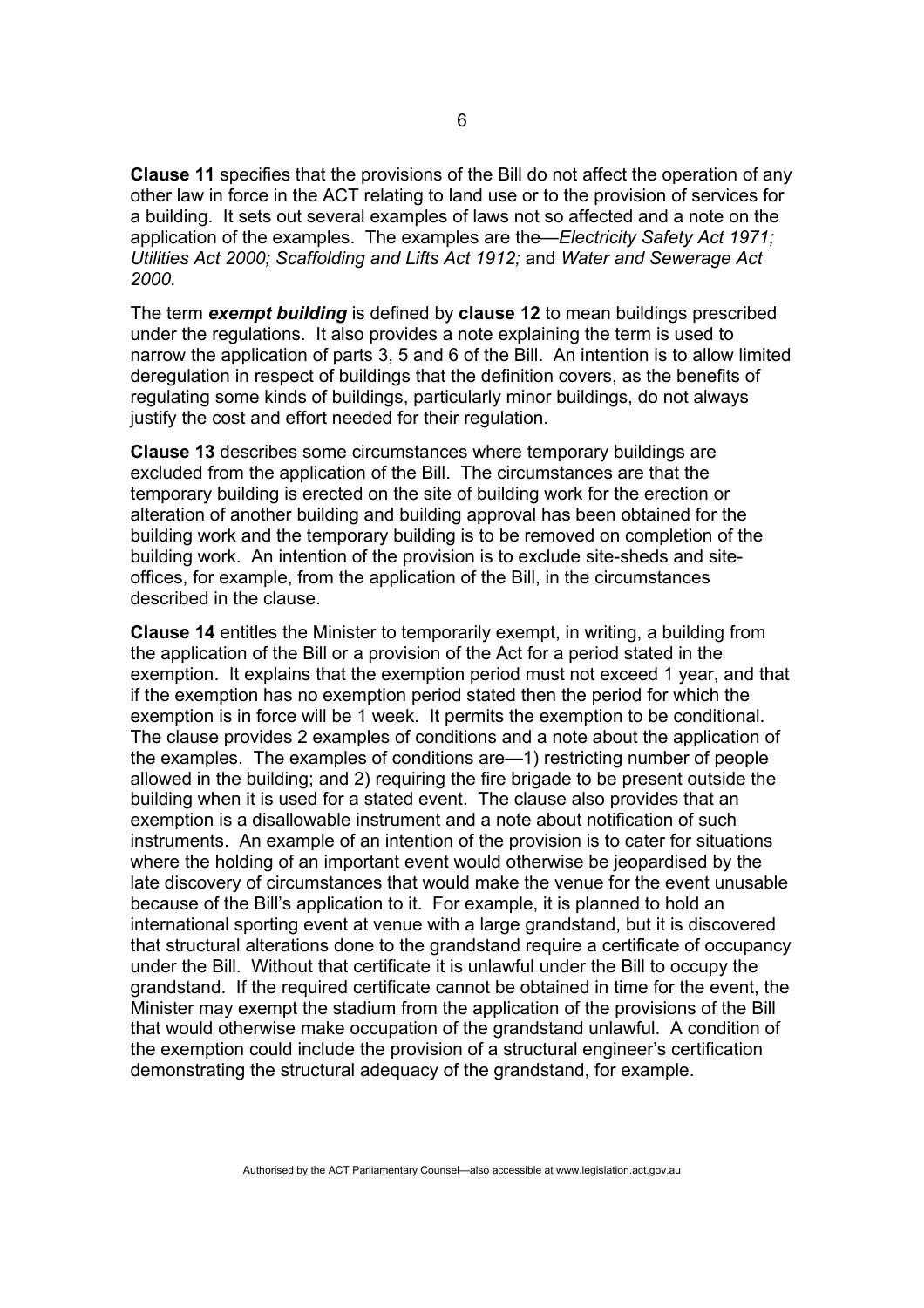**Clause 11** specifies that the provisions of the Bill do not affect the operation of any other law in force in the ACT relating to land use or to the provision of services for a building. It sets out several examples of laws not so affected and a note on the application of the examples. The examples are the—*Electricity Safety Act 1971; Utilities Act 2000; Scaffolding and Lifts Act 1912;* and *Water and Sewerage Act 2000.*

The term *exempt building* is defined by **clause 12** to mean buildings prescribed under the regulations. It also provides a note explaining the term is used to narrow the application of parts 3, 5 and 6 of the Bill. An intention is to allow limited deregulation in respect of buildings that the definition covers, as the benefits of regulating some kinds of buildings, particularly minor buildings, do not always justify the cost and effort needed for their regulation.

**Clause 13** describes some circumstances where temporary buildings are excluded from the application of the Bill. The circumstances are that the temporary building is erected on the site of building work for the erection or alteration of another building and building approval has been obtained for the building work and the temporary building is to be removed on completion of the building work. An intention of the provision is to exclude site-sheds and siteoffices, for example, from the application of the Bill, in the circumstances described in the clause.

**Clause 14** entitles the Minister to temporarily exempt, in writing, a building from the application of the Bill or a provision of the Act for a period stated in the exemption. It explains that the exemption period must not exceed 1 year, and that if the exemption has no exemption period stated then the period for which the exemption is in force will be 1 week. It permits the exemption to be conditional. The clause provides 2 examples of conditions and a note about the application of the examples. The examples of conditions are—1) restricting number of people allowed in the building; and 2) requiring the fire brigade to be present outside the building when it is used for a stated event. The clause also provides that an exemption is a disallowable instrument and a note about notification of such instruments. An example of an intention of the provision is to cater for situations where the holding of an important event would otherwise be jeopardised by the late discovery of circumstances that would make the venue for the event unusable because of the Bill's application to it. For example, it is planned to hold an international sporting event at venue with a large grandstand, but it is discovered that structural alterations done to the grandstand require a certificate of occupancy under the Bill. Without that certificate it is unlawful under the Bill to occupy the grandstand. If the required certificate cannot be obtained in time for the event, the Minister may exempt the stadium from the application of the provisions of the Bill that would otherwise make occupation of the grandstand unlawful. A condition of the exemption could include the provision of a structural engineer's certification demonstrating the structural adequacy of the grandstand, for example.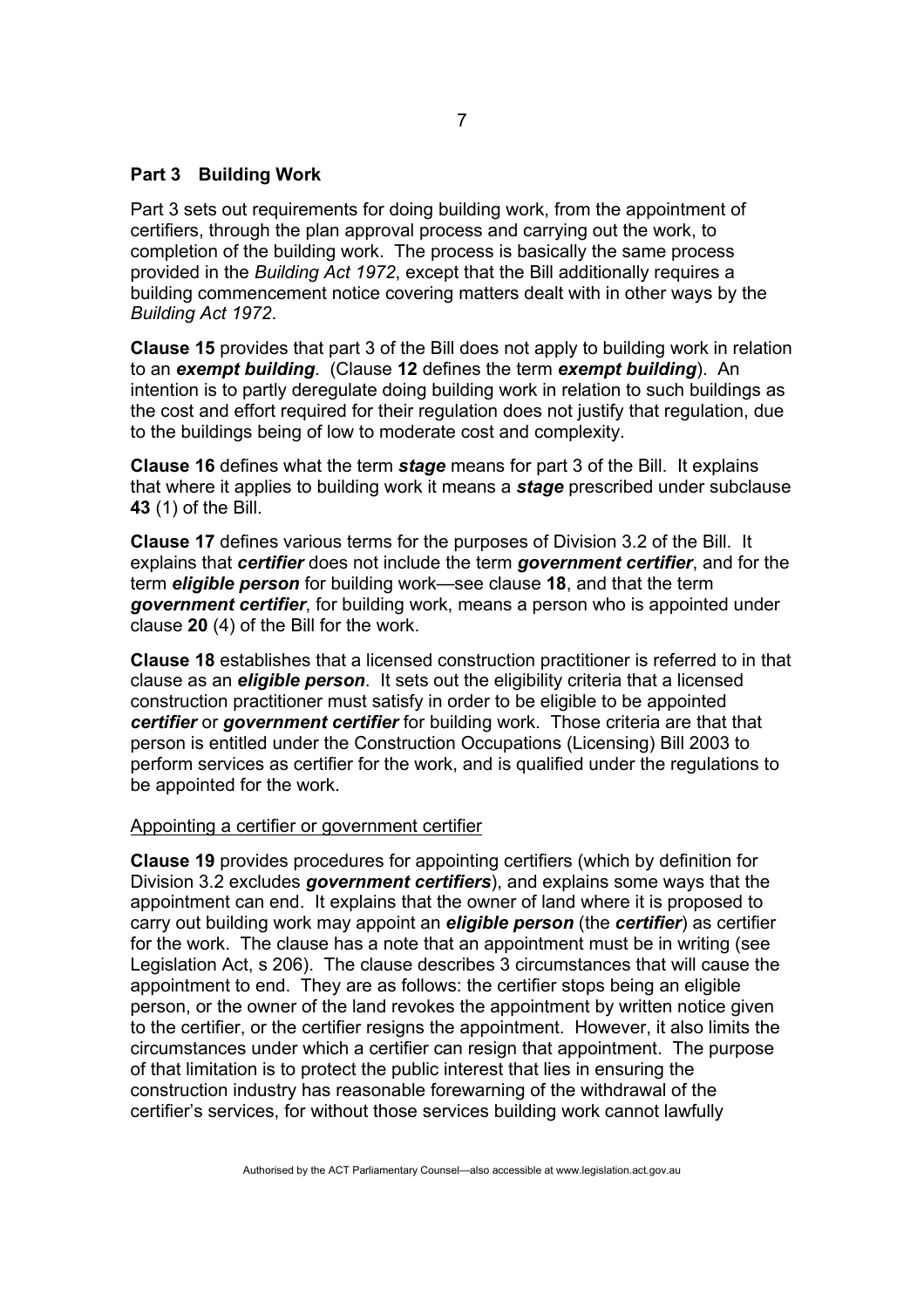### **Part 3 Building Work**

Part 3 sets out requirements for doing building work, from the appointment of certifiers, through the plan approval process and carrying out the work, to completion of the building work. The process is basically the same process provided in the *Building Act 1972*, except that the Bill additionally requires a building commencement notice covering matters dealt with in other ways by the *Building Act 1972*.

**Clause 15** provides that part 3 of the Bill does not apply to building work in relation to an *exempt building*. (Clause **12** defines the term *exempt building*). An intention is to partly deregulate doing building work in relation to such buildings as the cost and effort required for their regulation does not justify that regulation, due to the buildings being of low to moderate cost and complexity.

**Clause 16** defines what the term *stage* means for part 3 of the Bill. It explains that where it applies to building work it means a *stage* prescribed under subclause **43** (1) of the Bill.

**Clause 17** defines various terms for the purposes of Division 3.2 of the Bill. It explains that *certifier* does not include the term *government certifier*, and for the term *eligible person* for building work—see clause **18**, and that the term *government certifier*, for building work, means a person who is appointed under clause **20** (4) of the Bill for the work.

**Clause 18** establishes that a licensed construction practitioner is referred to in that clause as an *eligible person*. It sets out the eligibility criteria that a licensed construction practitioner must satisfy in order to be eligible to be appointed *certifier* or *government certifier* for building work. Those criteria are that that person is entitled under the Construction Occupations (Licensing) Bill 2003 to perform services as certifier for the work, and is qualified under the regulations to be appointed for the work.

#### Appointing a certifier or government certifier

**Clause 19** provides procedures for appointing certifiers (which by definition for Division 3.2 excludes *government certifiers*), and explains some ways that the appointment can end. It explains that the owner of land where it is proposed to carry out building work may appoint an *eligible person* (the *certifier*) as certifier for the work. The clause has a note that an appointment must be in writing (see Legislation Act, s 206). The clause describes 3 circumstances that will cause the appointment to end. They are as follows: the certifier stops being an eligible person, or the owner of the land revokes the appointment by written notice given to the certifier, or the certifier resigns the appointment. However, it also limits the circumstances under which a certifier can resign that appointment. The purpose of that limitation is to protect the public interest that lies in ensuring the construction industry has reasonable forewarning of the withdrawal of the certifier's services, for without those services building work cannot lawfully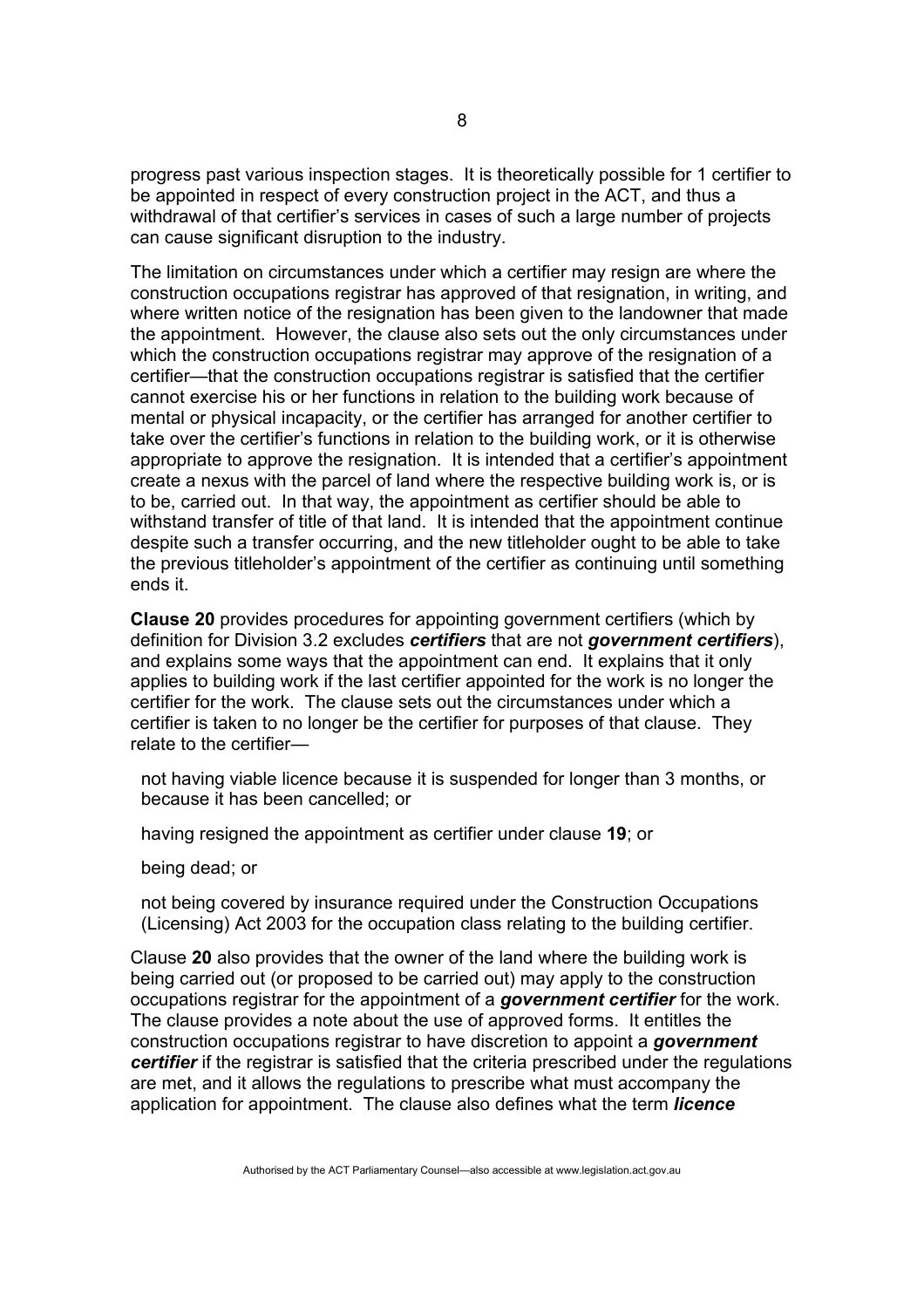progress past various inspection stages. It is theoretically possible for 1 certifier to be appointed in respect of every construction project in the ACT, and thus a withdrawal of that certifier's services in cases of such a large number of projects can cause significant disruption to the industry.

The limitation on circumstances under which a certifier may resign are where the construction occupations registrar has approved of that resignation, in writing, and where written notice of the resignation has been given to the landowner that made the appointment. However, the clause also sets out the only circumstances under which the construction occupations registrar may approve of the resignation of a certifier—that the construction occupations registrar is satisfied that the certifier cannot exercise his or her functions in relation to the building work because of mental or physical incapacity, or the certifier has arranged for another certifier to take over the certifier's functions in relation to the building work, or it is otherwise appropriate to approve the resignation. It is intended that a certifier's appointment create a nexus with the parcel of land where the respective building work is, or is to be, carried out. In that way, the appointment as certifier should be able to withstand transfer of title of that land. It is intended that the appointment continue despite such a transfer occurring, and the new titleholder ought to be able to take the previous titleholder's appointment of the certifier as continuing until something ends it.

**Clause 20** provides procedures for appointing government certifiers (which by definition for Division 3.2 excludes *certifiers* that are not *government certifiers*), and explains some ways that the appointment can end. It explains that it only applies to building work if the last certifier appointed for the work is no longer the certifier for the work. The clause sets out the circumstances under which a certifier is taken to no longer be the certifier for purposes of that clause. They relate to the certifier—

not having viable licence because it is suspended for longer than 3 months, or because it has been cancelled; or

having resigned the appointment as certifier under clause **19**; or

being dead; or

not being covered by insurance required under the Construction Occupations (Licensing) Act 2003 for the occupation class relating to the building certifier.

Clause **20** also provides that the owner of the land where the building work is being carried out (or proposed to be carried out) may apply to the construction occupations registrar for the appointment of a *government certifier* for the work. The clause provides a note about the use of approved forms. It entitles the construction occupations registrar to have discretion to appoint a *government certifier* if the registrar is satisfied that the criteria prescribed under the regulations are met, and it allows the regulations to prescribe what must accompany the application for appointment. The clause also defines what the term *licence*

8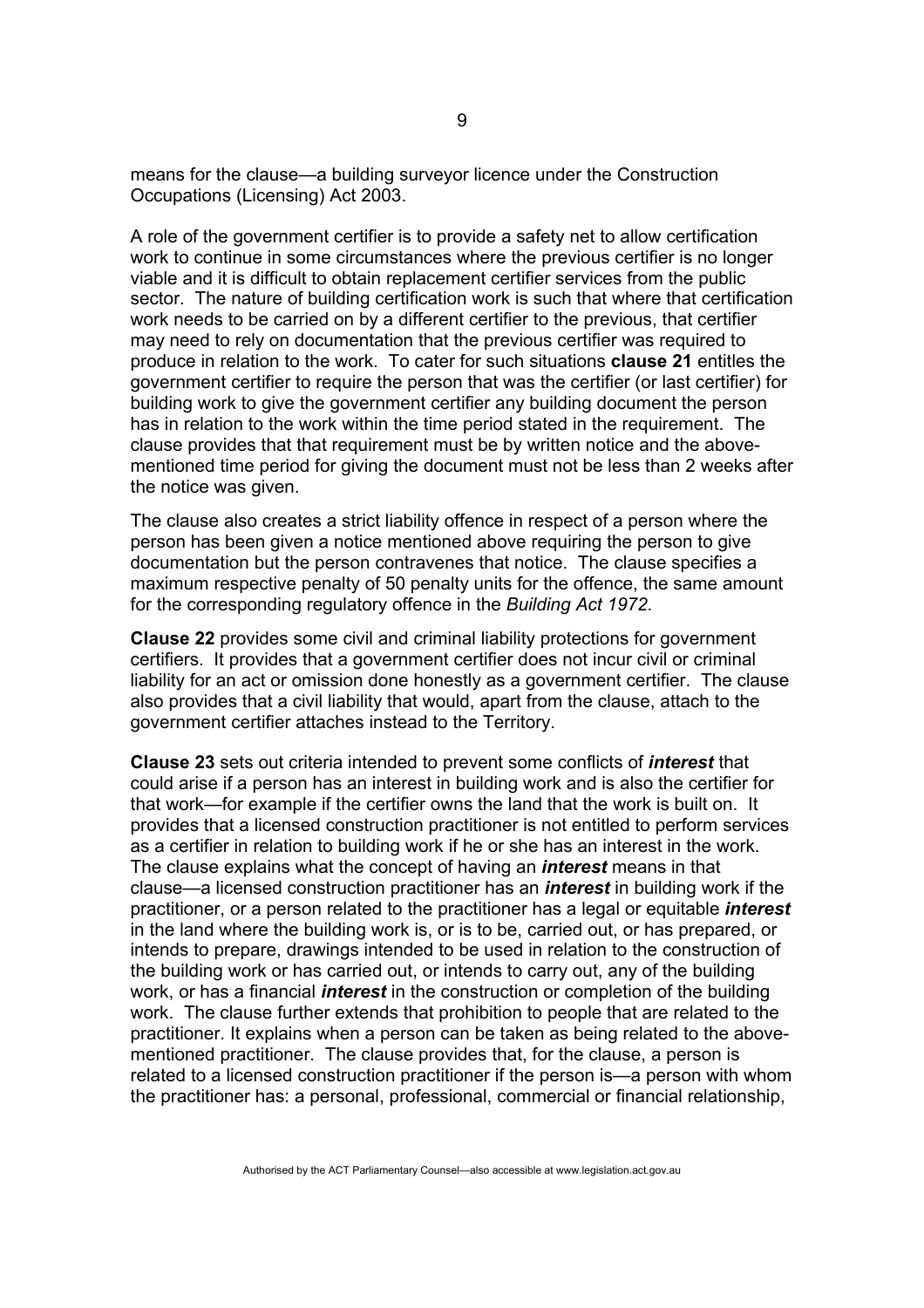means for the clause—a building surveyor licence under the Construction Occupations (Licensing) Act 2003.

A role of the government certifier is to provide a safety net to allow certification work to continue in some circumstances where the previous certifier is no longer viable and it is difficult to obtain replacement certifier services from the public sector. The nature of building certification work is such that where that certification work needs to be carried on by a different certifier to the previous, that certifier may need to rely on documentation that the previous certifier was required to produce in relation to the work. To cater for such situations **clause 21** entitles the government certifier to require the person that was the certifier (or last certifier) for building work to give the government certifier any building document the person has in relation to the work within the time period stated in the requirement. The clause provides that that requirement must be by written notice and the abovementioned time period for giving the document must not be less than 2 weeks after the notice was given.

The clause also creates a strict liability offence in respect of a person where the person has been given a notice mentioned above requiring the person to give documentation but the person contravenes that notice. The clause specifies a maximum respective penalty of 50 penalty units for the offence, the same amount for the corresponding regulatory offence in the *Building Act 1972*.

**Clause 22** provides some civil and criminal liability protections for government certifiers. It provides that a government certifier does not incur civil or criminal liability for an act or omission done honestly as a government certifier. The clause also provides that a civil liability that would, apart from the clause, attach to the government certifier attaches instead to the Territory.

**Clause 23** sets out criteria intended to prevent some conflicts of *interest* that could arise if a person has an interest in building work and is also the certifier for that work—for example if the certifier owns the land that the work is built on. It provides that a licensed construction practitioner is not entitled to perform services as a certifier in relation to building work if he or she has an interest in the work. The clause explains what the concept of having an *interest* means in that clause—a licensed construction practitioner has an *interest* in building work if the practitioner, or a person related to the practitioner has a legal or equitable *interest* in the land where the building work is, or is to be, carried out, or has prepared, or intends to prepare, drawings intended to be used in relation to the construction of the building work or has carried out, or intends to carry out, any of the building work, or has a financial *interest* in the construction or completion of the building work. The clause further extends that prohibition to people that are related to the practitioner. It explains when a person can be taken as being related to the abovementioned practitioner. The clause provides that, for the clause, a person is related to a licensed construction practitioner if the person is—a person with whom the practitioner has: a personal, professional, commercial or financial relationship,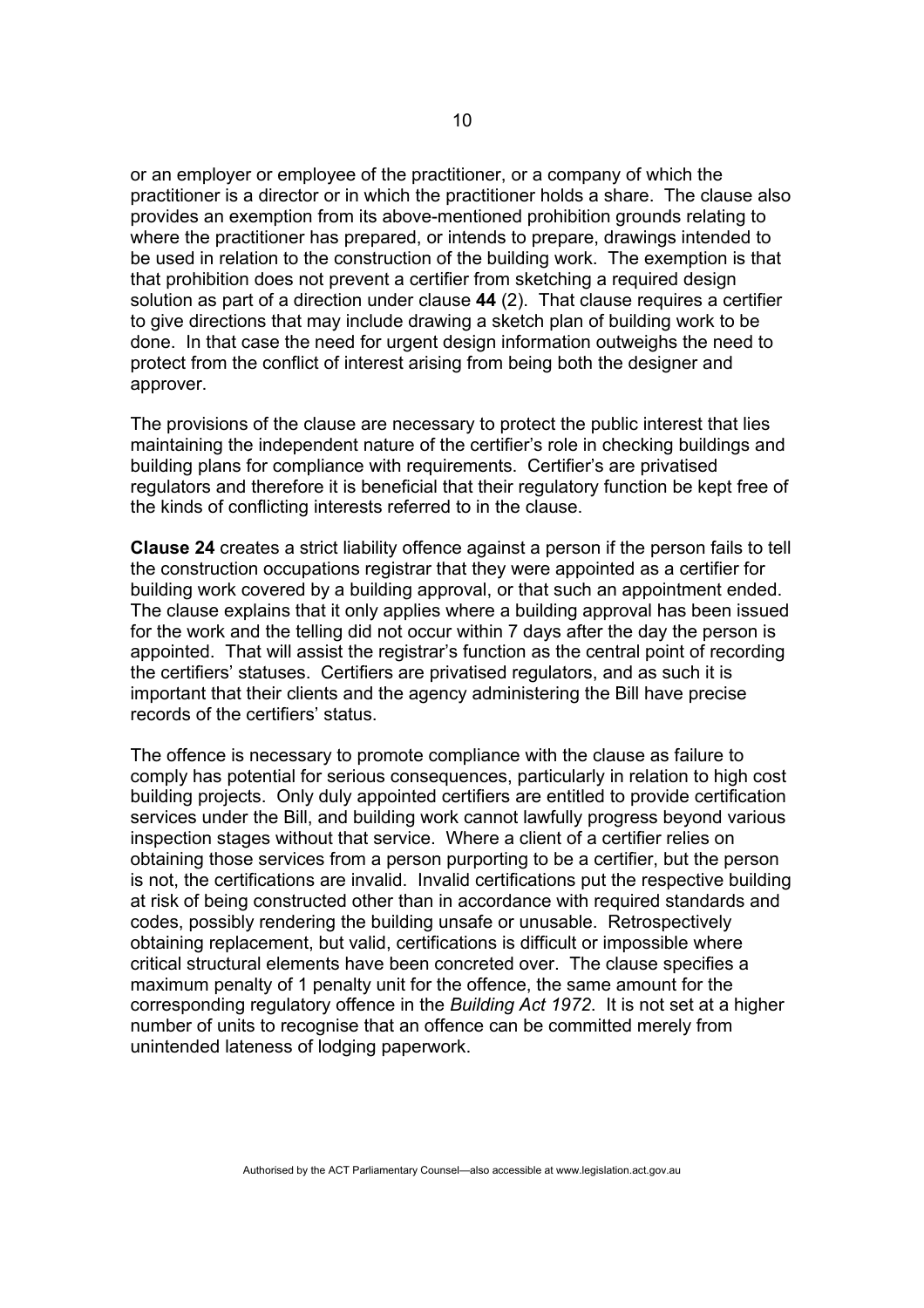or an employer or employee of the practitioner, or a company of which the practitioner is a director or in which the practitioner holds a share. The clause also provides an exemption from its above-mentioned prohibition grounds relating to where the practitioner has prepared, or intends to prepare, drawings intended to be used in relation to the construction of the building work. The exemption is that that prohibition does not prevent a certifier from sketching a required design solution as part of a direction under clause **44** (2). That clause requires a certifier to give directions that may include drawing a sketch plan of building work to be done. In that case the need for urgent design information outweighs the need to protect from the conflict of interest arising from being both the designer and approver.

The provisions of the clause are necessary to protect the public interest that lies maintaining the independent nature of the certifier's role in checking buildings and building plans for compliance with requirements. Certifier's are privatised regulators and therefore it is beneficial that their regulatory function be kept free of the kinds of conflicting interests referred to in the clause.

**Clause 24** creates a strict liability offence against a person if the person fails to tell the construction occupations registrar that they were appointed as a certifier for building work covered by a building approval, or that such an appointment ended. The clause explains that it only applies where a building approval has been issued for the work and the telling did not occur within 7 days after the day the person is appointed. That will assist the registrar's function as the central point of recording the certifiers' statuses. Certifiers are privatised regulators, and as such it is important that their clients and the agency administering the Bill have precise records of the certifiers' status.

The offence is necessary to promote compliance with the clause as failure to comply has potential for serious consequences, particularly in relation to high cost building projects. Only duly appointed certifiers are entitled to provide certification services under the Bill, and building work cannot lawfully progress beyond various inspection stages without that service. Where a client of a certifier relies on obtaining those services from a person purporting to be a certifier, but the person is not, the certifications are invalid. Invalid certifications put the respective building at risk of being constructed other than in accordance with required standards and codes, possibly rendering the building unsafe or unusable. Retrospectively obtaining replacement, but valid, certifications is difficult or impossible where critical structural elements have been concreted over. The clause specifies a maximum penalty of 1 penalty unit for the offence, the same amount for the corresponding regulatory offence in the *Building Act 1972*. It is not set at a higher number of units to recognise that an offence can be committed merely from unintended lateness of lodging paperwork.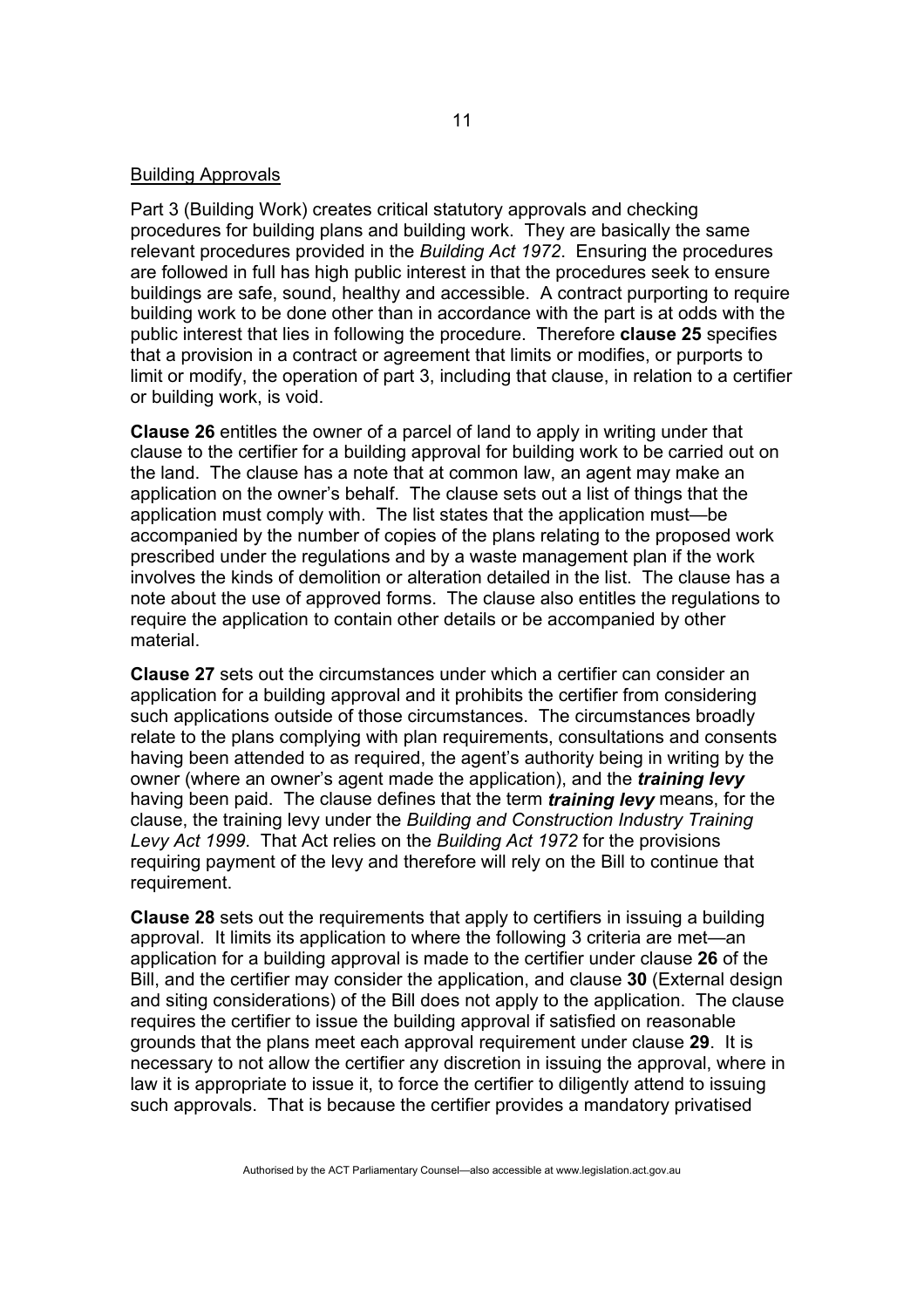#### Building Approvals

Part 3 (Building Work) creates critical statutory approvals and checking procedures for building plans and building work. They are basically the same relevant procedures provided in the *Building Act 1972*. Ensuring the procedures are followed in full has high public interest in that the procedures seek to ensure buildings are safe, sound, healthy and accessible. A contract purporting to require building work to be done other than in accordance with the part is at odds with the public interest that lies in following the procedure. Therefore **clause 25** specifies that a provision in a contract or agreement that limits or modifies, or purports to limit or modify, the operation of part 3, including that clause, in relation to a certifier or building work, is void.

**Clause 26** entitles the owner of a parcel of land to apply in writing under that clause to the certifier for a building approval for building work to be carried out on the land. The clause has a note that at common law, an agent may make an application on the owner's behalf. The clause sets out a list of things that the application must comply with. The list states that the application must—be accompanied by the number of copies of the plans relating to the proposed work prescribed under the regulations and by a waste management plan if the work involves the kinds of demolition or alteration detailed in the list. The clause has a note about the use of approved forms. The clause also entitles the regulations to require the application to contain other details or be accompanied by other material.

**Clause 27** sets out the circumstances under which a certifier can consider an application for a building approval and it prohibits the certifier from considering such applications outside of those circumstances. The circumstances broadly relate to the plans complying with plan requirements, consultations and consents having been attended to as required, the agent's authority being in writing by the owner (where an owner's agent made the application), and the *training levy* having been paid. The clause defines that the term *training levy* means, for the clause, the training levy under the *Building and Construction Industry Training Levy Act 1999*. That Act relies on the *Building Act 1972* for the provisions requiring payment of the levy and therefore will rely on the Bill to continue that requirement.

**Clause 28** sets out the requirements that apply to certifiers in issuing a building approval. It limits its application to where the following 3 criteria are met—an application for a building approval is made to the certifier under clause **26** of the Bill, and the certifier may consider the application, and clause **30** (External design and siting considerations) of the Bill does not apply to the application. The clause requires the certifier to issue the building approval if satisfied on reasonable grounds that the plans meet each approval requirement under clause **29**. It is necessary to not allow the certifier any discretion in issuing the approval, where in law it is appropriate to issue it, to force the certifier to diligently attend to issuing such approvals. That is because the certifier provides a mandatory privatised

11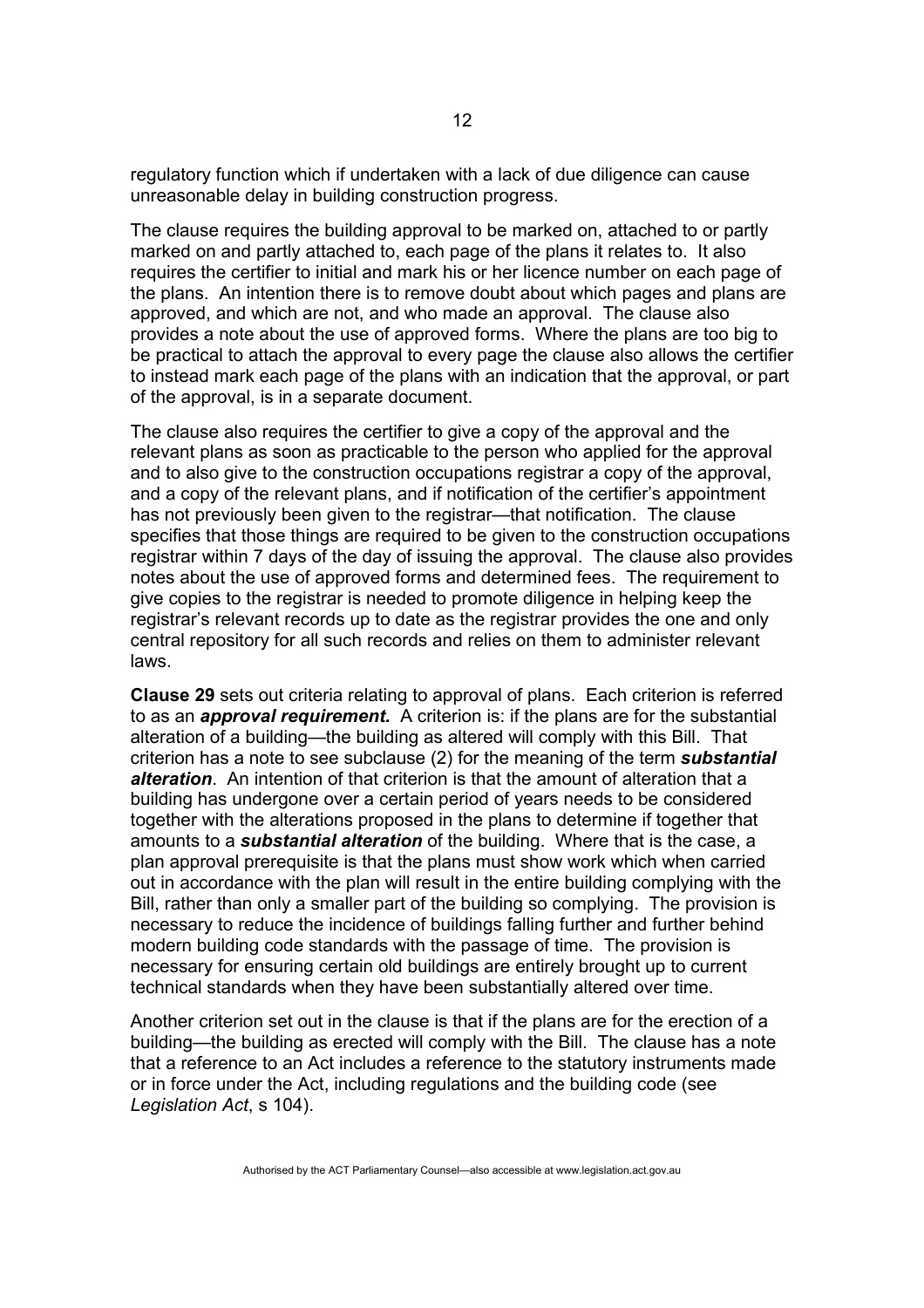regulatory function which if undertaken with a lack of due diligence can cause unreasonable delay in building construction progress.

The clause requires the building approval to be marked on, attached to or partly marked on and partly attached to, each page of the plans it relates to. It also requires the certifier to initial and mark his or her licence number on each page of the plans. An intention there is to remove doubt about which pages and plans are approved, and which are not, and who made an approval. The clause also provides a note about the use of approved forms. Where the plans are too big to be practical to attach the approval to every page the clause also allows the certifier to instead mark each page of the plans with an indication that the approval, or part of the approval, is in a separate document.

The clause also requires the certifier to give a copy of the approval and the relevant plans as soon as practicable to the person who applied for the approval and to also give to the construction occupations registrar a copy of the approval, and a copy of the relevant plans, and if notification of the certifier's appointment has not previously been given to the registrar—that notification. The clause specifies that those things are required to be given to the construction occupations registrar within 7 days of the day of issuing the approval. The clause also provides notes about the use of approved forms and determined fees. The requirement to give copies to the registrar is needed to promote diligence in helping keep the registrar's relevant records up to date as the registrar provides the one and only central repository for all such records and relies on them to administer relevant laws.

**Clause 29** sets out criteria relating to approval of plans. Each criterion is referred to as an *approval requirement.* A criterion is: if the plans are for the substantial alteration of a building—the building as altered will comply with this Bill. That criterion has a note to see subclause (2) for the meaning of the term *substantial alteration*. An intention of that criterion is that the amount of alteration that a building has undergone over a certain period of years needs to be considered together with the alterations proposed in the plans to determine if together that amounts to a *substantial alteration* of the building. Where that is the case, a plan approval prerequisite is that the plans must show work which when carried out in accordance with the plan will result in the entire building complying with the Bill, rather than only a smaller part of the building so complying. The provision is necessary to reduce the incidence of buildings falling further and further behind modern building code standards with the passage of time. The provision is necessary for ensuring certain old buildings are entirely brought up to current technical standards when they have been substantially altered over time.

Another criterion set out in the clause is that if the plans are for the erection of a building—the building as erected will comply with the Bill. The clause has a note that a reference to an Act includes a reference to the statutory instruments made or in force under the Act, including regulations and the building code (see *Legislation Act*, s 104).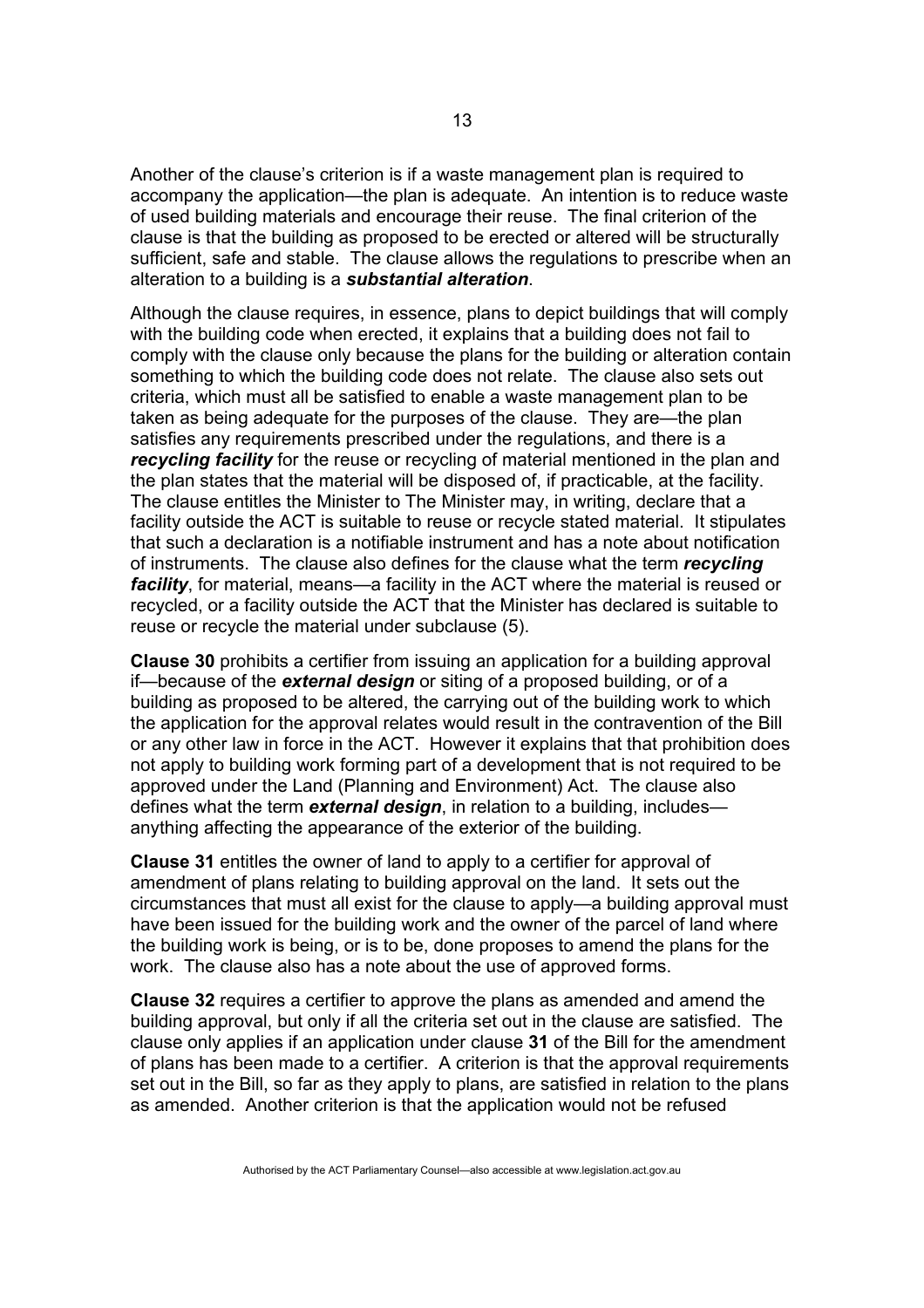Another of the clause's criterion is if a waste management plan is required to accompany the application—the plan is adequate. An intention is to reduce waste of used building materials and encourage their reuse. The final criterion of the clause is that the building as proposed to be erected or altered will be structurally sufficient, safe and stable. The clause allows the regulations to prescribe when an alteration to a building is a *substantial alteration*.

Although the clause requires, in essence, plans to depict buildings that will comply with the building code when erected, it explains that a building does not fail to comply with the clause only because the plans for the building or alteration contain something to which the building code does not relate. The clause also sets out criteria, which must all be satisfied to enable a waste management plan to be taken as being adequate for the purposes of the clause. They are—the plan satisfies any requirements prescribed under the regulations, and there is a *recycling facility* for the reuse or recycling of material mentioned in the plan and the plan states that the material will be disposed of, if practicable, at the facility. The clause entitles the Minister to The Minister may, in writing, declare that a facility outside the ACT is suitable to reuse or recycle stated material. It stipulates that such a declaration is a notifiable instrument and has a note about notification of instruments. The clause also defines for the clause what the term *recycling facility*, for material, means—a facility in the ACT where the material is reused or recycled, or a facility outside the ACT that the Minister has declared is suitable to reuse or recycle the material under subclause (5).

**Clause 30** prohibits a certifier from issuing an application for a building approval if—because of the *external design* or siting of a proposed building, or of a building as proposed to be altered, the carrying out of the building work to which the application for the approval relates would result in the contravention of the Bill or any other law in force in the ACT. However it explains that that prohibition does not apply to building work forming part of a development that is not required to be approved under the Land (Planning and Environment) Act. The clause also defines what the term *external design*, in relation to a building, includes anything affecting the appearance of the exterior of the building.

**Clause 31** entitles the owner of land to apply to a certifier for approval of amendment of plans relating to building approval on the land. It sets out the circumstances that must all exist for the clause to apply—a building approval must have been issued for the building work and the owner of the parcel of land where the building work is being, or is to be, done proposes to amend the plans for the work. The clause also has a note about the use of approved forms.

**Clause 32** requires a certifier to approve the plans as amended and amend the building approval, but only if all the criteria set out in the clause are satisfied. The clause only applies if an application under clause **31** of the Bill for the amendment of plans has been made to a certifier. A criterion is that the approval requirements set out in the Bill, so far as they apply to plans, are satisfied in relation to the plans as amended. Another criterion is that the application would not be refused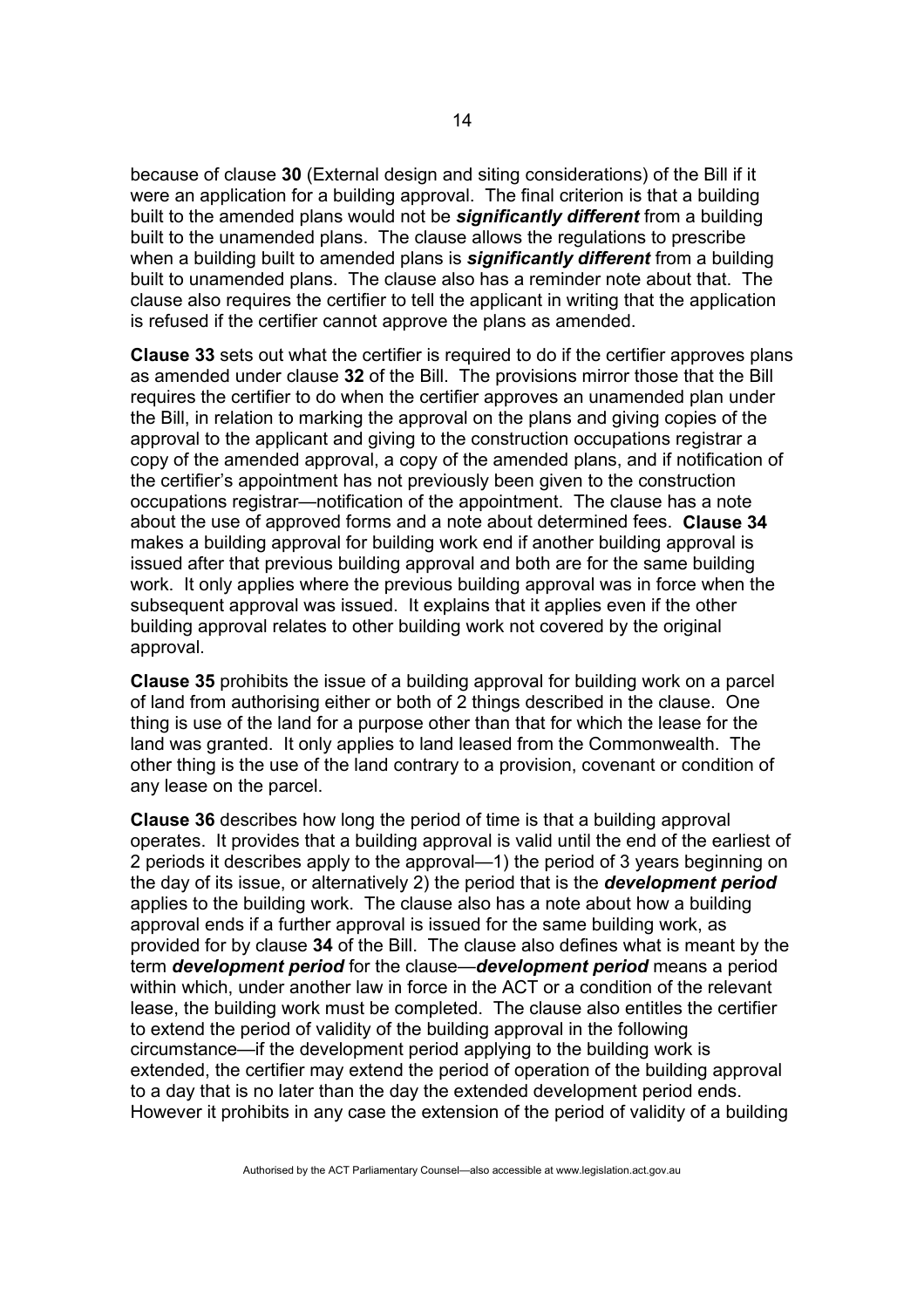because of clause **30** (External design and siting considerations) of the Bill if it were an application for a building approval. The final criterion is that a building built to the amended plans would not be *significantly different* from a building built to the unamended plans. The clause allows the regulations to prescribe when a building built to amended plans is *significantly different* from a building built to unamended plans. The clause also has a reminder note about that. The clause also requires the certifier to tell the applicant in writing that the application is refused if the certifier cannot approve the plans as amended.

**Clause 33** sets out what the certifier is required to do if the certifier approves plans as amended under clause **32** of the Bill. The provisions mirror those that the Bill requires the certifier to do when the certifier approves an unamended plan under the Bill, in relation to marking the approval on the plans and giving copies of the approval to the applicant and giving to the construction occupations registrar a copy of the amended approval, a copy of the amended plans, and if notification of the certifier's appointment has not previously been given to the construction occupations registrar—notification of the appointment. The clause has a note about the use of approved forms and a note about determined fees. **Clause 34** makes a building approval for building work end if another building approval is issued after that previous building approval and both are for the same building work. It only applies where the previous building approval was in force when the subsequent approval was issued. It explains that it applies even if the other building approval relates to other building work not covered by the original approval.

**Clause 35** prohibits the issue of a building approval for building work on a parcel of land from authorising either or both of 2 things described in the clause. One thing is use of the land for a purpose other than that for which the lease for the land was granted. It only applies to land leased from the Commonwealth. The other thing is the use of the land contrary to a provision, covenant or condition of any lease on the parcel.

**Clause 36** describes how long the period of time is that a building approval operates. It provides that a building approval is valid until the end of the earliest of 2 periods it describes apply to the approval—1) the period of 3 years beginning on the day of its issue, or alternatively 2) the period that is the *development period* applies to the building work. The clause also has a note about how a building approval ends if a further approval is issued for the same building work, as provided for by clause **34** of the Bill. The clause also defines what is meant by the term *development period* for the clause—*development period* means a period within which, under another law in force in the ACT or a condition of the relevant lease, the building work must be completed. The clause also entitles the certifier to extend the period of validity of the building approval in the following circumstance—if the development period applying to the building work is extended, the certifier may extend the period of operation of the building approval to a day that is no later than the day the extended development period ends. However it prohibits in any case the extension of the period of validity of a building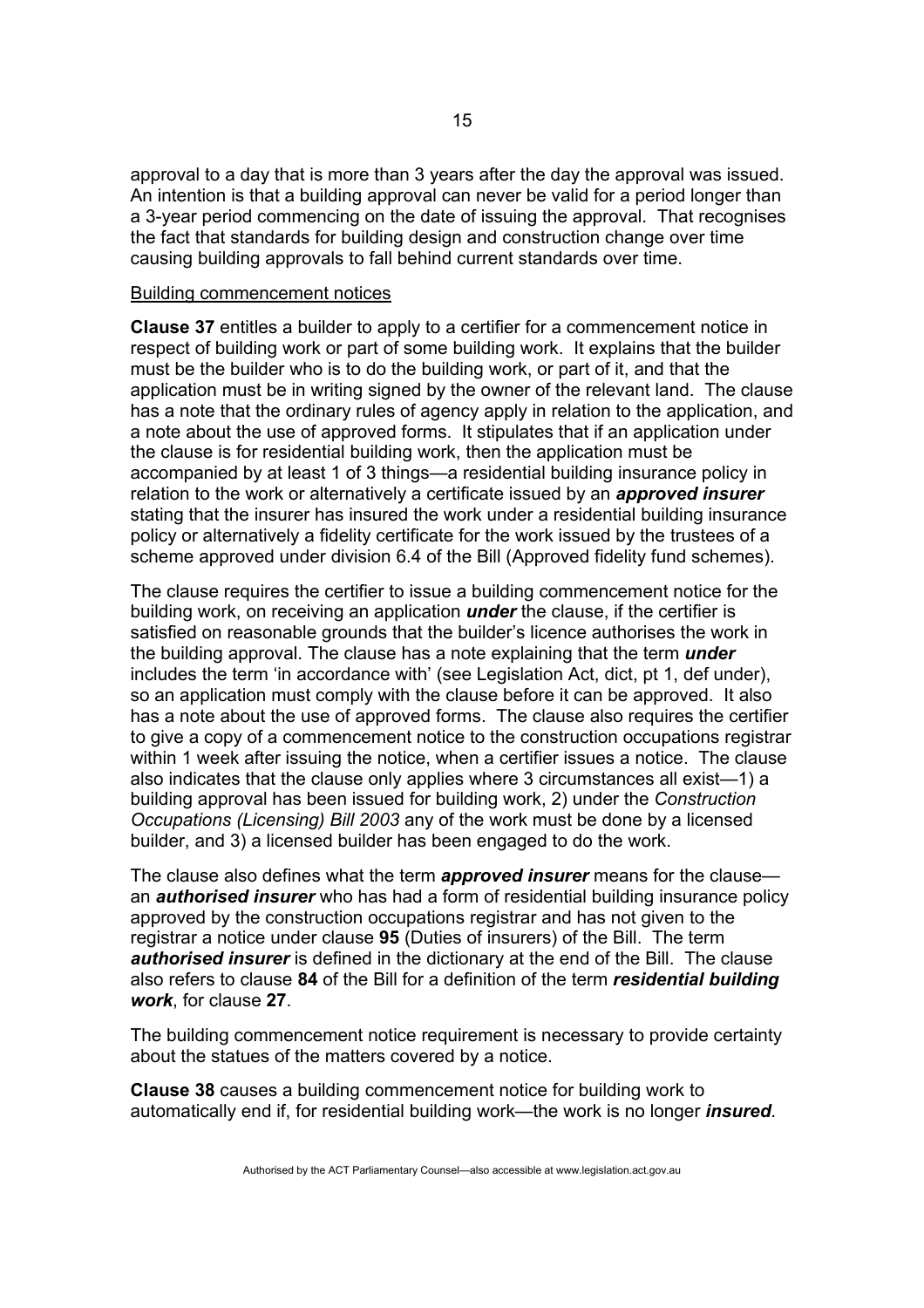approval to a day that is more than 3 years after the day the approval was issued. An intention is that a building approval can never be valid for a period longer than a 3-year period commencing on the date of issuing the approval. That recognises the fact that standards for building design and construction change over time causing building approvals to fall behind current standards over time.

#### Building commencement notices

**Clause 37** entitles a builder to apply to a certifier for a commencement notice in respect of building work or part of some building work. It explains that the builder must be the builder who is to do the building work, or part of it, and that the application must be in writing signed by the owner of the relevant land. The clause has a note that the ordinary rules of agency apply in relation to the application, and a note about the use of approved forms. It stipulates that if an application under the clause is for residential building work, then the application must be accompanied by at least 1 of 3 things—a residential building insurance policy in relation to the work or alternatively a certificate issued by an *approved insurer* stating that the insurer has insured the work under a residential building insurance policy or alternatively a fidelity certificate for the work issued by the trustees of a scheme approved under division 6.4 of the Bill (Approved fidelity fund schemes).

The clause requires the certifier to issue a building commencement notice for the building work, on receiving an application *under* the clause, if the certifier is satisfied on reasonable grounds that the builder's licence authorises the work in the building approval. The clause has a note explaining that the term *under* includes the term 'in accordance with' (see Legislation Act, dict, pt 1, def under), so an application must comply with the clause before it can be approved. It also has a note about the use of approved forms. The clause also requires the certifier to give a copy of a commencement notice to the construction occupations registrar within 1 week after issuing the notice, when a certifier issues a notice. The clause also indicates that the clause only applies where 3 circumstances all exist—1) a building approval has been issued for building work, 2) under the *Construction Occupations (Licensing) Bill 2003* any of the work must be done by a licensed builder, and 3) a licensed builder has been engaged to do the work.

The clause also defines what the term *approved insurer* means for the clause an *authorised insurer* who has had a form of residential building insurance policy approved by the construction occupations registrar and has not given to the registrar a notice under clause **95** (Duties of insurers) of the Bill. The term *authorised insurer* is defined in the dictionary at the end of the Bill. The clause also refers to clause **84** of the Bill for a definition of the term *residential building work*, for clause **27**.

The building commencement notice requirement is necessary to provide certainty about the statues of the matters covered by a notice.

**Clause 38** causes a building commencement notice for building work to automatically end if, for residential building work—the work is no longer *insured*.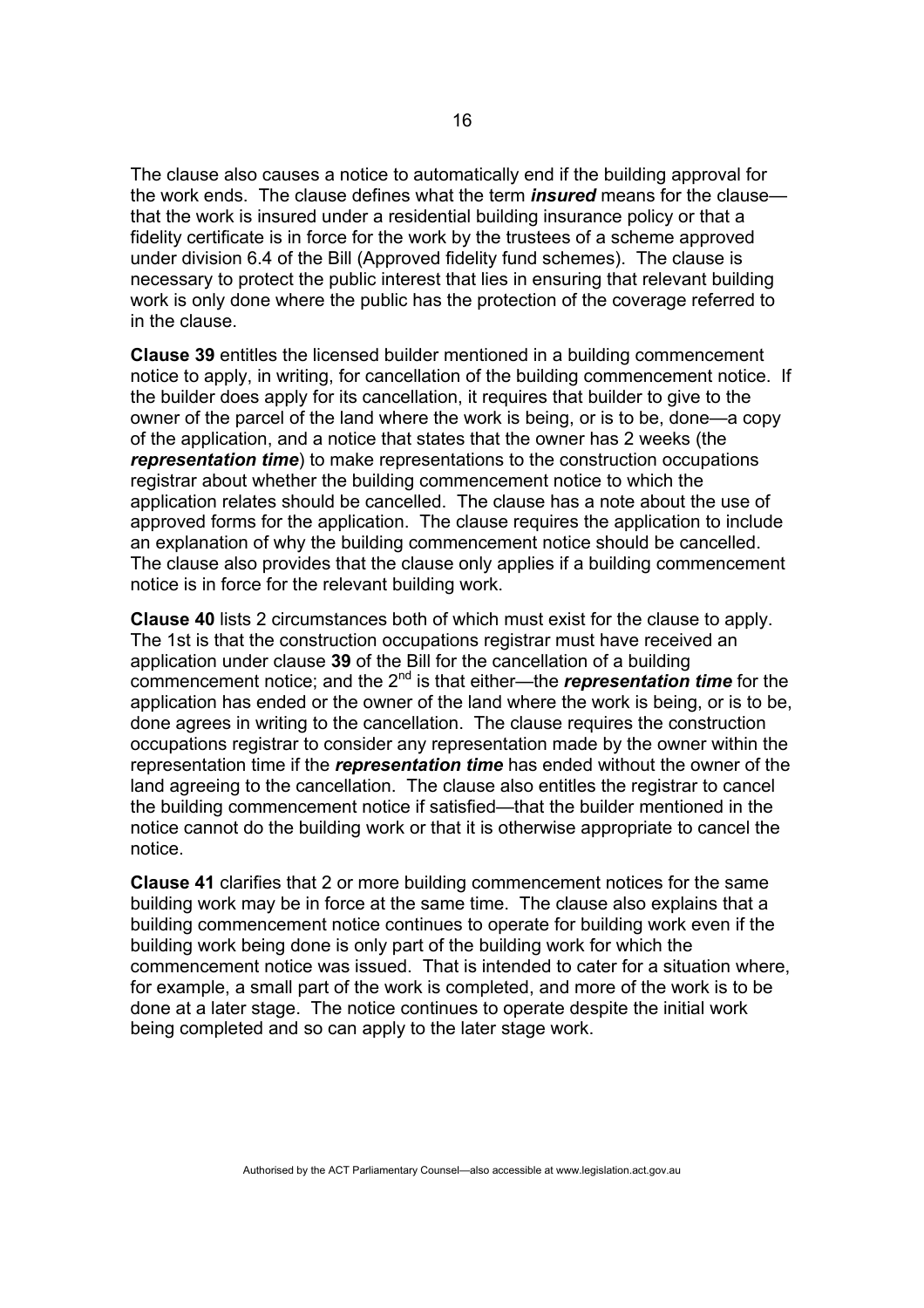The clause also causes a notice to automatically end if the building approval for the work ends. The clause defines what the term *insured* means for the clause that the work is insured under a residential building insurance policy or that a fidelity certificate is in force for the work by the trustees of a scheme approved under division 6.4 of the Bill (Approved fidelity fund schemes). The clause is necessary to protect the public interest that lies in ensuring that relevant building work is only done where the public has the protection of the coverage referred to in the clause.

**Clause 39** entitles the licensed builder mentioned in a building commencement notice to apply, in writing, for cancellation of the building commencement notice. If the builder does apply for its cancellation, it requires that builder to give to the owner of the parcel of the land where the work is being, or is to be, done—a copy of the application, and a notice that states that the owner has 2 weeks (the *representation time*) to make representations to the construction occupations registrar about whether the building commencement notice to which the application relates should be cancelled. The clause has a note about the use of approved forms for the application. The clause requires the application to include an explanation of why the building commencement notice should be cancelled. The clause also provides that the clause only applies if a building commencement notice is in force for the relevant building work.

**Clause 40** lists 2 circumstances both of which must exist for the clause to apply. The 1st is that the construction occupations registrar must have received an application under clause **39** of the Bill for the cancellation of a building commencement notice; and the 2<sup>nd</sup> is that either—the *representation time* for the application has ended or the owner of the land where the work is being, or is to be, done agrees in writing to the cancellation. The clause requires the construction occupations registrar to consider any representation made by the owner within the representation time if the *representation time* has ended without the owner of the land agreeing to the cancellation. The clause also entitles the registrar to cancel the building commencement notice if satisfied—that the builder mentioned in the notice cannot do the building work or that it is otherwise appropriate to cancel the notice.

**Clause 41** clarifies that 2 or more building commencement notices for the same building work may be in force at the same time. The clause also explains that a building commencement notice continues to operate for building work even if the building work being done is only part of the building work for which the commencement notice was issued. That is intended to cater for a situation where, for example, a small part of the work is completed, and more of the work is to be done at a later stage. The notice continues to operate despite the initial work being completed and so can apply to the later stage work.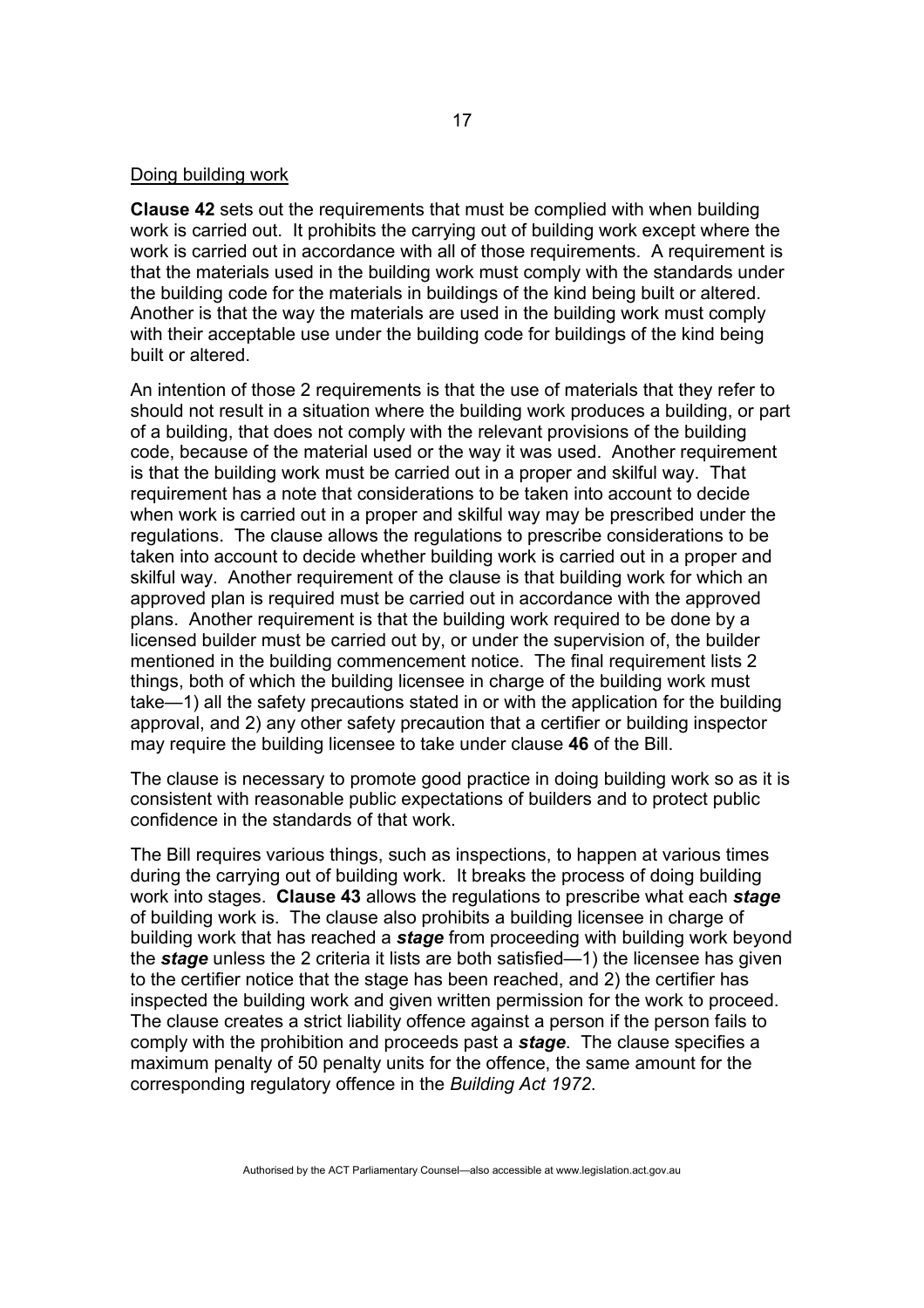#### Doing building work

**Clause 42** sets out the requirements that must be complied with when building work is carried out. It prohibits the carrying out of building work except where the work is carried out in accordance with all of those requirements. A requirement is that the materials used in the building work must comply with the standards under the building code for the materials in buildings of the kind being built or altered. Another is that the way the materials are used in the building work must comply with their acceptable use under the building code for buildings of the kind being built or altered.

An intention of those 2 requirements is that the use of materials that they refer to should not result in a situation where the building work produces a building, or part of a building, that does not comply with the relevant provisions of the building code, because of the material used or the way it was used. Another requirement is that the building work must be carried out in a proper and skilful way. That requirement has a note that considerations to be taken into account to decide when work is carried out in a proper and skilful way may be prescribed under the regulations. The clause allows the regulations to prescribe considerations to be taken into account to decide whether building work is carried out in a proper and skilful way. Another requirement of the clause is that building work for which an approved plan is required must be carried out in accordance with the approved plans. Another requirement is that the building work required to be done by a licensed builder must be carried out by, or under the supervision of, the builder mentioned in the building commencement notice. The final requirement lists 2 things, both of which the building licensee in charge of the building work must take—1) all the safety precautions stated in or with the application for the building approval, and 2) any other safety precaution that a certifier or building inspector may require the building licensee to take under clause **46** of the Bill.

The clause is necessary to promote good practice in doing building work so as it is consistent with reasonable public expectations of builders and to protect public confidence in the standards of that work.

The Bill requires various things, such as inspections, to happen at various times during the carrying out of building work. It breaks the process of doing building work into stages. **Clause 43** allows the regulations to prescribe what each *stage* of building work is. The clause also prohibits a building licensee in charge of building work that has reached a *stage* from proceeding with building work beyond the *stage* unless the 2 criteria it lists are both satisfied—1) the licensee has given to the certifier notice that the stage has been reached, and 2) the certifier has inspected the building work and given written permission for the work to proceed. The clause creates a strict liability offence against a person if the person fails to comply with the prohibition and proceeds past a *stage*. The clause specifies a maximum penalty of 50 penalty units for the offence, the same amount for the corresponding regulatory offence in the *Building Act 1972*.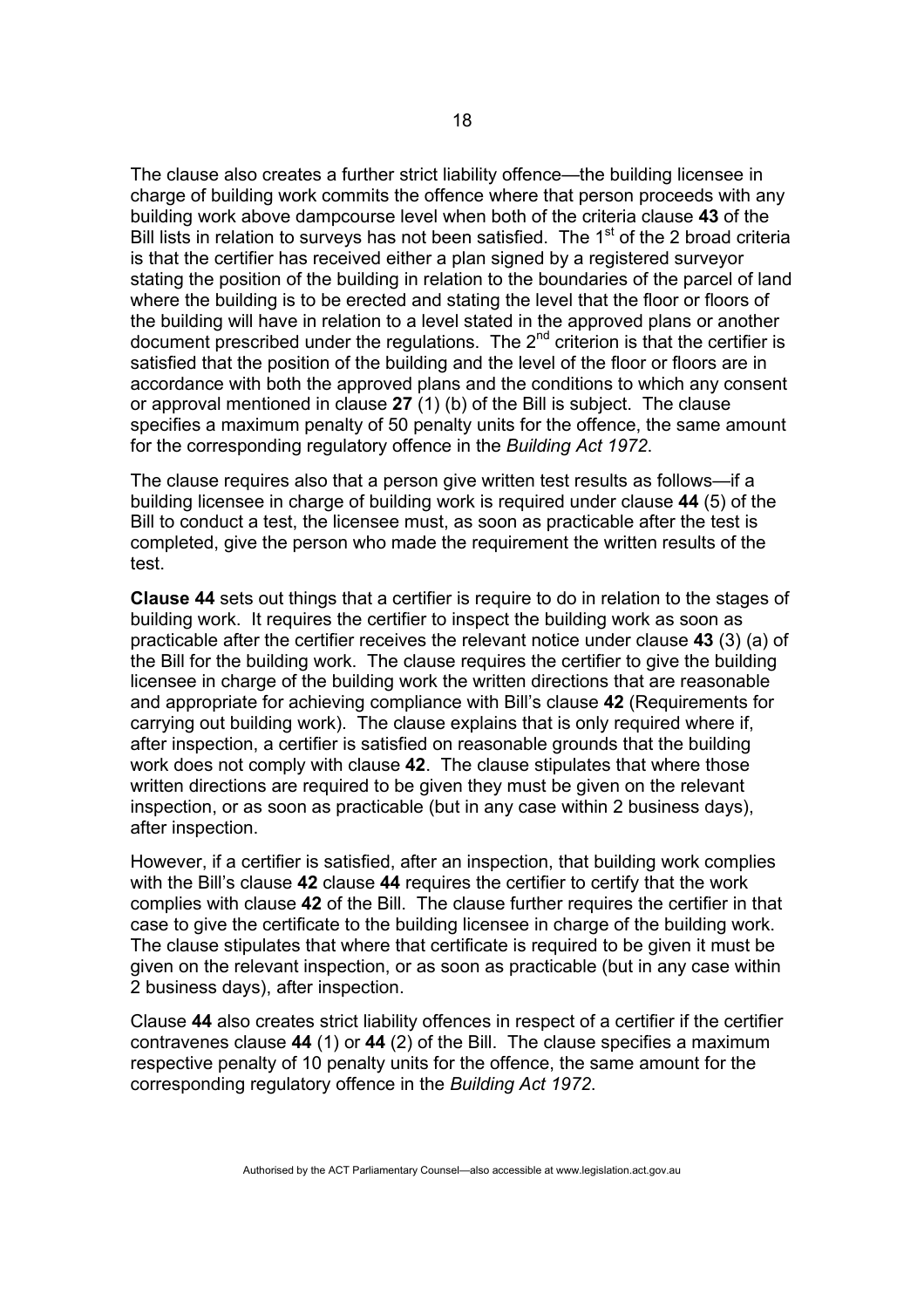The clause also creates a further strict liability offence—the building licensee in charge of building work commits the offence where that person proceeds with any building work above dampcourse level when both of the criteria clause **43** of the Bill lists in relation to surveys has not been satisfied. The  $1<sup>st</sup>$  of the 2 broad criteria is that the certifier has received either a plan signed by a registered surveyor stating the position of the building in relation to the boundaries of the parcel of land where the building is to be erected and stating the level that the floor or floors of the building will have in relation to a level stated in the approved plans or another document prescribed under the regulations. The  $2^{nd}$  criterion is that the certifier is satisfied that the position of the building and the level of the floor or floors are in accordance with both the approved plans and the conditions to which any consent or approval mentioned in clause **27** (1) (b) of the Bill is subject. The clause specifies a maximum penalty of 50 penalty units for the offence, the same amount for the corresponding regulatory offence in the *Building Act 1972*.

The clause requires also that a person give written test results as follows—if a building licensee in charge of building work is required under clause **44** (5) of the Bill to conduct a test, the licensee must, as soon as practicable after the test is completed, give the person who made the requirement the written results of the test.

**Clause 44** sets out things that a certifier is require to do in relation to the stages of building work. It requires the certifier to inspect the building work as soon as practicable after the certifier receives the relevant notice under clause **43** (3) (a) of the Bill for the building work. The clause requires the certifier to give the building licensee in charge of the building work the written directions that are reasonable and appropriate for achieving compliance with Bill's clause **42** (Requirements for carrying out building work). The clause explains that is only required where if, after inspection, a certifier is satisfied on reasonable grounds that the building work does not comply with clause **42**. The clause stipulates that where those written directions are required to be given they must be given on the relevant inspection, or as soon as practicable (but in any case within 2 business days), after inspection.

However, if a certifier is satisfied, after an inspection, that building work complies with the Bill's clause **42** clause **44** requires the certifier to certify that the work complies with clause **42** of the Bill. The clause further requires the certifier in that case to give the certificate to the building licensee in charge of the building work. The clause stipulates that where that certificate is required to be given it must be given on the relevant inspection, or as soon as practicable (but in any case within 2 business days), after inspection.

Clause **44** also creates strict liability offences in respect of a certifier if the certifier contravenes clause **44** (1) or **44** (2) of the Bill. The clause specifies a maximum respective penalty of 10 penalty units for the offence, the same amount for the corresponding regulatory offence in the *Building Act 1972*.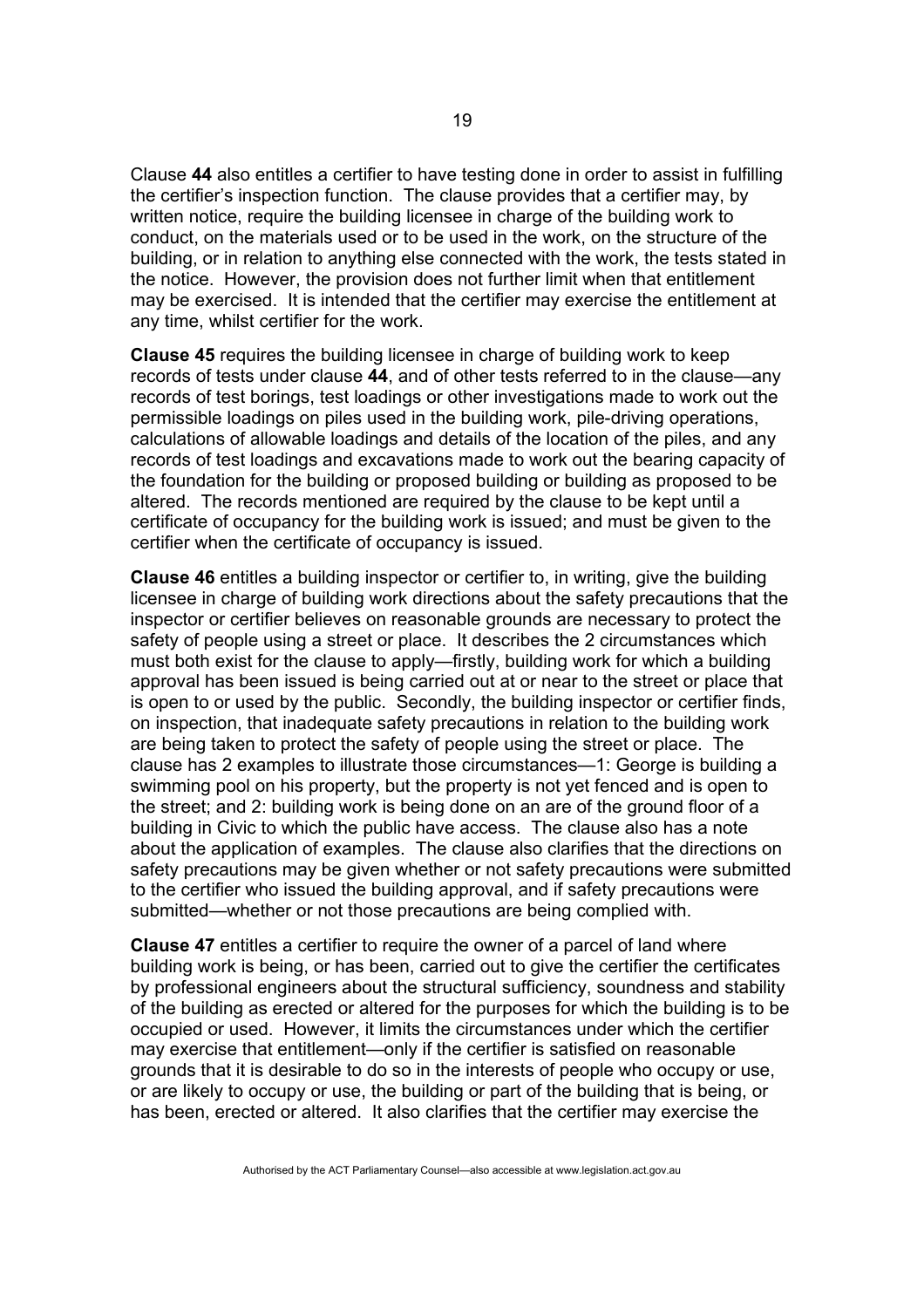Clause **44** also entitles a certifier to have testing done in order to assist in fulfilling the certifier's inspection function. The clause provides that a certifier may, by written notice, require the building licensee in charge of the building work to conduct, on the materials used or to be used in the work, on the structure of the building, or in relation to anything else connected with the work, the tests stated in the notice. However, the provision does not further limit when that entitlement may be exercised. It is intended that the certifier may exercise the entitlement at any time, whilst certifier for the work.

**Clause 45** requires the building licensee in charge of building work to keep records of tests under clause **44**, and of other tests referred to in the clause—any records of test borings, test loadings or other investigations made to work out the permissible loadings on piles used in the building work, pile-driving operations, calculations of allowable loadings and details of the location of the piles, and any records of test loadings and excavations made to work out the bearing capacity of the foundation for the building or proposed building or building as proposed to be altered. The records mentioned are required by the clause to be kept until a certificate of occupancy for the building work is issued; and must be given to the certifier when the certificate of occupancy is issued.

**Clause 46** entitles a building inspector or certifier to, in writing, give the building licensee in charge of building work directions about the safety precautions that the inspector or certifier believes on reasonable grounds are necessary to protect the safety of people using a street or place. It describes the 2 circumstances which must both exist for the clause to apply—firstly, building work for which a building approval has been issued is being carried out at or near to the street or place that is open to or used by the public. Secondly, the building inspector or certifier finds, on inspection, that inadequate safety precautions in relation to the building work are being taken to protect the safety of people using the street or place. The clause has 2 examples to illustrate those circumstances—1: George is building a swimming pool on his property, but the property is not yet fenced and is open to the street; and 2: building work is being done on an are of the ground floor of a building in Civic to which the public have access. The clause also has a note about the application of examples. The clause also clarifies that the directions on safety precautions may be given whether or not safety precautions were submitted to the certifier who issued the building approval, and if safety precautions were submitted—whether or not those precautions are being complied with.

**Clause 47** entitles a certifier to require the owner of a parcel of land where building work is being, or has been, carried out to give the certifier the certificates by professional engineers about the structural sufficiency, soundness and stability of the building as erected or altered for the purposes for which the building is to be occupied or used. However, it limits the circumstances under which the certifier may exercise that entitlement—only if the certifier is satisfied on reasonable grounds that it is desirable to do so in the interests of people who occupy or use, or are likely to occupy or use, the building or part of the building that is being, or has been, erected or altered. It also clarifies that the certifier may exercise the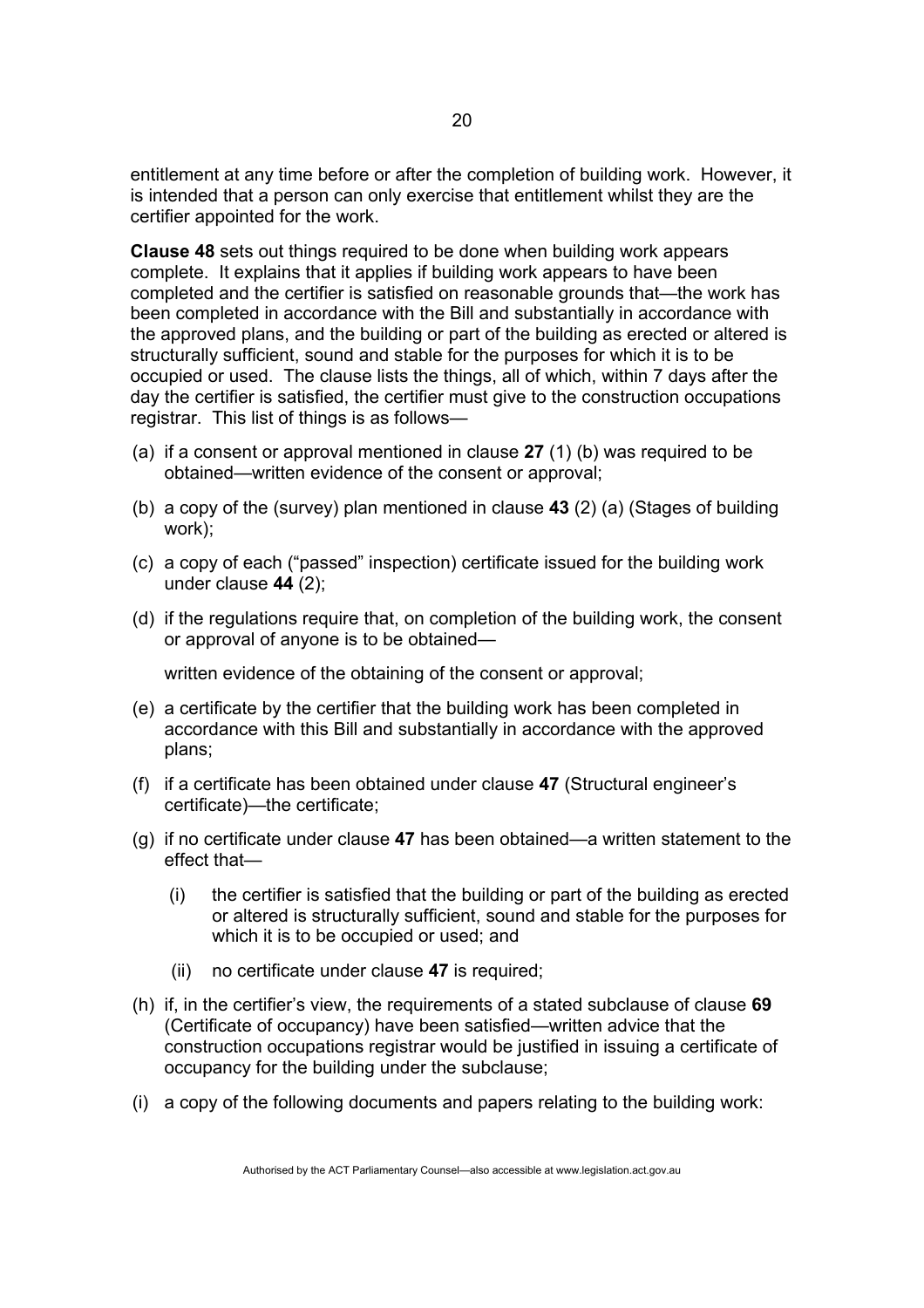entitlement at any time before or after the completion of building work. However, it is intended that a person can only exercise that entitlement whilst they are the certifier appointed for the work.

**Clause 48** sets out things required to be done when building work appears complete. It explains that it applies if building work appears to have been completed and the certifier is satisfied on reasonable grounds that—the work has been completed in accordance with the Bill and substantially in accordance with the approved plans, and the building or part of the building as erected or altered is structurally sufficient, sound and stable for the purposes for which it is to be occupied or used. The clause lists the things, all of which, within 7 days after the day the certifier is satisfied, the certifier must give to the construction occupations registrar. This list of things is as follows—

- (a) if a consent or approval mentioned in clause **27** (1) (b) was required to be obtained—written evidence of the consent or approval;
- (b) a copy of the (survey) plan mentioned in clause **43** (2) (a) (Stages of building work);
- (c) a copy of each ("passed" inspection) certificate issued for the building work under clause **44** (2);
- (d) if the regulations require that, on completion of the building work, the consent or approval of anyone is to be obtained—

written evidence of the obtaining of the consent or approval;

- (e) a certificate by the certifier that the building work has been completed in accordance with this Bill and substantially in accordance with the approved plans;
- (f) if a certificate has been obtained under clause **47** (Structural engineer's certificate)—the certificate;
- (g) if no certificate under clause **47** has been obtained—a written statement to the effect that—
	- (i) the certifier is satisfied that the building or part of the building as erected or altered is structurally sufficient, sound and stable for the purposes for which it is to be occupied or used; and
	- (ii) no certificate under clause **47** is required;
- (h) if, in the certifier's view, the requirements of a stated subclause of clause **69** (Certificate of occupancy) have been satisfied—written advice that the construction occupations registrar would be justified in issuing a certificate of occupancy for the building under the subclause;
- (i) a copy of the following documents and papers relating to the building work: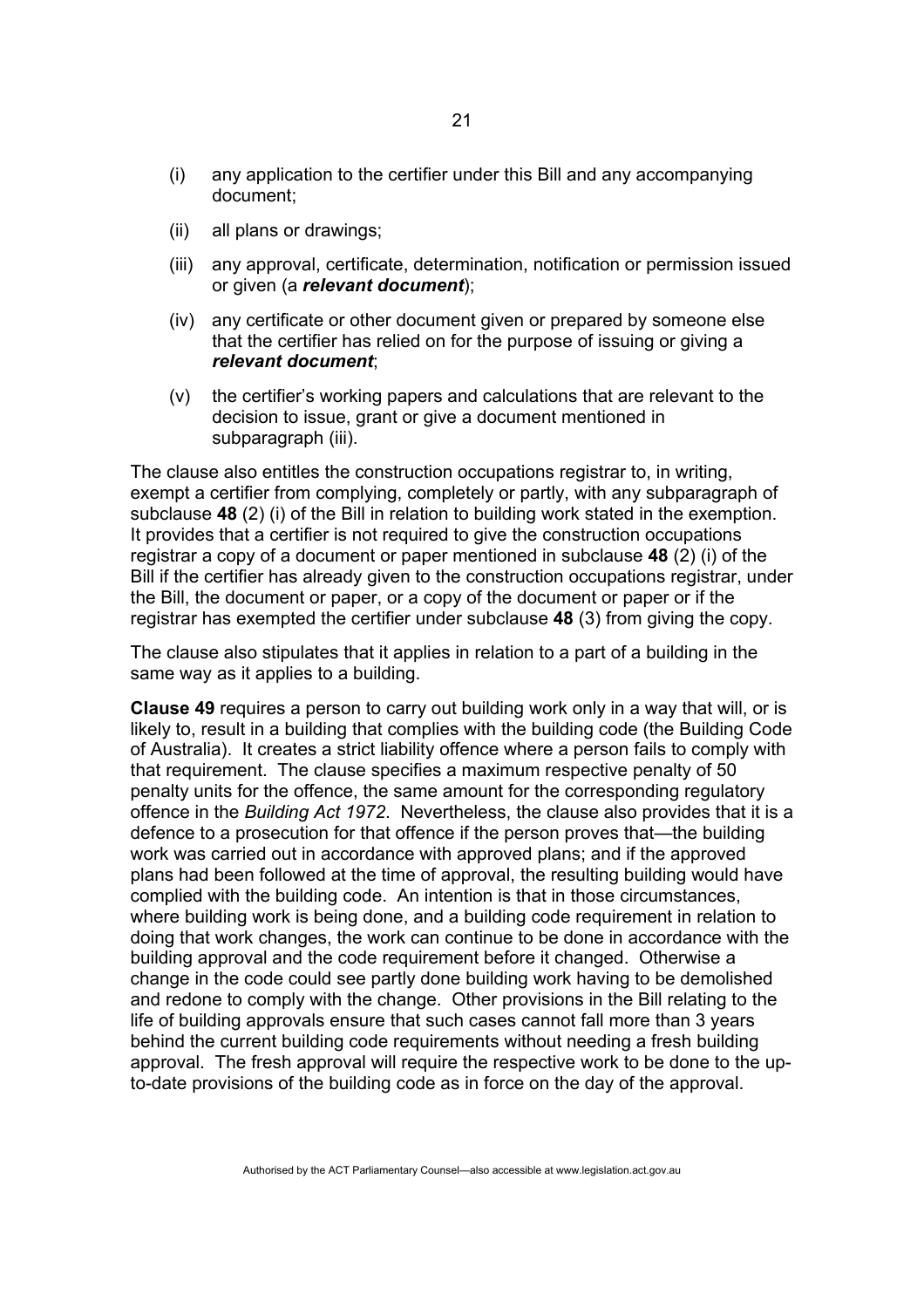- (i) any application to the certifier under this Bill and any accompanying document;
- (ii) all plans or drawings;
- (iii) any approval, certificate, determination, notification or permission issued or given (a *relevant document*);
- (iv) any certificate or other document given or prepared by someone else that the certifier has relied on for the purpose of issuing or giving a *relevant document*;
- (v) the certifier's working papers and calculations that are relevant to the decision to issue, grant or give a document mentioned in subparagraph (iii).

The clause also entitles the construction occupations registrar to, in writing, exempt a certifier from complying, completely or partly, with any subparagraph of subclause **48** (2) (i) of the Bill in relation to building work stated in the exemption. It provides that a certifier is not required to give the construction occupations registrar a copy of a document or paper mentioned in subclause **48** (2) (i) of the Bill if the certifier has already given to the construction occupations registrar, under the Bill, the document or paper, or a copy of the document or paper or if the registrar has exempted the certifier under subclause **48** (3) from giving the copy.

The clause also stipulates that it applies in relation to a part of a building in the same way as it applies to a building.

**Clause 49** requires a person to carry out building work only in a way that will, or is likely to, result in a building that complies with the building code (the Building Code of Australia). It creates a strict liability offence where a person fails to comply with that requirement. The clause specifies a maximum respective penalty of 50 penalty units for the offence, the same amount for the corresponding regulatory offence in the *Building Act 1972*. Nevertheless, the clause also provides that it is a defence to a prosecution for that offence if the person proves that—the building work was carried out in accordance with approved plans; and if the approved plans had been followed at the time of approval, the resulting building would have complied with the building code. An intention is that in those circumstances, where building work is being done, and a building code requirement in relation to doing that work changes, the work can continue to be done in accordance with the building approval and the code requirement before it changed. Otherwise a change in the code could see partly done building work having to be demolished and redone to comply with the change. Other provisions in the Bill relating to the life of building approvals ensure that such cases cannot fall more than 3 years behind the current building code requirements without needing a fresh building approval. The fresh approval will require the respective work to be done to the upto-date provisions of the building code as in force on the day of the approval.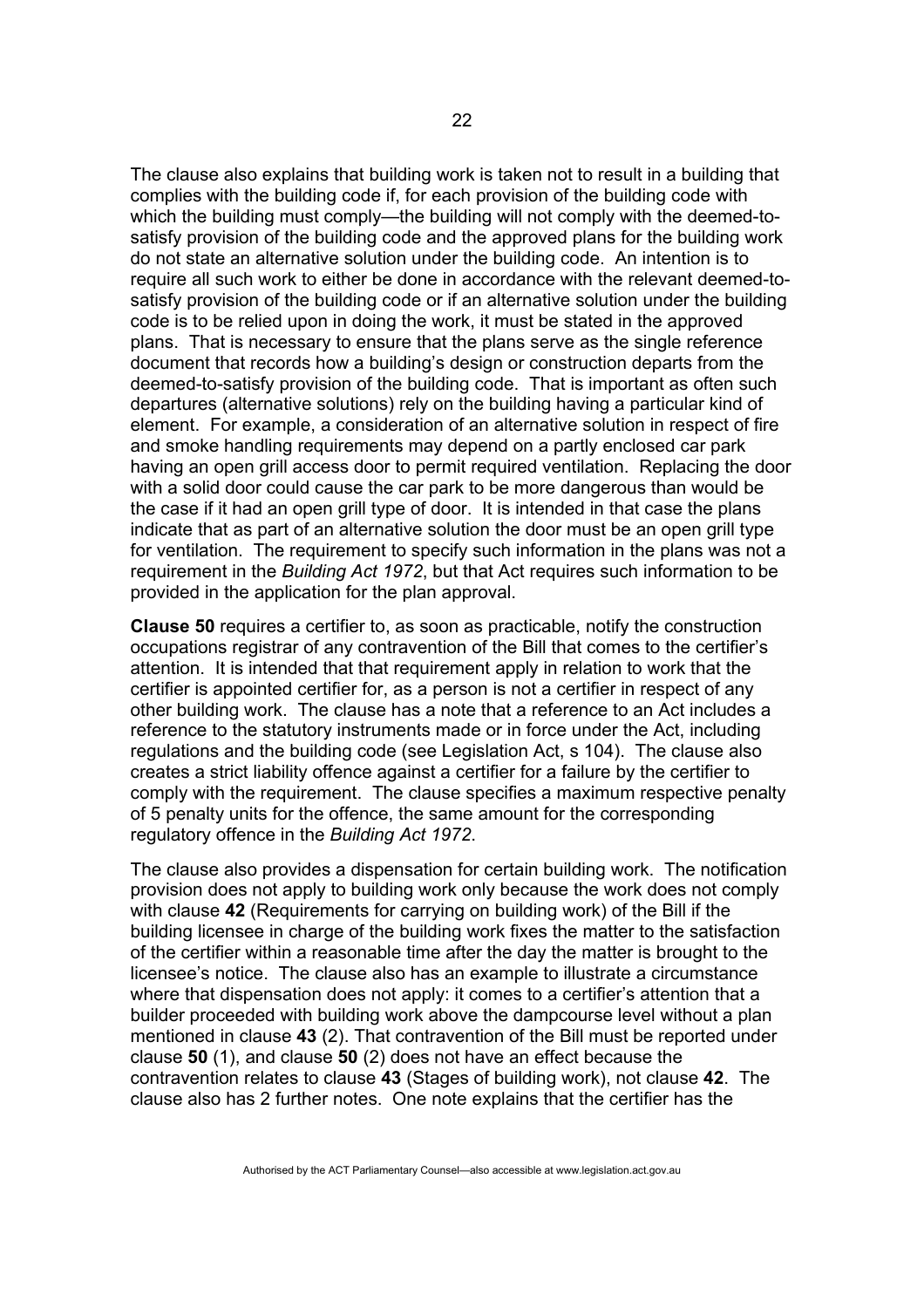The clause also explains that building work is taken not to result in a building that complies with the building code if, for each provision of the building code with which the building must comply—the building will not comply with the deemed-tosatisfy provision of the building code and the approved plans for the building work do not state an alternative solution under the building code. An intention is to require all such work to either be done in accordance with the relevant deemed-tosatisfy provision of the building code or if an alternative solution under the building code is to be relied upon in doing the work, it must be stated in the approved plans. That is necessary to ensure that the plans serve as the single reference document that records how a building's design or construction departs from the deemed-to-satisfy provision of the building code. That is important as often such departures (alternative solutions) rely on the building having a particular kind of element. For example, a consideration of an alternative solution in respect of fire and smoke handling requirements may depend on a partly enclosed car park having an open grill access door to permit required ventilation. Replacing the door with a solid door could cause the car park to be more dangerous than would be the case if it had an open grill type of door. It is intended in that case the plans indicate that as part of an alternative solution the door must be an open grill type for ventilation. The requirement to specify such information in the plans was not a requirement in the *Building Act 1972*, but that Act requires such information to be provided in the application for the plan approval.

**Clause 50** requires a certifier to, as soon as practicable, notify the construction occupations registrar of any contravention of the Bill that comes to the certifier's attention. It is intended that that requirement apply in relation to work that the certifier is appointed certifier for, as a person is not a certifier in respect of any other building work. The clause has a note that a reference to an Act includes a reference to the statutory instruments made or in force under the Act, including regulations and the building code (see Legislation Act, s 104). The clause also creates a strict liability offence against a certifier for a failure by the certifier to comply with the requirement. The clause specifies a maximum respective penalty of 5 penalty units for the offence, the same amount for the corresponding regulatory offence in the *Building Act 1972*.

The clause also provides a dispensation for certain building work. The notification provision does not apply to building work only because the work does not comply with clause **42** (Requirements for carrying on building work) of the Bill if the building licensee in charge of the building work fixes the matter to the satisfaction of the certifier within a reasonable time after the day the matter is brought to the licensee's notice. The clause also has an example to illustrate a circumstance where that dispensation does not apply: it comes to a certifier's attention that a builder proceeded with building work above the dampcourse level without a plan mentioned in clause **43** (2). That contravention of the Bill must be reported under clause **50** (1), and clause **50** (2) does not have an effect because the contravention relates to clause **43** (Stages of building work), not clause **42**. The clause also has 2 further notes. One note explains that the certifier has the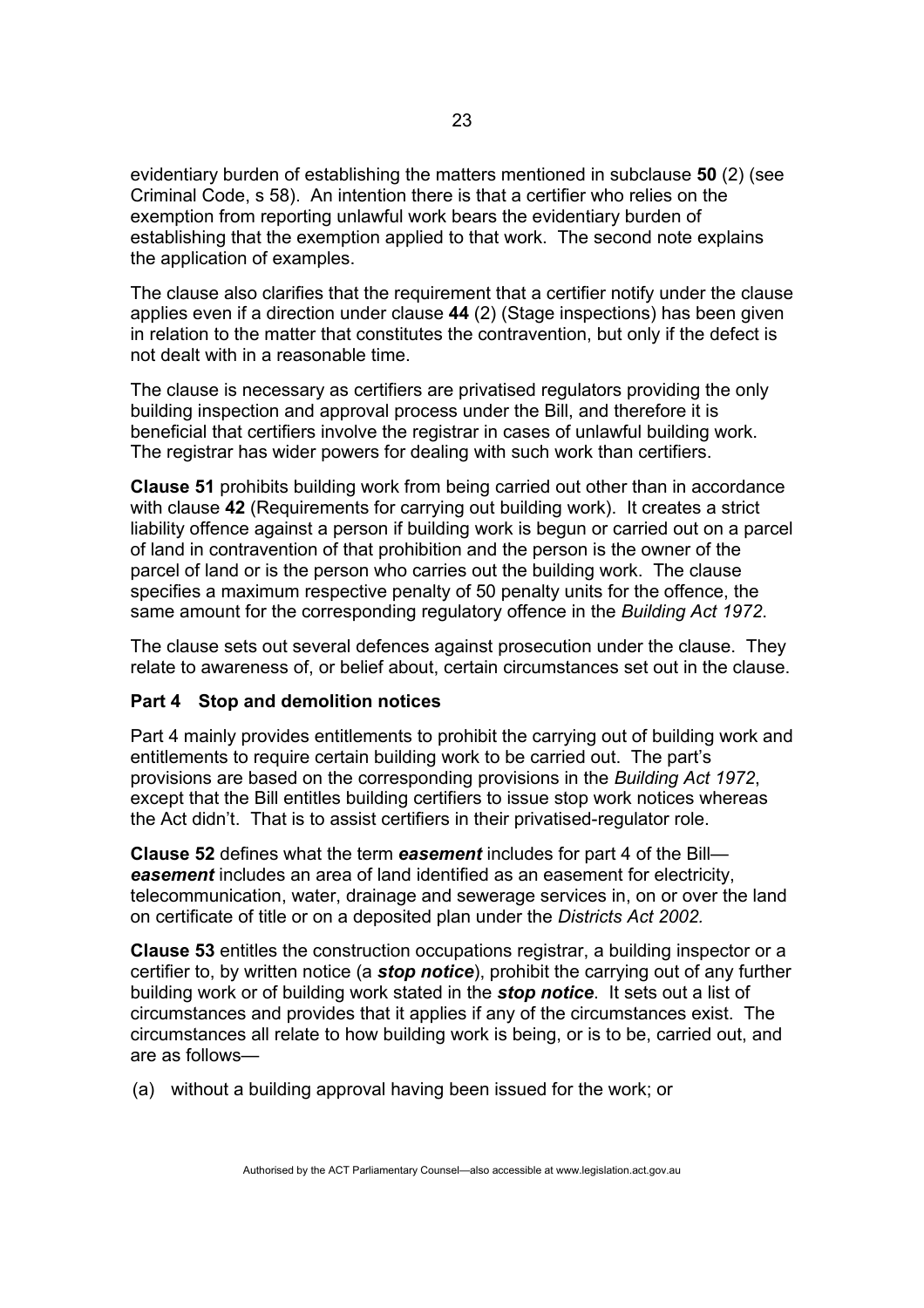evidentiary burden of establishing the matters mentioned in subclause **50** (2) (see Criminal Code, s 58). An intention there is that a certifier who relies on the exemption from reporting unlawful work bears the evidentiary burden of establishing that the exemption applied to that work. The second note explains the application of examples.

The clause also clarifies that the requirement that a certifier notify under the clause applies even if a direction under clause **44** (2) (Stage inspections) has been given in relation to the matter that constitutes the contravention, but only if the defect is not dealt with in a reasonable time.

The clause is necessary as certifiers are privatised regulators providing the only building inspection and approval process under the Bill, and therefore it is beneficial that certifiers involve the registrar in cases of unlawful building work. The registrar has wider powers for dealing with such work than certifiers.

**Clause 51** prohibits building work from being carried out other than in accordance with clause **42** (Requirements for carrying out building work). It creates a strict liability offence against a person if building work is begun or carried out on a parcel of land in contravention of that prohibition and the person is the owner of the parcel of land or is the person who carries out the building work. The clause specifies a maximum respective penalty of 50 penalty units for the offence, the same amount for the corresponding regulatory offence in the *Building Act 1972*.

The clause sets out several defences against prosecution under the clause. They relate to awareness of, or belief about, certain circumstances set out in the clause.

## **Part 4 Stop and demolition notices**

Part 4 mainly provides entitlements to prohibit the carrying out of building work and entitlements to require certain building work to be carried out. The part's provisions are based on the corresponding provisions in the *Building Act 1972*, except that the Bill entitles building certifiers to issue stop work notices whereas the Act didn't. That is to assist certifiers in their privatised-regulator role.

**Clause 52** defines what the term *easement* includes for part 4 of the Bill *easement* includes an area of land identified as an easement for electricity, telecommunication, water, drainage and sewerage services in, on or over the land on certificate of title or on a deposited plan under the *Districts Act 2002.* 

**Clause 53** entitles the construction occupations registrar, a building inspector or a certifier to, by written notice (a *stop notice*), prohibit the carrying out of any further building work or of building work stated in the *stop notice*. It sets out a list of circumstances and provides that it applies if any of the circumstances exist. The circumstances all relate to how building work is being, or is to be, carried out, and are as follows—

(a) without a building approval having been issued for the work; or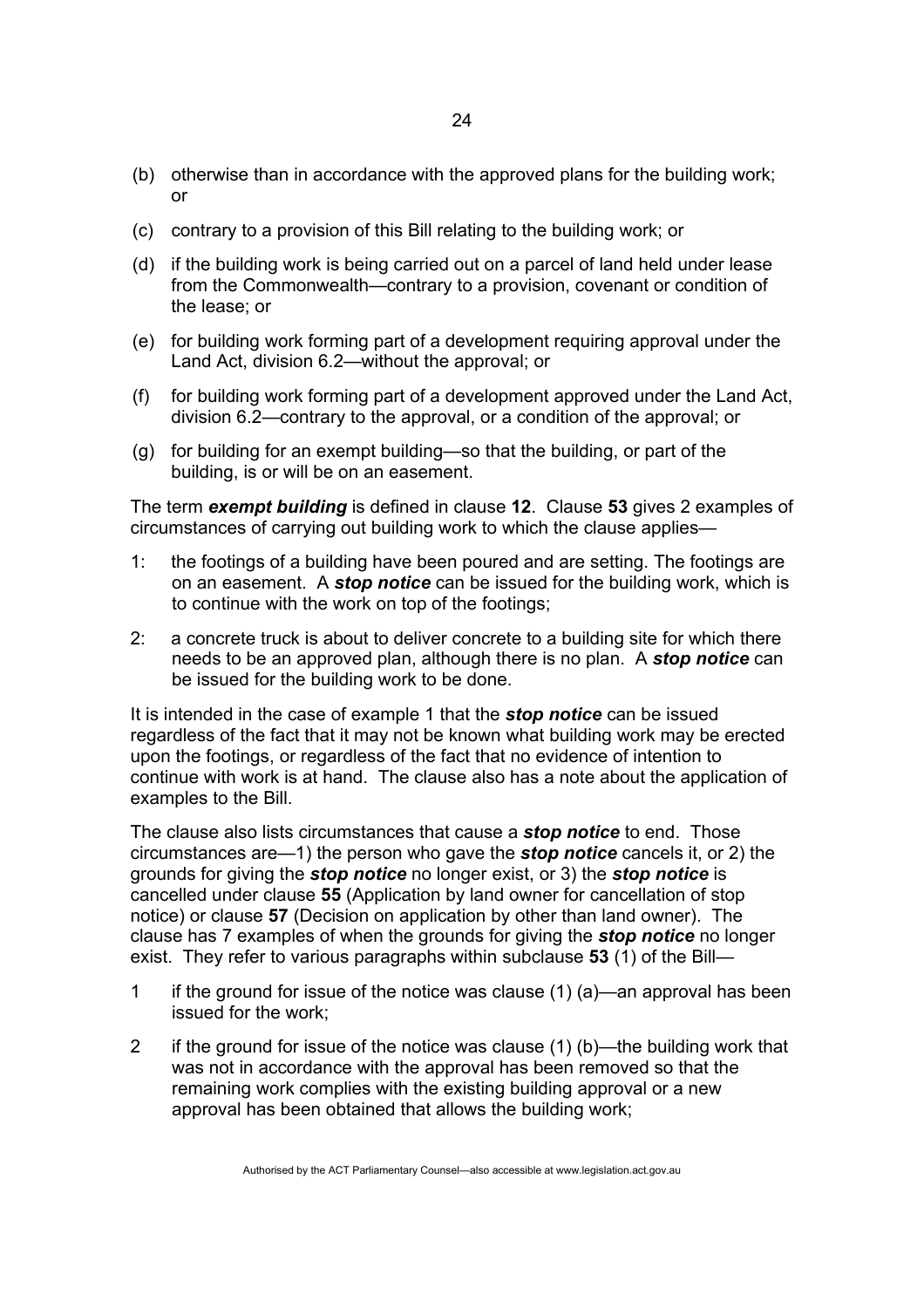- (b) otherwise than in accordance with the approved plans for the building work; or
- (c) contrary to a provision of this Bill relating to the building work; or
- (d) if the building work is being carried out on a parcel of land held under lease from the Commonwealth—contrary to a provision, covenant or condition of the lease; or
- (e) for building work forming part of a development requiring approval under the Land Act, division 6.2—without the approval; or
- (f) for building work forming part of a development approved under the Land Act, division 6.2—contrary to the approval, or a condition of the approval; or
- (g) for building for an exempt building—so that the building, or part of the building, is or will be on an easement.

The term *exempt building* is defined in clause **12**. Clause **53** gives 2 examples of circumstances of carrying out building work to which the clause applies—

- 1: the footings of a building have been poured and are setting. The footings are on an easement. A *stop notice* can be issued for the building work, which is to continue with the work on top of the footings;
- 2: a concrete truck is about to deliver concrete to a building site for which there needs to be an approved plan, although there is no plan. A *stop notice* can be issued for the building work to be done.

It is intended in the case of example 1 that the *stop notice* can be issued regardless of the fact that it may not be known what building work may be erected upon the footings, or regardless of the fact that no evidence of intention to continue with work is at hand. The clause also has a note about the application of examples to the Bill.

The clause also lists circumstances that cause a *stop notice* to end. Those circumstances are—1) the person who gave the *stop notice* cancels it, or 2) the grounds for giving the *stop notice* no longer exist, or 3) the *stop notice* is cancelled under clause **55** (Application by land owner for cancellation of stop notice) or clause **57** (Decision on application by other than land owner). The clause has 7 examples of when the grounds for giving the *stop notice* no longer exist. They refer to various paragraphs within subclause **53** (1) of the Bill—

- 1 if the ground for issue of the notice was clause (1) (a)—an approval has been issued for the work;
- 2 if the ground for issue of the notice was clause (1) (b)—the building work that was not in accordance with the approval has been removed so that the remaining work complies with the existing building approval or a new approval has been obtained that allows the building work;

Authorised by the ACT Parliamentary Counsel—also accessible at www.legislation.act.gov.au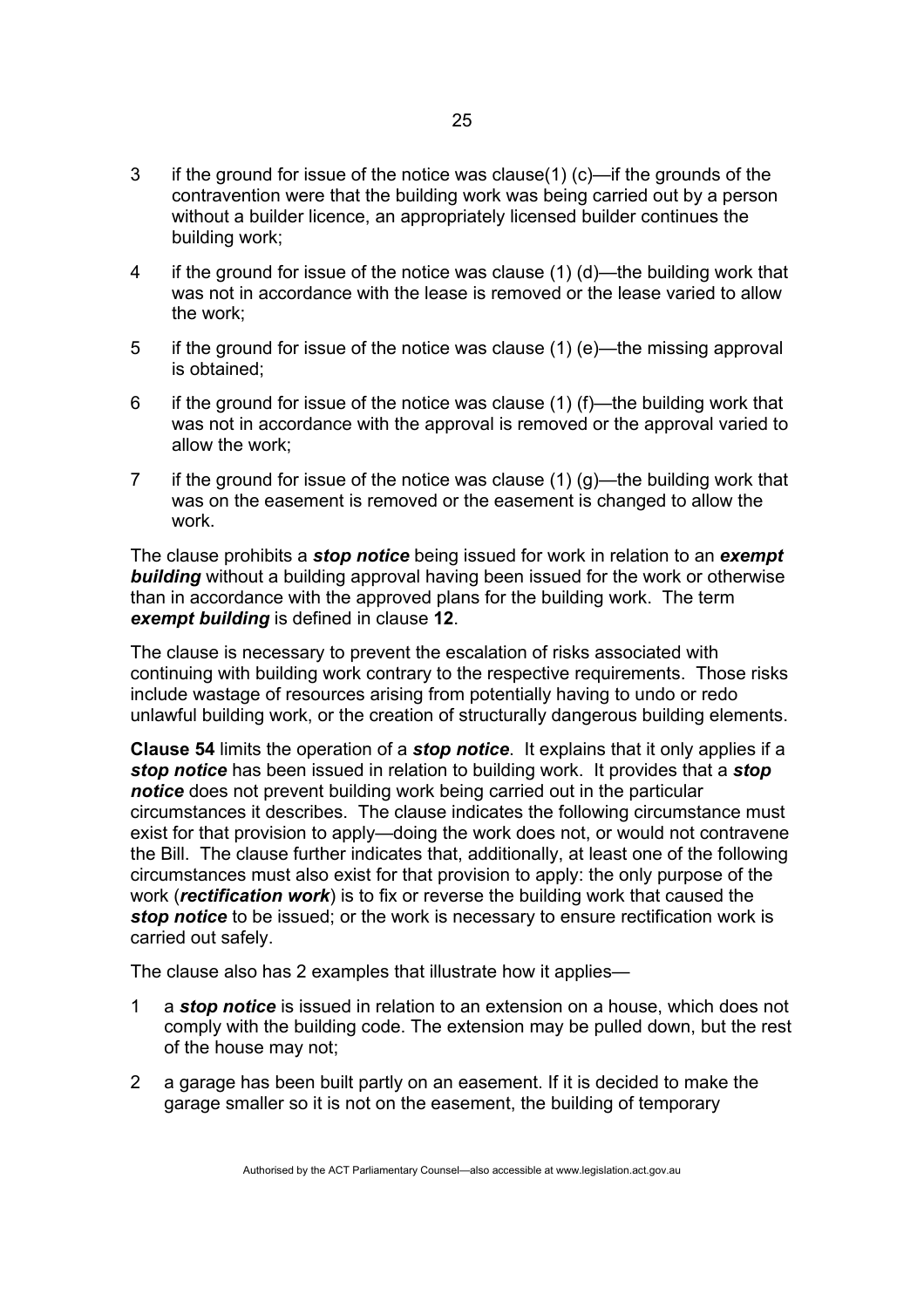- 3 if the ground for issue of the notice was clause(1) (c)—if the grounds of the contravention were that the building work was being carried out by a person without a builder licence, an appropriately licensed builder continues the building work;
- 4 if the ground for issue of the notice was clause (1) (d)—the building work that was not in accordance with the lease is removed or the lease varied to allow the work;
- 5 if the ground for issue of the notice was clause (1) (e)—the missing approval is obtained;
- 6 if the ground for issue of the notice was clause (1) (f)—the building work that was not in accordance with the approval is removed or the approval varied to allow the work;
- 7 if the ground for issue of the notice was clause (1) (g)—the building work that was on the easement is removed or the easement is changed to allow the work.

The clause prohibits a *stop notice* being issued for work in relation to an *exempt*  **building** without a building approval having been issued for the work or otherwise than in accordance with the approved plans for the building work. The term *exempt building* is defined in clause **12**.

The clause is necessary to prevent the escalation of risks associated with continuing with building work contrary to the respective requirements. Those risks include wastage of resources arising from potentially having to undo or redo unlawful building work, or the creation of structurally dangerous building elements.

**Clause 54** limits the operation of a *stop notice*. It explains that it only applies if a *stop notice* has been issued in relation to building work. It provides that a *stop notice* does not prevent building work being carried out in the particular circumstances it describes. The clause indicates the following circumstance must exist for that provision to apply—doing the work does not, or would not contravene the Bill. The clause further indicates that, additionally, at least one of the following circumstances must also exist for that provision to apply: the only purpose of the work (*rectification work*) is to fix or reverse the building work that caused the *stop notice* to be issued; or the work is necessary to ensure rectification work is carried out safely.

The clause also has 2 examples that illustrate how it applies—

- 1 a *stop notice* is issued in relation to an extension on a house, which does not comply with the building code. The extension may be pulled down, but the rest of the house may not;
- 2 a garage has been built partly on an easement. If it is decided to make the garage smaller so it is not on the easement, the building of temporary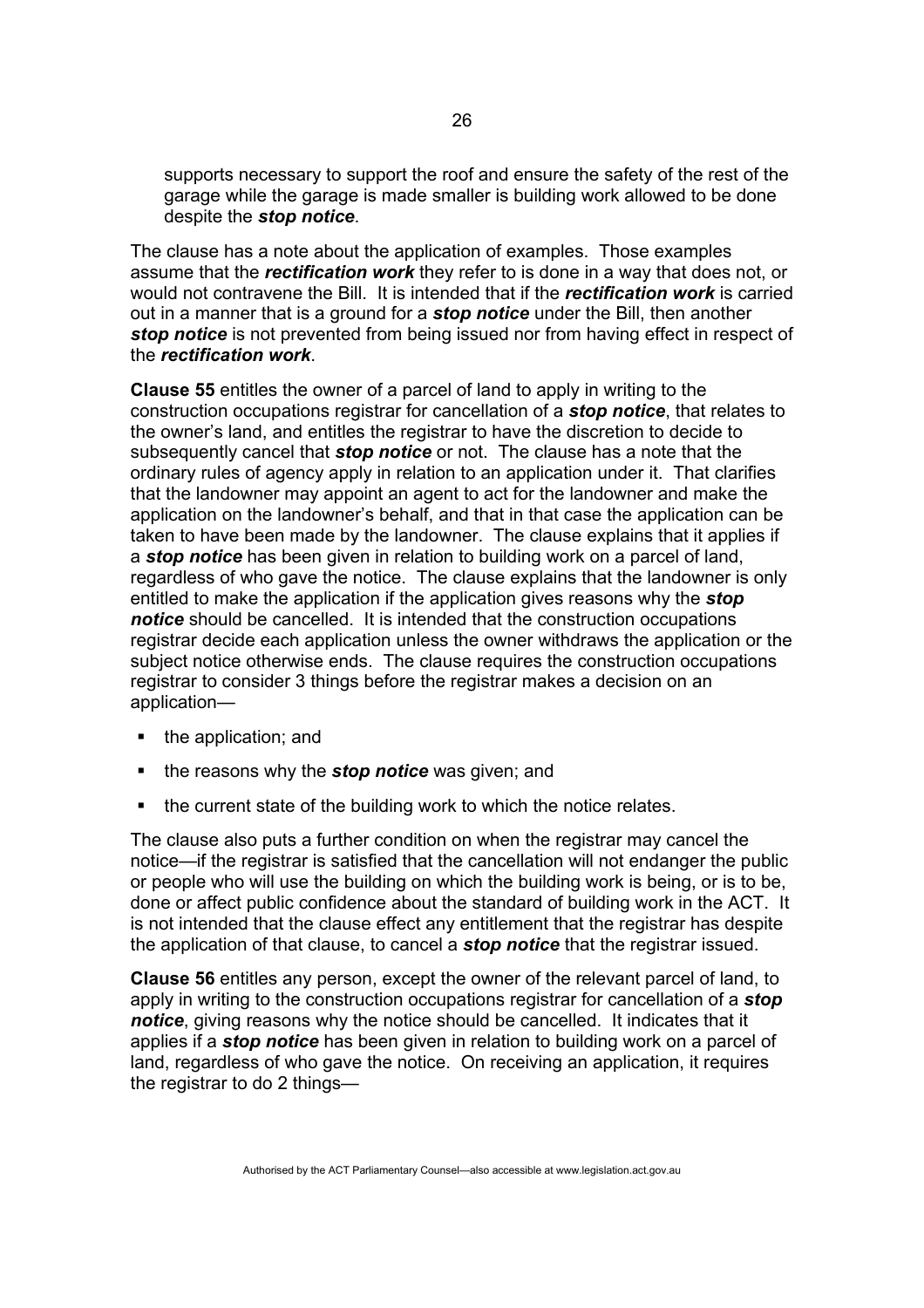supports necessary to support the roof and ensure the safety of the rest of the garage while the garage is made smaller is building work allowed to be done despite the *stop notice*.

The clause has a note about the application of examples. Those examples assume that the *rectification work* they refer to is done in a way that does not, or would not contravene the Bill. It is intended that if the *rectification work* is carried out in a manner that is a ground for a *stop notice* under the Bill, then another *stop notice* is not prevented from being issued nor from having effect in respect of the *rectification work*.

**Clause 55** entitles the owner of a parcel of land to apply in writing to the construction occupations registrar for cancellation of a *stop notice*, that relates to the owner's land, and entitles the registrar to have the discretion to decide to subsequently cancel that *stop notice* or not. The clause has a note that the ordinary rules of agency apply in relation to an application under it. That clarifies that the landowner may appoint an agent to act for the landowner and make the application on the landowner's behalf, and that in that case the application can be taken to have been made by the landowner. The clause explains that it applies if a *stop notice* has been given in relation to building work on a parcel of land, regardless of who gave the notice. The clause explains that the landowner is only entitled to make the application if the application gives reasons why the *stop notice* should be cancelled. It is intended that the construction occupations registrar decide each application unless the owner withdraws the application or the subject notice otherwise ends. The clause requires the construction occupations registrar to consider 3 things before the registrar makes a decision on an application—

- $\blacksquare$  the application; and
- **the reasons why the** *stop notice* was given; and
- the current state of the building work to which the notice relates.

The clause also puts a further condition on when the registrar may cancel the notice—if the registrar is satisfied that the cancellation will not endanger the public or people who will use the building on which the building work is being, or is to be, done or affect public confidence about the standard of building work in the ACT. It is not intended that the clause effect any entitlement that the registrar has despite the application of that clause, to cancel a *stop notice* that the registrar issued.

**Clause 56** entitles any person, except the owner of the relevant parcel of land, to apply in writing to the construction occupations registrar for cancellation of a *stop notice*, giving reasons why the notice should be cancelled. It indicates that it applies if a *stop notice* has been given in relation to building work on a parcel of land, regardless of who gave the notice. On receiving an application, it requires the registrar to do 2 things—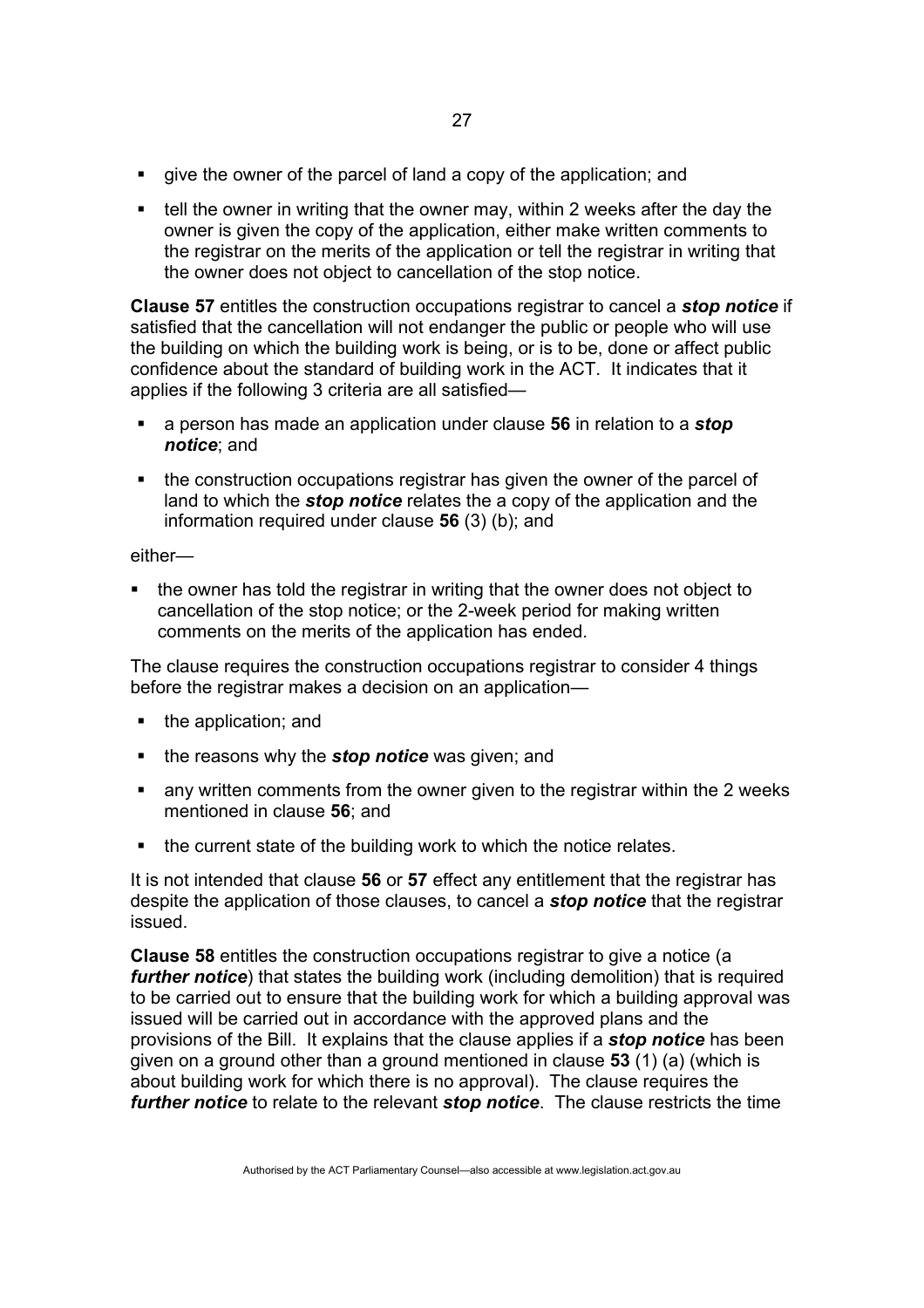- give the owner of the parcel of land a copy of the application; and
- $\blacksquare$  tell the owner in writing that the owner may, within 2 weeks after the day the owner is given the copy of the application, either make written comments to the registrar on the merits of the application or tell the registrar in writing that the owner does not object to cancellation of the stop notice.

**Clause 57** entitles the construction occupations registrar to cancel a *stop notice* if satisfied that the cancellation will not endanger the public or people who will use the building on which the building work is being, or is to be, done or affect public confidence about the standard of building work in the ACT. It indicates that it applies if the following 3 criteria are all satisfied—

- a person has made an application under clause **56** in relation to a *stop notice*; and
- the construction occupations registrar has given the owner of the parcel of land to which the *stop notice* relates the a copy of the application and the information required under clause **56** (3) (b); and

either—

 the owner has told the registrar in writing that the owner does not object to cancellation of the stop notice; or the 2-week period for making written comments on the merits of the application has ended.

The clause requires the construction occupations registrar to consider 4 things before the registrar makes a decision on an application—

- the application; and
- **the reasons why the** *stop notice* was given; and
- any written comments from the owner given to the registrar within the 2 weeks mentioned in clause **56**; and
- the current state of the building work to which the notice relates.

It is not intended that clause **56** or **57** effect any entitlement that the registrar has despite the application of those clauses, to cancel a *stop notice* that the registrar issued.

**Clause 58** entitles the construction occupations registrar to give a notice (a *further notice*) that states the building work (including demolition) that is required to be carried out to ensure that the building work for which a building approval was issued will be carried out in accordance with the approved plans and the provisions of the Bill. It explains that the clause applies if a *stop notice* has been given on a ground other than a ground mentioned in clause **53** (1) (a) (which is about building work for which there is no approval). The clause requires the *further notice* to relate to the relevant *stop notice*. The clause restricts the time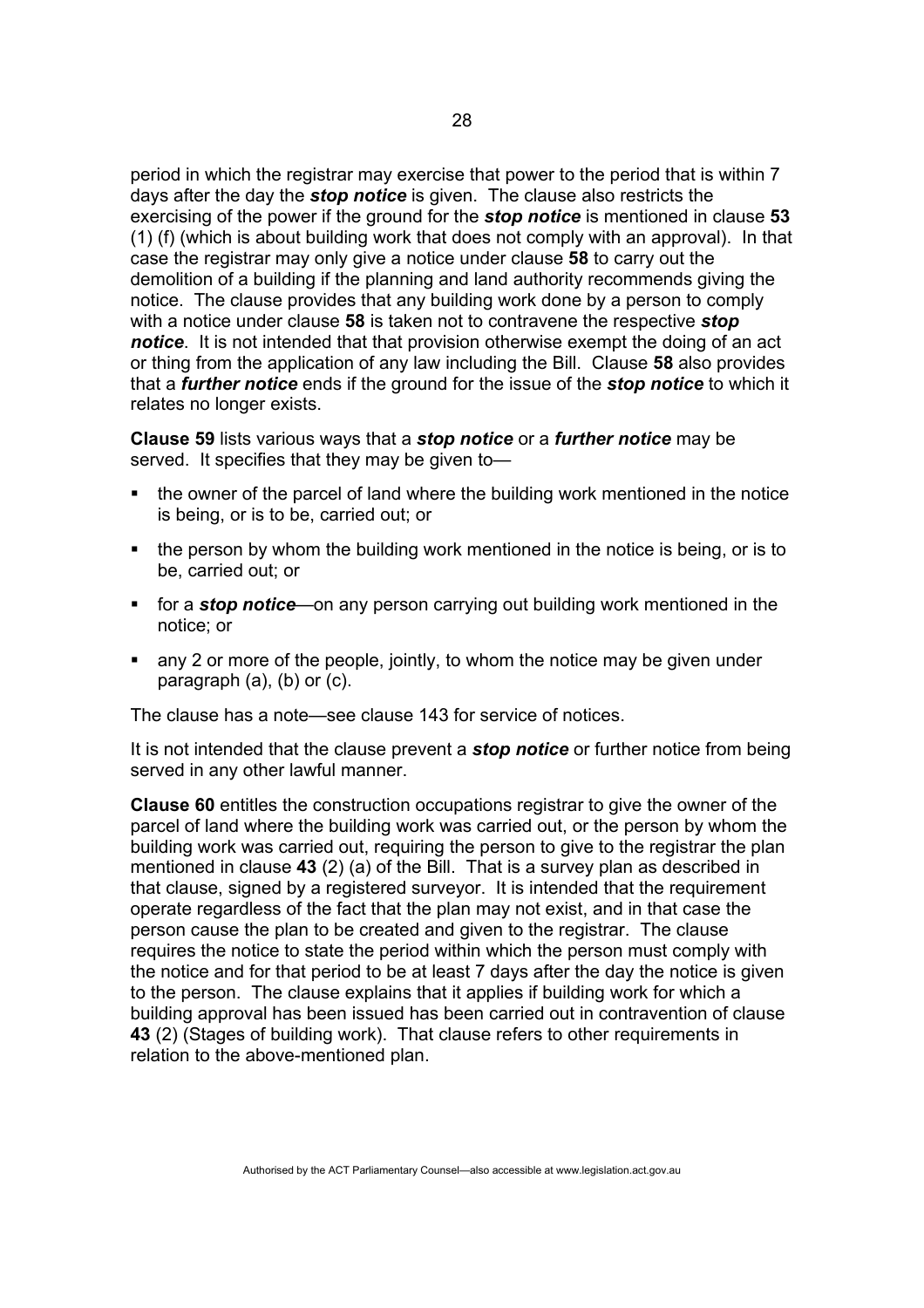period in which the registrar may exercise that power to the period that is within 7 days after the day the *stop notice* is given. The clause also restricts the exercising of the power if the ground for the *stop notice* is mentioned in clause **53** (1) (f) (which is about building work that does not comply with an approval). In that case the registrar may only give a notice under clause **58** to carry out the demolition of a building if the planning and land authority recommends giving the notice. The clause provides that any building work done by a person to comply with a notice under clause **58** is taken not to contravene the respective *stop notice*. It is not intended that that provision otherwise exempt the doing of an act or thing from the application of any law including the Bill. Clause **58** also provides that a *further notice* ends if the ground for the issue of the *stop notice* to which it relates no longer exists.

**Clause 59** lists various ways that a *stop notice* or a *further notice* may be served. It specifies that they may be given to—

- the owner of the parcel of land where the building work mentioned in the notice is being, or is to be, carried out; or
- the person by whom the building work mentioned in the notice is being, or is to be, carried out; or
- for a *stop notice*—on any person carrying out building work mentioned in the notice; or
- any 2 or more of the people, jointly, to whom the notice may be given under paragraph (a), (b) or (c).

The clause has a note—see clause 143 for service of notices.

It is not intended that the clause prevent a *stop notice* or further notice from being served in any other lawful manner.

**Clause 60** entitles the construction occupations registrar to give the owner of the parcel of land where the building work was carried out, or the person by whom the building work was carried out, requiring the person to give to the registrar the plan mentioned in clause **43** (2) (a) of the Bill. That is a survey plan as described in that clause, signed by a registered surveyor. It is intended that the requirement operate regardless of the fact that the plan may not exist, and in that case the person cause the plan to be created and given to the registrar. The clause requires the notice to state the period within which the person must comply with the notice and for that period to be at least 7 days after the day the notice is given to the person. The clause explains that it applies if building work for which a building approval has been issued has been carried out in contravention of clause **43** (2) (Stages of building work). That clause refers to other requirements in relation to the above-mentioned plan.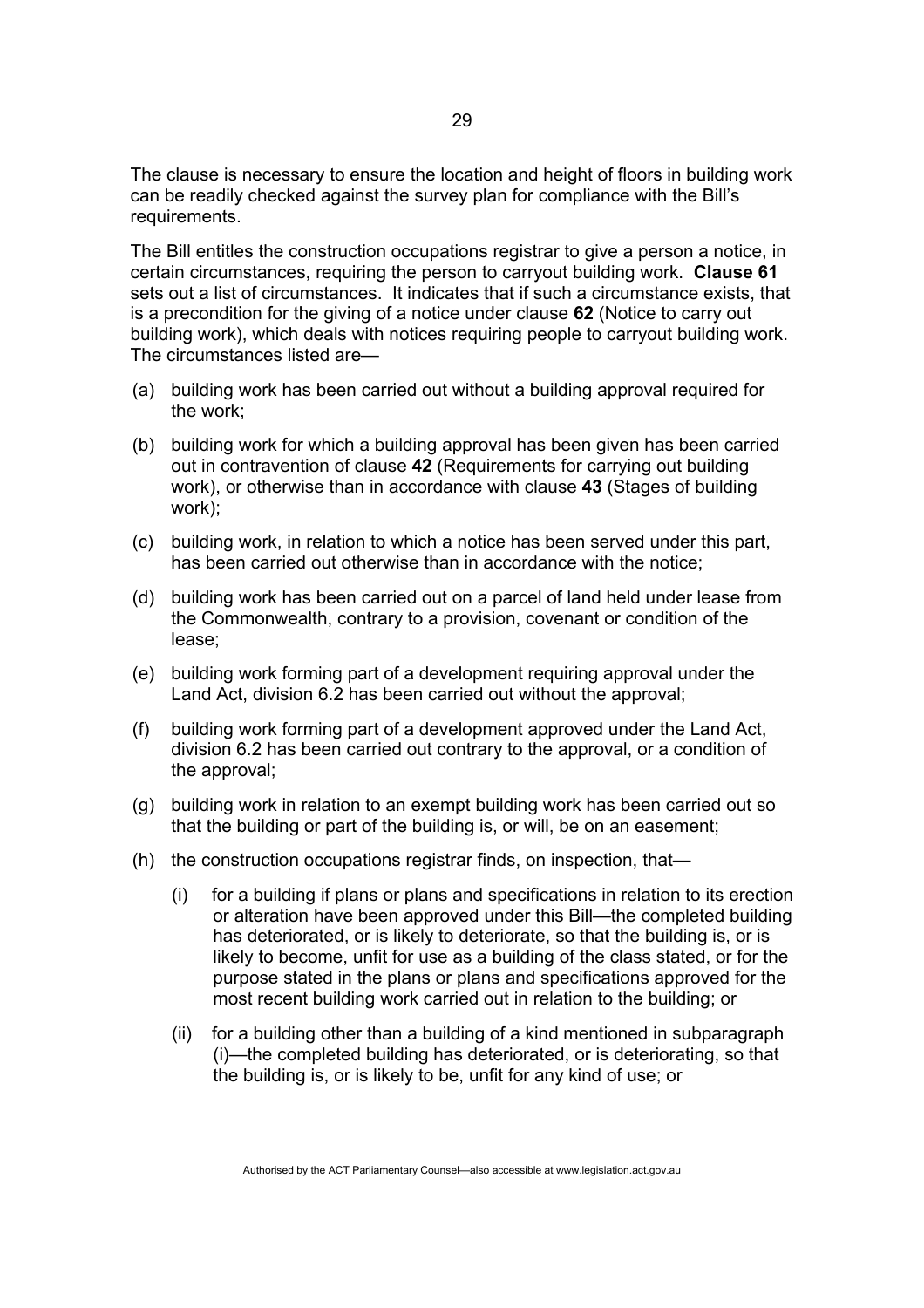The clause is necessary to ensure the location and height of floors in building work can be readily checked against the survey plan for compliance with the Bill's requirements.

The Bill entitles the construction occupations registrar to give a person a notice, in certain circumstances, requiring the person to carryout building work. **Clause 61** sets out a list of circumstances. It indicates that if such a circumstance exists, that is a precondition for the giving of a notice under clause **62** (Notice to carry out building work), which deals with notices requiring people to carryout building work. The circumstances listed are—

- (a) building work has been carried out without a building approval required for the work;
- (b) building work for which a building approval has been given has been carried out in contravention of clause **42** (Requirements for carrying out building work), or otherwise than in accordance with clause **43** (Stages of building work);
- (c) building work, in relation to which a notice has been served under this part, has been carried out otherwise than in accordance with the notice;
- (d) building work has been carried out on a parcel of land held under lease from the Commonwealth, contrary to a provision, covenant or condition of the lease;
- (e) building work forming part of a development requiring approval under the Land Act, division 6.2 has been carried out without the approval;
- (f) building work forming part of a development approved under the Land Act, division 6.2 has been carried out contrary to the approval, or a condition of the approval;
- (g) building work in relation to an exempt building work has been carried out so that the building or part of the building is, or will, be on an easement;
- (h) the construction occupations registrar finds, on inspection, that—
	- (i) for a building if plans or plans and specifications in relation to its erection or alteration have been approved under this Bill—the completed building has deteriorated, or is likely to deteriorate, so that the building is, or is likely to become, unfit for use as a building of the class stated, or for the purpose stated in the plans or plans and specifications approved for the most recent building work carried out in relation to the building; or
	- (ii) for a building other than a building of a kind mentioned in subparagraph (i)—the completed building has deteriorated, or is deteriorating, so that the building is, or is likely to be, unfit for any kind of use; or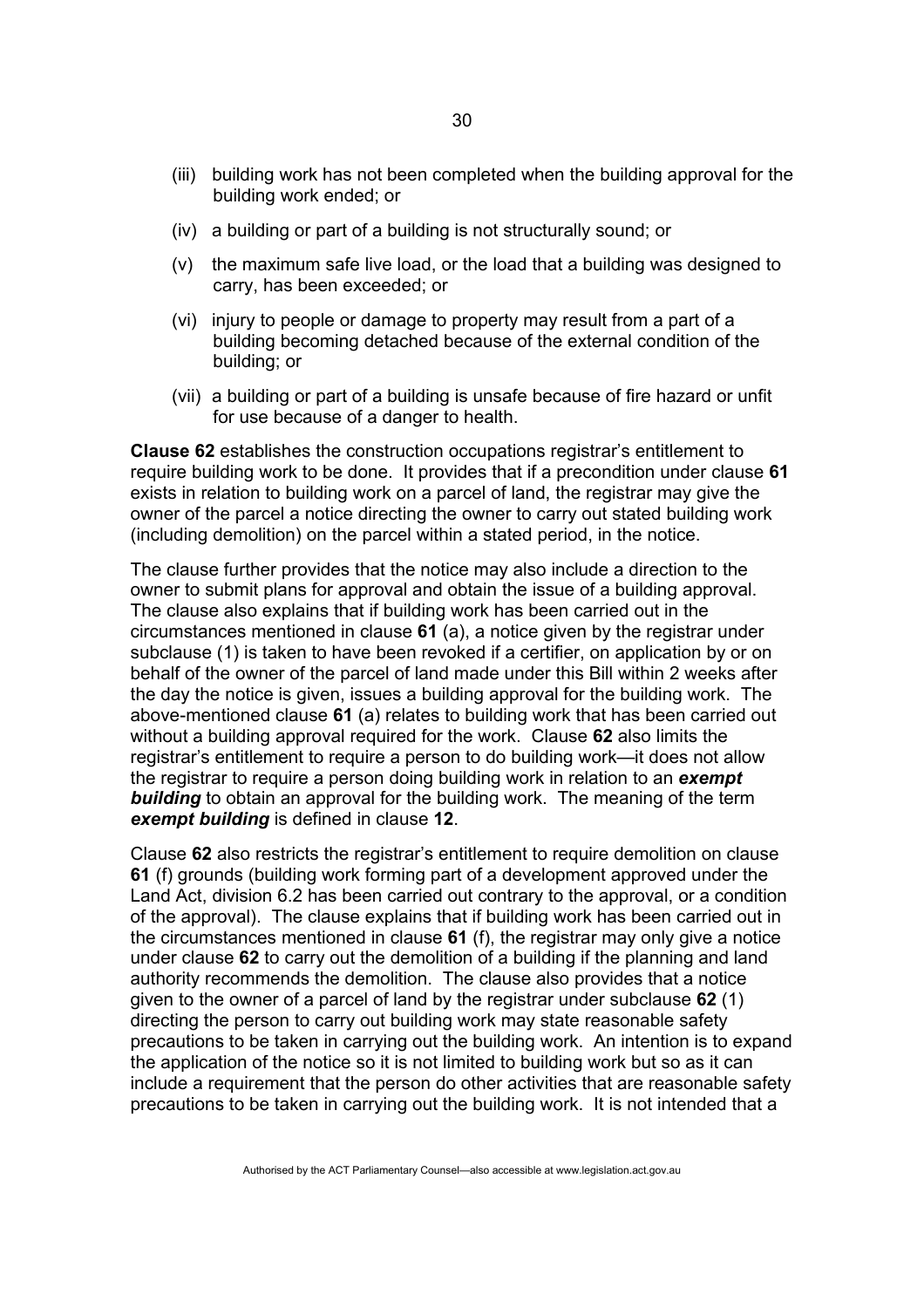- (iii) building work has not been completed when the building approval for the building work ended; or
- (iv) a building or part of a building is not structurally sound; or
- (v) the maximum safe live load, or the load that a building was designed to carry, has been exceeded; or
- (vi) injury to people or damage to property may result from a part of a building becoming detached because of the external condition of the building; or
- (vii) a building or part of a building is unsafe because of fire hazard or unfit for use because of a danger to health.

**Clause 62** establishes the construction occupations registrar's entitlement to require building work to be done. It provides that if a precondition under clause **61** exists in relation to building work on a parcel of land, the registrar may give the owner of the parcel a notice directing the owner to carry out stated building work (including demolition) on the parcel within a stated period, in the notice.

The clause further provides that the notice may also include a direction to the owner to submit plans for approval and obtain the issue of a building approval. The clause also explains that if building work has been carried out in the circumstances mentioned in clause **61** (a), a notice given by the registrar under subclause (1) is taken to have been revoked if a certifier, on application by or on behalf of the owner of the parcel of land made under this Bill within 2 weeks after the day the notice is given, issues a building approval for the building work. The above-mentioned clause **61** (a) relates to building work that has been carried out without a building approval required for the work. Clause **62** also limits the registrar's entitlement to require a person to do building work—it does not allow the registrar to require a person doing building work in relation to an *exempt*  **building** to obtain an approval for the building work. The meaning of the term *exempt building* is defined in clause **12**.

Clause **62** also restricts the registrar's entitlement to require demolition on clause **61** (f) grounds (building work forming part of a development approved under the Land Act, division 6.2 has been carried out contrary to the approval, or a condition of the approval). The clause explains that if building work has been carried out in the circumstances mentioned in clause **61** (f), the registrar may only give a notice under clause **62** to carry out the demolition of a building if the planning and land authority recommends the demolition. The clause also provides that a notice given to the owner of a parcel of land by the registrar under subclause **62** (1) directing the person to carry out building work may state reasonable safety precautions to be taken in carrying out the building work. An intention is to expand the application of the notice so it is not limited to building work but so as it can include a requirement that the person do other activities that are reasonable safety precautions to be taken in carrying out the building work. It is not intended that a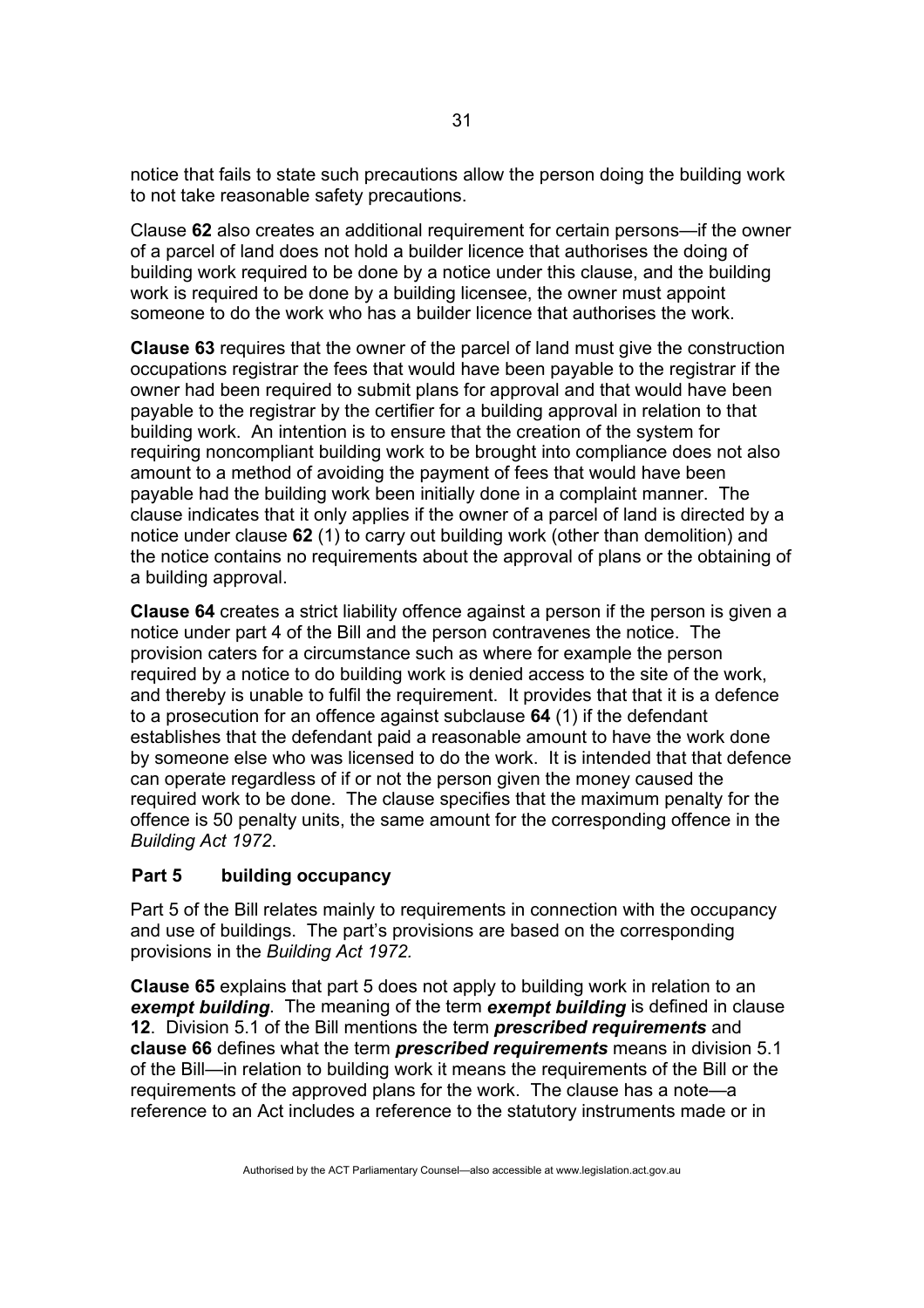notice that fails to state such precautions allow the person doing the building work to not take reasonable safety precautions.

Clause **62** also creates an additional requirement for certain persons—if the owner of a parcel of land does not hold a builder licence that authorises the doing of building work required to be done by a notice under this clause, and the building work is required to be done by a building licensee, the owner must appoint someone to do the work who has a builder licence that authorises the work.

**Clause 63** requires that the owner of the parcel of land must give the construction occupations registrar the fees that would have been payable to the registrar if the owner had been required to submit plans for approval and that would have been payable to the registrar by the certifier for a building approval in relation to that building work. An intention is to ensure that the creation of the system for requiring noncompliant building work to be brought into compliance does not also amount to a method of avoiding the payment of fees that would have been payable had the building work been initially done in a complaint manner. The clause indicates that it only applies if the owner of a parcel of land is directed by a notice under clause **62** (1) to carry out building work (other than demolition) and the notice contains no requirements about the approval of plans or the obtaining of a building approval.

**Clause 64** creates a strict liability offence against a person if the person is given a notice under part 4 of the Bill and the person contravenes the notice. The provision caters for a circumstance such as where for example the person required by a notice to do building work is denied access to the site of the work, and thereby is unable to fulfil the requirement. It provides that that it is a defence to a prosecution for an offence against subclause **64** (1) if the defendant establishes that the defendant paid a reasonable amount to have the work done by someone else who was licensed to do the work. It is intended that that defence can operate regardless of if or not the person given the money caused the required work to be done. The clause specifies that the maximum penalty for the offence is 50 penalty units, the same amount for the corresponding offence in the *Building Act 1972*.

## **Part 5 building occupancy**

Part 5 of the Bill relates mainly to requirements in connection with the occupancy and use of buildings. The part's provisions are based on the corresponding provisions in the *Building Act 1972.*

**Clause 65** explains that part 5 does not apply to building work in relation to an *exempt building*. The meaning of the term *exempt building* is defined in clause **12**. Division 5.1 of the Bill mentions the term *prescribed requirements* and **clause 66** defines what the term *prescribed requirements* means in division 5.1 of the Bill—in relation to building work it means the requirements of the Bill or the requirements of the approved plans for the work. The clause has a note—a reference to an Act includes a reference to the statutory instruments made or in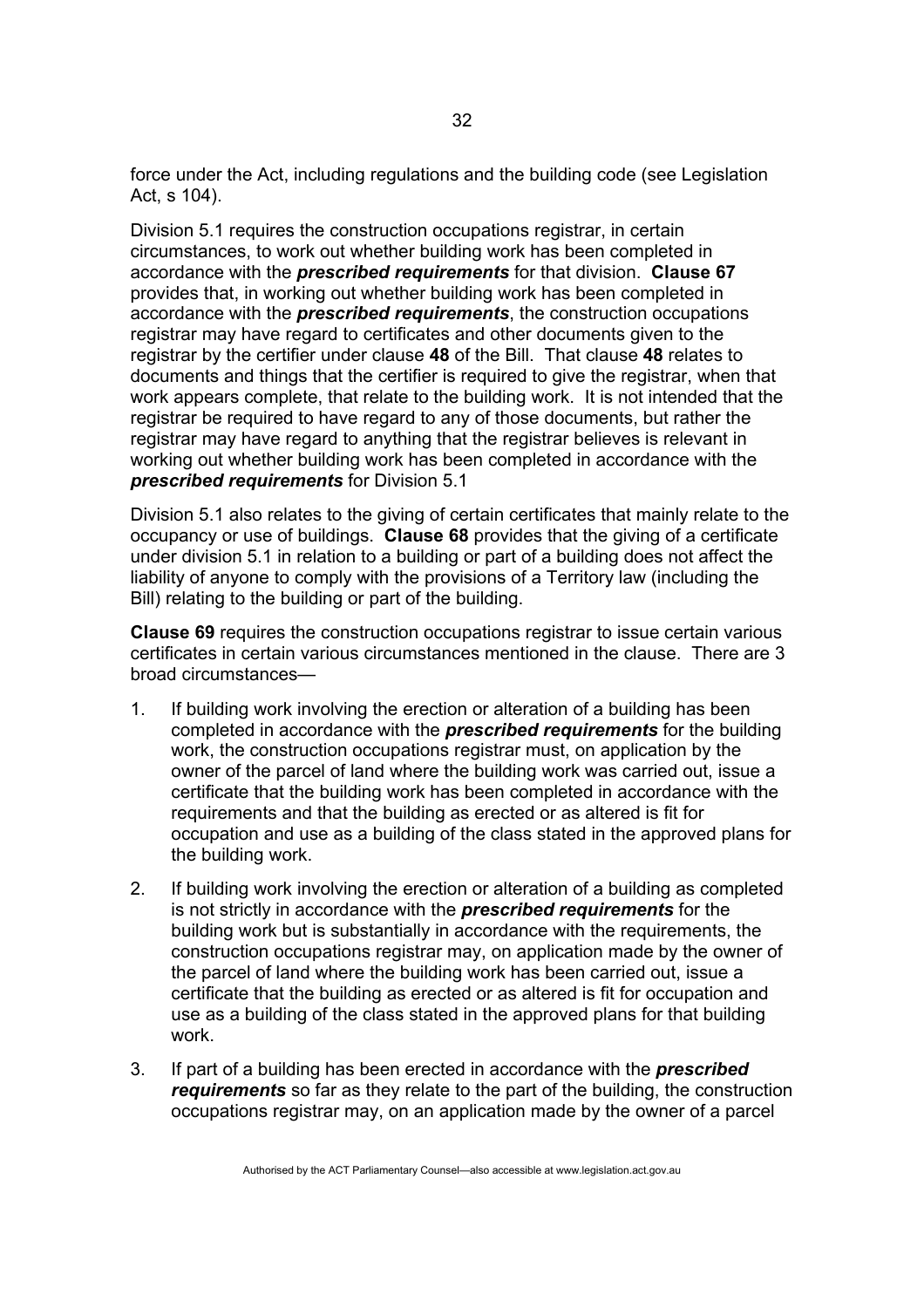force under the Act, including regulations and the building code (see Legislation Act, s 104).

Division 5.1 requires the construction occupations registrar, in certain circumstances, to work out whether building work has been completed in accordance with the *prescribed requirements* for that division. **Clause 67** provides that, in working out whether building work has been completed in accordance with the *prescribed requirements*, the construction occupations registrar may have regard to certificates and other documents given to the registrar by the certifier under clause **48** of the Bill. That clause **48** relates to documents and things that the certifier is required to give the registrar, when that work appears complete, that relate to the building work. It is not intended that the registrar be required to have regard to any of those documents, but rather the registrar may have regard to anything that the registrar believes is relevant in working out whether building work has been completed in accordance with the *prescribed requirements* for Division 5.1

Division 5.1 also relates to the giving of certain certificates that mainly relate to the occupancy or use of buildings. **Clause 68** provides that the giving of a certificate under division 5.1 in relation to a building or part of a building does not affect the liability of anyone to comply with the provisions of a Territory law (including the Bill) relating to the building or part of the building.

**Clause 69** requires the construction occupations registrar to issue certain various certificates in certain various circumstances mentioned in the clause. There are 3 broad circumstances—

- 1. If building work involving the erection or alteration of a building has been completed in accordance with the *prescribed requirements* for the building work, the construction occupations registrar must, on application by the owner of the parcel of land where the building work was carried out, issue a certificate that the building work has been completed in accordance with the requirements and that the building as erected or as altered is fit for occupation and use as a building of the class stated in the approved plans for the building work.
- 2. If building work involving the erection or alteration of a building as completed is not strictly in accordance with the *prescribed requirements* for the building work but is substantially in accordance with the requirements, the construction occupations registrar may, on application made by the owner of the parcel of land where the building work has been carried out, issue a certificate that the building as erected or as altered is fit for occupation and use as a building of the class stated in the approved plans for that building work.
- 3. If part of a building has been erected in accordance with the *prescribed requirements* so far as they relate to the part of the building, the construction occupations registrar may, on an application made by the owner of a parcel

32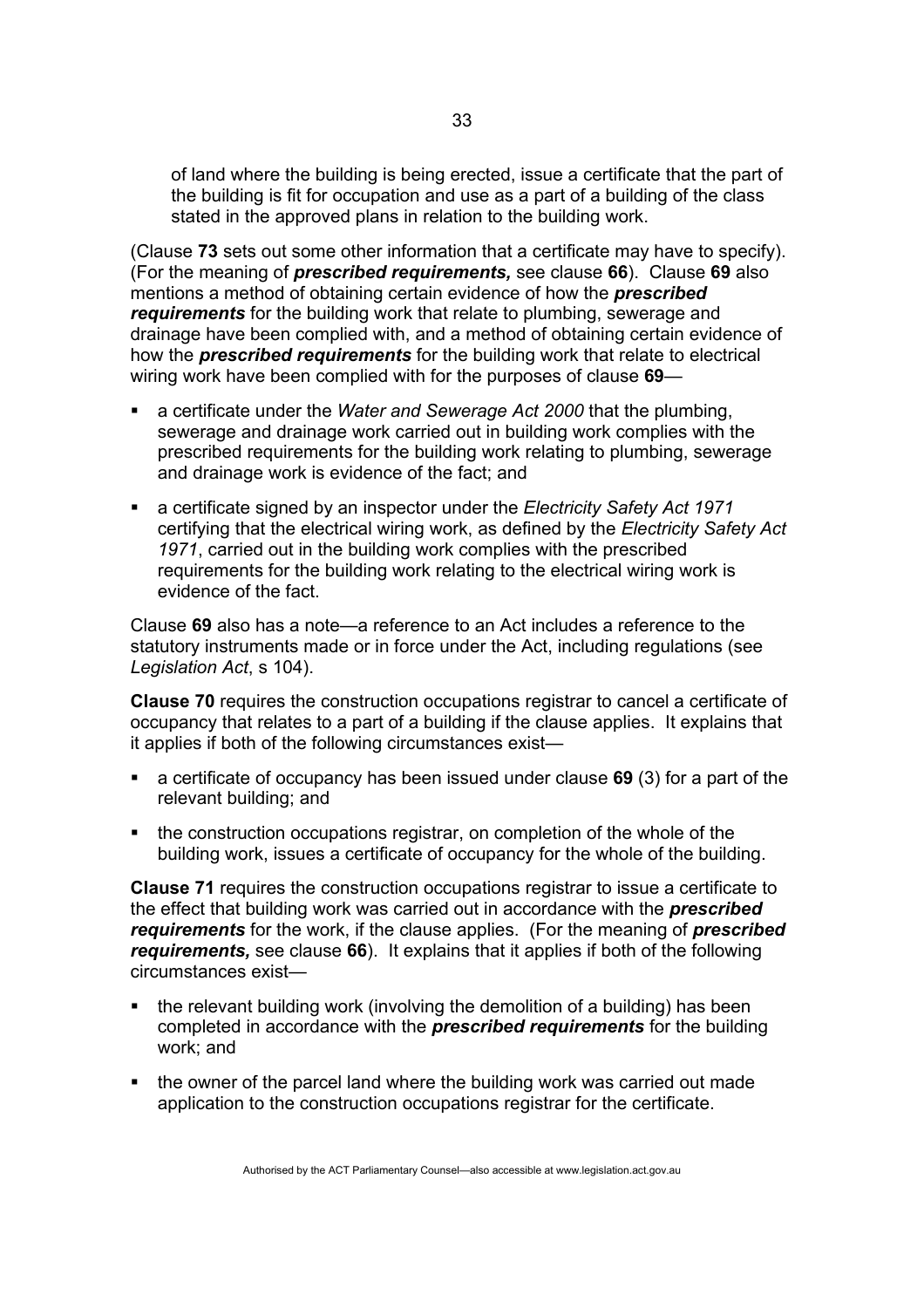of land where the building is being erected, issue a certificate that the part of the building is fit for occupation and use as a part of a building of the class stated in the approved plans in relation to the building work.

(Clause **73** sets out some other information that a certificate may have to specify). (For the meaning of *prescribed requirements,* see clause **66**). Clause **69** also mentions a method of obtaining certain evidence of how the *prescribed requirements* for the building work that relate to plumbing, sewerage and drainage have been complied with, and a method of obtaining certain evidence of how the *prescribed requirements* for the building work that relate to electrical wiring work have been complied with for the purposes of clause **69**—

- a certificate under the *Water and Sewerage Act 2000* that the plumbing, sewerage and drainage work carried out in building work complies with the prescribed requirements for the building work relating to plumbing, sewerage and drainage work is evidence of the fact; and
- a certificate signed by an inspector under the *Electricity Safety Act 1971* certifying that the electrical wiring work, as defined by the *Electricity Safety Act 1971*, carried out in the building work complies with the prescribed requirements for the building work relating to the electrical wiring work is evidence of the fact.

Clause **69** also has a note—a reference to an Act includes a reference to the statutory instruments made or in force under the Act, including regulations (see *Legislation Act*, s 104).

**Clause 70** requires the construction occupations registrar to cancel a certificate of occupancy that relates to a part of a building if the clause applies. It explains that it applies if both of the following circumstances exist—

- a certificate of occupancy has been issued under clause **69** (3) for a part of the relevant building; and
- the construction occupations registrar, on completion of the whole of the building work, issues a certificate of occupancy for the whole of the building.

**Clause 71** requires the construction occupations registrar to issue a certificate to the effect that building work was carried out in accordance with the *prescribed requirements* for the work, if the clause applies. (For the meaning of *prescribed requirements,* see clause **66**). It explains that it applies if both of the following circumstances exist—

- the relevant building work (involving the demolition of a building) has been completed in accordance with the *prescribed requirements* for the building work; and
- the owner of the parcel land where the building work was carried out made application to the construction occupations registrar for the certificate.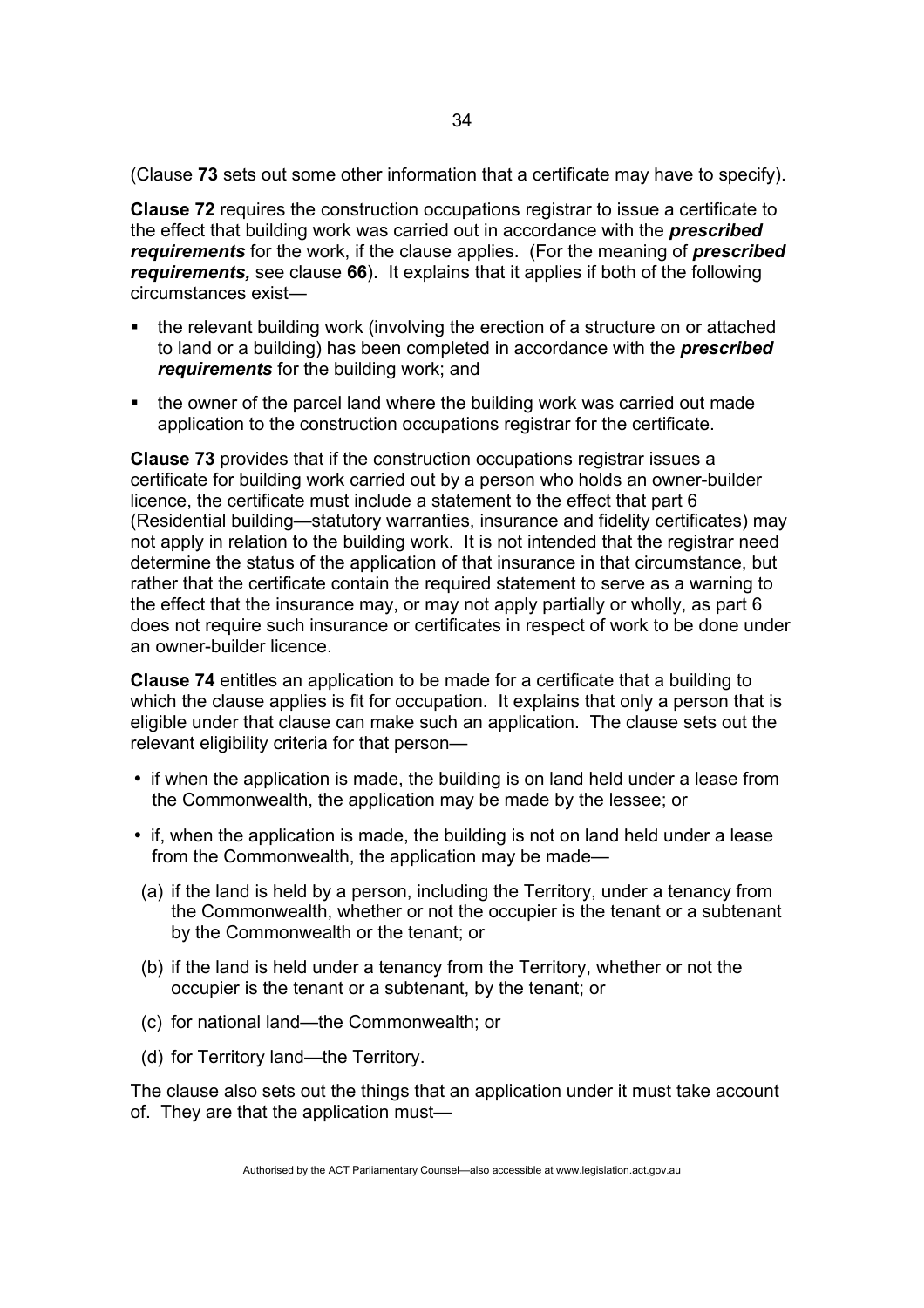(Clause **73** sets out some other information that a certificate may have to specify).

**Clause 72** requires the construction occupations registrar to issue a certificate to the effect that building work was carried out in accordance with the *prescribed requirements* for the work, if the clause applies. (For the meaning of *prescribed requirements,* see clause **66**). It explains that it applies if both of the following circumstances exist—

- the relevant building work (involving the erection of a structure on or attached to land or a building) has been completed in accordance with the *prescribed requirements* for the building work; and
- the owner of the parcel land where the building work was carried out made application to the construction occupations registrar for the certificate.

**Clause 73** provides that if the construction occupations registrar issues a certificate for building work carried out by a person who holds an owner-builder licence, the certificate must include a statement to the effect that part 6 (Residential building—statutory warranties, insurance and fidelity certificates) may not apply in relation to the building work. It is not intended that the registrar need determine the status of the application of that insurance in that circumstance, but rather that the certificate contain the required statement to serve as a warning to the effect that the insurance may, or may not apply partially or wholly, as part 6 does not require such insurance or certificates in respect of work to be done under an owner-builder licence.

**Clause 74** entitles an application to be made for a certificate that a building to which the clause applies is fit for occupation. It explains that only a person that is eligible under that clause can make such an application. The clause sets out the relevant eligibility criteria for that person—

- if when the application is made, the building is on land held under a lease from the Commonwealth, the application may be made by the lessee; or
- if, when the application is made, the building is not on land held under a lease from the Commonwealth, the application may be made—
- (a) if the land is held by a person, including the Territory, under a tenancy from the Commonwealth, whether or not the occupier is the tenant or a subtenant by the Commonwealth or the tenant; or
- (b) if the land is held under a tenancy from the Territory, whether or not the occupier is the tenant or a subtenant, by the tenant; or
- (c) for national land—the Commonwealth; or
- (d) for Territory land—the Territory.

The clause also sets out the things that an application under it must take account of. They are that the application must—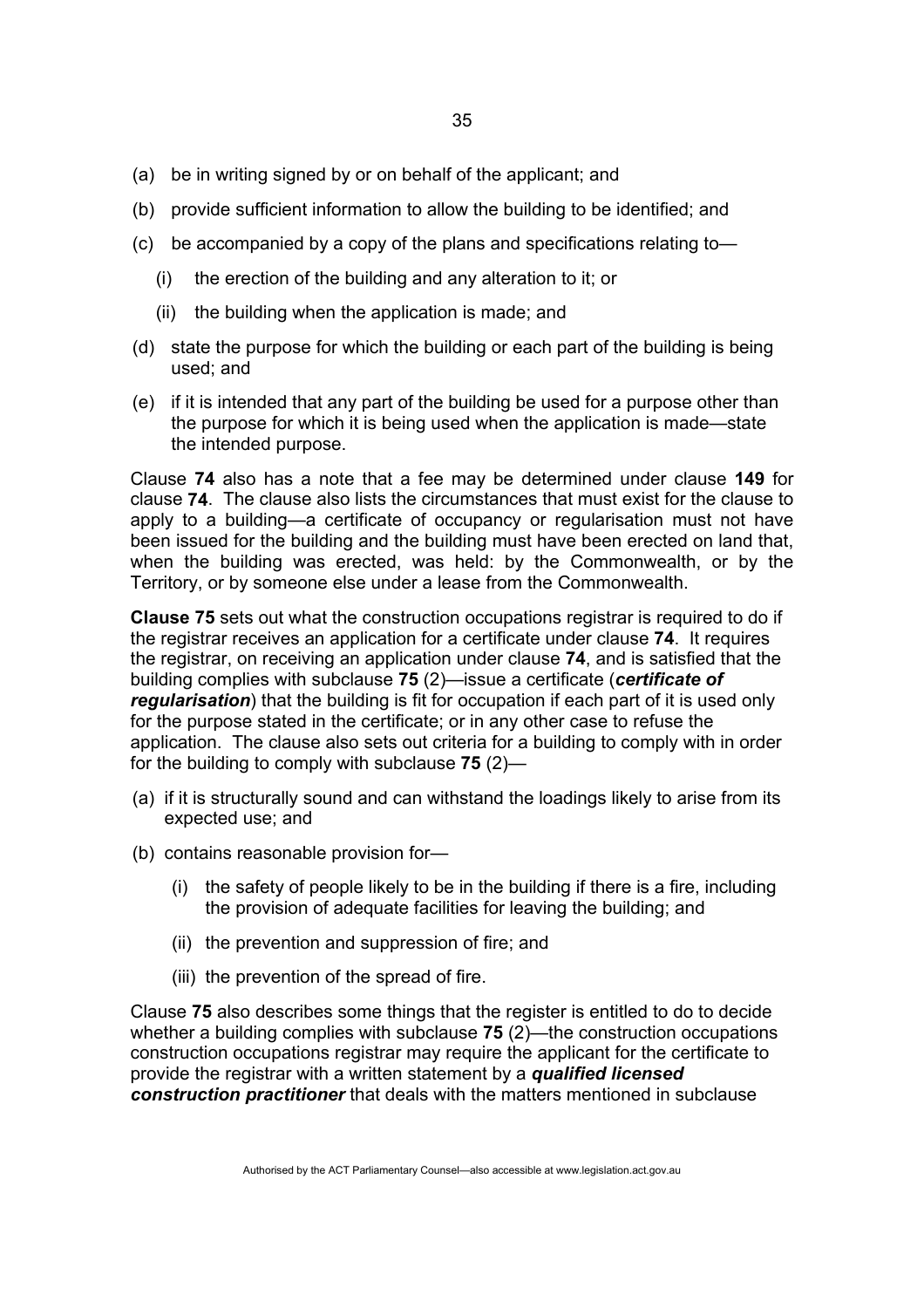- (a) be in writing signed by or on behalf of the applicant; and
- (b) provide sufficient information to allow the building to be identified; and
- (c) be accompanied by a copy of the plans and specifications relating to—
	- (i) the erection of the building and any alteration to it; or
	- (ii) the building when the application is made; and
- (d) state the purpose for which the building or each part of the building is being used; and
- (e) if it is intended that any part of the building be used for a purpose other than the purpose for which it is being used when the application is made—state the intended purpose.

Clause **74** also has a note that a fee may be determined under clause **149** for clause **74**. The clause also lists the circumstances that must exist for the clause to apply to a building—a certificate of occupancy or regularisation must not have been issued for the building and the building must have been erected on land that, when the building was erected, was held: by the Commonwealth, or by the Territory, or by someone else under a lease from the Commonwealth.

**Clause 75** sets out what the construction occupations registrar is required to do if the registrar receives an application for a certificate under clause **74**. It requires the registrar, on receiving an application under clause **74**, and is satisfied that the building complies with subclause **75** (2)—issue a certificate (*certificate of regularisation*) that the building is fit for occupation if each part of it is used only for the purpose stated in the certificate; or in any other case to refuse the application. The clause also sets out criteria for a building to comply with in order for the building to comply with subclause **75** (2)—

- (a) if it is structurally sound and can withstand the loadings likely to arise from its expected use; and
- (b) contains reasonable provision for—
	- (i) the safety of people likely to be in the building if there is a fire, including the provision of adequate facilities for leaving the building; and
	- (ii) the prevention and suppression of fire; and
	- (iii) the prevention of the spread of fire.

Clause **75** also describes some things that the register is entitled to do to decide whether a building complies with subclause **75** (2)—the construction occupations construction occupations registrar may require the applicant for the certificate to provide the registrar with a written statement by a *qualified licensed construction practitioner* that deals with the matters mentioned in subclause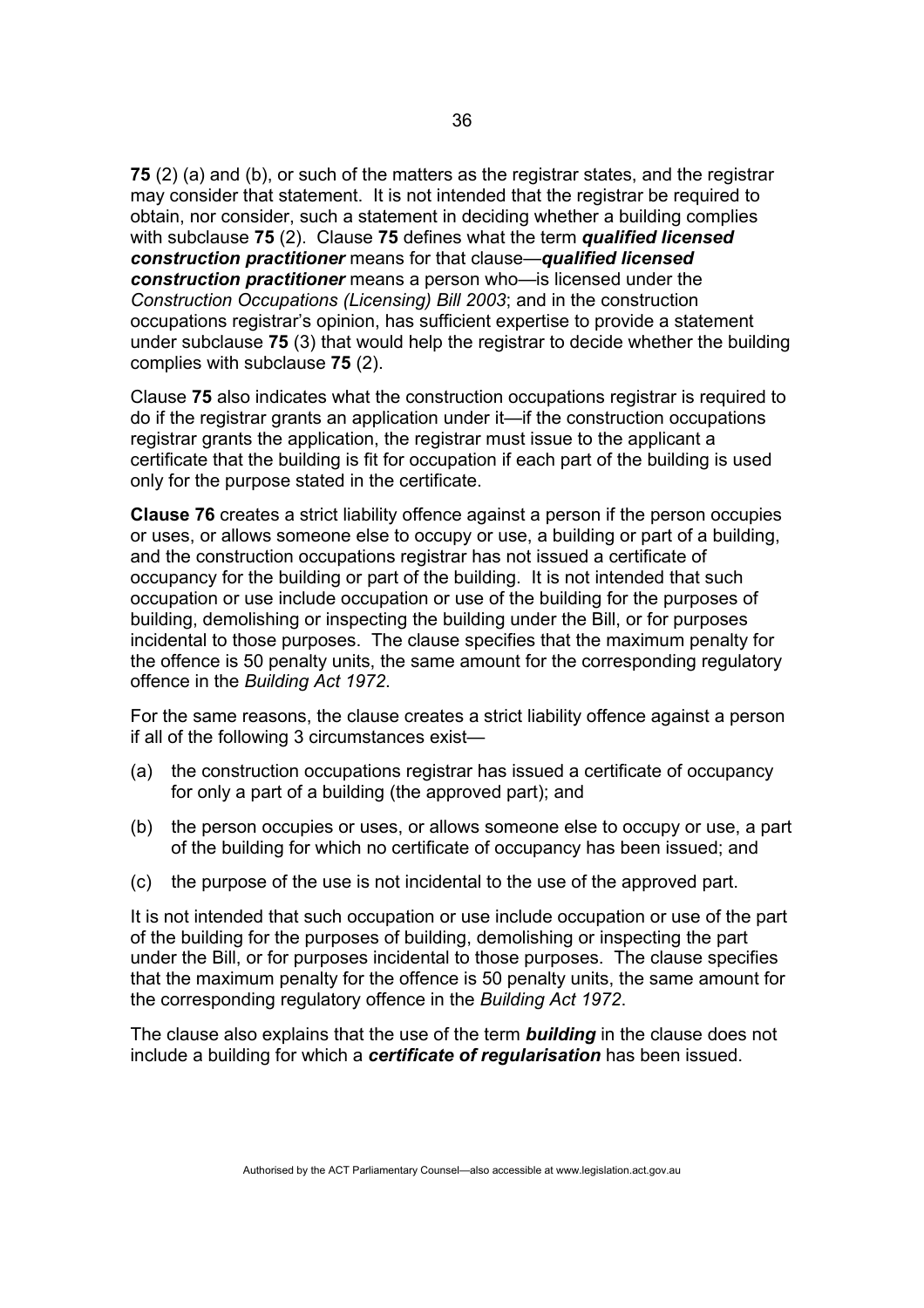**75** (2) (a) and (b), or such of the matters as the registrar states, and the registrar may consider that statement. It is not intended that the registrar be required to obtain, nor consider, such a statement in deciding whether a building complies with subclause **75** (2). Clause **75** defines what the term *qualified licensed construction practitioner* means for that clause—*qualified licensed construction practitioner* means a person who—is licensed under the *Construction Occupations (Licensing) Bill 2003*; and in the construction occupations registrar's opinion, has sufficient expertise to provide a statement under subclause **75** (3) that would help the registrar to decide whether the building complies with subclause **75** (2).

Clause **75** also indicates what the construction occupations registrar is required to do if the registrar grants an application under it—if the construction occupations registrar grants the application, the registrar must issue to the applicant a certificate that the building is fit for occupation if each part of the building is used only for the purpose stated in the certificate.

**Clause 76** creates a strict liability offence against a person if the person occupies or uses, or allows someone else to occupy or use, a building or part of a building, and the construction occupations registrar has not issued a certificate of occupancy for the building or part of the building. It is not intended that such occupation or use include occupation or use of the building for the purposes of building, demolishing or inspecting the building under the Bill, or for purposes incidental to those purposes. The clause specifies that the maximum penalty for the offence is 50 penalty units, the same amount for the corresponding regulatory offence in the *Building Act 1972*.

For the same reasons, the clause creates a strict liability offence against a person if all of the following 3 circumstances exist—

- (a) the construction occupations registrar has issued a certificate of occupancy for only a part of a building (the approved part); and
- (b) the person occupies or uses, or allows someone else to occupy or use, a part of the building for which no certificate of occupancy has been issued; and
- (c) the purpose of the use is not incidental to the use of the approved part.

It is not intended that such occupation or use include occupation or use of the part of the building for the purposes of building, demolishing or inspecting the part under the Bill, or for purposes incidental to those purposes. The clause specifies that the maximum penalty for the offence is 50 penalty units, the same amount for the corresponding regulatory offence in the *Building Act 1972*.

The clause also explains that the use of the term *building* in the clause does not include a building for which a *certificate of regularisation* has been issued.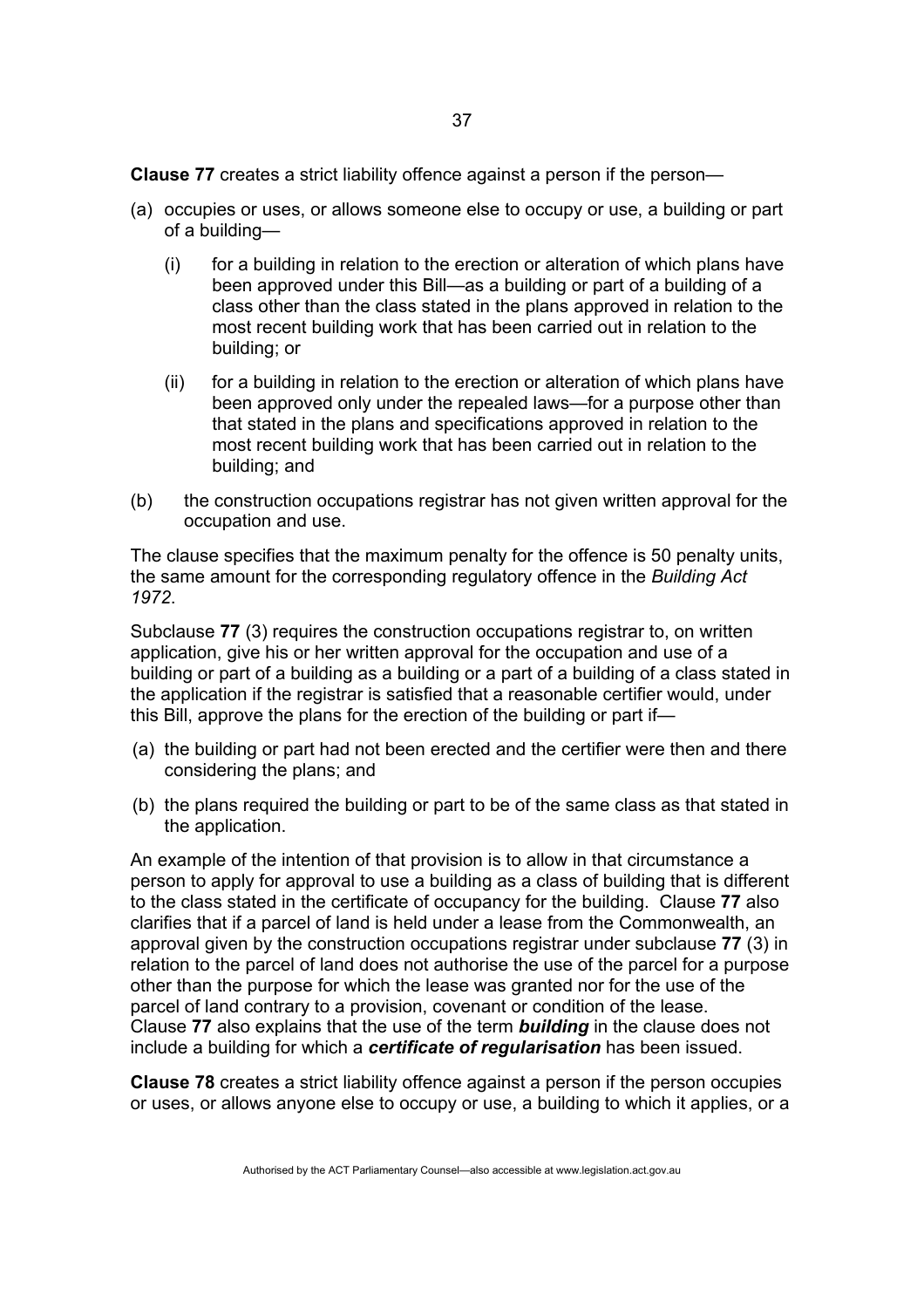**Clause 77** creates a strict liability offence against a person if the person—

- (a) occupies or uses, or allows someone else to occupy or use, a building or part of a building—
	- (i) for a building in relation to the erection or alteration of which plans have been approved under this Bill—as a building or part of a building of a class other than the class stated in the plans approved in relation to the most recent building work that has been carried out in relation to the building; or
	- (ii) for a building in relation to the erection or alteration of which plans have been approved only under the repealed laws—for a purpose other than that stated in the plans and specifications approved in relation to the most recent building work that has been carried out in relation to the building; and
- (b) the construction occupations registrar has not given written approval for the occupation and use.

The clause specifies that the maximum penalty for the offence is 50 penalty units, the same amount for the corresponding regulatory offence in the *Building Act 1972*.

Subclause **77** (3) requires the construction occupations registrar to, on written application, give his or her written approval for the occupation and use of a building or part of a building as a building or a part of a building of a class stated in the application if the registrar is satisfied that a reasonable certifier would, under this Bill, approve the plans for the erection of the building or part if—

- (a) the building or part had not been erected and the certifier were then and there considering the plans; and
- (b) the plans required the building or part to be of the same class as that stated in the application.

An example of the intention of that provision is to allow in that circumstance a person to apply for approval to use a building as a class of building that is different to the class stated in the certificate of occupancy for the building. Clause **77** also clarifies that if a parcel of land is held under a lease from the Commonwealth, an approval given by the construction occupations registrar under subclause **77** (3) in relation to the parcel of land does not authorise the use of the parcel for a purpose other than the purpose for which the lease was granted nor for the use of the parcel of land contrary to a provision, covenant or condition of the lease. Clause **77** also explains that the use of the term *building* in the clause does not include a building for which a *certificate of regularisation* has been issued.

**Clause 78** creates a strict liability offence against a person if the person occupies or uses, or allows anyone else to occupy or use, a building to which it applies, or a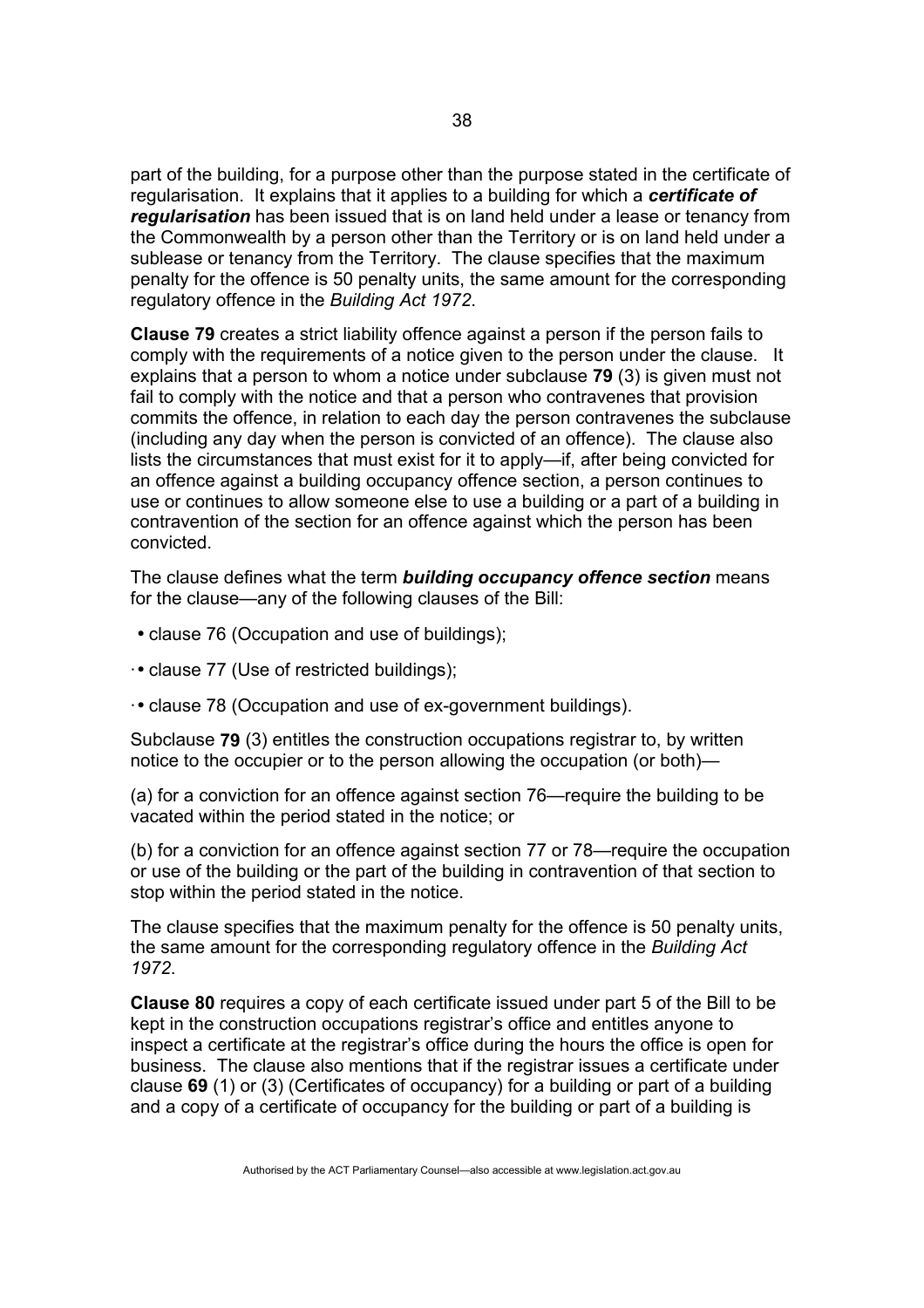part of the building, for a purpose other than the purpose stated in the certificate of regularisation. It explains that it applies to a building for which a *certificate of regularisation* has been issued that is on land held under a lease or tenancy from the Commonwealth by a person other than the Territory or is on land held under a sublease or tenancy from the Territory. The clause specifies that the maximum penalty for the offence is 50 penalty units, the same amount for the corresponding regulatory offence in the *Building Act 1972*.

**Clause 79** creates a strict liability offence against a person if the person fails to comply with the requirements of a notice given to the person under the clause. It explains that a person to whom a notice under subclause **79** (3) is given must not fail to comply with the notice and that a person who contravenes that provision commits the offence, in relation to each day the person contravenes the subclause (including any day when the person is convicted of an offence). The clause also lists the circumstances that must exist for it to apply—if, after being convicted for an offence against a building occupancy offence section, a person continues to use or continues to allow someone else to use a building or a part of a building in contravention of the section for an offence against which the person has been convicted.

The clause defines what the term *building occupancy offence section* means for the clause—any of the following clauses of the Bill:

- clause 76 (Occupation and use of buildings);
- ·• clause 77 (Use of restricted buildings);
- ·• clause 78 (Occupation and use of ex-government buildings).

Subclause **79** (3) entitles the construction occupations registrar to, by written notice to the occupier or to the person allowing the occupation (or both)—

(a) for a conviction for an offence against section 76—require the building to be vacated within the period stated in the notice; or

(b) for a conviction for an offence against section 77 or 78—require the occupation or use of the building or the part of the building in contravention of that section to stop within the period stated in the notice.

The clause specifies that the maximum penalty for the offence is 50 penalty units, the same amount for the corresponding regulatory offence in the *Building Act 1972*.

**Clause 80** requires a copy of each certificate issued under part 5 of the Bill to be kept in the construction occupations registrar's office and entitles anyone to inspect a certificate at the registrar's office during the hours the office is open for business. The clause also mentions that if the registrar issues a certificate under clause **69** (1) or (3) (Certificates of occupancy) for a building or part of a building and a copy of a certificate of occupancy for the building or part of a building is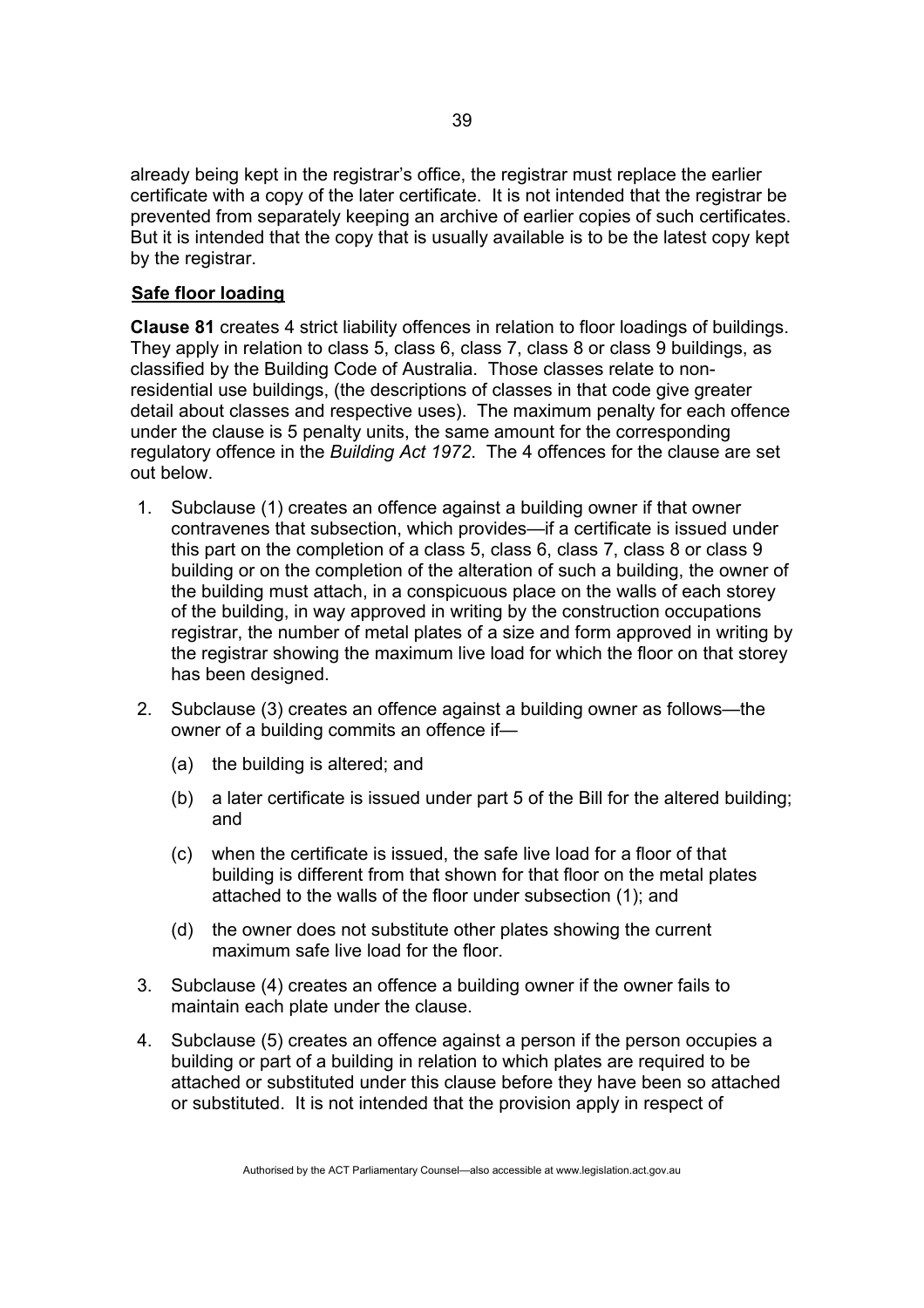already being kept in the registrar's office, the registrar must replace the earlier certificate with a copy of the later certificate. It is not intended that the registrar be prevented from separately keeping an archive of earlier copies of such certificates. But it is intended that the copy that is usually available is to be the latest copy kept by the registrar.

# **Safe floor loading**

**Clause 81** creates 4 strict liability offences in relation to floor loadings of buildings. They apply in relation to class 5, class 6, class 7, class 8 or class 9 buildings, as classified by the Building Code of Australia. Those classes relate to nonresidential use buildings, (the descriptions of classes in that code give greater detail about classes and respective uses). The maximum penalty for each offence under the clause is 5 penalty units, the same amount for the corresponding regulatory offence in the *Building Act 1972*. The 4 offences for the clause are set out below.

- 1. Subclause (1) creates an offence against a building owner if that owner contravenes that subsection, which provides—if a certificate is issued under this part on the completion of a class 5, class 6, class 7, class 8 or class 9 building or on the completion of the alteration of such a building, the owner of the building must attach, in a conspicuous place on the walls of each storey of the building, in way approved in writing by the construction occupations registrar, the number of metal plates of a size and form approved in writing by the registrar showing the maximum live load for which the floor on that storey has been designed.
- 2. Subclause (3) creates an offence against a building owner as follows—the owner of a building commits an offence if—
	- (a) the building is altered; and
	- (b) a later certificate is issued under part 5 of the Bill for the altered building; and
	- (c) when the certificate is issued, the safe live load for a floor of that building is different from that shown for that floor on the metal plates attached to the walls of the floor under subsection (1); and
	- (d) the owner does not substitute other plates showing the current maximum safe live load for the floor.
- 3. Subclause (4) creates an offence a building owner if the owner fails to maintain each plate under the clause.
- 4. Subclause (5) creates an offence against a person if the person occupies a building or part of a building in relation to which plates are required to be attached or substituted under this clause before they have been so attached or substituted. It is not intended that the provision apply in respect of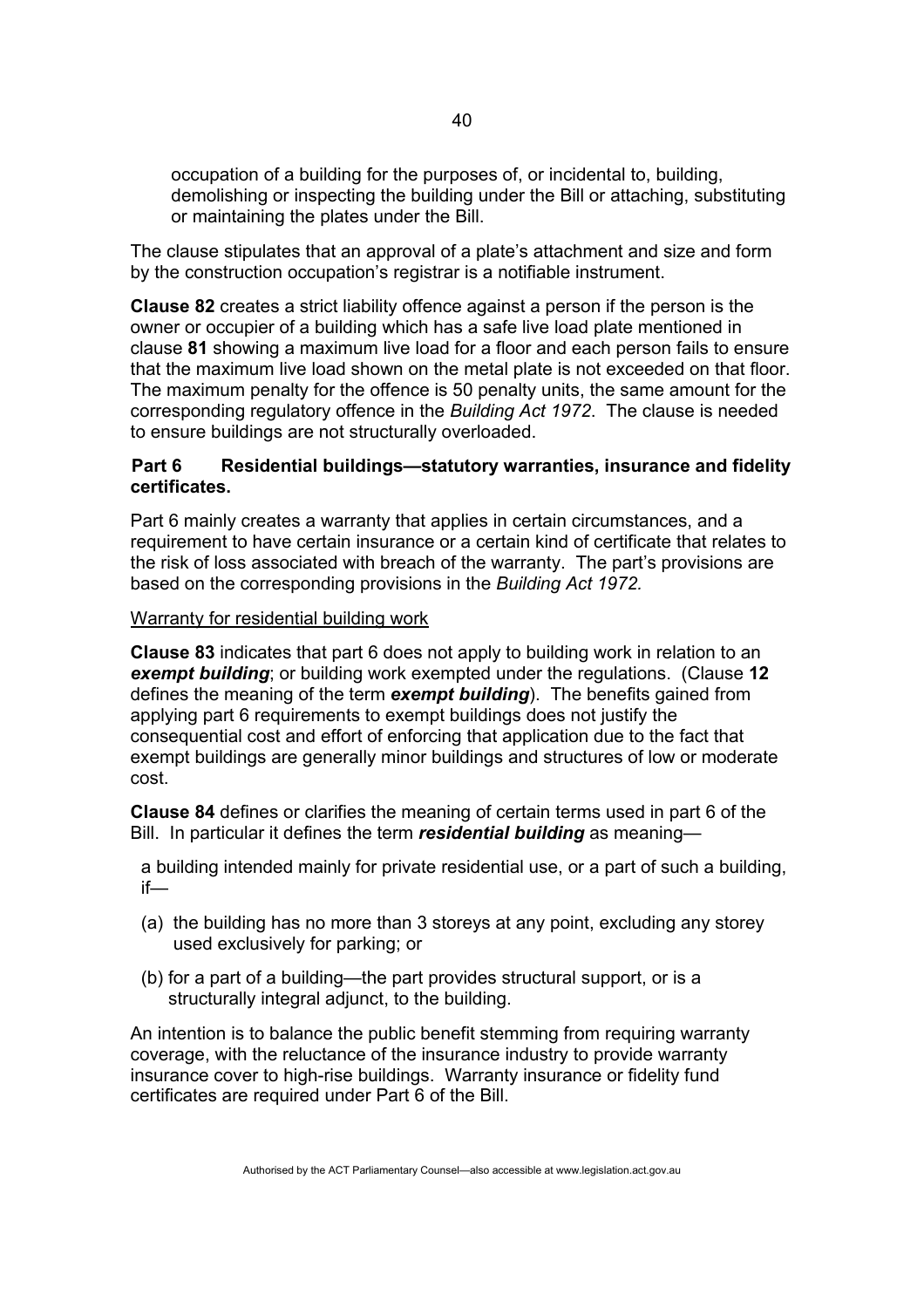occupation of a building for the purposes of, or incidental to, building, demolishing or inspecting the building under the Bill or attaching, substituting or maintaining the plates under the Bill.

The clause stipulates that an approval of a plate's attachment and size and form by the construction occupation's registrar is a notifiable instrument.

**Clause 82** creates a strict liability offence against a person if the person is the owner or occupier of a building which has a safe live load plate mentioned in clause **81** showing a maximum live load for a floor and each person fails to ensure that the maximum live load shown on the metal plate is not exceeded on that floor. The maximum penalty for the offence is 50 penalty units, the same amount for the corresponding regulatory offence in the *Building Act 1972*. The clause is needed to ensure buildings are not structurally overloaded.

## **Part 6 Residential buildings—statutory warranties, insurance and fidelity certificates.**

Part 6 mainly creates a warranty that applies in certain circumstances, and a requirement to have certain insurance or a certain kind of certificate that relates to the risk of loss associated with breach of the warranty. The part's provisions are based on the corresponding provisions in the *Building Act 1972.*

### Warranty for residential building work

**Clause 83** indicates that part 6 does not apply to building work in relation to an *exempt building*; or building work exempted under the regulations. (Clause **12** defines the meaning of the term *exempt building*). The benefits gained from applying part 6 requirements to exempt buildings does not justify the consequential cost and effort of enforcing that application due to the fact that exempt buildings are generally minor buildings and structures of low or moderate cost.

**Clause 84** defines or clarifies the meaning of certain terms used in part 6 of the Bill. In particular it defines the term *residential building* as meaning—

a building intended mainly for private residential use, or a part of such a building, if—

- (a) the building has no more than 3 storeys at any point, excluding any storey used exclusively for parking; or
- (b) for a part of a building—the part provides structural support, or is a structurally integral adjunct, to the building.

An intention is to balance the public benefit stemming from requiring warranty coverage, with the reluctance of the insurance industry to provide warranty insurance cover to high-rise buildings. Warranty insurance or fidelity fund certificates are required under Part 6 of the Bill.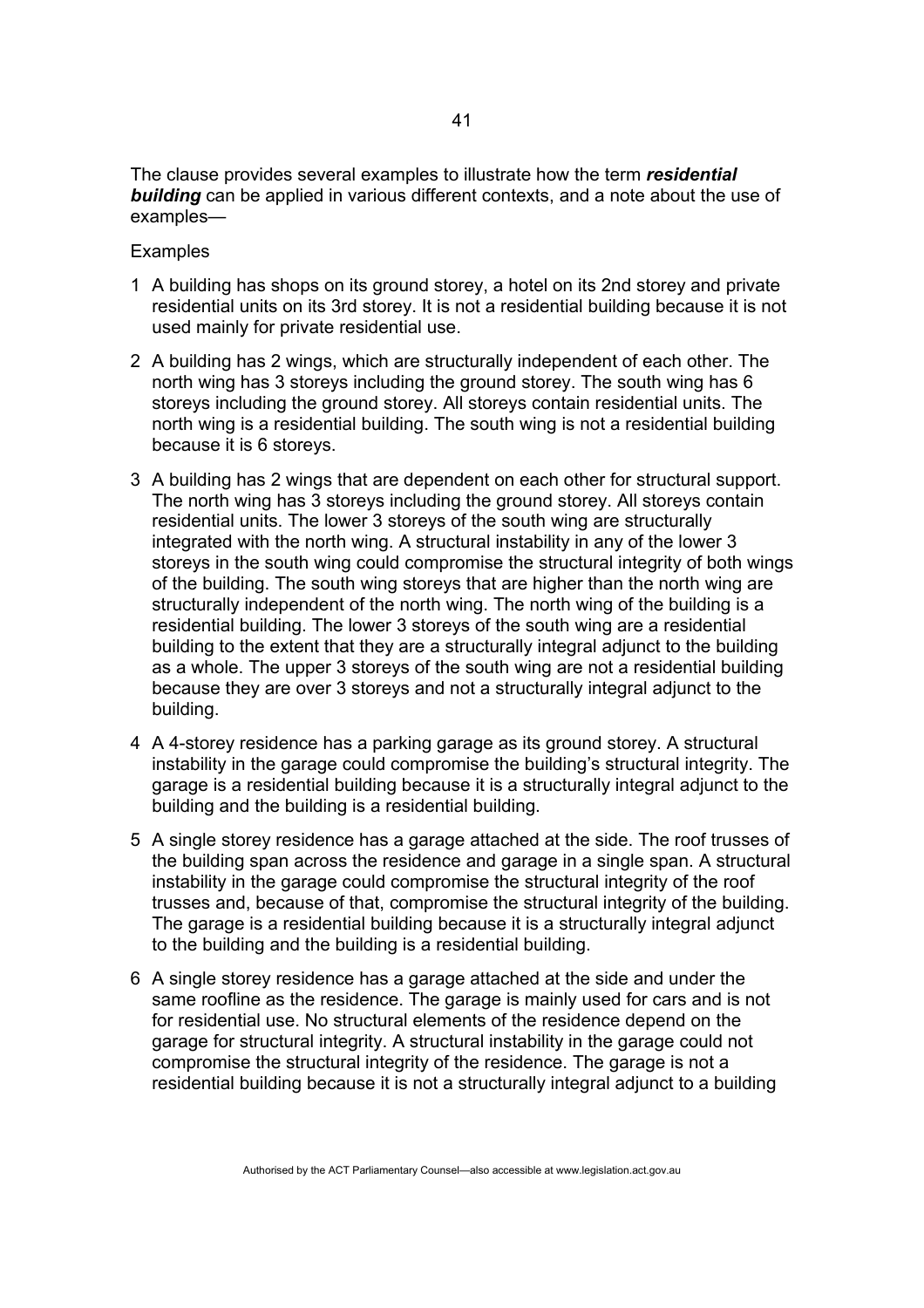The clause provides several examples to illustrate how the term *residential building* can be applied in various different contexts, and a note about the use of examples—

#### **Examples**

- 1 A building has shops on its ground storey, a hotel on its 2nd storey and private residential units on its 3rd storey. It is not a residential building because it is not used mainly for private residential use.
- 2 A building has 2 wings, which are structurally independent of each other. The north wing has 3 storeys including the ground storey. The south wing has 6 storeys including the ground storey. All storeys contain residential units. The north wing is a residential building. The south wing is not a residential building because it is 6 storeys.
- 3 A building has 2 wings that are dependent on each other for structural support. The north wing has 3 storeys including the ground storey. All storeys contain residential units. The lower 3 storeys of the south wing are structurally integrated with the north wing. A structural instability in any of the lower 3 storeys in the south wing could compromise the structural integrity of both wings of the building. The south wing storeys that are higher than the north wing are structurally independent of the north wing. The north wing of the building is a residential building. The lower 3 storeys of the south wing are a residential building to the extent that they are a structurally integral adjunct to the building as a whole. The upper 3 storeys of the south wing are not a residential building because they are over 3 storeys and not a structurally integral adjunct to the building.
- 4 A 4-storey residence has a parking garage as its ground storey. A structural instability in the garage could compromise the building's structural integrity. The garage is a residential building because it is a structurally integral adjunct to the building and the building is a residential building.
- 5 A single storey residence has a garage attached at the side. The roof trusses of the building span across the residence and garage in a single span. A structural instability in the garage could compromise the structural integrity of the roof trusses and, because of that, compromise the structural integrity of the building. The garage is a residential building because it is a structurally integral adjunct to the building and the building is a residential building.
- 6 A single storey residence has a garage attached at the side and under the same roofline as the residence. The garage is mainly used for cars and is not for residential use. No structural elements of the residence depend on the garage for structural integrity. A structural instability in the garage could not compromise the structural integrity of the residence. The garage is not a residential building because it is not a structurally integral adjunct to a building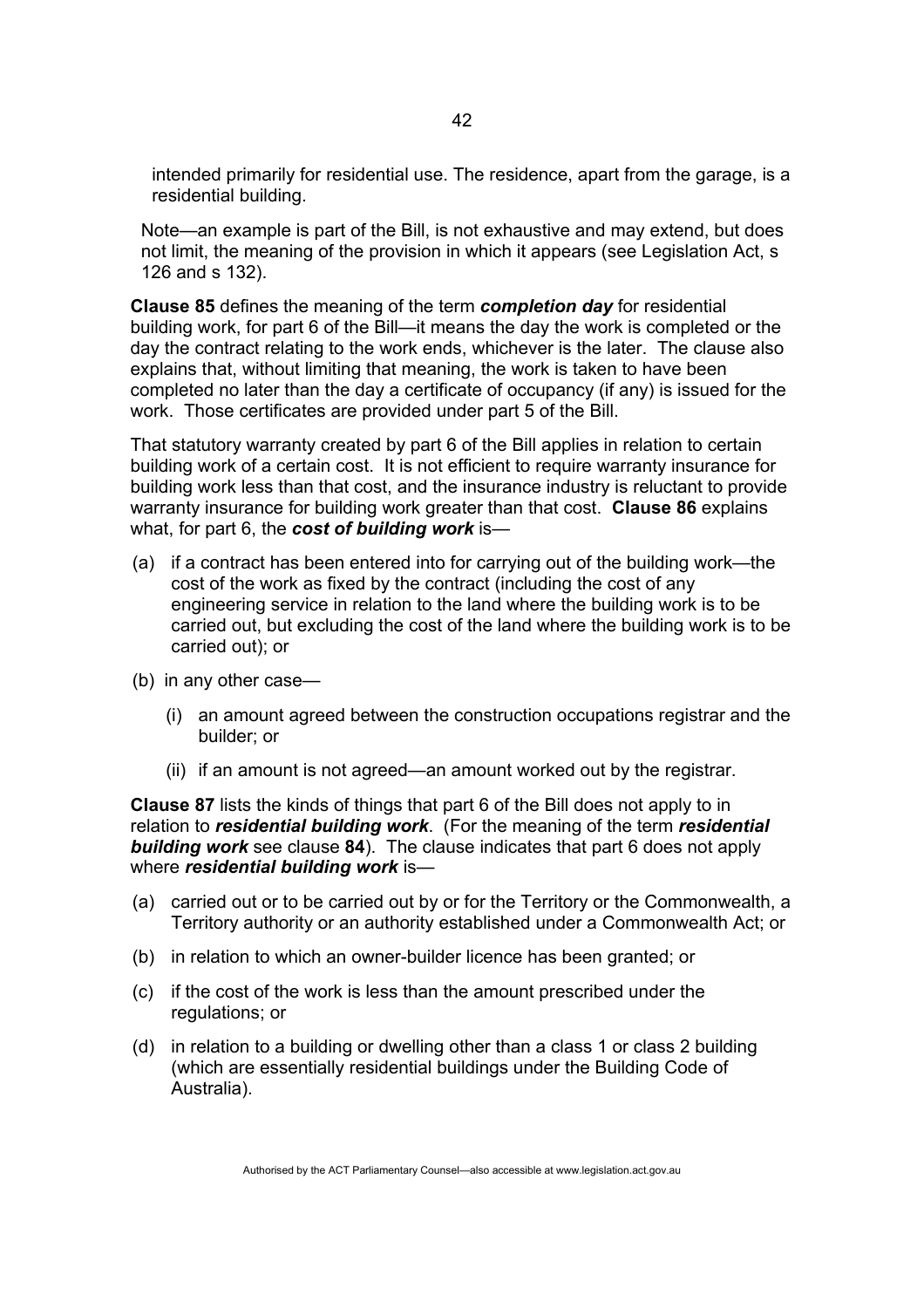intended primarily for residential use. The residence, apart from the garage, is a residential building.

Note—an example is part of the Bill, is not exhaustive and may extend, but does not limit, the meaning of the provision in which it appears (see Legislation Act, s 126 and s 132).

**Clause 85** defines the meaning of the term *completion day* for residential building work, for part 6 of the Bill—it means the day the work is completed or the day the contract relating to the work ends, whichever is the later. The clause also explains that, without limiting that meaning, the work is taken to have been completed no later than the day a certificate of occupancy (if any) is issued for the work. Those certificates are provided under part 5 of the Bill.

That statutory warranty created by part 6 of the Bill applies in relation to certain building work of a certain cost. It is not efficient to require warranty insurance for building work less than that cost, and the insurance industry is reluctant to provide warranty insurance for building work greater than that cost. **Clause 86** explains what, for part 6, the *cost of building work* is—

- (a) if a contract has been entered into for carrying out of the building work—the cost of the work as fixed by the contract (including the cost of any engineering service in relation to the land where the building work is to be carried out, but excluding the cost of the land where the building work is to be carried out); or
- (b) in any other case—
	- (i) an amount agreed between the construction occupations registrar and the builder; or
	- (ii) if an amount is not agreed—an amount worked out by the registrar.

**Clause 87** lists the kinds of things that part 6 of the Bill does not apply to in relation to *residential building work*. (For the meaning of the term *residential building work* see clause **84**). The clause indicates that part 6 does not apply where *residential building work* is—

- (a) carried out or to be carried out by or for the Territory or the Commonwealth, a Territory authority or an authority established under a Commonwealth Act; or
- (b) in relation to which an owner-builder licence has been granted; or
- (c) if the cost of the work is less than the amount prescribed under the regulations; or
- (d) in relation to a building or dwelling other than a class 1 or class 2 building (which are essentially residential buildings under the Building Code of Australia).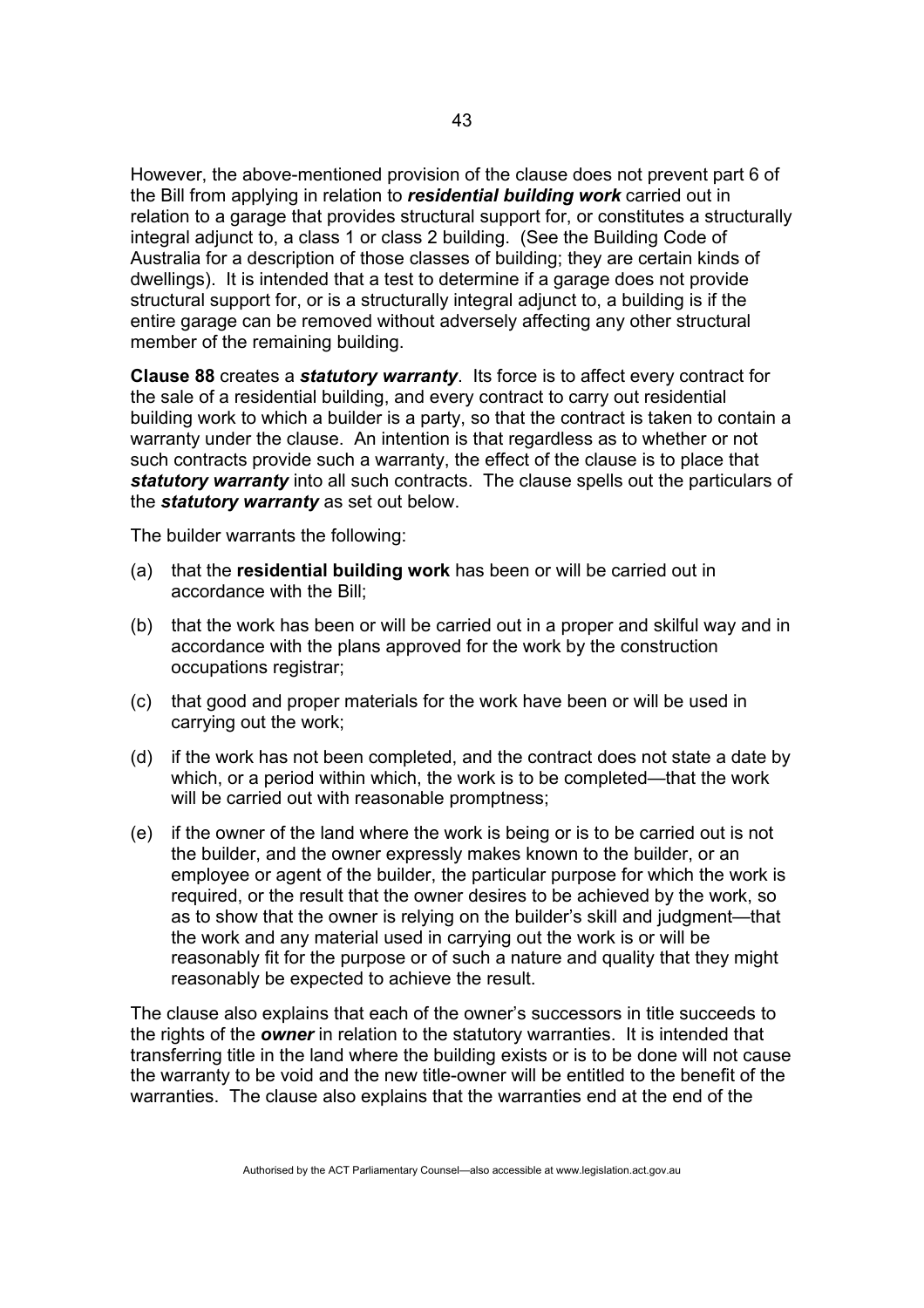However, the above-mentioned provision of the clause does not prevent part 6 of the Bill from applying in relation to *residential building work* carried out in relation to a garage that provides structural support for, or constitutes a structurally integral adjunct to, a class 1 or class 2 building. (See the Building Code of Australia for a description of those classes of building; they are certain kinds of dwellings). It is intended that a test to determine if a garage does not provide structural support for, or is a structurally integral adjunct to, a building is if the entire garage can be removed without adversely affecting any other structural member of the remaining building.

**Clause 88** creates a *statutory warranty*. Its force is to affect every contract for the sale of a residential building, and every contract to carry out residential building work to which a builder is a party, so that the contract is taken to contain a warranty under the clause. An intention is that regardless as to whether or not such contracts provide such a warranty, the effect of the clause is to place that *statutory warranty* into all such contracts. The clause spells out the particulars of the *statutory warranty* as set out below.

The builder warrants the following:

- (a) that the **residential building work** has been or will be carried out in accordance with the Bill;
- (b) that the work has been or will be carried out in a proper and skilful way and in accordance with the plans approved for the work by the construction occupations registrar;
- (c) that good and proper materials for the work have been or will be used in carrying out the work;
- (d) if the work has not been completed, and the contract does not state a date by which, or a period within which, the work is to be completed—that the work will be carried out with reasonable promptness;
- (e) if the owner of the land where the work is being or is to be carried out is not the builder, and the owner expressly makes known to the builder, or an employee or agent of the builder, the particular purpose for which the work is required, or the result that the owner desires to be achieved by the work, so as to show that the owner is relying on the builder's skill and judgment—that the work and any material used in carrying out the work is or will be reasonably fit for the purpose or of such a nature and quality that they might reasonably be expected to achieve the result.

The clause also explains that each of the owner's successors in title succeeds to the rights of the *owner* in relation to the statutory warranties. It is intended that transferring title in the land where the building exists or is to be done will not cause the warranty to be void and the new title-owner will be entitled to the benefit of the warranties. The clause also explains that the warranties end at the end of the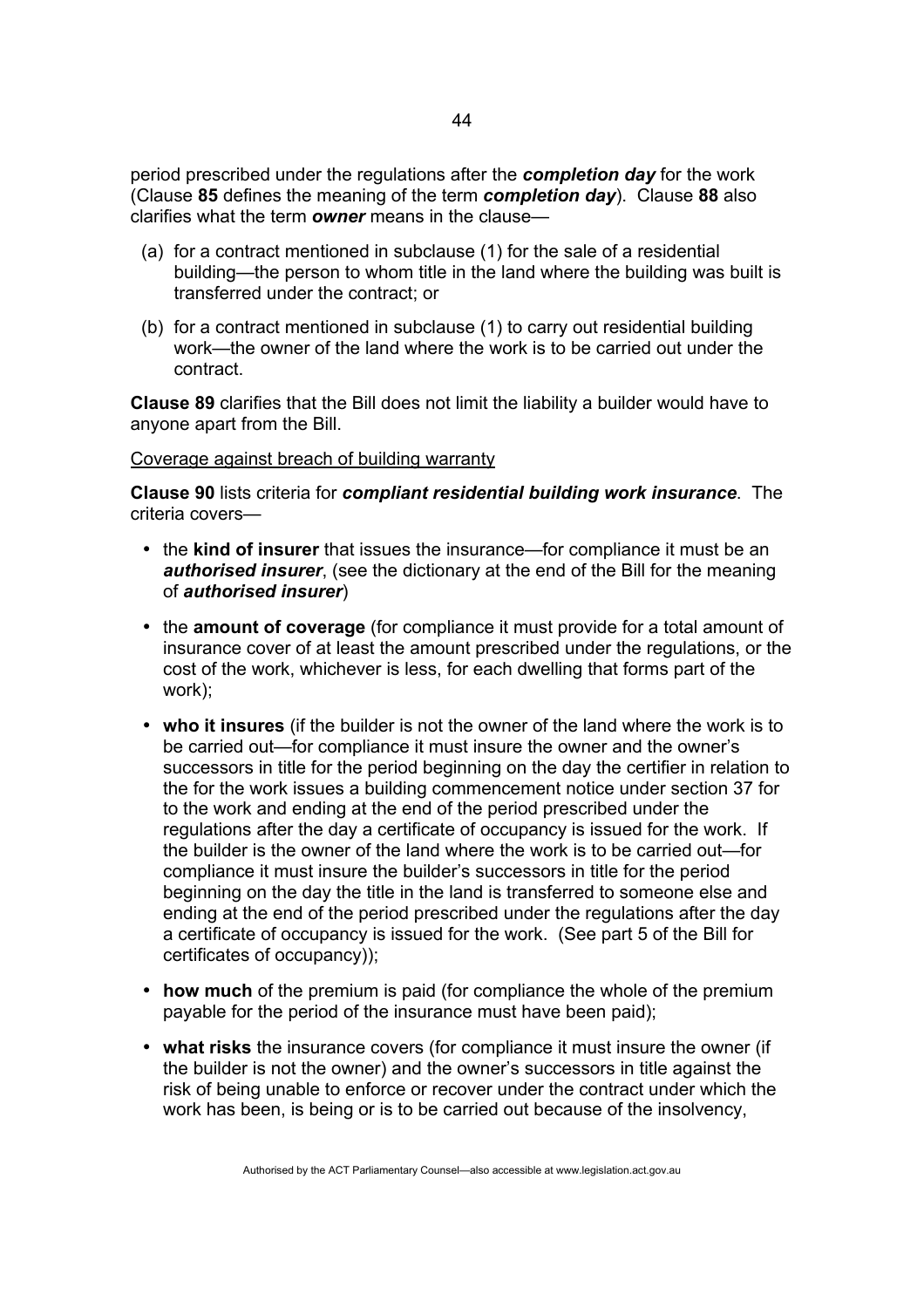period prescribed under the regulations after the *completion day* for the work (Clause **85** defines the meaning of the term *completion day*). Clause **88** also clarifies what the term *owner* means in the clause—

- (a) for a contract mentioned in subclause (1) for the sale of a residential building—the person to whom title in the land where the building was built is transferred under the contract; or
- (b) for a contract mentioned in subclause (1) to carry out residential building work—the owner of the land where the work is to be carried out under the contract.

**Clause 89** clarifies that the Bill does not limit the liability a builder would have to anyone apart from the Bill.

### Coverage against breach of building warranty

**Clause 90** lists criteria for *compliant residential building work insurance*. The criteria covers—

- the **kind of insurer** that issues the insurance—for compliance it must be an *authorised insurer*, (see the dictionary at the end of the Bill for the meaning of *authorised insurer*)
- the **amount of coverage** (for compliance it must provide for a total amount of insurance cover of at least the amount prescribed under the regulations, or the cost of the work, whichever is less, for each dwelling that forms part of the work);
- **who it insures** (if the builder is not the owner of the land where the work is to be carried out—for compliance it must insure the owner and the owner's successors in title for the period beginning on the day the certifier in relation to the for the work issues a building commencement notice under section 37 for to the work and ending at the end of the period prescribed under the regulations after the day a certificate of occupancy is issued for the work. If the builder is the owner of the land where the work is to be carried out—for compliance it must insure the builder's successors in title for the period beginning on the day the title in the land is transferred to someone else and ending at the end of the period prescribed under the regulations after the day a certificate of occupancy is issued for the work. (See part 5 of the Bill for certificates of occupancy));
- **how much** of the premium is paid (for compliance the whole of the premium payable for the period of the insurance must have been paid);
- **what risks** the insurance covers (for compliance it must insure the owner (if the builder is not the owner) and the owner's successors in title against the risk of being unable to enforce or recover under the contract under which the work has been, is being or is to be carried out because of the insolvency,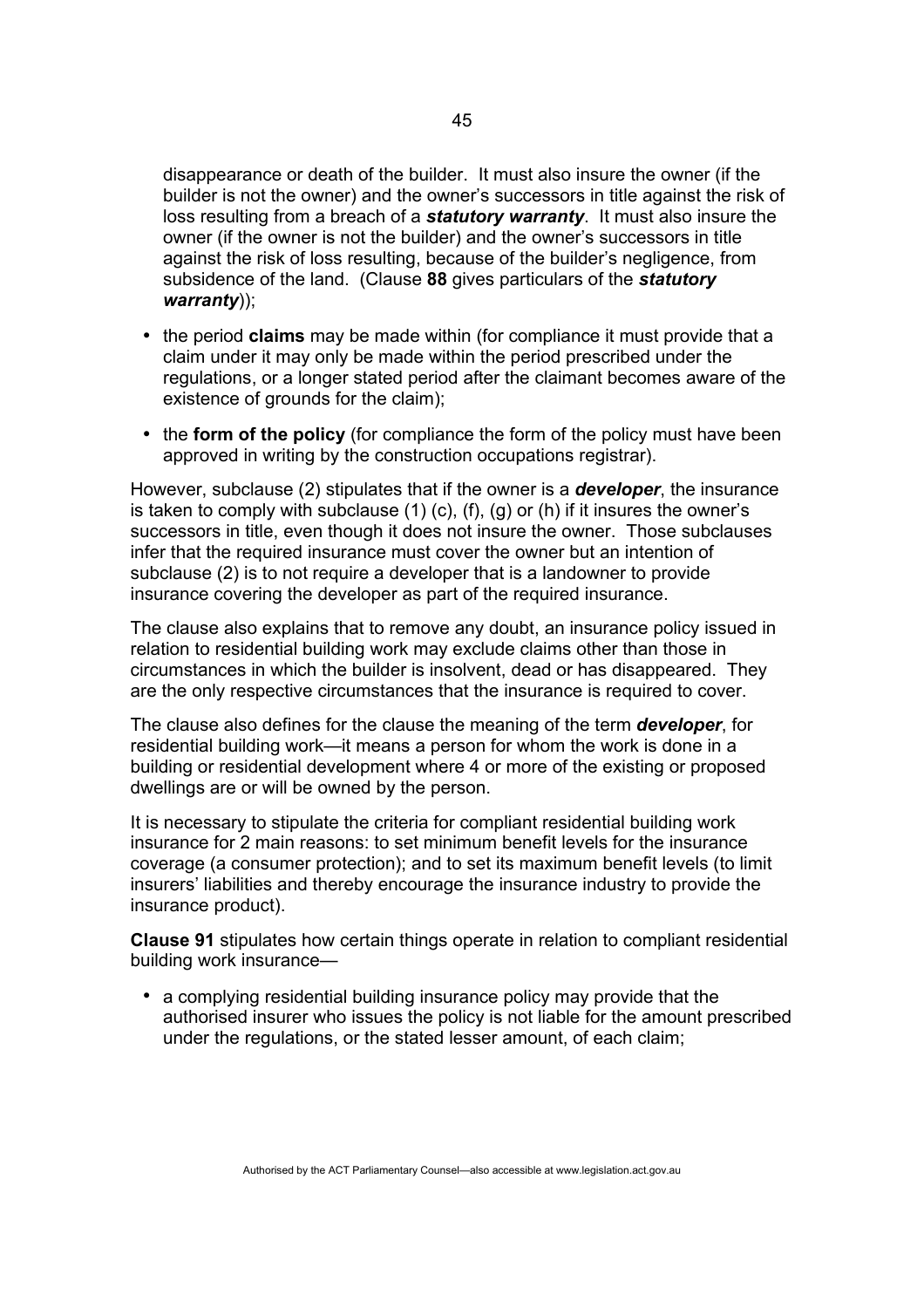disappearance or death of the builder. It must also insure the owner (if the builder is not the owner) and the owner's successors in title against the risk of loss resulting from a breach of a *statutory warranty*. It must also insure the owner (if the owner is not the builder) and the owner's successors in title against the risk of loss resulting, because of the builder's negligence, from subsidence of the land. (Clause **88** gives particulars of the *statutory warranty*));

- the period **claims** may be made within (for compliance it must provide that a claim under it may only be made within the period prescribed under the regulations, or a longer stated period after the claimant becomes aware of the existence of grounds for the claim);
- the **form of the policy** (for compliance the form of the policy must have been approved in writing by the construction occupations registrar).

However, subclause (2) stipulates that if the owner is a *developer*, the insurance is taken to comply with subclause  $(1)$   $(c)$ ,  $(f)$ ,  $(g)$  or  $(h)$  if it insures the owner's successors in title, even though it does not insure the owner. Those subclauses infer that the required insurance must cover the owner but an intention of subclause (2) is to not require a developer that is a landowner to provide insurance covering the developer as part of the required insurance.

The clause also explains that to remove any doubt, an insurance policy issued in relation to residential building work may exclude claims other than those in circumstances in which the builder is insolvent, dead or has disappeared. They are the only respective circumstances that the insurance is required to cover.

The clause also defines for the clause the meaning of the term *developer*, for residential building work—it means a person for whom the work is done in a building or residential development where 4 or more of the existing or proposed dwellings are or will be owned by the person.

It is necessary to stipulate the criteria for compliant residential building work insurance for 2 main reasons: to set minimum benefit levels for the insurance coverage (a consumer protection); and to set its maximum benefit levels (to limit insurers' liabilities and thereby encourage the insurance industry to provide the insurance product).

**Clause 91** stipulates how certain things operate in relation to compliant residential building work insurance—

• a complying residential building insurance policy may provide that the authorised insurer who issues the policy is not liable for the amount prescribed under the regulations, or the stated lesser amount, of each claim;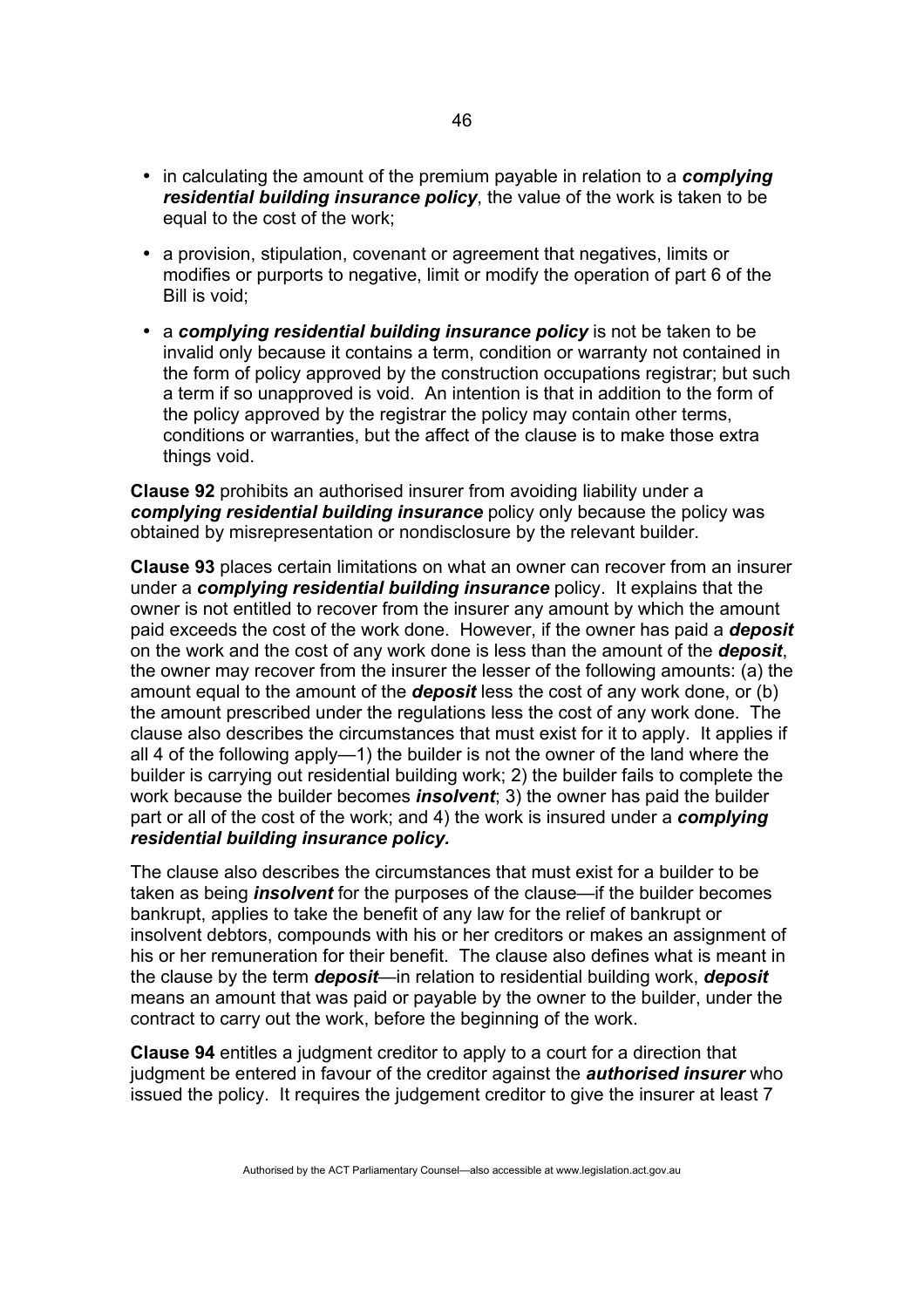- in calculating the amount of the premium payable in relation to a *complying residential building insurance policy*, the value of the work is taken to be equal to the cost of the work;
- a provision, stipulation, covenant or agreement that negatives, limits or modifies or purports to negative, limit or modify the operation of part 6 of the Bill is void;
- a *complying residential building insurance policy* is not be taken to be invalid only because it contains a term, condition or warranty not contained in the form of policy approved by the construction occupations registrar; but such a term if so unapproved is void. An intention is that in addition to the form of the policy approved by the registrar the policy may contain other terms, conditions or warranties, but the affect of the clause is to make those extra things void.

**Clause 92** prohibits an authorised insurer from avoiding liability under a *complying residential building insurance* policy only because the policy was obtained by misrepresentation or nondisclosure by the relevant builder.

**Clause 93** places certain limitations on what an owner can recover from an insurer under a *complying residential building insurance* policy. It explains that the owner is not entitled to recover from the insurer any amount by which the amount paid exceeds the cost of the work done. However, if the owner has paid a *deposit* on the work and the cost of any work done is less than the amount of the *deposit*, the owner may recover from the insurer the lesser of the following amounts: (a) the amount equal to the amount of the *deposit* less the cost of any work done, or (b) the amount prescribed under the regulations less the cost of any work done. The clause also describes the circumstances that must exist for it to apply. It applies if all 4 of the following apply—1) the builder is not the owner of the land where the builder is carrying out residential building work; 2) the builder fails to complete the work because the builder becomes *insolvent*; 3) the owner has paid the builder part or all of the cost of the work; and 4) the work is insured under a *complying residential building insurance policy.* 

The clause also describes the circumstances that must exist for a builder to be taken as being *insolvent* for the purposes of the clause—if the builder becomes bankrupt, applies to take the benefit of any law for the relief of bankrupt or insolvent debtors, compounds with his or her creditors or makes an assignment of his or her remuneration for their benefit. The clause also defines what is meant in the clause by the term *deposit*—in relation to residential building work, *deposit* means an amount that was paid or payable by the owner to the builder, under the contract to carry out the work, before the beginning of the work.

**Clause 94** entitles a judgment creditor to apply to a court for a direction that judgment be entered in favour of the creditor against the *authorised insurer* who issued the policy. It requires the judgement creditor to give the insurer at least 7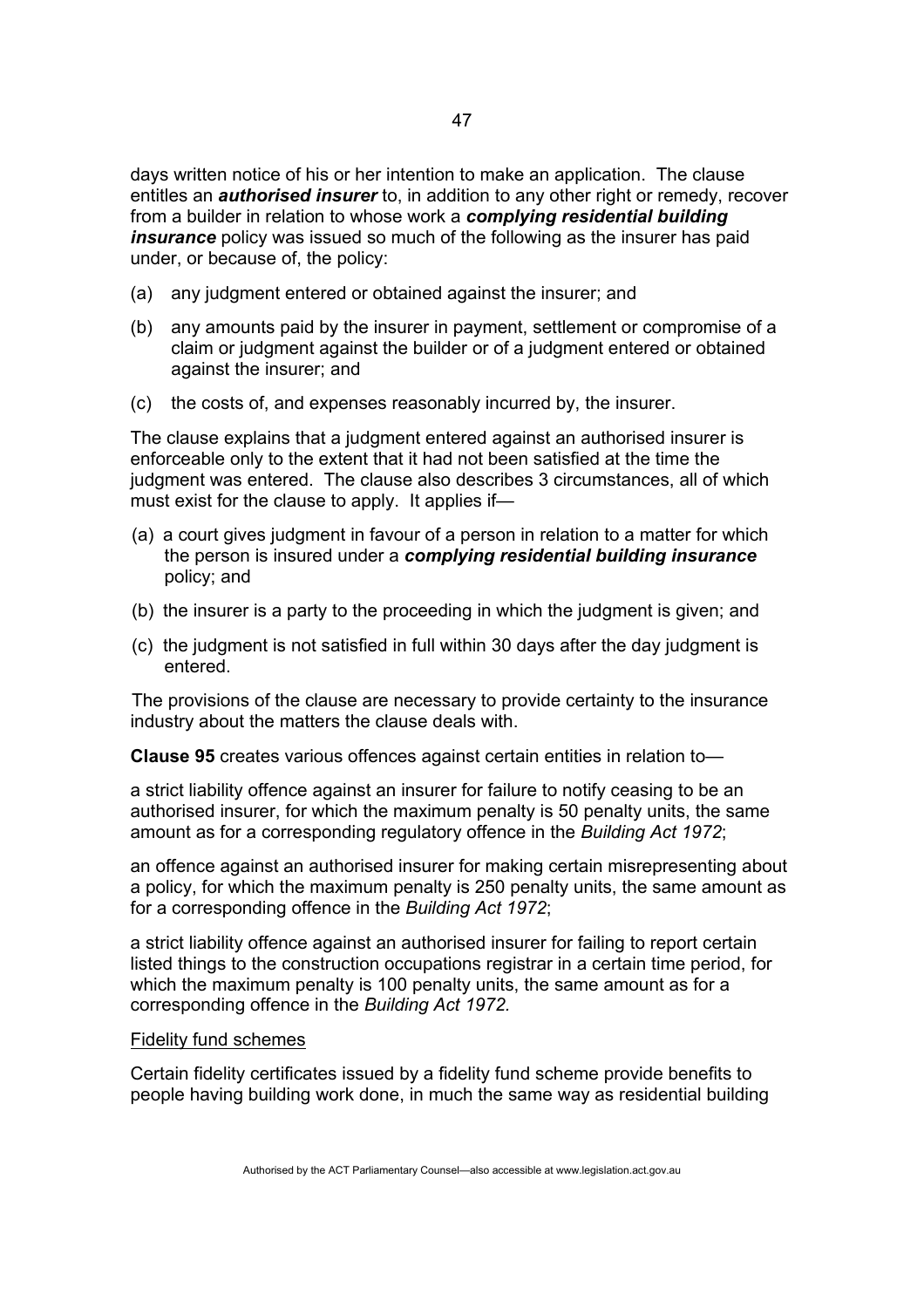days written notice of his or her intention to make an application. The clause entitles an *authorised insurer* to, in addition to any other right or remedy, recover from a builder in relation to whose work a *complying residential building insurance* policy was issued so much of the following as the insurer has paid under, or because of, the policy:

- (a) any judgment entered or obtained against the insurer; and
- (b) any amounts paid by the insurer in payment, settlement or compromise of a claim or judgment against the builder or of a judgment entered or obtained against the insurer; and
- (c) the costs of, and expenses reasonably incurred by, the insurer.

The clause explains that a judgment entered against an authorised insurer is enforceable only to the extent that it had not been satisfied at the time the judgment was entered. The clause also describes 3 circumstances, all of which must exist for the clause to apply. It applies if—

- (a) a court gives judgment in favour of a person in relation to a matter for which the person is insured under a *complying residential building insurance*  policy; and
- (b) the insurer is a party to the proceeding in which the judgment is given; and
- (c) the judgment is not satisfied in full within 30 days after the day judgment is entered.

The provisions of the clause are necessary to provide certainty to the insurance industry about the matters the clause deals with.

**Clause 95** creates various offences against certain entities in relation to—

a strict liability offence against an insurer for failure to notify ceasing to be an authorised insurer, for which the maximum penalty is 50 penalty units, the same amount as for a corresponding regulatory offence in the *Building Act 1972*;

an offence against an authorised insurer for making certain misrepresenting about a policy, for which the maximum penalty is 250 penalty units, the same amount as for a corresponding offence in the *Building Act 1972*;

a strict liability offence against an authorised insurer for failing to report certain listed things to the construction occupations registrar in a certain time period, for which the maximum penalty is 100 penalty units, the same amount as for a corresponding offence in the *Building Act 1972.* 

#### Fidelity fund schemes

Certain fidelity certificates issued by a fidelity fund scheme provide benefits to people having building work done, in much the same way as residential building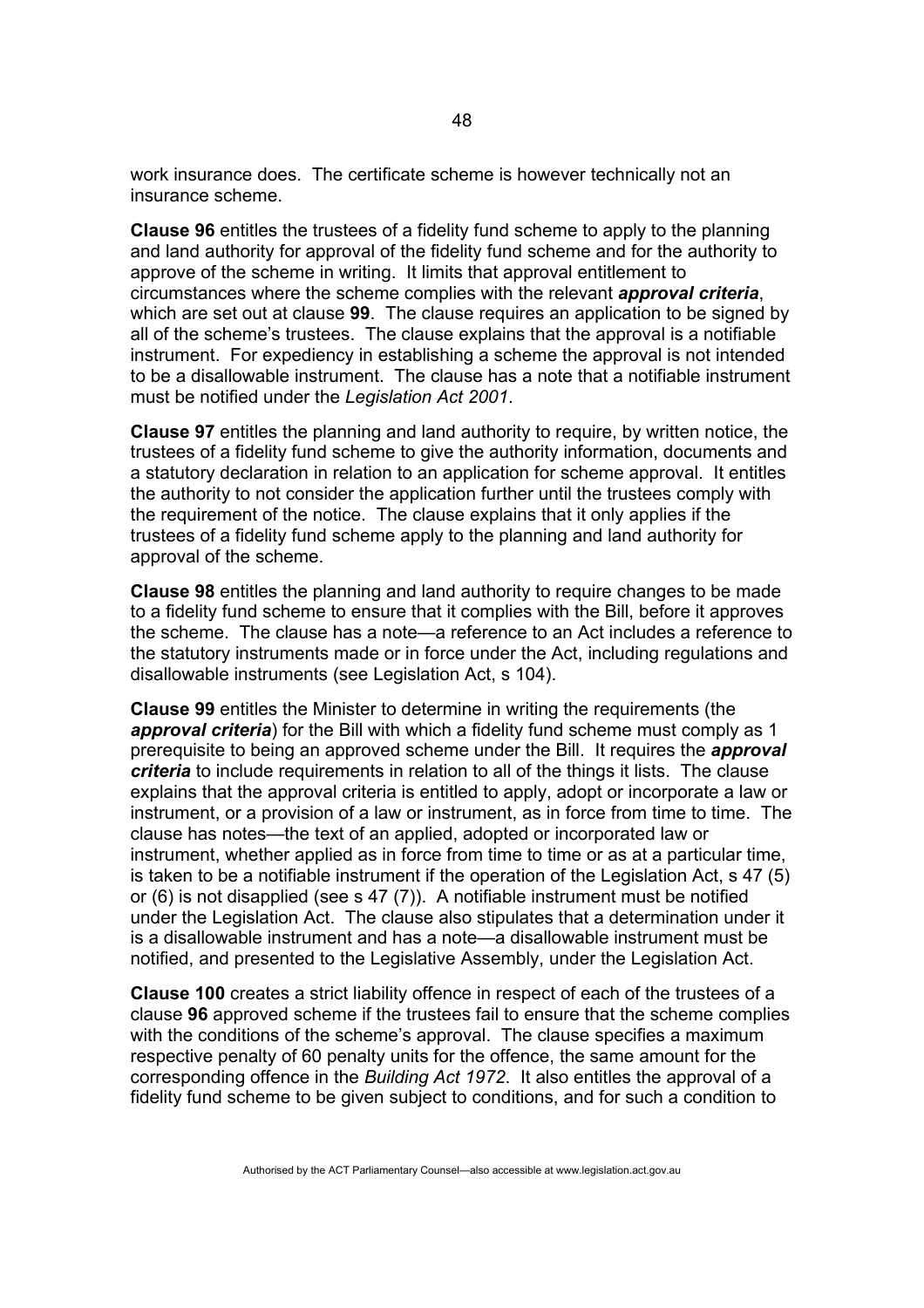work insurance does. The certificate scheme is however technically not an insurance scheme.

**Clause 96** entitles the trustees of a fidelity fund scheme to apply to the planning and land authority for approval of the fidelity fund scheme and for the authority to approve of the scheme in writing. It limits that approval entitlement to circumstances where the scheme complies with the relevant *approval criteria*, which are set out at clause **99**. The clause requires an application to be signed by all of the scheme's trustees. The clause explains that the approval is a notifiable instrument. For expediency in establishing a scheme the approval is not intended to be a disallowable instrument. The clause has a note that a notifiable instrument must be notified under the *Legislation Act 2001*.

**Clause 97** entitles the planning and land authority to require, by written notice, the trustees of a fidelity fund scheme to give the authority information, documents and a statutory declaration in relation to an application for scheme approval. It entitles the authority to not consider the application further until the trustees comply with the requirement of the notice. The clause explains that it only applies if the trustees of a fidelity fund scheme apply to the planning and land authority for approval of the scheme.

**Clause 98** entitles the planning and land authority to require changes to be made to a fidelity fund scheme to ensure that it complies with the Bill, before it approves the scheme. The clause has a note—a reference to an Act includes a reference to the statutory instruments made or in force under the Act, including regulations and disallowable instruments (see Legislation Act, s 104).

**Clause 99** entitles the Minister to determine in writing the requirements (the **approval criteria**) for the Bill with which a fidelity fund scheme must comply as 1 prerequisite to being an approved scheme under the Bill. It requires the *approval criteria* to include requirements in relation to all of the things it lists. The clause explains that the approval criteria is entitled to apply, adopt or incorporate a law or instrument, or a provision of a law or instrument, as in force from time to time. The clause has notes—the text of an applied, adopted or incorporated law or instrument, whether applied as in force from time to time or as at a particular time, is taken to be a notifiable instrument if the operation of the Legislation Act, s 47 (5) or (6) is not disapplied (see s 47 (7)). A notifiable instrument must be notified under the Legislation Act. The clause also stipulates that a determination under it is a disallowable instrument and has a note—a disallowable instrument must be notified, and presented to the Legislative Assembly, under the Legislation Act.

**Clause 100** creates a strict liability offence in respect of each of the trustees of a clause **96** approved scheme if the trustees fail to ensure that the scheme complies with the conditions of the scheme's approval. The clause specifies a maximum respective penalty of 60 penalty units for the offence, the same amount for the corresponding offence in the *Building Act 1972*. It also entitles the approval of a fidelity fund scheme to be given subject to conditions, and for such a condition to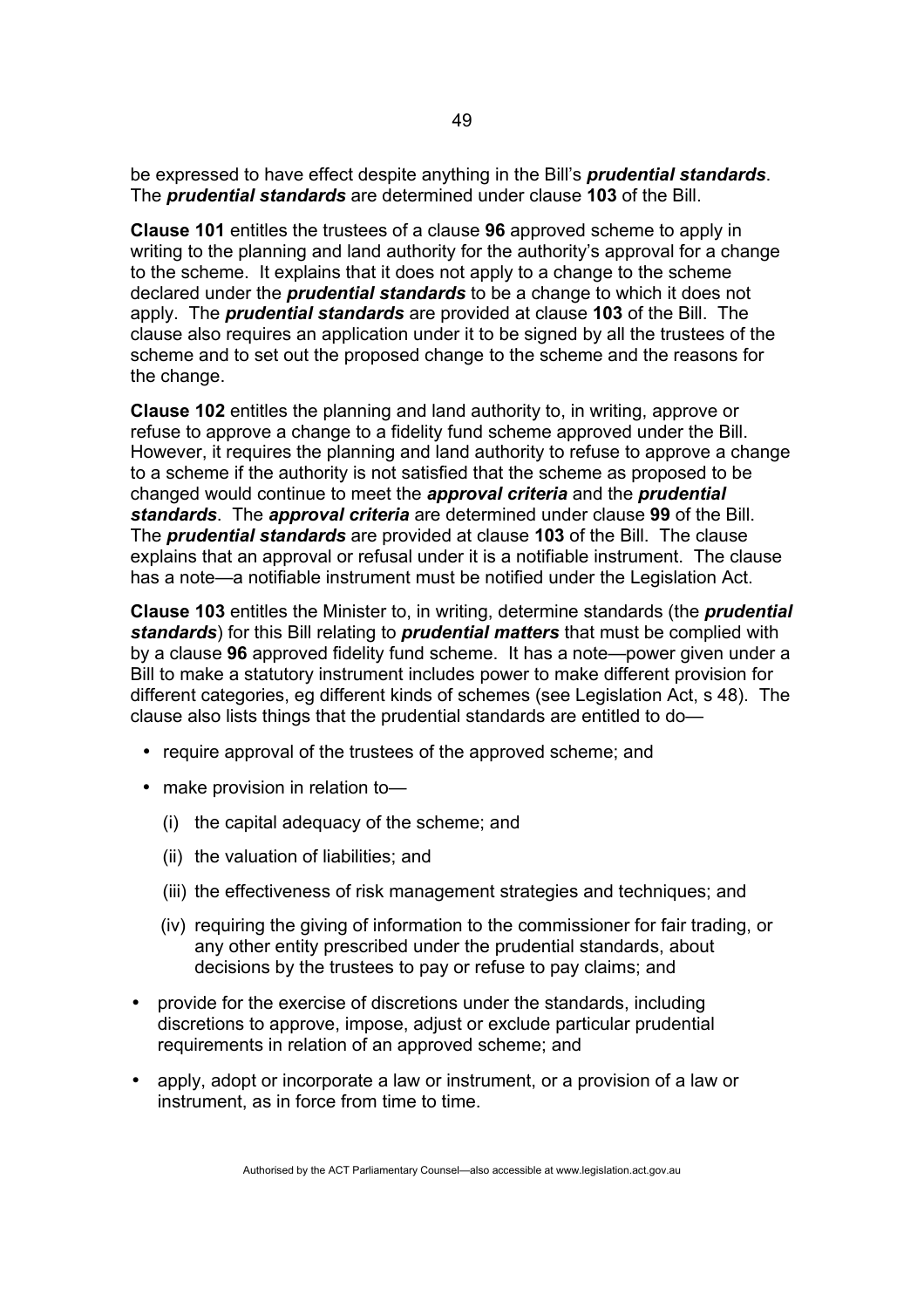be expressed to have effect despite anything in the Bill's *prudential standards*. The *prudential standards* are determined under clause **103** of the Bill.

**Clause 101** entitles the trustees of a clause **96** approved scheme to apply in writing to the planning and land authority for the authority's approval for a change to the scheme. It explains that it does not apply to a change to the scheme declared under the *prudential standards* to be a change to which it does not apply. The *prudential standards* are provided at clause **103** of the Bill. The clause also requires an application under it to be signed by all the trustees of the scheme and to set out the proposed change to the scheme and the reasons for the change.

**Clause 102** entitles the planning and land authority to, in writing, approve or refuse to approve a change to a fidelity fund scheme approved under the Bill. However, it requires the planning and land authority to refuse to approve a change to a scheme if the authority is not satisfied that the scheme as proposed to be changed would continue to meet the *approval criteria* and the *prudential standards*. The *approval criteria* are determined under clause **99** of the Bill. The *prudential standards* are provided at clause **103** of the Bill. The clause explains that an approval or refusal under it is a notifiable instrument. The clause has a note—a notifiable instrument must be notified under the Legislation Act.

**Clause 103** entitles the Minister to, in writing, determine standards (the *prudential standards*) for this Bill relating to *prudential matters* that must be complied with by a clause **96** approved fidelity fund scheme. It has a note—power given under a Bill to make a statutory instrument includes power to make different provision for different categories, eg different kinds of schemes (see Legislation Act, s 48). The clause also lists things that the prudential standards are entitled to do—

- require approval of the trustees of the approved scheme; and
- make provision in relation to-
	- (i) the capital adequacy of the scheme; and
	- (ii) the valuation of liabilities; and
	- (iii) the effectiveness of risk management strategies and techniques; and
	- (iv) requiring the giving of information to the commissioner for fair trading, or any other entity prescribed under the prudential standards, about decisions by the trustees to pay or refuse to pay claims; and
- provide for the exercise of discretions under the standards, including discretions to approve, impose, adjust or exclude particular prudential requirements in relation of an approved scheme; and
- apply, adopt or incorporate a law or instrument, or a provision of a law or instrument, as in force from time to time.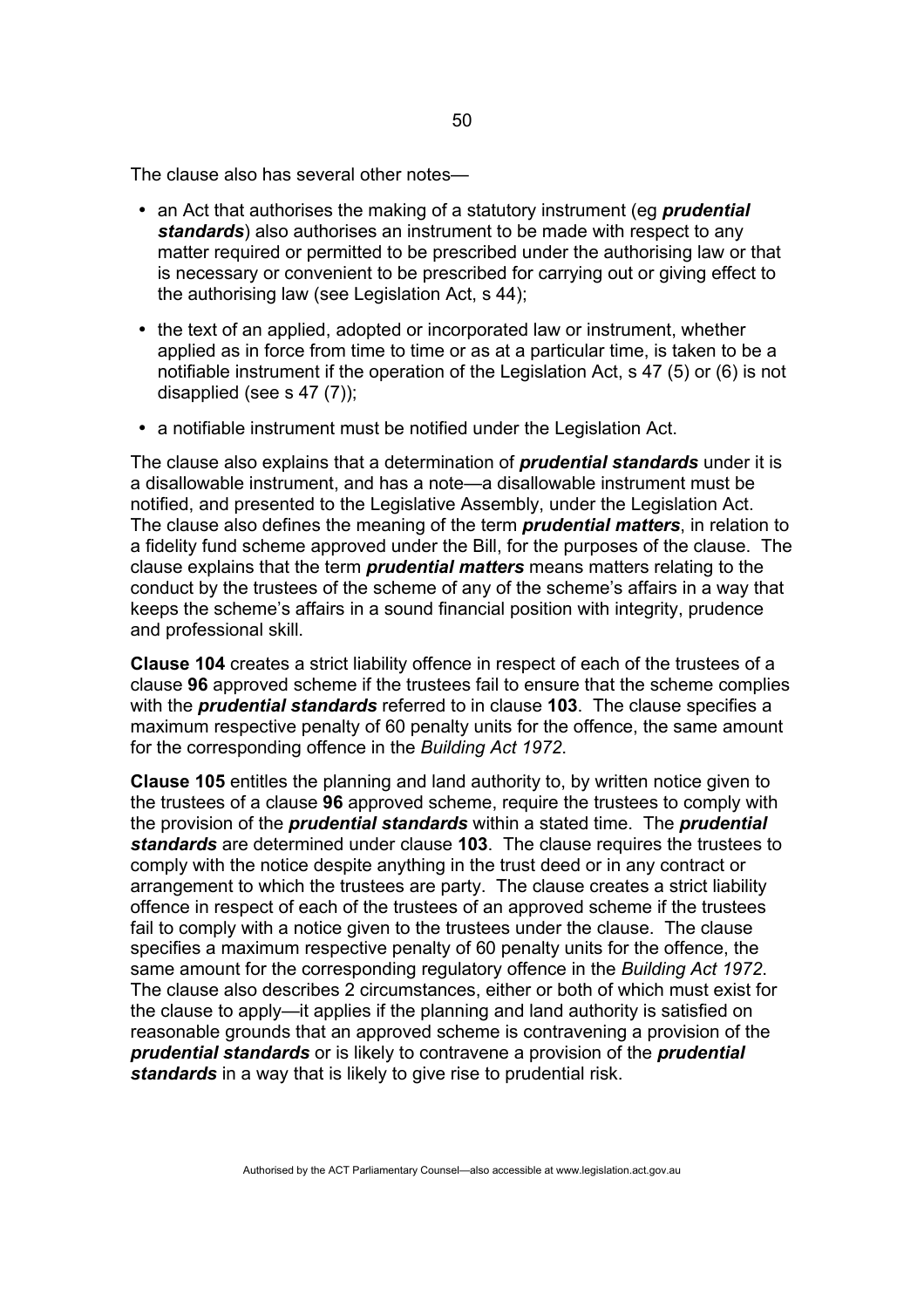The clause also has several other notes—

- an Act that authorises the making of a statutory instrument (eg *prudential standards*) also authorises an instrument to be made with respect to any matter required or permitted to be prescribed under the authorising law or that is necessary or convenient to be prescribed for carrying out or giving effect to the authorising law (see Legislation Act, s 44);
- the text of an applied, adopted or incorporated law or instrument, whether applied as in force from time to time or as at a particular time, is taken to be a notifiable instrument if the operation of the Legislation Act, s 47 (5) or (6) is not disapplied (see s 47 (7));
- a notifiable instrument must be notified under the Legislation Act.

The clause also explains that a determination of *prudential standards* under it is a disallowable instrument, and has a note—a disallowable instrument must be notified, and presented to the Legislative Assembly, under the Legislation Act. The clause also defines the meaning of the term *prudential matters*, in relation to a fidelity fund scheme approved under the Bill, for the purposes of the clause. The clause explains that the term *prudential matters* means matters relating to the conduct by the trustees of the scheme of any of the scheme's affairs in a way that keeps the scheme's affairs in a sound financial position with integrity, prudence and professional skill.

**Clause 104** creates a strict liability offence in respect of each of the trustees of a clause **96** approved scheme if the trustees fail to ensure that the scheme complies with the *prudential standards* referred to in clause **103**. The clause specifies a maximum respective penalty of 60 penalty units for the offence, the same amount for the corresponding offence in the *Building Act 1972*.

**Clause 105** entitles the planning and land authority to, by written notice given to the trustees of a clause **96** approved scheme, require the trustees to comply with the provision of the *prudential standards* within a stated time. The *prudential standards* are determined under clause **103**. The clause requires the trustees to comply with the notice despite anything in the trust deed or in any contract or arrangement to which the trustees are party. The clause creates a strict liability offence in respect of each of the trustees of an approved scheme if the trustees fail to comply with a notice given to the trustees under the clause. The clause specifies a maximum respective penalty of 60 penalty units for the offence, the same amount for the corresponding regulatory offence in the *Building Act 1972*. The clause also describes 2 circumstances, either or both of which must exist for the clause to apply—it applies if the planning and land authority is satisfied on reasonable grounds that an approved scheme is contravening a provision of the *prudential standards* or is likely to contravene a provision of the *prudential standards* in a way that is likely to give rise to prudential risk.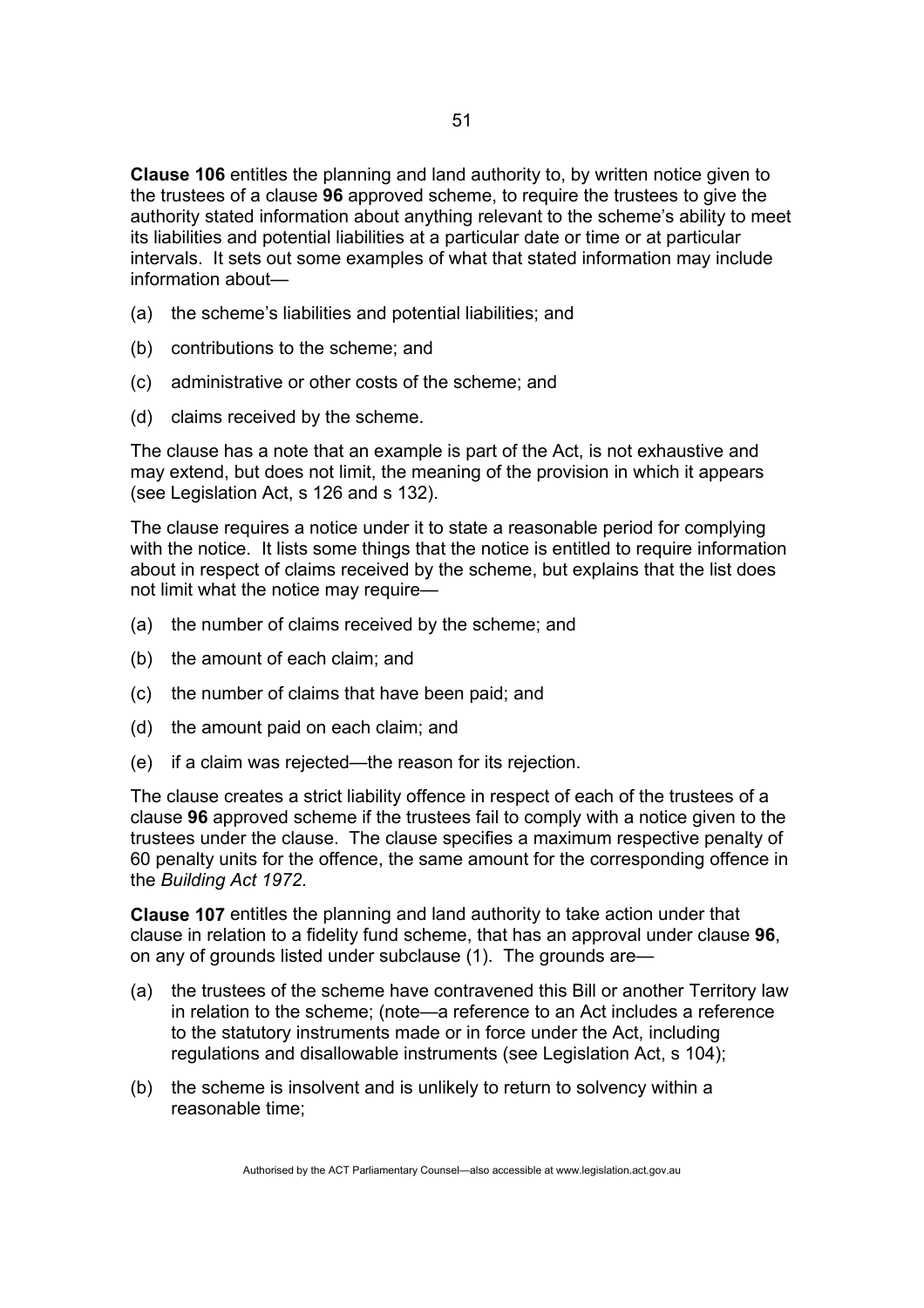**Clause 106** entitles the planning and land authority to, by written notice given to the trustees of a clause **96** approved scheme, to require the trustees to give the authority stated information about anything relevant to the scheme's ability to meet its liabilities and potential liabilities at a particular date or time or at particular intervals. It sets out some examples of what that stated information may include information about—

- (a) the scheme's liabilities and potential liabilities; and
- (b) contributions to the scheme; and
- (c) administrative or other costs of the scheme; and
- (d) claims received by the scheme.

The clause has a note that an example is part of the Act, is not exhaustive and may extend, but does not limit, the meaning of the provision in which it appears (see Legislation Act, s 126 and s 132).

The clause requires a notice under it to state a reasonable period for complying with the notice. It lists some things that the notice is entitled to require information about in respect of claims received by the scheme, but explains that the list does not limit what the notice may require—

- (a) the number of claims received by the scheme; and
- (b) the amount of each claim; and
- (c) the number of claims that have been paid; and
- (d) the amount paid on each claim; and
- (e) if a claim was rejected—the reason for its rejection.

The clause creates a strict liability offence in respect of each of the trustees of a clause **96** approved scheme if the trustees fail to comply with a notice given to the trustees under the clause. The clause specifies a maximum respective penalty of 60 penalty units for the offence, the same amount for the corresponding offence in the *Building Act 1972*.

**Clause 107** entitles the planning and land authority to take action under that clause in relation to a fidelity fund scheme, that has an approval under clause **96**, on any of grounds listed under subclause (1). The grounds are—

- (a) the trustees of the scheme have contravened this Bill or another Territory law in relation to the scheme; (note—a reference to an Act includes a reference to the statutory instruments made or in force under the Act, including regulations and disallowable instruments (see Legislation Act, s 104);
- (b) the scheme is insolvent and is unlikely to return to solvency within a reasonable time;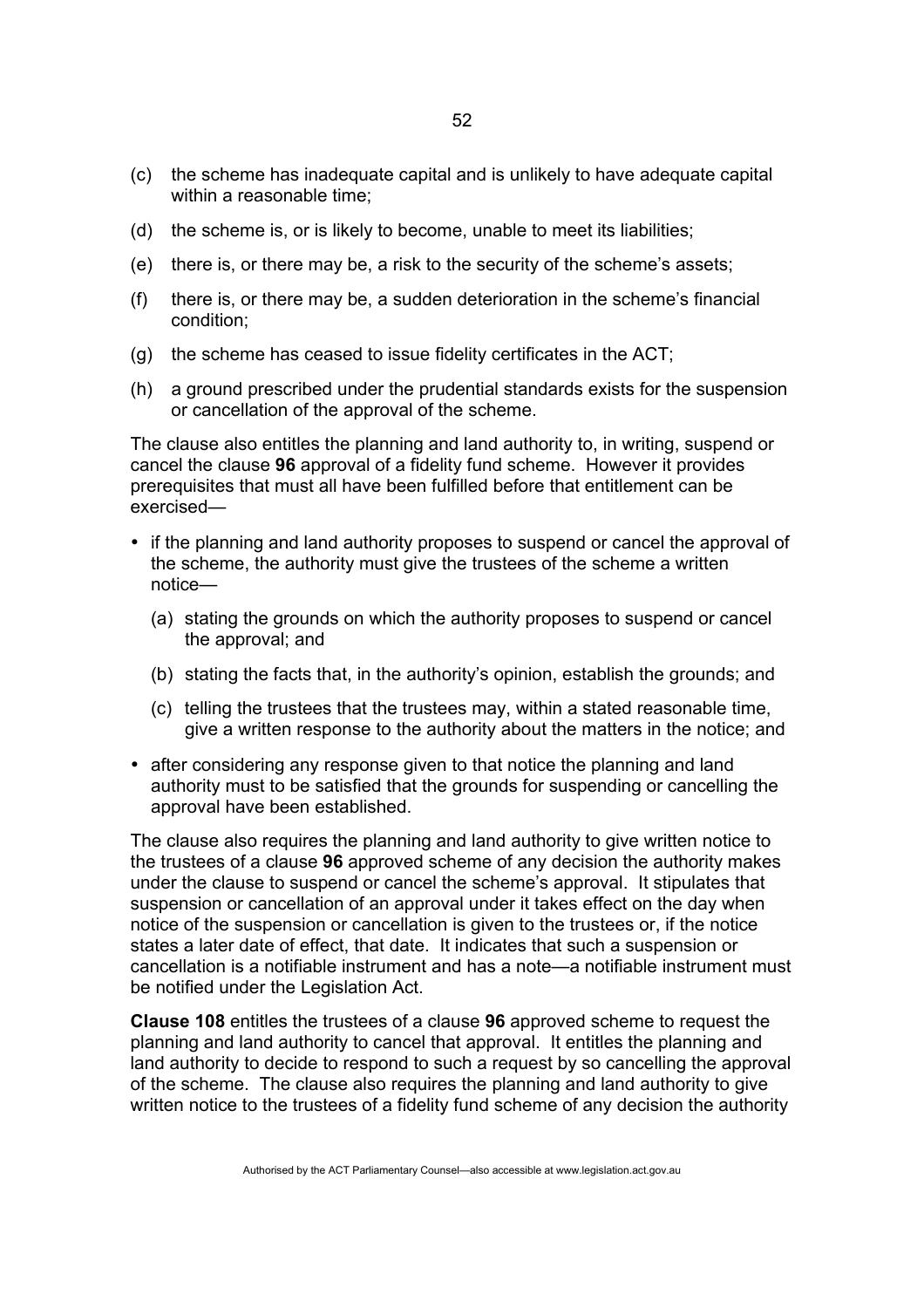- (c) the scheme has inadequate capital and is unlikely to have adequate capital within a reasonable time;
- (d) the scheme is, or is likely to become, unable to meet its liabilities;
- (e) there is, or there may be, a risk to the security of the scheme's assets;
- (f) there is, or there may be, a sudden deterioration in the scheme's financial condition;
- (g) the scheme has ceased to issue fidelity certificates in the ACT;
- (h) a ground prescribed under the prudential standards exists for the suspension or cancellation of the approval of the scheme.

The clause also entitles the planning and land authority to, in writing, suspend or cancel the clause **96** approval of a fidelity fund scheme. However it provides prerequisites that must all have been fulfilled before that entitlement can be exercised—

- if the planning and land authority proposes to suspend or cancel the approval of the scheme, the authority must give the trustees of the scheme a written notice—
	- (a) stating the grounds on which the authority proposes to suspend or cancel the approval; and
	- (b) stating the facts that, in the authority's opinion, establish the grounds; and
	- (c) telling the trustees that the trustees may, within a stated reasonable time, give a written response to the authority about the matters in the notice; and
- after considering any response given to that notice the planning and land authority must to be satisfied that the grounds for suspending or cancelling the approval have been established.

The clause also requires the planning and land authority to give written notice to the trustees of a clause **96** approved scheme of any decision the authority makes under the clause to suspend or cancel the scheme's approval. It stipulates that suspension or cancellation of an approval under it takes effect on the day when notice of the suspension or cancellation is given to the trustees or, if the notice states a later date of effect, that date. It indicates that such a suspension or cancellation is a notifiable instrument and has a note—a notifiable instrument must be notified under the Legislation Act.

**Clause 108** entitles the trustees of a clause **96** approved scheme to request the planning and land authority to cancel that approval. It entitles the planning and land authority to decide to respond to such a request by so cancelling the approval of the scheme. The clause also requires the planning and land authority to give written notice to the trustees of a fidelity fund scheme of any decision the authority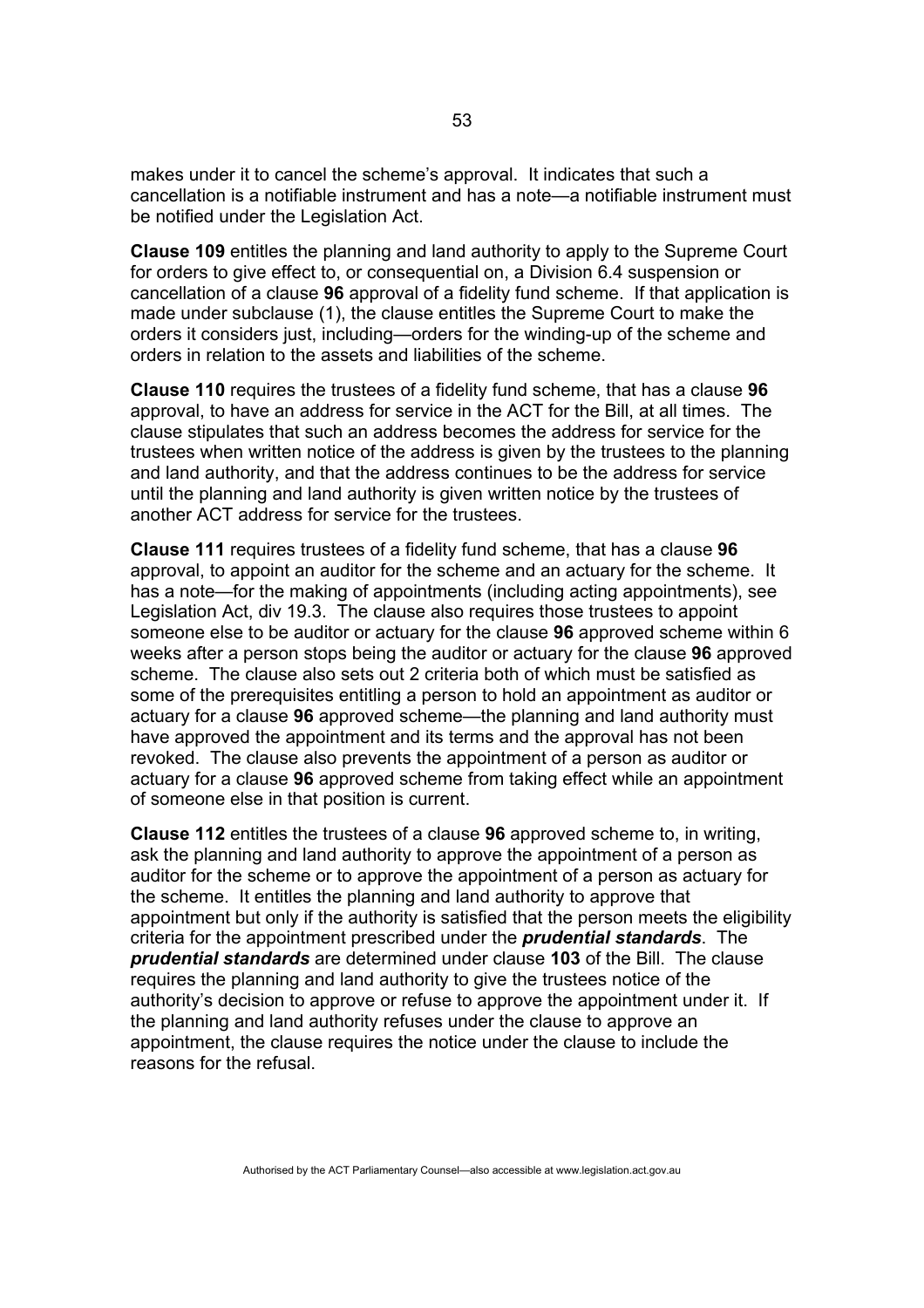makes under it to cancel the scheme's approval. It indicates that such a cancellation is a notifiable instrument and has a note—a notifiable instrument must be notified under the Legislation Act.

**Clause 109** entitles the planning and land authority to apply to the Supreme Court for orders to give effect to, or consequential on, a Division 6.4 suspension or cancellation of a clause **96** approval of a fidelity fund scheme. If that application is made under subclause (1), the clause entitles the Supreme Court to make the orders it considers just, including—orders for the winding-up of the scheme and orders in relation to the assets and liabilities of the scheme.

**Clause 110** requires the trustees of a fidelity fund scheme, that has a clause **96** approval, to have an address for service in the ACT for the Bill, at all times. The clause stipulates that such an address becomes the address for service for the trustees when written notice of the address is given by the trustees to the planning and land authority, and that the address continues to be the address for service until the planning and land authority is given written notice by the trustees of another ACT address for service for the trustees.

**Clause 111** requires trustees of a fidelity fund scheme, that has a clause **96** approval, to appoint an auditor for the scheme and an actuary for the scheme. It has a note—for the making of appointments (including acting appointments), see Legislation Act, div 19.3. The clause also requires those trustees to appoint someone else to be auditor or actuary for the clause **96** approved scheme within 6 weeks after a person stops being the auditor or actuary for the clause **96** approved scheme. The clause also sets out 2 criteria both of which must be satisfied as some of the prerequisites entitling a person to hold an appointment as auditor or actuary for a clause **96** approved scheme—the planning and land authority must have approved the appointment and its terms and the approval has not been revoked. The clause also prevents the appointment of a person as auditor or actuary for a clause **96** approved scheme from taking effect while an appointment of someone else in that position is current.

**Clause 112** entitles the trustees of a clause **96** approved scheme to, in writing, ask the planning and land authority to approve the appointment of a person as auditor for the scheme or to approve the appointment of a person as actuary for the scheme. It entitles the planning and land authority to approve that appointment but only if the authority is satisfied that the person meets the eligibility criteria for the appointment prescribed under the *prudential standards*. The *prudential standards* are determined under clause **103** of the Bill. The clause requires the planning and land authority to give the trustees notice of the authority's decision to approve or refuse to approve the appointment under it. If the planning and land authority refuses under the clause to approve an appointment, the clause requires the notice under the clause to include the reasons for the refusal.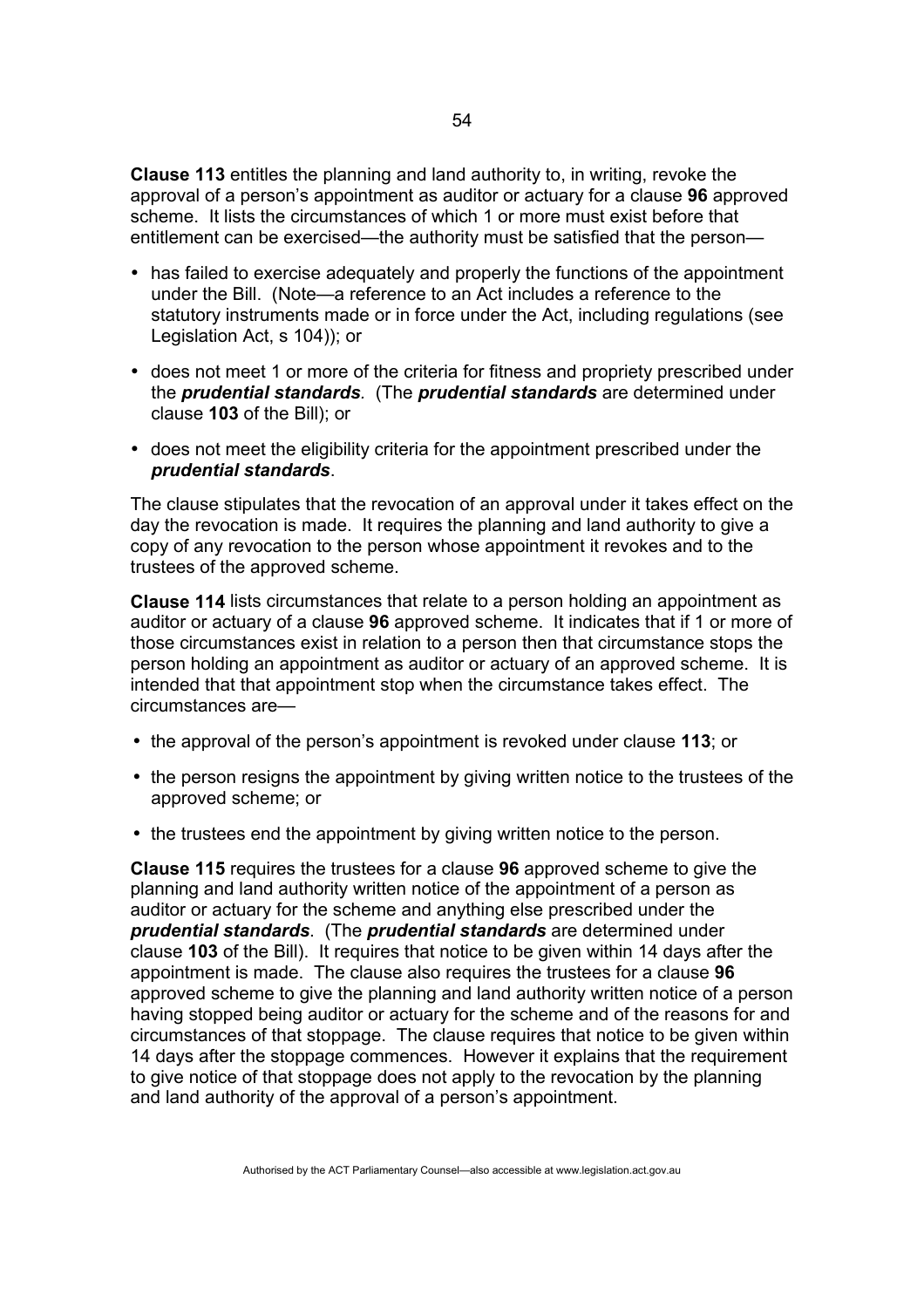**Clause 113** entitles the planning and land authority to, in writing, revoke the approval of a person's appointment as auditor or actuary for a clause **96** approved scheme. It lists the circumstances of which 1 or more must exist before that entitlement can be exercised—the authority must be satisfied that the person—

- has failed to exercise adequately and properly the functions of the appointment under the Bill. (Note—a reference to an Act includes a reference to the statutory instruments made or in force under the Act, including regulations (see Legislation Act, s 104)); or
- does not meet 1 or more of the criteria for fitness and propriety prescribed under the *prudential standards.* (The *prudential standards* are determined under clause **103** of the Bill); or
- does not meet the eligibility criteria for the appointment prescribed under the *prudential standards*.

The clause stipulates that the revocation of an approval under it takes effect on the day the revocation is made. It requires the planning and land authority to give a copy of any revocation to the person whose appointment it revokes and to the trustees of the approved scheme.

**Clause 114** lists circumstances that relate to a person holding an appointment as auditor or actuary of a clause **96** approved scheme. It indicates that if 1 or more of those circumstances exist in relation to a person then that circumstance stops the person holding an appointment as auditor or actuary of an approved scheme. It is intended that that appointment stop when the circumstance takes effect. The circumstances are—

- the approval of the person's appointment is revoked under clause **113**; or
- the person resigns the appointment by giving written notice to the trustees of the approved scheme; or
- the trustees end the appointment by giving written notice to the person.

**Clause 115** requires the trustees for a clause **96** approved scheme to give the planning and land authority written notice of the appointment of a person as auditor or actuary for the scheme and anything else prescribed under the *prudential standards*. (The *prudential standards* are determined under clause **103** of the Bill). It requires that notice to be given within 14 days after the appointment is made. The clause also requires the trustees for a clause **96** approved scheme to give the planning and land authority written notice of a person having stopped being auditor or actuary for the scheme and of the reasons for and circumstances of that stoppage. The clause requires that notice to be given within 14 days after the stoppage commences. However it explains that the requirement to give notice of that stoppage does not apply to the revocation by the planning and land authority of the approval of a person's appointment.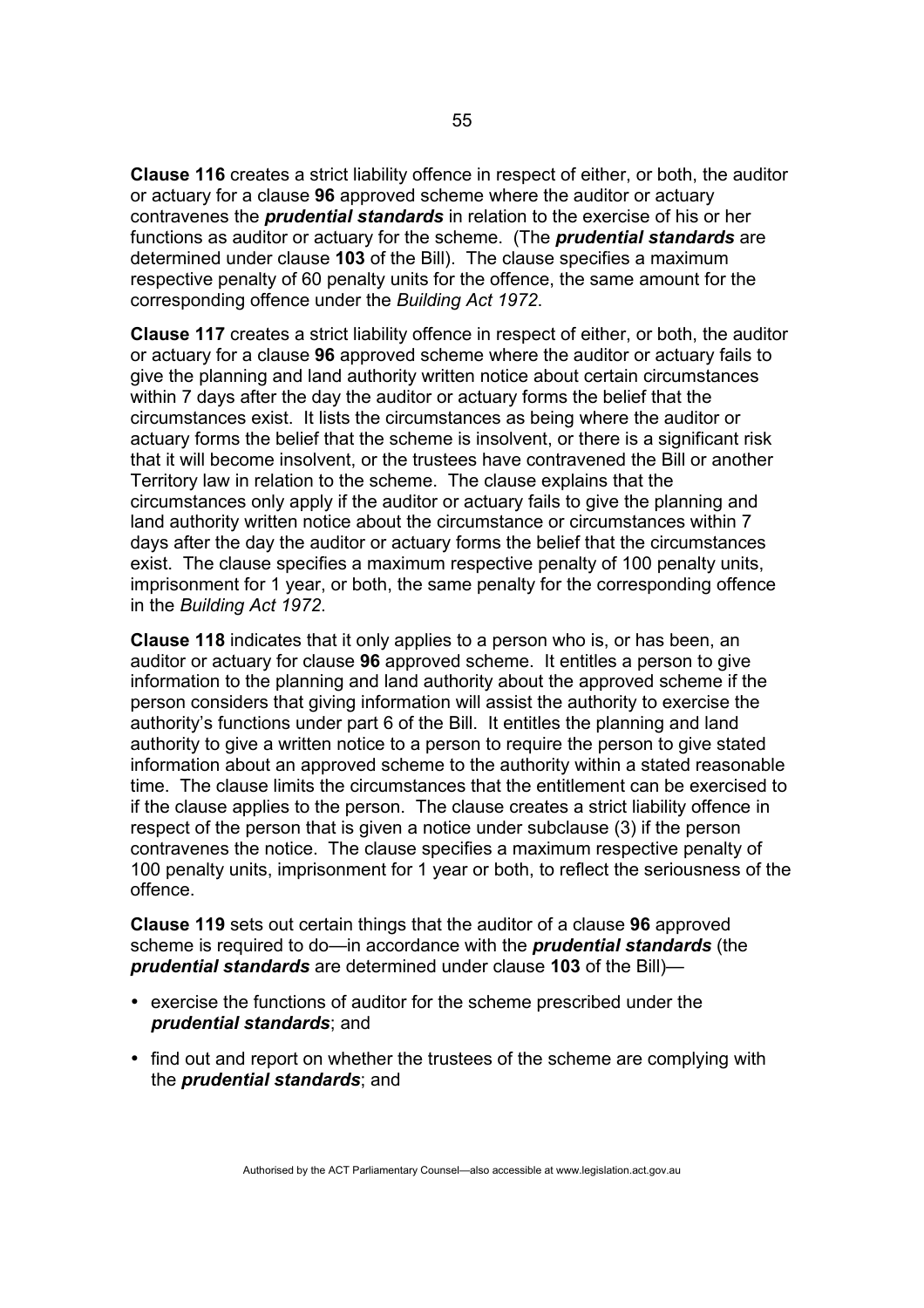**Clause 116** creates a strict liability offence in respect of either, or both, the auditor or actuary for a clause **96** approved scheme where the auditor or actuary contravenes the *prudential standards* in relation to the exercise of his or her functions as auditor or actuary for the scheme. (The *prudential standards* are determined under clause **103** of the Bill). The clause specifies a maximum respective penalty of 60 penalty units for the offence, the same amount for the corresponding offence under the *Building Act 1972*.

**Clause 117** creates a strict liability offence in respect of either, or both, the auditor or actuary for a clause **96** approved scheme where the auditor or actuary fails to give the planning and land authority written notice about certain circumstances within 7 days after the day the auditor or actuary forms the belief that the circumstances exist. It lists the circumstances as being where the auditor or actuary forms the belief that the scheme is insolvent, or there is a significant risk that it will become insolvent, or the trustees have contravened the Bill or another Territory law in relation to the scheme. The clause explains that the circumstances only apply if the auditor or actuary fails to give the planning and land authority written notice about the circumstance or circumstances within 7 days after the day the auditor or actuary forms the belief that the circumstances exist. The clause specifies a maximum respective penalty of 100 penalty units, imprisonment for 1 year, or both, the same penalty for the corresponding offence in the *Building Act 1972*.

**Clause 118** indicates that it only applies to a person who is, or has been, an auditor or actuary for clause **96** approved scheme. It entitles a person to give information to the planning and land authority about the approved scheme if the person considers that giving information will assist the authority to exercise the authority's functions under part 6 of the Bill. It entitles the planning and land authority to give a written notice to a person to require the person to give stated information about an approved scheme to the authority within a stated reasonable time. The clause limits the circumstances that the entitlement can be exercised to if the clause applies to the person. The clause creates a strict liability offence in respect of the person that is given a notice under subclause (3) if the person contravenes the notice. The clause specifies a maximum respective penalty of 100 penalty units, imprisonment for 1 year or both, to reflect the seriousness of the offence.

**Clause 119** sets out certain things that the auditor of a clause **96** approved scheme is required to do—in accordance with the *prudential standards* (the *prudential standards* are determined under clause **103** of the Bill)—

- exercise the functions of auditor for the scheme prescribed under the *prudential standards*; and
- find out and report on whether the trustees of the scheme are complying with the *prudential standards*; and

Authorised by the ACT Parliamentary Counsel—also accessible at www.legislation.act.gov.au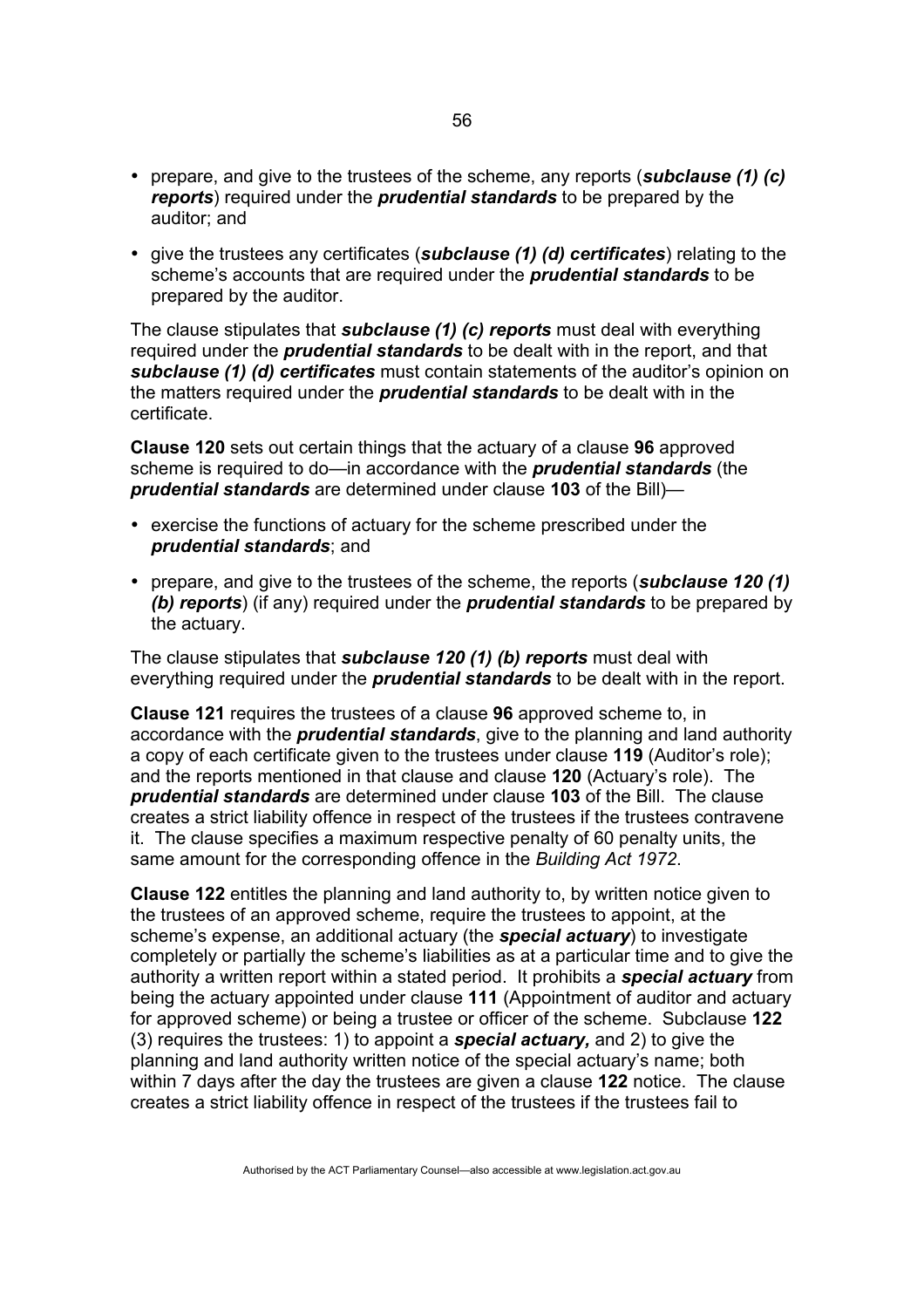- prepare, and give to the trustees of the scheme, any reports (*subclause (1) (c) reports*) required under the *prudential standards* to be prepared by the auditor; and
- give the trustees any certificates (*subclause (1) (d) certificates*) relating to the scheme's accounts that are required under the *prudential standards* to be prepared by the auditor.

The clause stipulates that *subclause (1) (c) reports* must deal with everything required under the *prudential standards* to be dealt with in the report, and that *subclause (1) (d) certificates* must contain statements of the auditor's opinion on the matters required under the *prudential standards* to be dealt with in the certificate.

**Clause 120** sets out certain things that the actuary of a clause **96** approved scheme is required to do—in accordance with the *prudential standards* (the *prudential standards* are determined under clause **103** of the Bill)—

- exercise the functions of actuary for the scheme prescribed under the *prudential standards*; and
- prepare, and give to the trustees of the scheme, the reports (*subclause 120 (1) (b) reports*) (if any) required under the *prudential standards* to be prepared by the actuary.

The clause stipulates that *subclause 120 (1) (b) reports* must deal with everything required under the *prudential standards* to be dealt with in the report.

**Clause 121** requires the trustees of a clause **96** approved scheme to, in accordance with the *prudential standards*, give to the planning and land authority a copy of each certificate given to the trustees under clause **119** (Auditor's role); and the reports mentioned in that clause and clause **120** (Actuary's role). The *prudential standards* are determined under clause **103** of the Bill. The clause creates a strict liability offence in respect of the trustees if the trustees contravene it. The clause specifies a maximum respective penalty of 60 penalty units, the same amount for the corresponding offence in the *Building Act 1972*.

**Clause 122** entitles the planning and land authority to, by written notice given to the trustees of an approved scheme, require the trustees to appoint, at the scheme's expense, an additional actuary (the *special actuary*) to investigate completely or partially the scheme's liabilities as at a particular time and to give the authority a written report within a stated period. It prohibits a *special actuary* from being the actuary appointed under clause **111** (Appointment of auditor and actuary for approved scheme) or being a trustee or officer of the scheme. Subclause **122** (3) requires the trustees: 1) to appoint a *special actuary,* and 2) to give the planning and land authority written notice of the special actuary's name; both within 7 days after the day the trustees are given a clause **122** notice. The clause creates a strict liability offence in respect of the trustees if the trustees fail to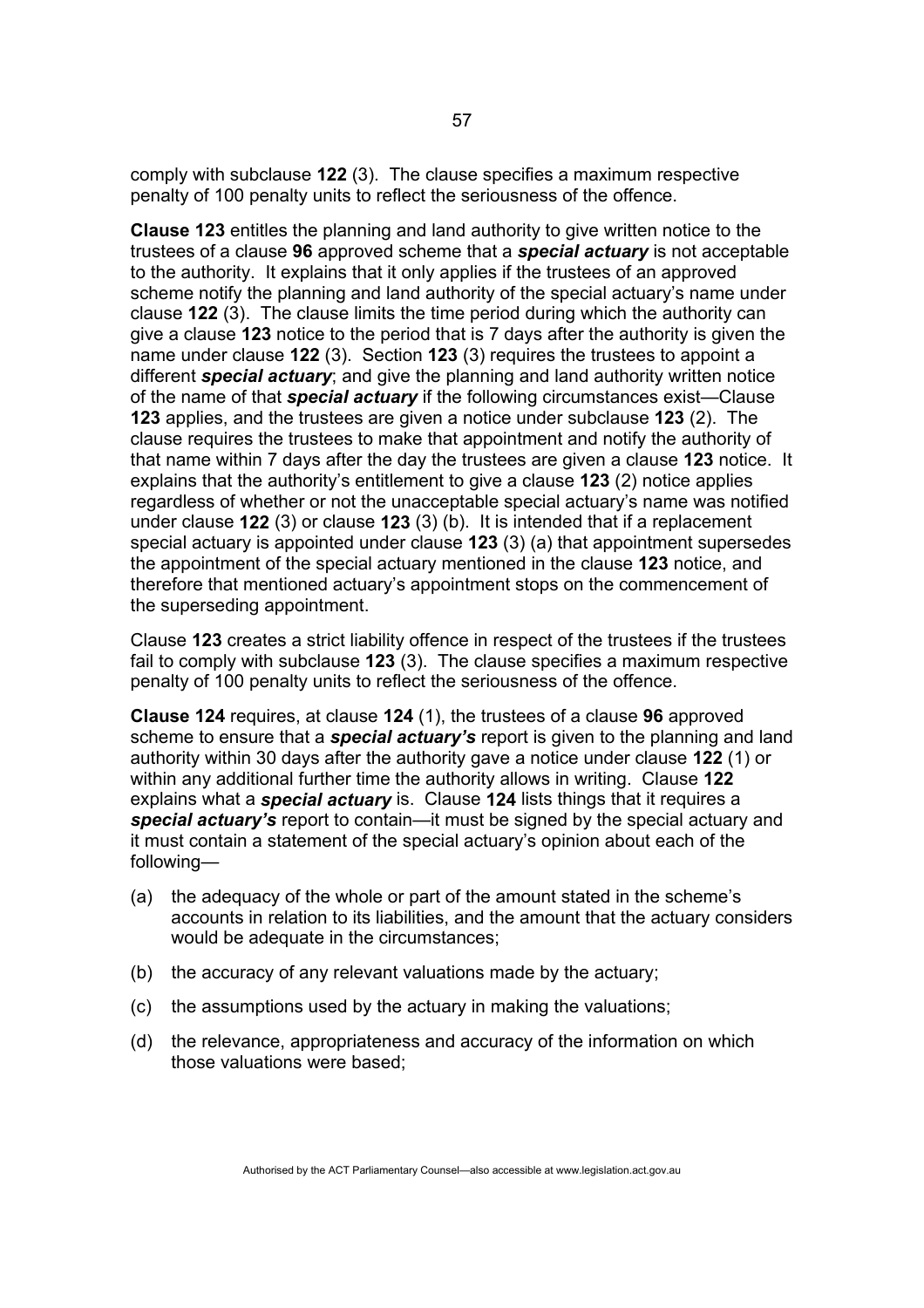comply with subclause **122** (3). The clause specifies a maximum respective penalty of 100 penalty units to reflect the seriousness of the offence.

**Clause 123** entitles the planning and land authority to give written notice to the trustees of a clause **96** approved scheme that a *special actuary* is not acceptable to the authority. It explains that it only applies if the trustees of an approved scheme notify the planning and land authority of the special actuary's name under clause **122** (3). The clause limits the time period during which the authority can give a clause **123** notice to the period that is 7 days after the authority is given the name under clause **122** (3). Section **123** (3) requires the trustees to appoint a different *special actuary*; and give the planning and land authority written notice of the name of that *special actuary* if the following circumstances exist—Clause **123** applies, and the trustees are given a notice under subclause **123** (2). The clause requires the trustees to make that appointment and notify the authority of that name within 7 days after the day the trustees are given a clause **123** notice. It explains that the authority's entitlement to give a clause **123** (2) notice applies regardless of whether or not the unacceptable special actuary's name was notified under clause **122** (3) or clause **123** (3) (b). It is intended that if a replacement special actuary is appointed under clause **123** (3) (a) that appointment supersedes the appointment of the special actuary mentioned in the clause **123** notice, and therefore that mentioned actuary's appointment stops on the commencement of the superseding appointment.

Clause **123** creates a strict liability offence in respect of the trustees if the trustees fail to comply with subclause **123** (3). The clause specifies a maximum respective penalty of 100 penalty units to reflect the seriousness of the offence.

**Clause 124** requires, at clause **124** (1), the trustees of a clause **96** approved scheme to ensure that a *special actuary's* report is given to the planning and land authority within 30 days after the authority gave a notice under clause **122** (1) or within any additional further time the authority allows in writing. Clause **122** explains what a *special actuary* is. Clause **124** lists things that it requires a *special actuary's* report to contain—it must be signed by the special actuary and it must contain a statement of the special actuary's opinion about each of the following—

- (a) the adequacy of the whole or part of the amount stated in the scheme's accounts in relation to its liabilities, and the amount that the actuary considers would be adequate in the circumstances;
- (b) the accuracy of any relevant valuations made by the actuary;
- (c) the assumptions used by the actuary in making the valuations;
- (d) the relevance, appropriateness and accuracy of the information on which those valuations were based;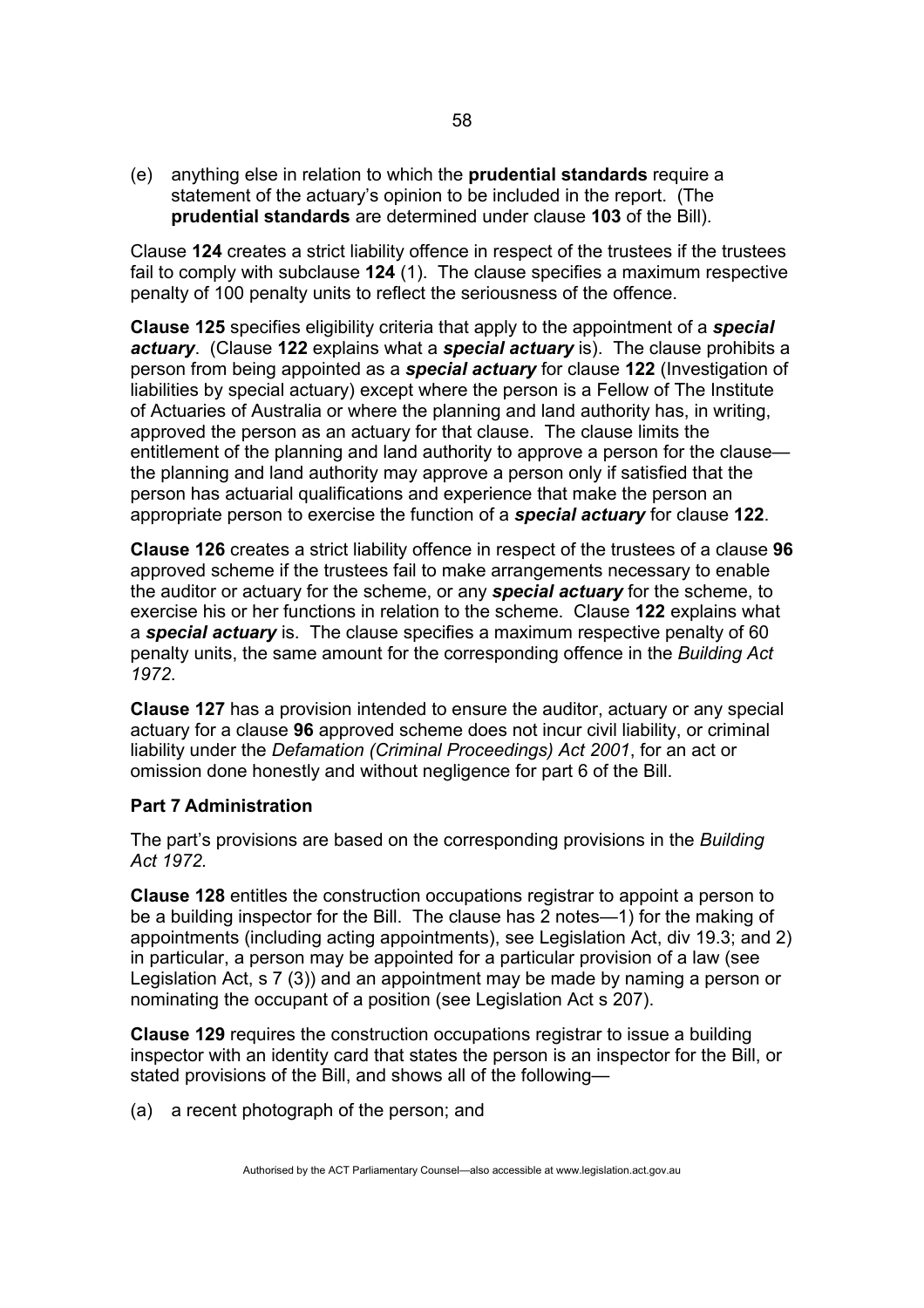(e) anything else in relation to which the **prudential standards** require a statement of the actuary's opinion to be included in the report. (The **prudential standards** are determined under clause **103** of the Bill).

Clause **124** creates a strict liability offence in respect of the trustees if the trustees fail to comply with subclause **124** (1). The clause specifies a maximum respective penalty of 100 penalty units to reflect the seriousness of the offence.

**Clause 125** specifies eligibility criteria that apply to the appointment of a *special actuary*. (Clause **122** explains what a *special actuary* is). The clause prohibits a person from being appointed as a *special actuary* for clause **122** (Investigation of liabilities by special actuary) except where the person is a Fellow of The Institute of Actuaries of Australia or where the planning and land authority has, in writing, approved the person as an actuary for that clause. The clause limits the entitlement of the planning and land authority to approve a person for the clause the planning and land authority may approve a person only if satisfied that the person has actuarial qualifications and experience that make the person an appropriate person to exercise the function of a *special actuary* for clause **122**.

**Clause 126** creates a strict liability offence in respect of the trustees of a clause **96** approved scheme if the trustees fail to make arrangements necessary to enable the auditor or actuary for the scheme, or any *special actuary* for the scheme, to exercise his or her functions in relation to the scheme. Clause **122** explains what a *special actuary* is. The clause specifies a maximum respective penalty of 60 penalty units, the same amount for the corresponding offence in the *Building Act 1972*.

**Clause 127** has a provision intended to ensure the auditor, actuary or any special actuary for a clause **96** approved scheme does not incur civil liability, or criminal liability under the *Defamation (Criminal Proceedings) Act 2001*, for an act or omission done honestly and without negligence for part 6 of the Bill.

### **Part 7 Administration**

The part's provisions are based on the corresponding provisions in the *Building Act 1972.* 

**Clause 128** entitles the construction occupations registrar to appoint a person to be a building inspector for the Bill. The clause has 2 notes—1) for the making of appointments (including acting appointments), see Legislation Act, div 19.3; and 2) in particular, a person may be appointed for a particular provision of a law (see Legislation Act, s 7 (3)) and an appointment may be made by naming a person or nominating the occupant of a position (see Legislation Act s 207).

**Clause 129** requires the construction occupations registrar to issue a building inspector with an identity card that states the person is an inspector for the Bill, or stated provisions of the Bill, and shows all of the following—

(a) a recent photograph of the person; and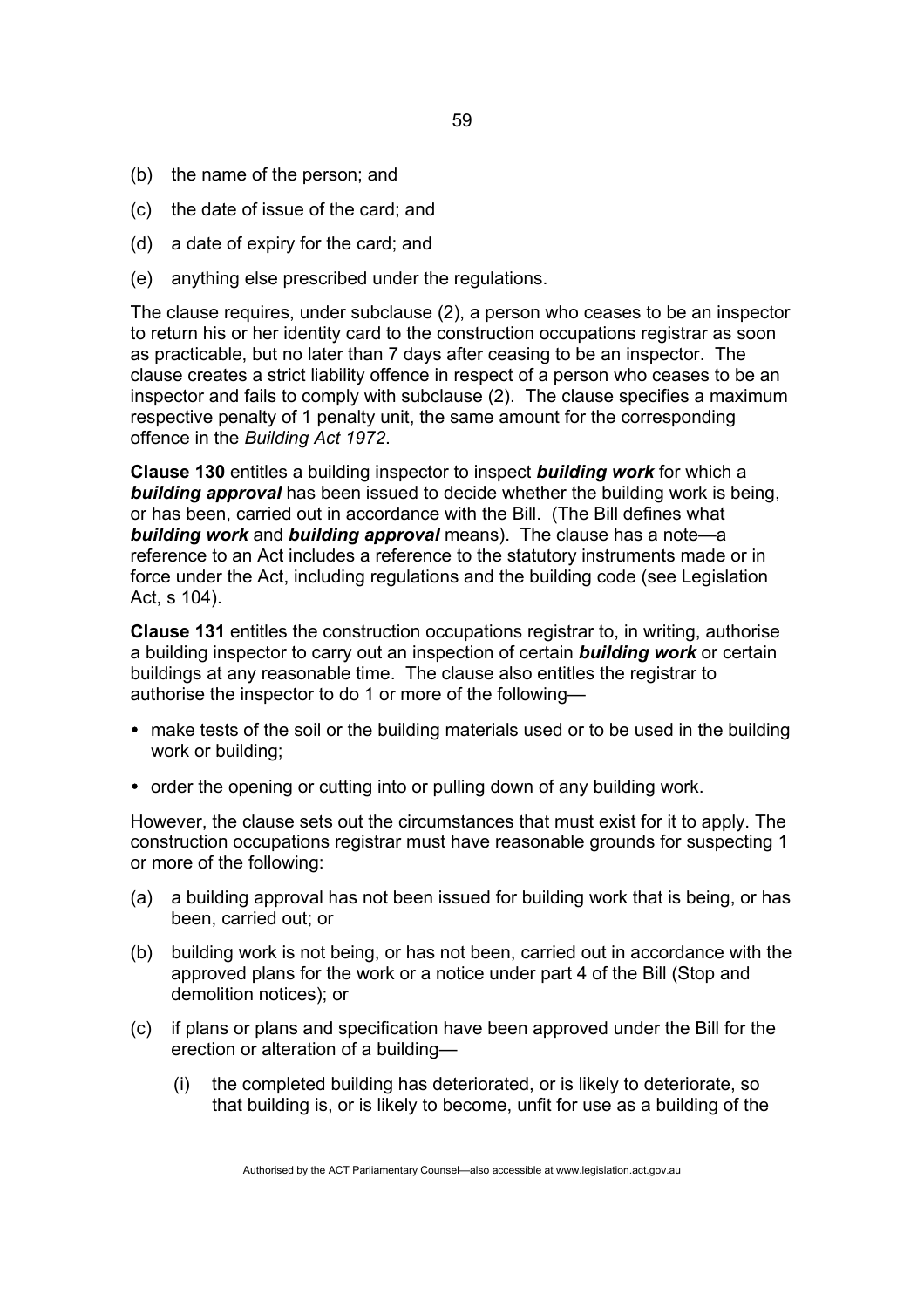- (b) the name of the person; and
- (c) the date of issue of the card; and
- (d) a date of expiry for the card; and
- (e) anything else prescribed under the regulations.

The clause requires, under subclause (2), a person who ceases to be an inspector to return his or her identity card to the construction occupations registrar as soon as practicable, but no later than 7 days after ceasing to be an inspector. The clause creates a strict liability offence in respect of a person who ceases to be an inspector and fails to comply with subclause (2). The clause specifies a maximum respective penalty of 1 penalty unit, the same amount for the corresponding offence in the *Building Act 1972*.

**Clause 130** entitles a building inspector to inspect *building work* for which a *building approval* has been issued to decide whether the building work is being, or has been, carried out in accordance with the Bill. (The Bill defines what *building work* and *building approval* means). The clause has a note—a reference to an Act includes a reference to the statutory instruments made or in force under the Act, including regulations and the building code (see Legislation Act, s 104).

**Clause 131** entitles the construction occupations registrar to, in writing, authorise a building inspector to carry out an inspection of certain *building work* or certain buildings at any reasonable time. The clause also entitles the registrar to authorise the inspector to do 1 or more of the following—

- make tests of the soil or the building materials used or to be used in the building work or building;
- order the opening or cutting into or pulling down of any building work.

However, the clause sets out the circumstances that must exist for it to apply. The construction occupations registrar must have reasonable grounds for suspecting 1 or more of the following:

- (a) a building approval has not been issued for building work that is being, or has been, carried out; or
- (b) building work is not being, or has not been, carried out in accordance with the approved plans for the work or a notice under part 4 of the Bill (Stop and demolition notices); or
- (c) if plans or plans and specification have been approved under the Bill for the erection or alteration of a building—
	- (i) the completed building has deteriorated, or is likely to deteriorate, so that building is, or is likely to become, unfit for use as a building of the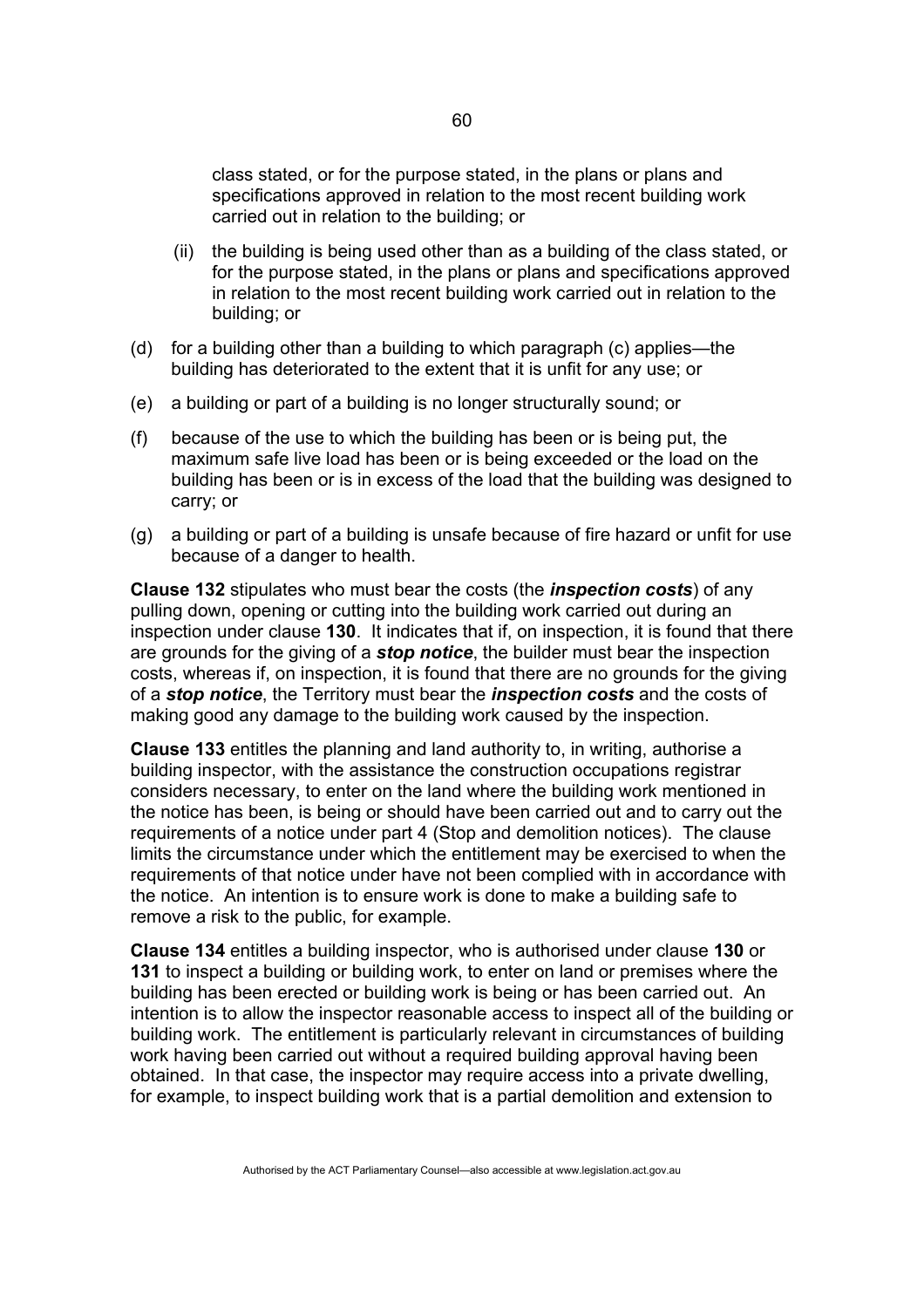class stated, or for the purpose stated, in the plans or plans and specifications approved in relation to the most recent building work carried out in relation to the building; or

- (ii) the building is being used other than as a building of the class stated, or for the purpose stated, in the plans or plans and specifications approved in relation to the most recent building work carried out in relation to the building; or
- (d) for a building other than a building to which paragraph (c) applies—the building has deteriorated to the extent that it is unfit for any use; or
- (e) a building or part of a building is no longer structurally sound; or
- (f) because of the use to which the building has been or is being put, the maximum safe live load has been or is being exceeded or the load on the building has been or is in excess of the load that the building was designed to carry; or
- (g) a building or part of a building is unsafe because of fire hazard or unfit for use because of a danger to health.

**Clause 132** stipulates who must bear the costs (the *inspection costs*) of any pulling down, opening or cutting into the building work carried out during an inspection under clause **130**. It indicates that if, on inspection, it is found that there are grounds for the giving of a *stop notice*, the builder must bear the inspection costs, whereas if, on inspection, it is found that there are no grounds for the giving of a *stop notice*, the Territory must bear the *inspection costs* and the costs of making good any damage to the building work caused by the inspection.

**Clause 133** entitles the planning and land authority to, in writing, authorise a building inspector, with the assistance the construction occupations registrar considers necessary, to enter on the land where the building work mentioned in the notice has been, is being or should have been carried out and to carry out the requirements of a notice under part 4 (Stop and demolition notices). The clause limits the circumstance under which the entitlement may be exercised to when the requirements of that notice under have not been complied with in accordance with the notice. An intention is to ensure work is done to make a building safe to remove a risk to the public, for example.

**Clause 134** entitles a building inspector, who is authorised under clause **130** or **131** to inspect a building or building work, to enter on land or premises where the building has been erected or building work is being or has been carried out. An intention is to allow the inspector reasonable access to inspect all of the building or building work. The entitlement is particularly relevant in circumstances of building work having been carried out without a required building approval having been obtained. In that case, the inspector may require access into a private dwelling, for example, to inspect building work that is a partial demolition and extension to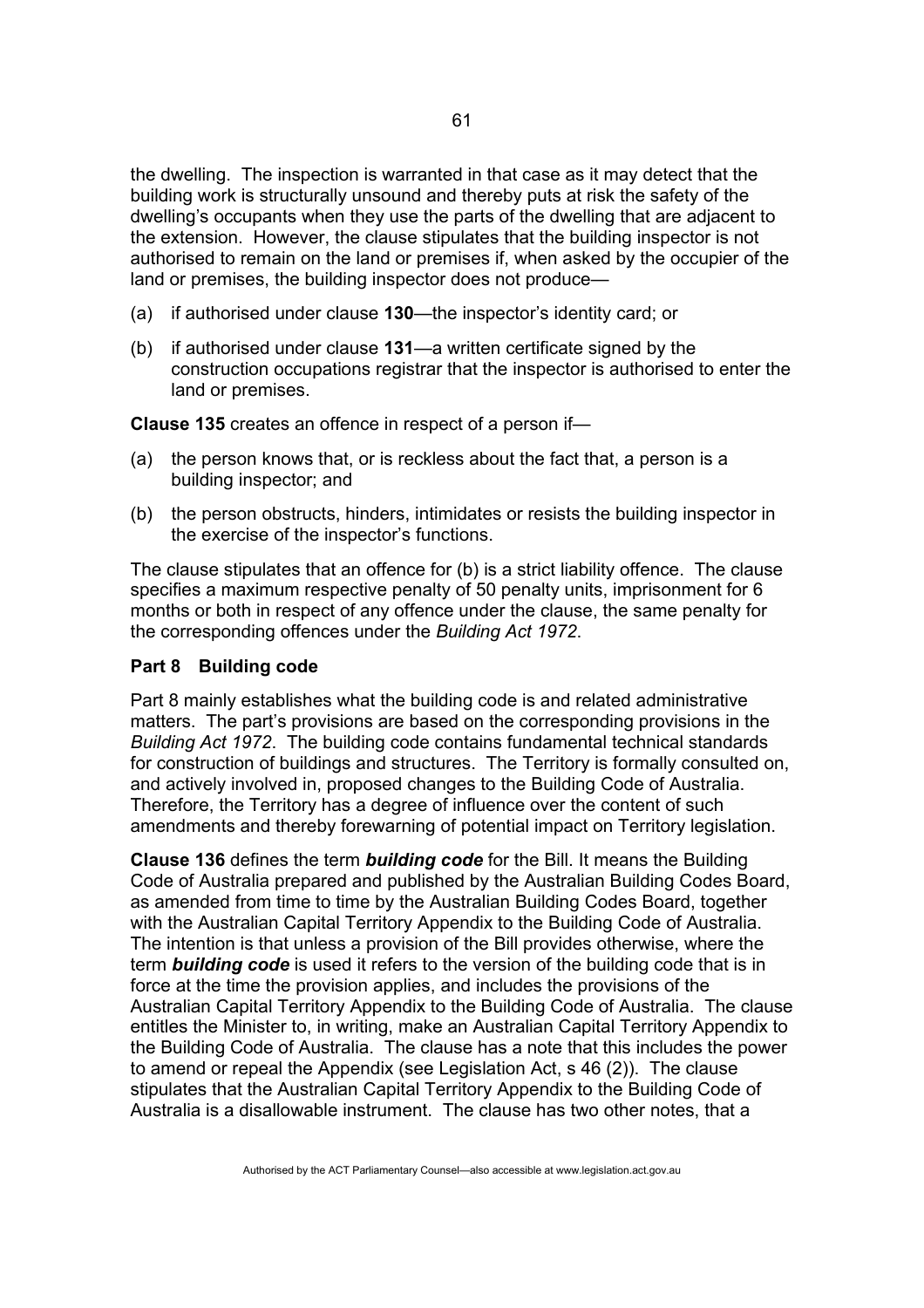the dwelling. The inspection is warranted in that case as it may detect that the building work is structurally unsound and thereby puts at risk the safety of the dwelling's occupants when they use the parts of the dwelling that are adjacent to the extension. However, the clause stipulates that the building inspector is not authorised to remain on the land or premises if, when asked by the occupier of the land or premises, the building inspector does not produce—

- (a) if authorised under clause **130**—the inspector's identity card; or
- (b) if authorised under clause **131**—a written certificate signed by the construction occupations registrar that the inspector is authorised to enter the land or premises.

**Clause 135** creates an offence in respect of a person if—

- (a) the person knows that, or is reckless about the fact that, a person is a building inspector; and
- (b) the person obstructs, hinders, intimidates or resists the building inspector in the exercise of the inspector's functions.

The clause stipulates that an offence for (b) is a strict liability offence. The clause specifies a maximum respective penalty of 50 penalty units, imprisonment for 6 months or both in respect of any offence under the clause, the same penalty for the corresponding offences under the *Building Act 1972*.

### **Part 8 Building code**

Part 8 mainly establishes what the building code is and related administrative matters. The part's provisions are based on the corresponding provisions in the *Building Act 1972*. The building code contains fundamental technical standards for construction of buildings and structures. The Territory is formally consulted on, and actively involved in, proposed changes to the Building Code of Australia. Therefore, the Territory has a degree of influence over the content of such amendments and thereby forewarning of potential impact on Territory legislation.

**Clause 136** defines the term *building code* for the Bill. It means the Building Code of Australia prepared and published by the Australian Building Codes Board, as amended from time to time by the Australian Building Codes Board, together with the Australian Capital Territory Appendix to the Building Code of Australia. The intention is that unless a provision of the Bill provides otherwise, where the term *building code* is used it refers to the version of the building code that is in force at the time the provision applies, and includes the provisions of the Australian Capital Territory Appendix to the Building Code of Australia. The clause entitles the Minister to, in writing, make an Australian Capital Territory Appendix to the Building Code of Australia. The clause has a note that this includes the power to amend or repeal the Appendix (see Legislation Act, s 46 (2)). The clause stipulates that the Australian Capital Territory Appendix to the Building Code of Australia is a disallowable instrument. The clause has two other notes, that a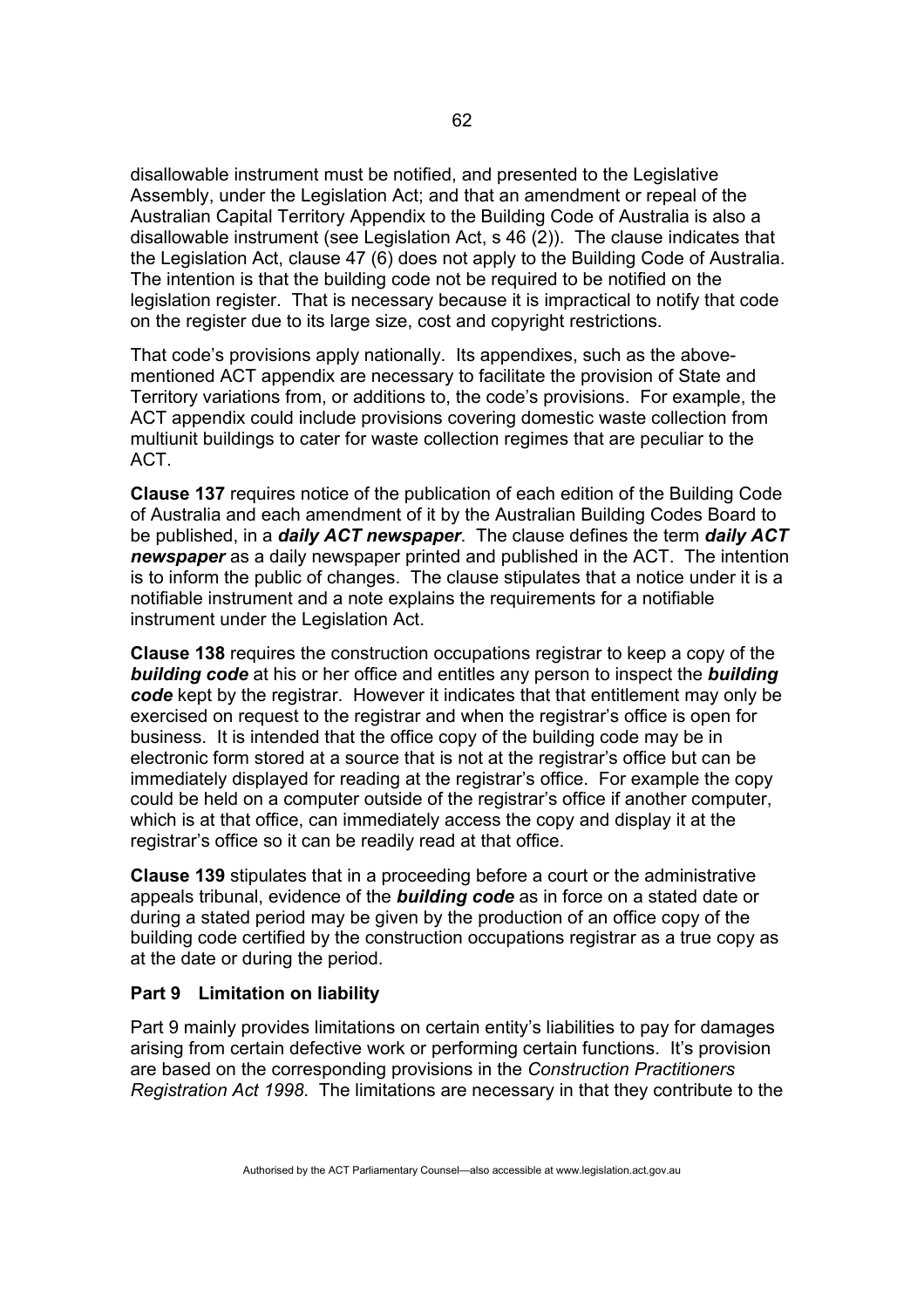disallowable instrument must be notified, and presented to the Legislative Assembly, under the Legislation Act; and that an amendment or repeal of the Australian Capital Territory Appendix to the Building Code of Australia is also a disallowable instrument (see Legislation Act, s 46 (2)). The clause indicates that the Legislation Act, clause 47 (6) does not apply to the Building Code of Australia. The intention is that the building code not be required to be notified on the legislation register. That is necessary because it is impractical to notify that code on the register due to its large size, cost and copyright restrictions.

That code's provisions apply nationally. Its appendixes, such as the abovementioned ACT appendix are necessary to facilitate the provision of State and Territory variations from, or additions to, the code's provisions. For example, the ACT appendix could include provisions covering domestic waste collection from multiunit buildings to cater for waste collection regimes that are peculiar to the ACT.

**Clause 137** requires notice of the publication of each edition of the Building Code of Australia and each amendment of it by the Australian Building Codes Board to be published, in a *daily ACT newspaper*. The clause defines the term *daily ACT newspaper* as a daily newspaper printed and published in the ACT. The intention is to inform the public of changes. The clause stipulates that a notice under it is a notifiable instrument and a note explains the requirements for a notifiable instrument under the Legislation Act.

**Clause 138** requires the construction occupations registrar to keep a copy of the *building code* at his or her office and entitles any person to inspect the *building code* kept by the registrar. However it indicates that that entitlement may only be exercised on request to the registrar and when the registrar's office is open for business. It is intended that the office copy of the building code may be in electronic form stored at a source that is not at the registrar's office but can be immediately displayed for reading at the registrar's office. For example the copy could be held on a computer outside of the registrar's office if another computer, which is at that office, can immediately access the copy and display it at the registrar's office so it can be readily read at that office.

**Clause 139** stipulates that in a proceeding before a court or the administrative appeals tribunal, evidence of the *building code* as in force on a stated date or during a stated period may be given by the production of an office copy of the building code certified by the construction occupations registrar as a true copy as at the date or during the period.

### **Part 9 Limitation on liability**

Part 9 mainly provides limitations on certain entity's liabilities to pay for damages arising from certain defective work or performing certain functions. It's provision are based on the corresponding provisions in the *Construction Practitioners Registration Act 1998*. The limitations are necessary in that they contribute to the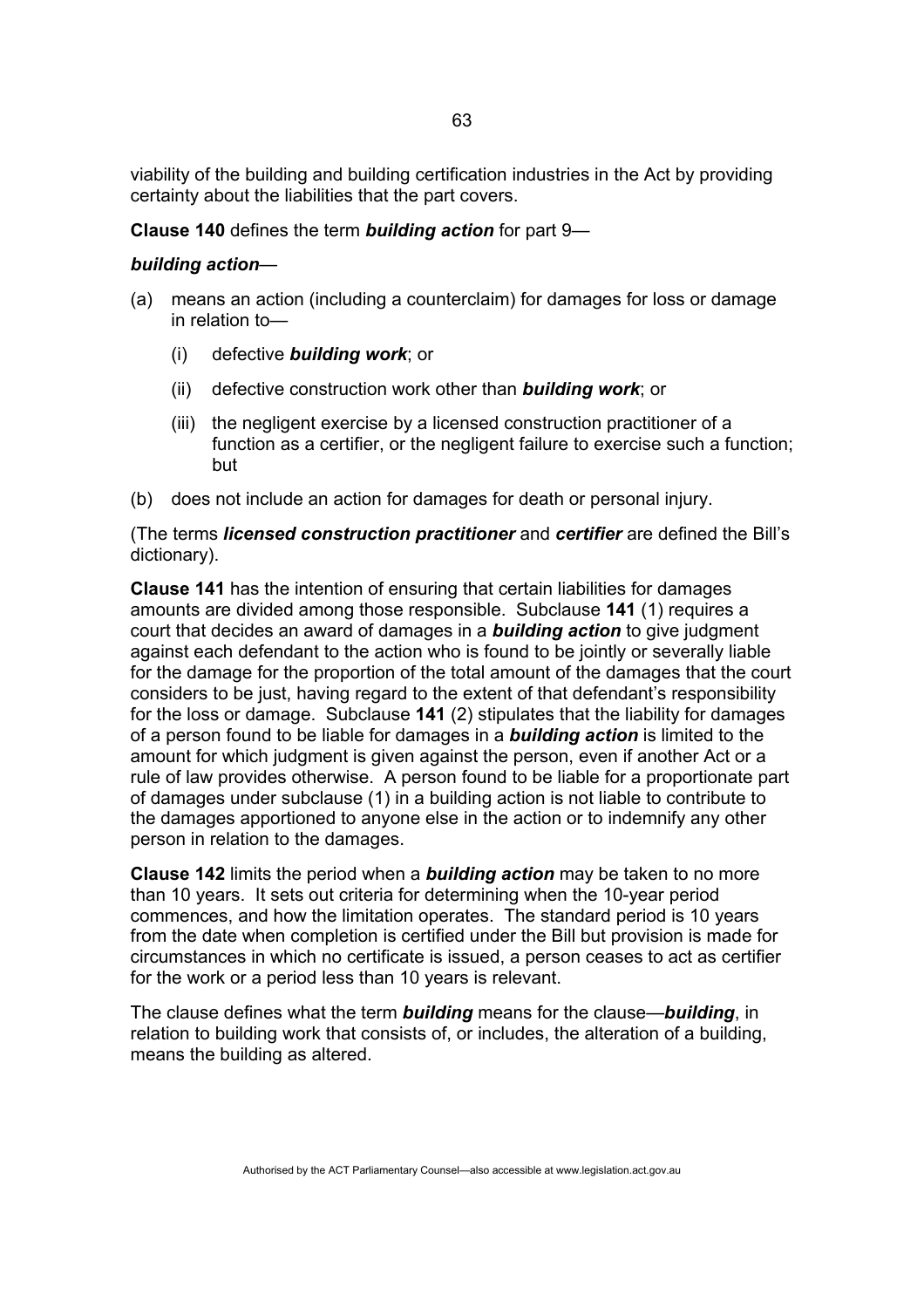viability of the building and building certification industries in the Act by providing certainty about the liabilities that the part covers.

#### **Clause 140** defines the term *building action* for part 9—

#### *building action*—

- (a) means an action (including a counterclaim) for damages for loss or damage in relation to—
	- (i) defective *building work*; or
	- (ii) defective construction work other than *building work*; or
	- (iii) the negligent exercise by a licensed construction practitioner of a function as a certifier, or the negligent failure to exercise such a function; but
- (b) does not include an action for damages for death or personal injury.

(The terms *licensed construction practitioner* and *certifier* are defined the Bill's dictionary).

**Clause 141** has the intention of ensuring that certain liabilities for damages amounts are divided among those responsible. Subclause **141** (1) requires a court that decides an award of damages in a *building action* to give judgment against each defendant to the action who is found to be jointly or severally liable for the damage for the proportion of the total amount of the damages that the court considers to be just, having regard to the extent of that defendant's responsibility for the loss or damage. Subclause **141** (2) stipulates that the liability for damages of a person found to be liable for damages in a *building action* is limited to the amount for which judgment is given against the person, even if another Act or a rule of law provides otherwise. A person found to be liable for a proportionate part of damages under subclause (1) in a building action is not liable to contribute to the damages apportioned to anyone else in the action or to indemnify any other person in relation to the damages.

**Clause 142** limits the period when a *building action* may be taken to no more than 10 years. It sets out criteria for determining when the 10-year period commences, and how the limitation operates. The standard period is 10 years from the date when completion is certified under the Bill but provision is made for circumstances in which no certificate is issued, a person ceases to act as certifier for the work or a period less than 10 years is relevant.

The clause defines what the term *building* means for the clause—*building*, in relation to building work that consists of, or includes, the alteration of a building, means the building as altered.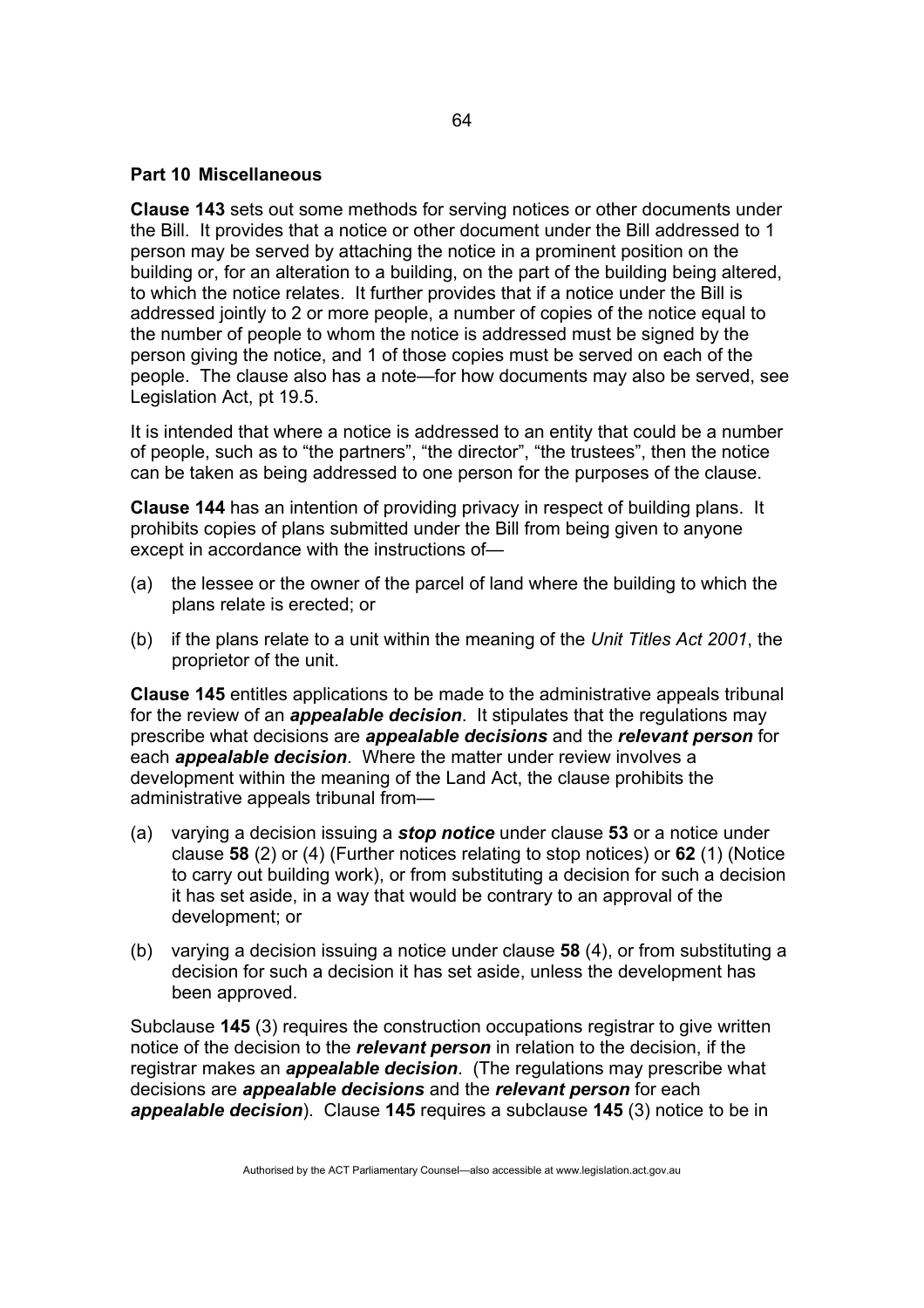### **Part 10 Miscellaneous**

**Clause 143** sets out some methods for serving notices or other documents under the Bill. It provides that a notice or other document under the Bill addressed to 1 person may be served by attaching the notice in a prominent position on the building or, for an alteration to a building, on the part of the building being altered, to which the notice relates. It further provides that if a notice under the Bill is addressed jointly to 2 or more people, a number of copies of the notice equal to the number of people to whom the notice is addressed must be signed by the person giving the notice, and 1 of those copies must be served on each of the people. The clause also has a note—for how documents may also be served, see Legislation Act, pt 19.5.

It is intended that where a notice is addressed to an entity that could be a number of people, such as to "the partners", "the director", "the trustees", then the notice can be taken as being addressed to one person for the purposes of the clause.

**Clause 144** has an intention of providing privacy in respect of building plans. It prohibits copies of plans submitted under the Bill from being given to anyone except in accordance with the instructions of—

- (a) the lessee or the owner of the parcel of land where the building to which the plans relate is erected; or
- (b) if the plans relate to a unit within the meaning of the *Unit Titles Act 2001*, the proprietor of the unit.

**Clause 145** entitles applications to be made to the administrative appeals tribunal for the review of an *appealable decision*. It stipulates that the regulations may prescribe what decisions are *appealable decisions* and the *relevant person* for each *appealable decision*. Where the matter under review involves a development within the meaning of the Land Act, the clause prohibits the administrative appeals tribunal from—

- (a) varying a decision issuing a *stop notice* under clause **53** or a notice under clause **58** (2) or (4) (Further notices relating to stop notices) or **62** (1) (Notice to carry out building work), or from substituting a decision for such a decision it has set aside, in a way that would be contrary to an approval of the development; or
- (b) varying a decision issuing a notice under clause **58** (4), or from substituting a decision for such a decision it has set aside, unless the development has been approved.

Subclause **145** (3) requires the construction occupations registrar to give written notice of the decision to the *relevant person* in relation to the decision, if the registrar makes an *appealable decision*. (The regulations may prescribe what decisions are *appealable decisions* and the *relevant person* for each *appealable decision*). Clause **145** requires a subclause **145** (3) notice to be in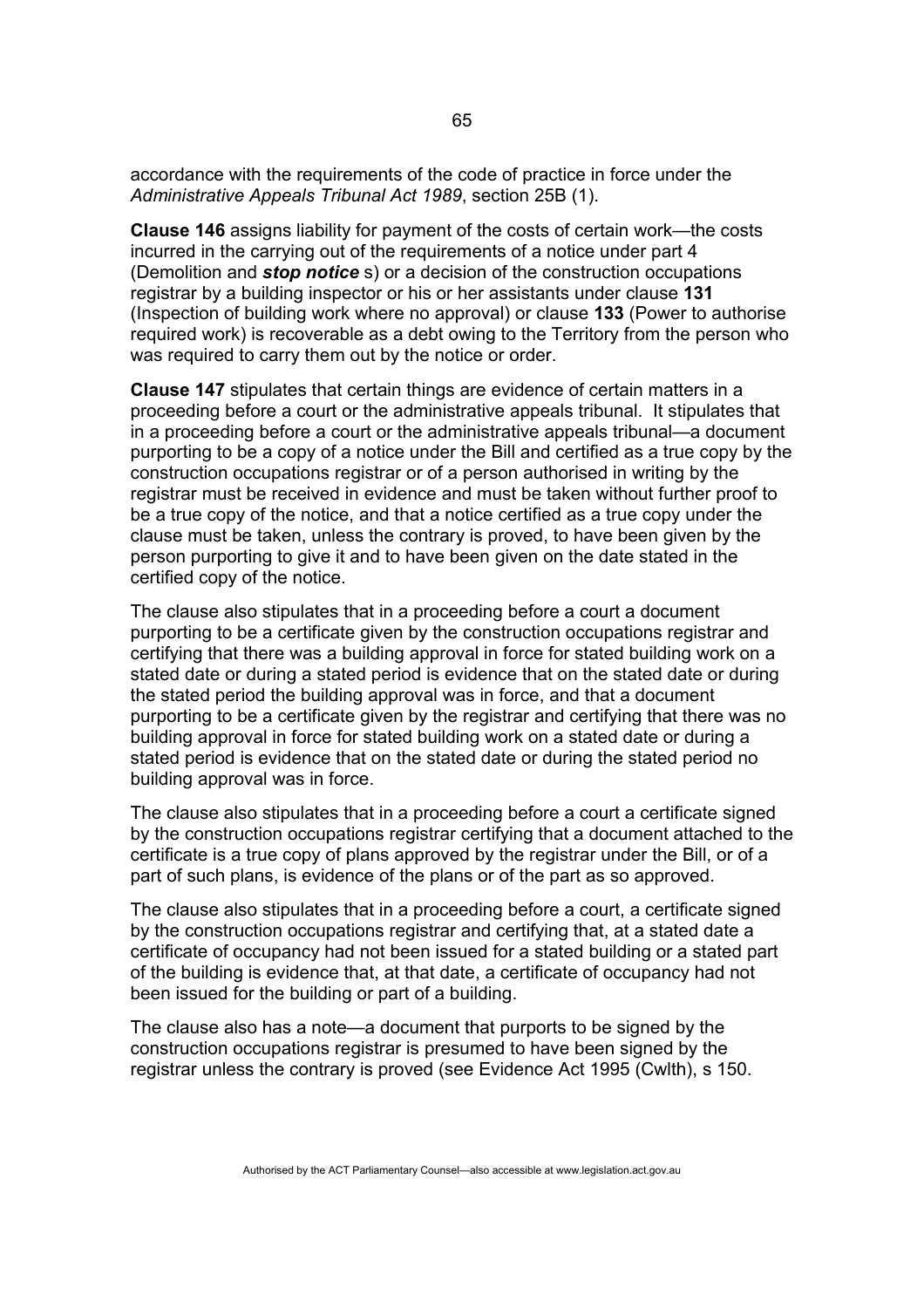accordance with the requirements of the code of practice in force under the *Administrative Appeals Tribunal Act 1989*, section 25B (1).

**Clause 146** assigns liability for payment of the costs of certain work—the costs incurred in the carrying out of the requirements of a notice under part 4 (Demolition and *stop notice* s) or a decision of the construction occupations registrar by a building inspector or his or her assistants under clause **131** (Inspection of building work where no approval) or clause **133** (Power to authorise required work) is recoverable as a debt owing to the Territory from the person who was required to carry them out by the notice or order.

**Clause 147** stipulates that certain things are evidence of certain matters in a proceeding before a court or the administrative appeals tribunal. It stipulates that in a proceeding before a court or the administrative appeals tribunal—a document purporting to be a copy of a notice under the Bill and certified as a true copy by the construction occupations registrar or of a person authorised in writing by the registrar must be received in evidence and must be taken without further proof to be a true copy of the notice, and that a notice certified as a true copy under the clause must be taken, unless the contrary is proved, to have been given by the person purporting to give it and to have been given on the date stated in the certified copy of the notice.

The clause also stipulates that in a proceeding before a court a document purporting to be a certificate given by the construction occupations registrar and certifying that there was a building approval in force for stated building work on a stated date or during a stated period is evidence that on the stated date or during the stated period the building approval was in force, and that a document purporting to be a certificate given by the registrar and certifying that there was no building approval in force for stated building work on a stated date or during a stated period is evidence that on the stated date or during the stated period no building approval was in force.

The clause also stipulates that in a proceeding before a court a certificate signed by the construction occupations registrar certifying that a document attached to the certificate is a true copy of plans approved by the registrar under the Bill, or of a part of such plans, is evidence of the plans or of the part as so approved.

The clause also stipulates that in a proceeding before a court, a certificate signed by the construction occupations registrar and certifying that, at a stated date a certificate of occupancy had not been issued for a stated building or a stated part of the building is evidence that, at that date, a certificate of occupancy had not been issued for the building or part of a building.

The clause also has a note—a document that purports to be signed by the construction occupations registrar is presumed to have been signed by the registrar unless the contrary is proved (see Evidence Act 1995 (Cwlth), s 150.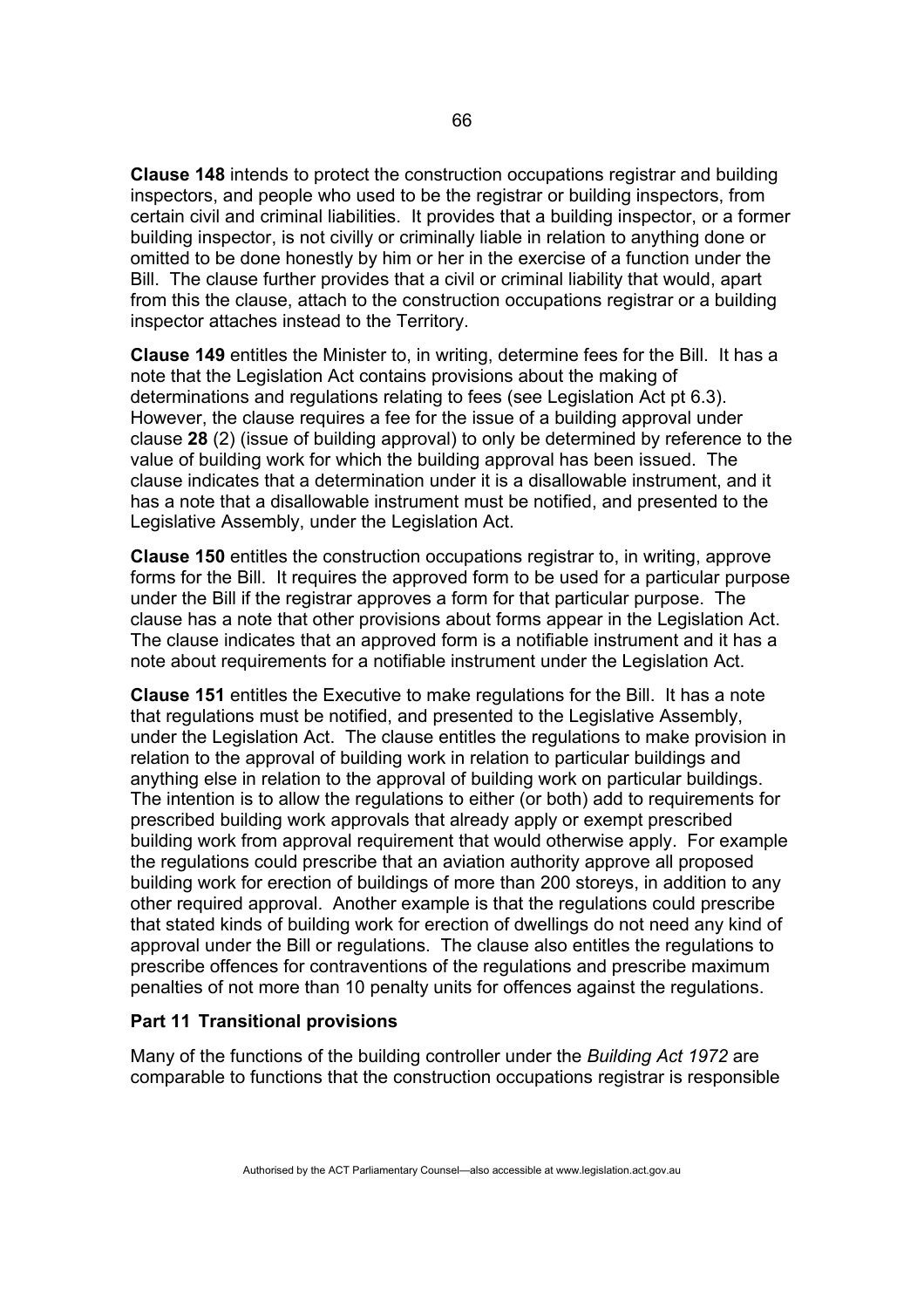**Clause 148** intends to protect the construction occupations registrar and building inspectors, and people who used to be the registrar or building inspectors, from certain civil and criminal liabilities. It provides that a building inspector, or a former building inspector, is not civilly or criminally liable in relation to anything done or omitted to be done honestly by him or her in the exercise of a function under the Bill. The clause further provides that a civil or criminal liability that would, apart from this the clause, attach to the construction occupations registrar or a building inspector attaches instead to the Territory.

**Clause 149** entitles the Minister to, in writing, determine fees for the Bill. It has a note that the Legislation Act contains provisions about the making of determinations and regulations relating to fees (see Legislation Act pt 6.3). However, the clause requires a fee for the issue of a building approval under clause **28** (2) (issue of building approval) to only be determined by reference to the value of building work for which the building approval has been issued. The clause indicates that a determination under it is a disallowable instrument, and it has a note that a disallowable instrument must be notified, and presented to the Legislative Assembly, under the Legislation Act.

**Clause 150** entitles the construction occupations registrar to, in writing, approve forms for the Bill. It requires the approved form to be used for a particular purpose under the Bill if the registrar approves a form for that particular purpose. The clause has a note that other provisions about forms appear in the Legislation Act. The clause indicates that an approved form is a notifiable instrument and it has a note about requirements for a notifiable instrument under the Legislation Act.

**Clause 151** entitles the Executive to make regulations for the Bill. It has a note that regulations must be notified, and presented to the Legislative Assembly, under the Legislation Act. The clause entitles the regulations to make provision in relation to the approval of building work in relation to particular buildings and anything else in relation to the approval of building work on particular buildings. The intention is to allow the regulations to either (or both) add to requirements for prescribed building work approvals that already apply or exempt prescribed building work from approval requirement that would otherwise apply. For example the regulations could prescribe that an aviation authority approve all proposed building work for erection of buildings of more than 200 storeys, in addition to any other required approval. Another example is that the regulations could prescribe that stated kinds of building work for erection of dwellings do not need any kind of approval under the Bill or regulations. The clause also entitles the regulations to prescribe offences for contraventions of the regulations and prescribe maximum penalties of not more than 10 penalty units for offences against the regulations.

#### **Part 11 Transitional provisions**

Many of the functions of the building controller under the *Building Act 1972* are comparable to functions that the construction occupations registrar is responsible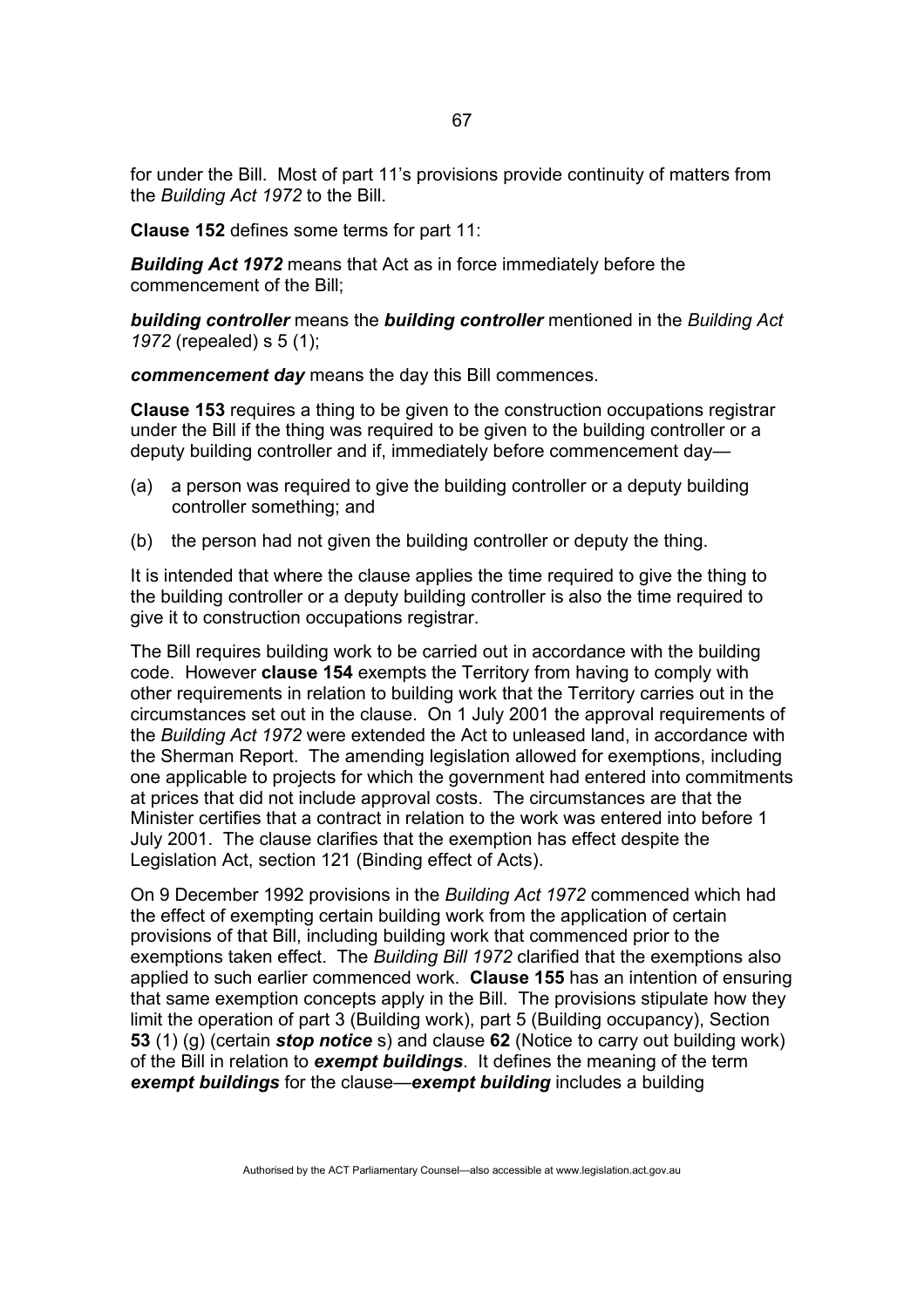for under the Bill. Most of part 11's provisions provide continuity of matters from the *Building Act 1972* to the Bill.

**Clause 152** defines some terms for part 11:

*Building Act 1972* means that Act as in force immediately before the commencement of the Bill;

*building controller* means the *building controller* mentioned in the *Building Act 1972* (repealed) s 5 (1);

*commencement day* means the day this Bill commences.

**Clause 153** requires a thing to be given to the construction occupations registrar under the Bill if the thing was required to be given to the building controller or a deputy building controller and if, immediately before commencement day—

- (a) a person was required to give the building controller or a deputy building controller something; and
- (b) the person had not given the building controller or deputy the thing.

It is intended that where the clause applies the time required to give the thing to the building controller or a deputy building controller is also the time required to give it to construction occupations registrar.

The Bill requires building work to be carried out in accordance with the building code. However **clause 154** exempts the Territory from having to comply with other requirements in relation to building work that the Territory carries out in the circumstances set out in the clause. On 1 July 2001 the approval requirements of the *Building Act 1972* were extended the Act to unleased land, in accordance with the Sherman Report. The amending legislation allowed for exemptions, including one applicable to projects for which the government had entered into commitments at prices that did not include approval costs. The circumstances are that the Minister certifies that a contract in relation to the work was entered into before 1 July 2001. The clause clarifies that the exemption has effect despite the Legislation Act, section 121 (Binding effect of Acts).

On 9 December 1992 provisions in the *Building Act 1972* commenced which had the effect of exempting certain building work from the application of certain provisions of that Bill, including building work that commenced prior to the exemptions taken effect. The *Building Bill 1972* clarified that the exemptions also applied to such earlier commenced work. **Clause 155** has an intention of ensuring that same exemption concepts apply in the Bill. The provisions stipulate how they limit the operation of part 3 (Building work), part 5 (Building occupancy), Section **53** (1) (g) (certain *stop notice* s) and clause **62** (Notice to carry out building work) of the Bill in relation to *exempt buildings*. It defines the meaning of the term *exempt buildings* for the clause—*exempt building* includes a building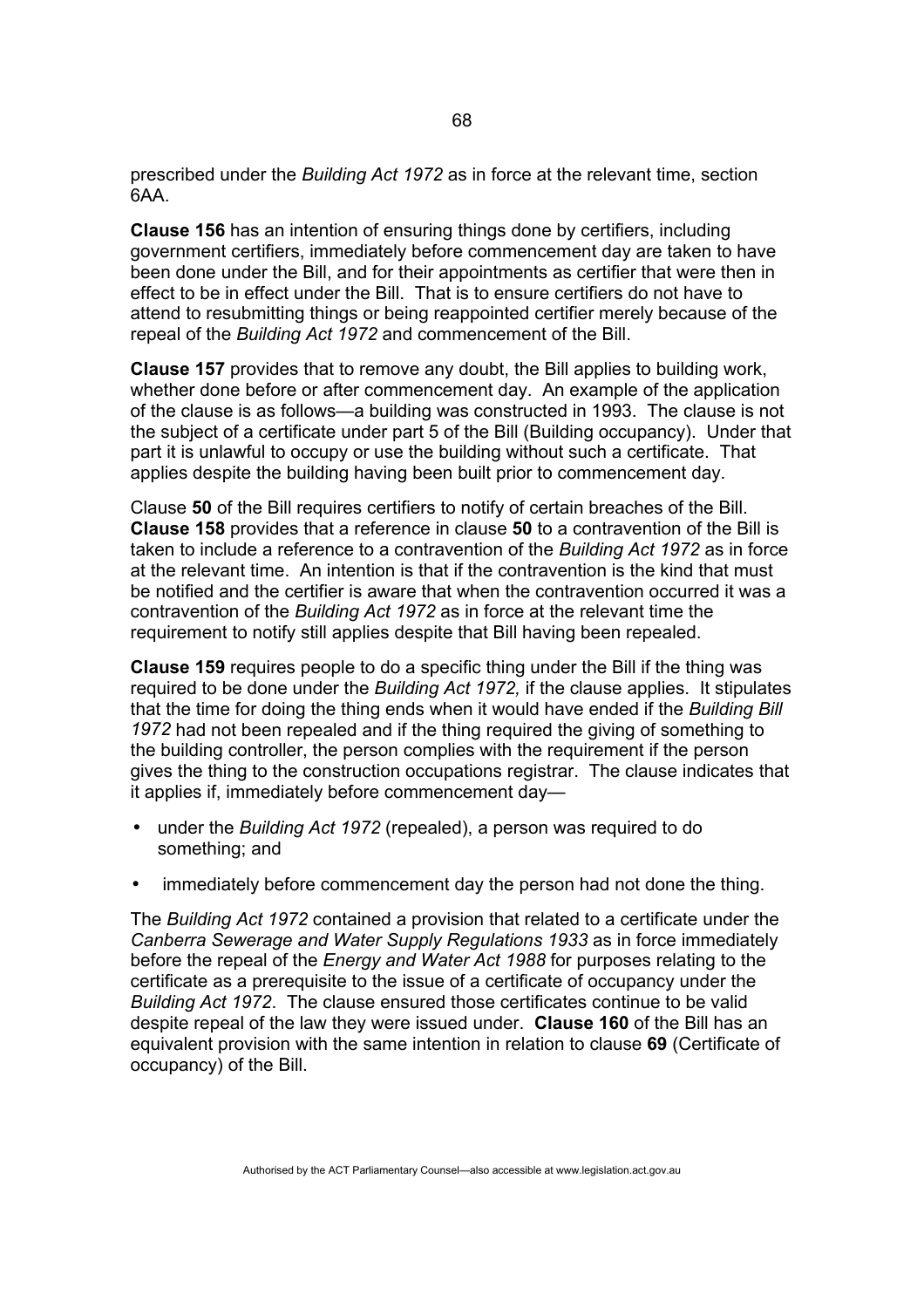prescribed under the *Building Act 1972* as in force at the relevant time, section 6AA.

**Clause 156** has an intention of ensuring things done by certifiers, including government certifiers, immediately before commencement day are taken to have been done under the Bill, and for their appointments as certifier that were then in effect to be in effect under the Bill. That is to ensure certifiers do not have to attend to resubmitting things or being reappointed certifier merely because of the repeal of the *Building Act 1972* and commencement of the Bill.

**Clause 157** provides that to remove any doubt, the Bill applies to building work, whether done before or after commencement day. An example of the application of the clause is as follows—a building was constructed in 1993. The clause is not the subject of a certificate under part 5 of the Bill (Building occupancy). Under that part it is unlawful to occupy or use the building without such a certificate. That applies despite the building having been built prior to commencement day.

Clause **50** of the Bill requires certifiers to notify of certain breaches of the Bill. **Clause 158** provides that a reference in clause **50** to a contravention of the Bill is taken to include a reference to a contravention of the *Building Act 1972* as in force at the relevant time. An intention is that if the contravention is the kind that must be notified and the certifier is aware that when the contravention occurred it was a contravention of the *Building Act 1972* as in force at the relevant time the requirement to notify still applies despite that Bill having been repealed.

**Clause 159** requires people to do a specific thing under the Bill if the thing was required to be done under the *Building Act 1972,* if the clause applies. It stipulates that the time for doing the thing ends when it would have ended if the *Building Bill 1972* had not been repealed and if the thing required the giving of something to the building controller, the person complies with the requirement if the person gives the thing to the construction occupations registrar. The clause indicates that it applies if, immediately before commencement day—

- under the *Building Act 1972* (repealed), a person was required to do something; and
- immediately before commencement day the person had not done the thing.

The *Building Act 1972* contained a provision that related to a certificate under the *Canberra Sewerage and Water Supply Regulations 1933* as in force immediately before the repeal of the *Energy and Water Act 1988* for purposes relating to the certificate as a prerequisite to the issue of a certificate of occupancy under the *Building Act 1972*. The clause ensured those certificates continue to be valid despite repeal of the law they were issued under. **Clause 160** of the Bill has an equivalent provision with the same intention in relation to clause **69** (Certificate of occupancy) of the Bill.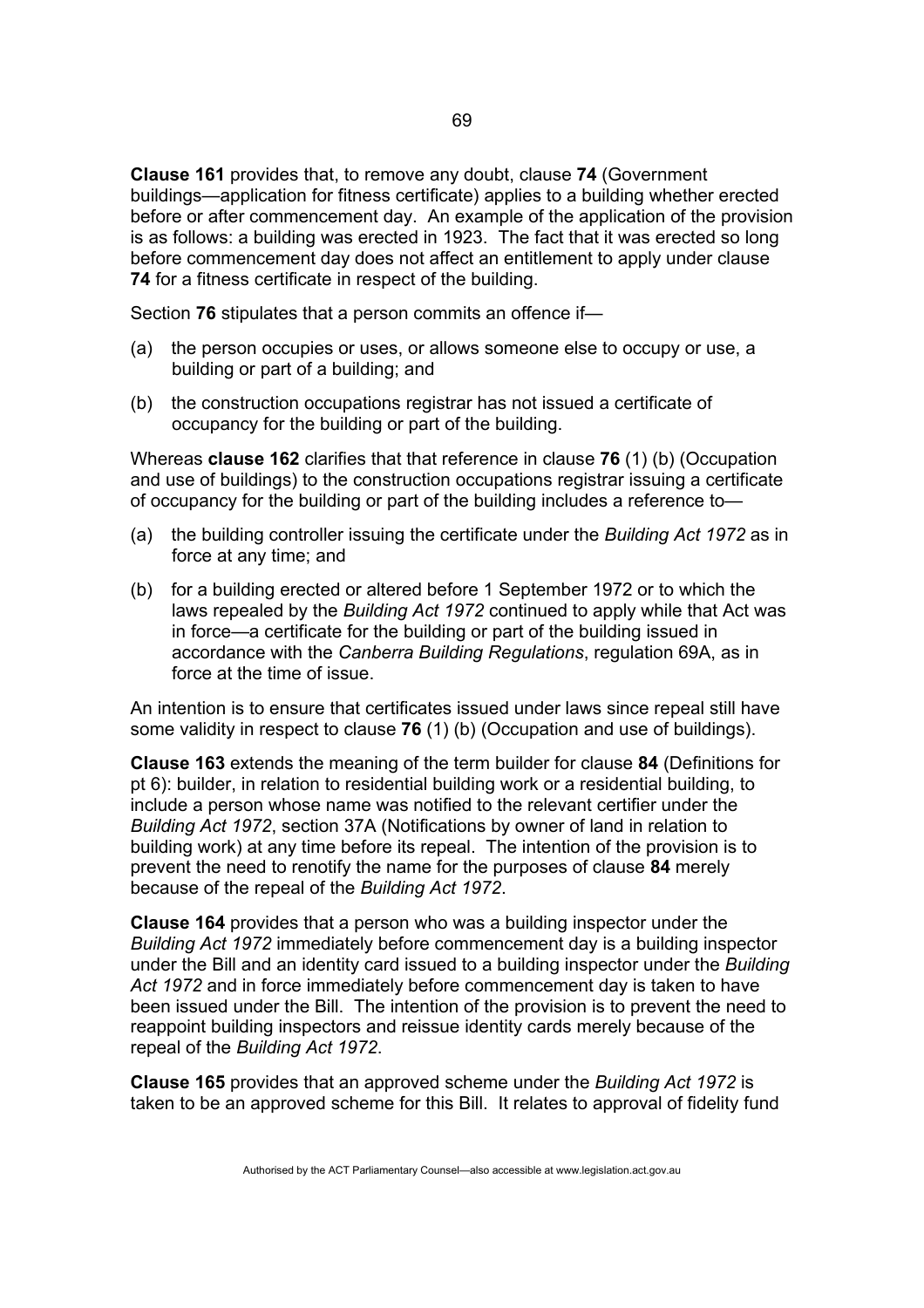**Clause 161** provides that, to remove any doubt, clause **74** (Government buildings—application for fitness certificate) applies to a building whether erected before or after commencement day. An example of the application of the provision is as follows: a building was erected in 1923. The fact that it was erected so long before commencement day does not affect an entitlement to apply under clause **74** for a fitness certificate in respect of the building.

Section **76** stipulates that a person commits an offence if—

- (a) the person occupies or uses, or allows someone else to occupy or use, a building or part of a building; and
- (b) the construction occupations registrar has not issued a certificate of occupancy for the building or part of the building.

Whereas **clause 162** clarifies that that reference in clause **76** (1) (b) (Occupation and use of buildings) to the construction occupations registrar issuing a certificate of occupancy for the building or part of the building includes a reference to—

- (a) the building controller issuing the certificate under the *Building Act 1972* as in force at any time; and
- (b) for a building erected or altered before 1 September 1972 or to which the laws repealed by the *Building Act 1972* continued to apply while that Act was in force—a certificate for the building or part of the building issued in accordance with the *Canberra Building Regulations*, regulation 69A, as in force at the time of issue.

An intention is to ensure that certificates issued under laws since repeal still have some validity in respect to clause **76** (1) (b) (Occupation and use of buildings).

**Clause 163** extends the meaning of the term builder for clause **84** (Definitions for pt 6): builder, in relation to residential building work or a residential building, to include a person whose name was notified to the relevant certifier under the *Building Act 1972*, section 37A (Notifications by owner of land in relation to building work) at any time before its repeal. The intention of the provision is to prevent the need to renotify the name for the purposes of clause **84** merely because of the repeal of the *Building Act 1972*.

**Clause 164** provides that a person who was a building inspector under the *Building Act 1972* immediately before commencement day is a building inspector under the Bill and an identity card issued to a building inspector under the *Building Act 1972* and in force immediately before commencement day is taken to have been issued under the Bill. The intention of the provision is to prevent the need to reappoint building inspectors and reissue identity cards merely because of the repeal of the *Building Act 1972*.

**Clause 165** provides that an approved scheme under the *Building Act 1972* is taken to be an approved scheme for this Bill. It relates to approval of fidelity fund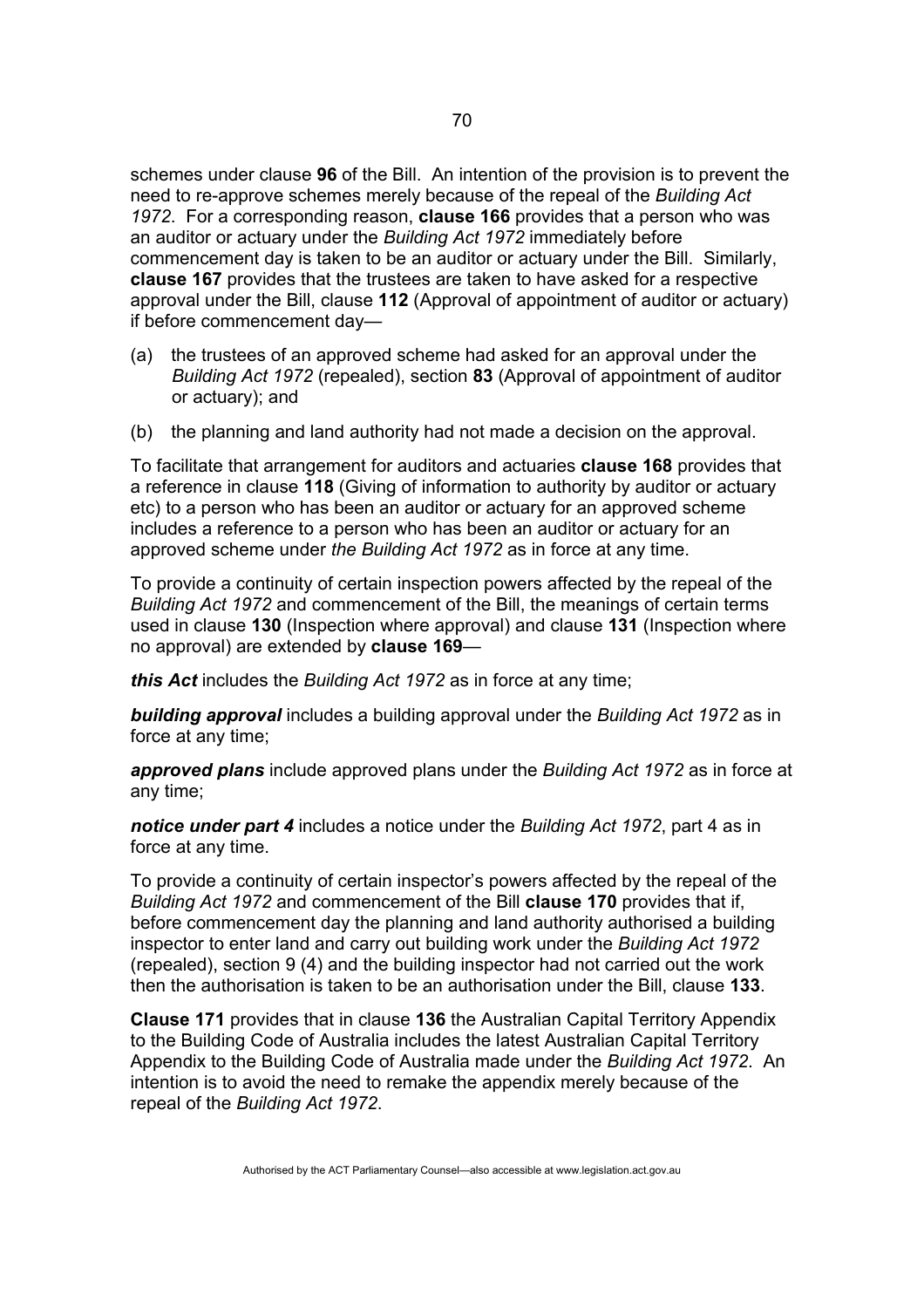schemes under clause **96** of the Bill. An intention of the provision is to prevent the need to re-approve schemes merely because of the repeal of the *Building Act 1972*. For a corresponding reason, **clause 166** provides that a person who was an auditor or actuary under the *Building Act 1972* immediately before commencement day is taken to be an auditor or actuary under the Bill. Similarly, **clause 167** provides that the trustees are taken to have asked for a respective approval under the Bill, clause **112** (Approval of appointment of auditor or actuary) if before commencement day—

- (a) the trustees of an approved scheme had asked for an approval under the *Building Act 1972* (repealed), section **83** (Approval of appointment of auditor or actuary); and
- (b) the planning and land authority had not made a decision on the approval.

To facilitate that arrangement for auditors and actuaries **clause 168** provides that a reference in clause **118** (Giving of information to authority by auditor or actuary etc) to a person who has been an auditor or actuary for an approved scheme includes a reference to a person who has been an auditor or actuary for an approved scheme under *the Building Act 1972* as in force at any time.

To provide a continuity of certain inspection powers affected by the repeal of the *Building Act 1972* and commencement of the Bill, the meanings of certain terms used in clause **130** (Inspection where approval) and clause **131** (Inspection where no approval) are extended by **clause 169**—

*this Act* includes the *Building Act 1972* as in force at any time;

*building approval* includes a building approval under the *Building Act 1972* as in force at any time;

*approved plans* include approved plans under the *Building Act 1972* as in force at any time;

*notice under part 4* includes a notice under the *Building Act 1972*, part 4 as in force at any time.

To provide a continuity of certain inspector's powers affected by the repeal of the *Building Act 1972* and commencement of the Bill **clause 170** provides that if, before commencement day the planning and land authority authorised a building inspector to enter land and carry out building work under the *Building Act 1972* (repealed), section 9 (4) and the building inspector had not carried out the work then the authorisation is taken to be an authorisation under the Bill, clause **133**.

**Clause 171** provides that in clause **136** the Australian Capital Territory Appendix to the Building Code of Australia includes the latest Australian Capital Territory Appendix to the Building Code of Australia made under the *Building Act 1972*. An intention is to avoid the need to remake the appendix merely because of the repeal of the *Building Act 1972*.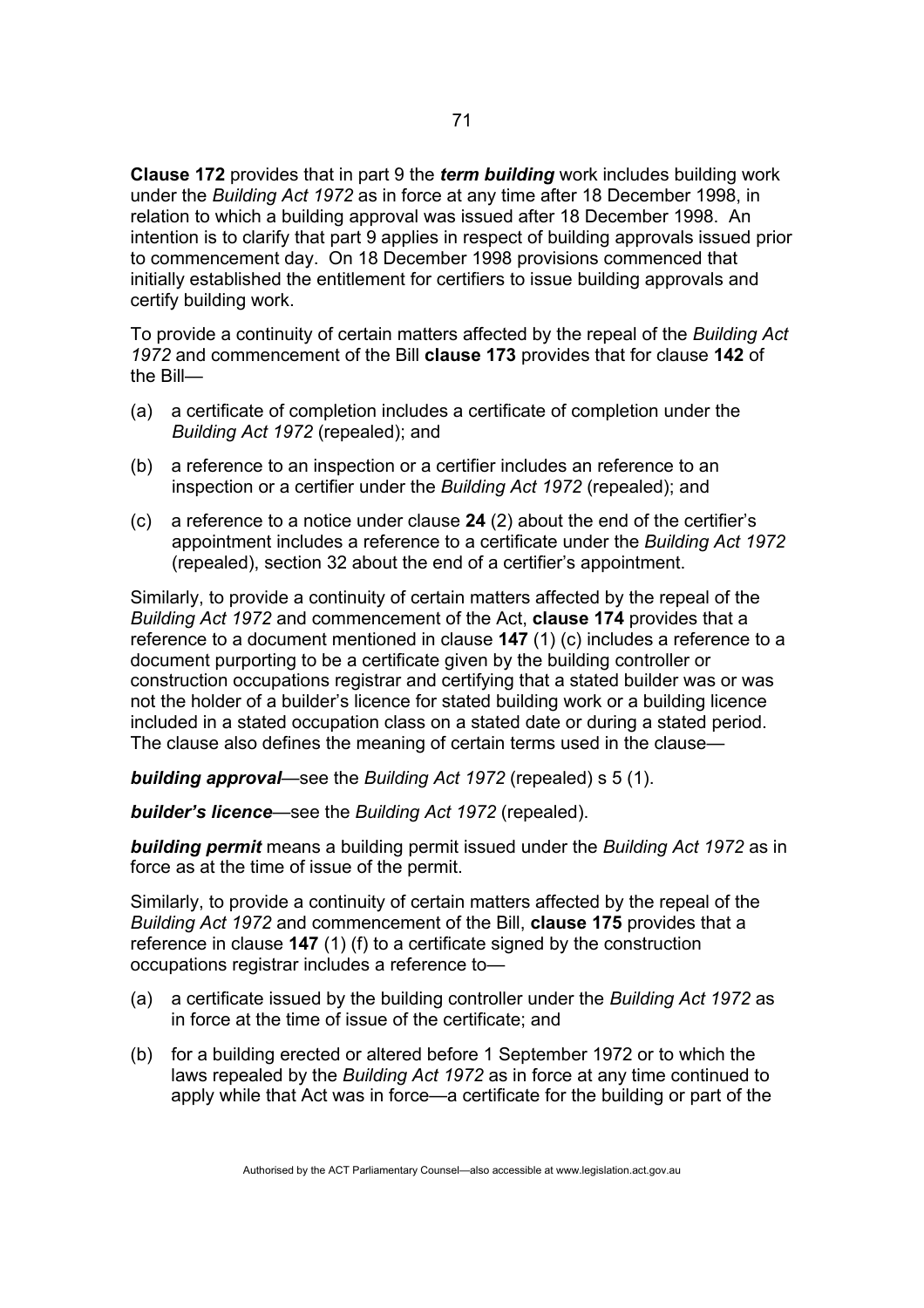**Clause 172** provides that in part 9 the *term building* work includes building work under the *Building Act 1972* as in force at any time after 18 December 1998, in relation to which a building approval was issued after 18 December 1998. An intention is to clarify that part 9 applies in respect of building approvals issued prior to commencement day. On 18 December 1998 provisions commenced that initially established the entitlement for certifiers to issue building approvals and certify building work.

To provide a continuity of certain matters affected by the repeal of the *Building Act 1972* and commencement of the Bill **clause 173** provides that for clause **142** of the Bill—

- (a) a certificate of completion includes a certificate of completion under the *Building Act 1972* (repealed); and
- (b) a reference to an inspection or a certifier includes an reference to an inspection or a certifier under the *Building Act 1972* (repealed); and
- (c) a reference to a notice under clause **24** (2) about the end of the certifier's appointment includes a reference to a certificate under the *Building Act 1972*  (repealed), section 32 about the end of a certifier's appointment.

Similarly, to provide a continuity of certain matters affected by the repeal of the *Building Act 1972* and commencement of the Act, **clause 174** provides that a reference to a document mentioned in clause **147** (1) (c) includes a reference to a document purporting to be a certificate given by the building controller or construction occupations registrar and certifying that a stated builder was or was not the holder of a builder's licence for stated building work or a building licence included in a stated occupation class on a stated date or during a stated period. The clause also defines the meaning of certain terms used in the clause—

*building approval*—see the *Building Act 1972* (repealed) s 5 (1).

*builder's licence*—see the *Building Act 1972* (repealed).

*building permit* means a building permit issued under the *Building Act 1972* as in force as at the time of issue of the permit.

Similarly, to provide a continuity of certain matters affected by the repeal of the *Building Act 1972* and commencement of the Bill, **clause 175** provides that a reference in clause **147** (1) (f) to a certificate signed by the construction occupations registrar includes a reference to—

- (a) a certificate issued by the building controller under the *Building Act 1972* as in force at the time of issue of the certificate; and
- (b) for a building erected or altered before 1 September 1972 or to which the laws repealed by the *Building Act 1972* as in force at any time continued to apply while that Act was in force—a certificate for the building or part of the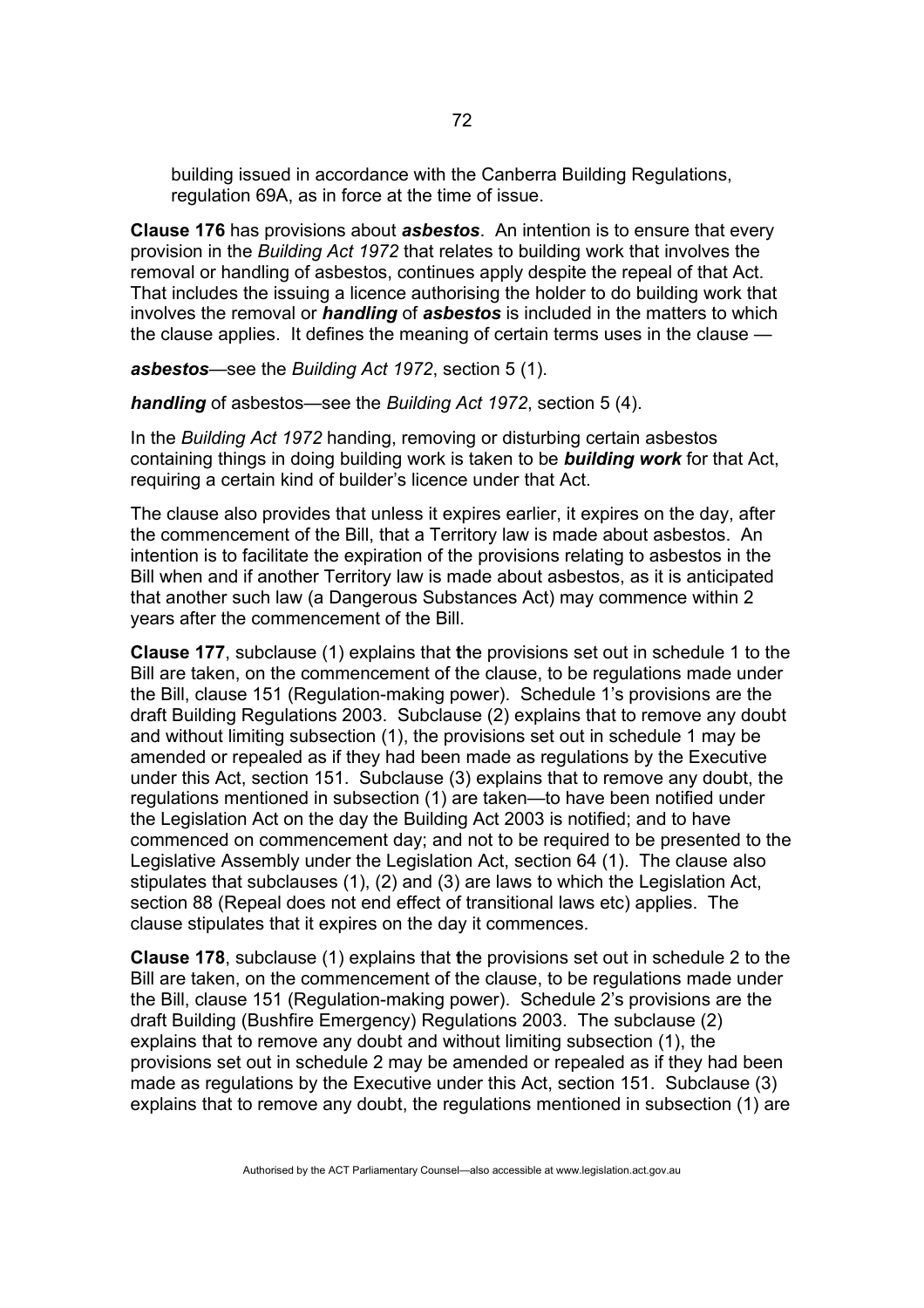building issued in accordance with the Canberra Building Regulations, regulation 69A, as in force at the time of issue.

**Clause 176** has provisions about *asbestos*. An intention is to ensure that every provision in the *Building Act 1972* that relates to building work that involves the removal or handling of asbestos, continues apply despite the repeal of that Act. That includes the issuing a licence authorising the holder to do building work that involves the removal or *handling* of *asbestos* is included in the matters to which the clause applies. It defines the meaning of certain terms uses in the clause —

*asbestos*—see the *Building Act 1972*, section 5 (1).

*handling* of asbestos—see the *Building Act 1972*, section 5 (4).

In the *Building Act 1972* handing, removing or disturbing certain asbestos containing things in doing building work is taken to be *building work* for that Act, requiring a certain kind of builder's licence under that Act.

The clause also provides that unless it expires earlier, it expires on the day, after the commencement of the Bill, that a Territory law is made about asbestos. An intention is to facilitate the expiration of the provisions relating to asbestos in the Bill when and if another Territory law is made about asbestos, as it is anticipated that another such law (a Dangerous Substances Act) may commence within 2 years after the commencement of the Bill.

**Clause 177**, subclause (1) explains that **t**he provisions set out in schedule 1 to the Bill are taken, on the commencement of the clause, to be regulations made under the Bill, clause 151 (Regulation-making power). Schedule 1's provisions are the draft Building Regulations 2003. Subclause (2) explains that to remove any doubt and without limiting subsection (1), the provisions set out in schedule 1 may be amended or repealed as if they had been made as regulations by the Executive under this Act, section 151. Subclause (3) explains that to remove any doubt, the regulations mentioned in subsection (1) are taken—to have been notified under the Legislation Act on the day the Building Act 2003 is notified; and to have commenced on commencement day; and not to be required to be presented to the Legislative Assembly under the Legislation Act, section 64 (1). The clause also stipulates that subclauses (1), (2) and (3) are laws to which the Legislation Act, section 88 (Repeal does not end effect of transitional laws etc) applies. The clause stipulates that it expires on the day it commences.

**Clause 178**, subclause (1) explains that **t**he provisions set out in schedule 2 to the Bill are taken, on the commencement of the clause, to be regulations made under the Bill, clause 151 (Regulation-making power). Schedule 2's provisions are the draft Building (Bushfire Emergency) Regulations 2003. The subclause (2) explains that to remove any doubt and without limiting subsection (1), the provisions set out in schedule 2 may be amended or repealed as if they had been made as regulations by the Executive under this Act, section 151. Subclause (3) explains that to remove any doubt, the regulations mentioned in subsection (1) are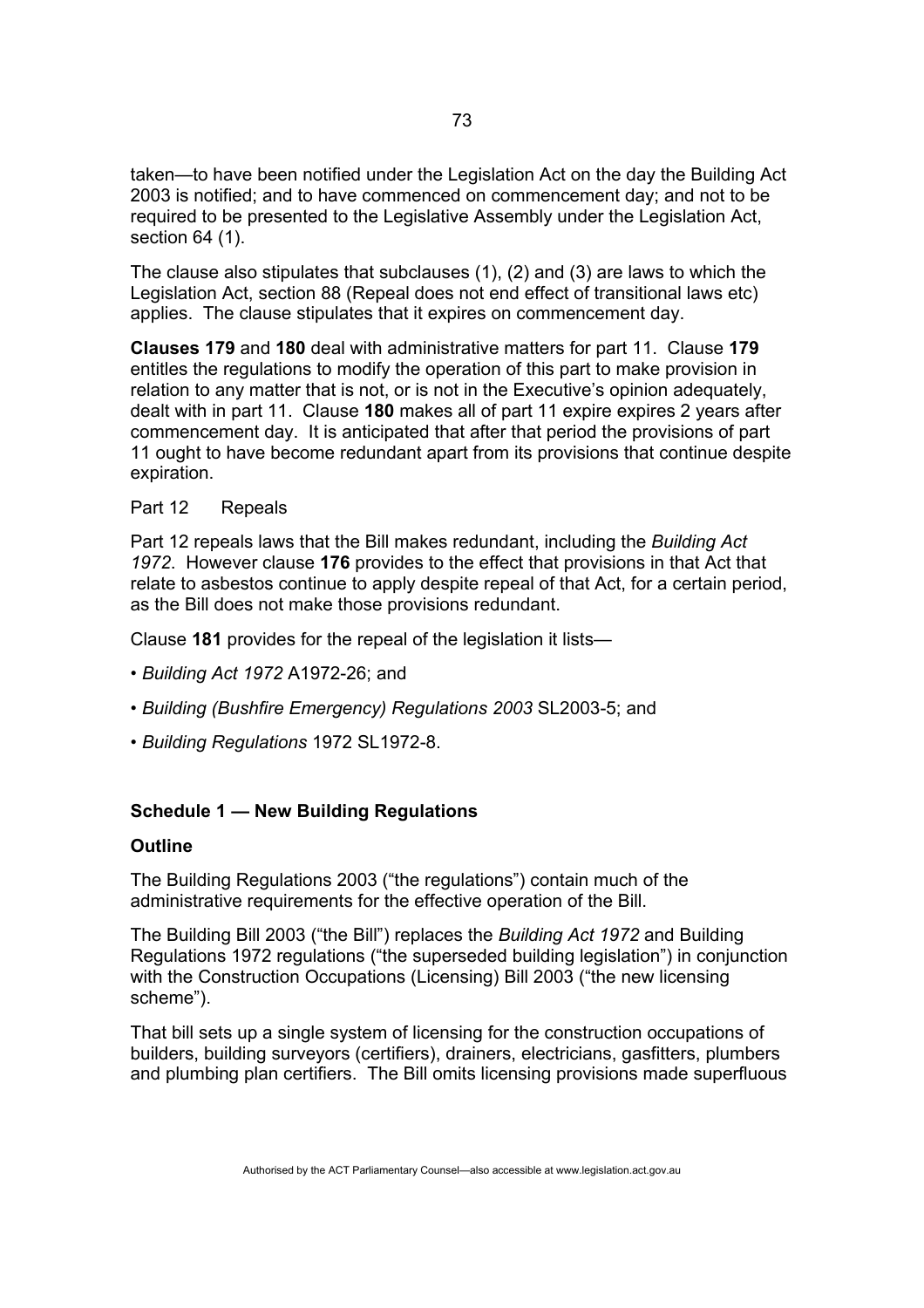taken—to have been notified under the Legislation Act on the day the Building Act 2003 is notified; and to have commenced on commencement day; and not to be required to be presented to the Legislative Assembly under the Legislation Act, section 64 (1).

The clause also stipulates that subclauses (1), (2) and (3) are laws to which the Legislation Act, section 88 (Repeal does not end effect of transitional laws etc) applies. The clause stipulates that it expires on commencement day.

**Clauses 179** and **180** deal with administrative matters for part 11. Clause **179** entitles the regulations to modify the operation of this part to make provision in relation to any matter that is not, or is not in the Executive's opinion adequately, dealt with in part 11. Clause **180** makes all of part 11 expire expires 2 years after commencement day. It is anticipated that after that period the provisions of part 11 ought to have become redundant apart from its provisions that continue despite expiration.

## Part 12 Repeals

Part 12 repeals laws that the Bill makes redundant, including the *Building Act 1972*. However clause **176** provides to the effect that provisions in that Act that relate to asbestos continue to apply despite repeal of that Act, for a certain period, as the Bill does not make those provisions redundant.

Clause **181** provides for the repeal of the legislation it lists—

- *Building Act 1972* A1972-26; and
- *Building (Bushfire Emergency) Regulations 2003* SL2003-5; and
- *Building Regulations* 1972 SL1972-8.

# **Schedule 1 — New Building Regulations**

#### **Outline**

The Building Regulations 2003 ("the regulations") contain much of the administrative requirements for the effective operation of the Bill.

The Building Bill 2003 ("the Bill") replaces the *Building Act 1972* and Building Regulations 1972 regulations ("the superseded building legislation") in conjunction with the Construction Occupations (Licensing) Bill 2003 ("the new licensing scheme").

That bill sets up a single system of licensing for the construction occupations of builders, building surveyors (certifiers), drainers, electricians, gasfitters, plumbers and plumbing plan certifiers. The Bill omits licensing provisions made superfluous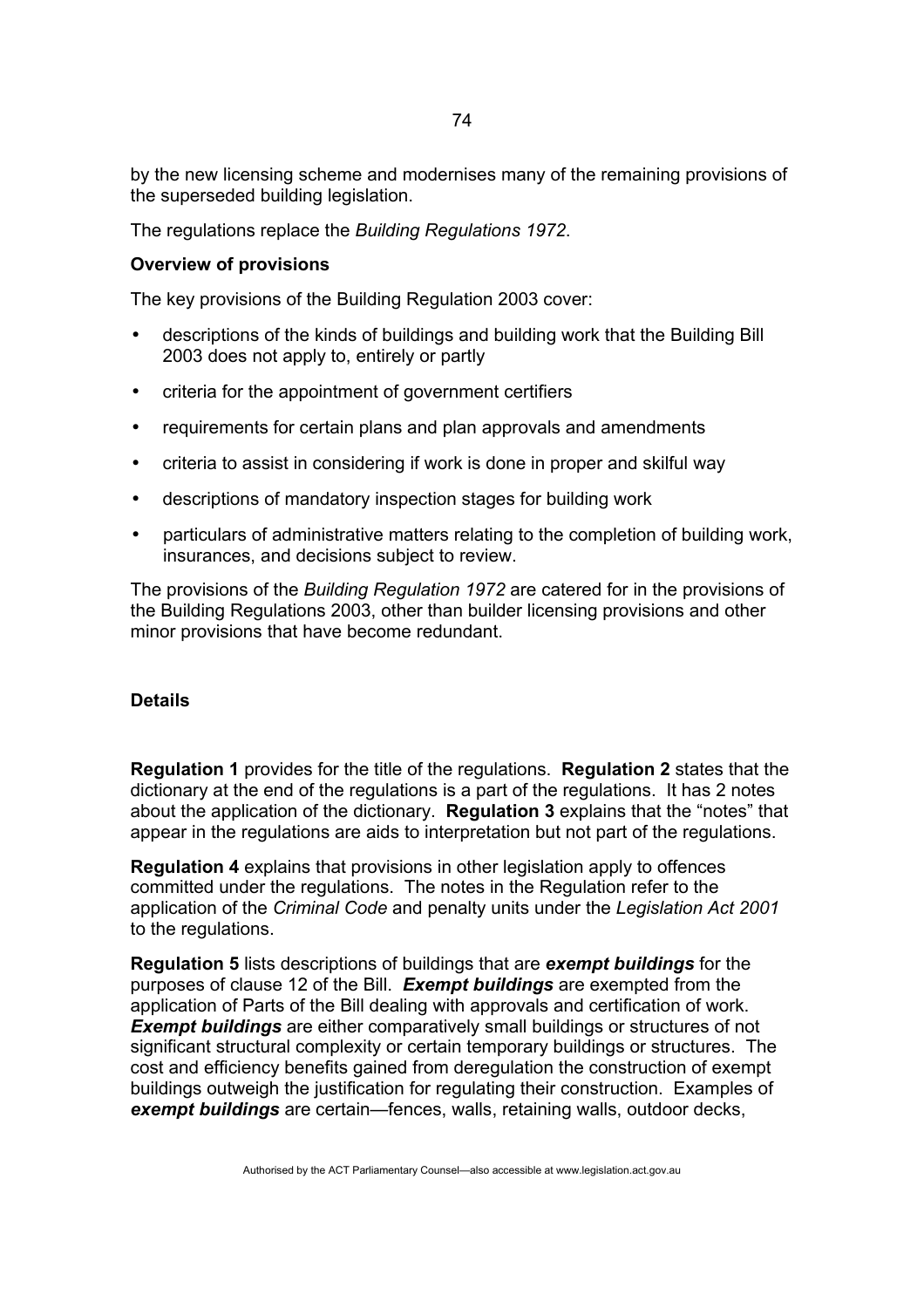by the new licensing scheme and modernises many of the remaining provisions of the superseded building legislation.

The regulations replace the *Building Regulations 1972*.

## **Overview of provisions**

The key provisions of the Building Regulation 2003 cover:

- descriptions of the kinds of buildings and building work that the Building Bill 2003 does not apply to, entirely or partly
- criteria for the appointment of government certifiers
- requirements for certain plans and plan approvals and amendments
- criteria to assist in considering if work is done in proper and skilful way
- descriptions of mandatory inspection stages for building work
- particulars of administrative matters relating to the completion of building work, insurances, and decisions subject to review.

The provisions of the *Building Regulation 1972* are catered for in the provisions of the Building Regulations 2003, other than builder licensing provisions and other minor provisions that have become redundant.

#### **Details**

**Regulation 1** provides for the title of the regulations. **Regulation 2** states that the dictionary at the end of the regulations is a part of the regulations. It has 2 notes about the application of the dictionary. **Regulation 3** explains that the "notes" that appear in the regulations are aids to interpretation but not part of the regulations.

**Regulation 4** explains that provisions in other legislation apply to offences committed under the regulations. The notes in the Regulation refer to the application of the *Criminal Code* and penalty units under the *Legislation Act 2001* to the regulations.

**Regulation 5** lists descriptions of buildings that are *exempt buildings* for the purposes of clause 12 of the Bill. *Exempt buildings* are exempted from the application of Parts of the Bill dealing with approvals and certification of work. **Exempt buildings** are either comparatively small buildings or structures of not significant structural complexity or certain temporary buildings or structures. The cost and efficiency benefits gained from deregulation the construction of exempt buildings outweigh the justification for regulating their construction. Examples of *exempt buildings* are certain—fences, walls, retaining walls, outdoor decks,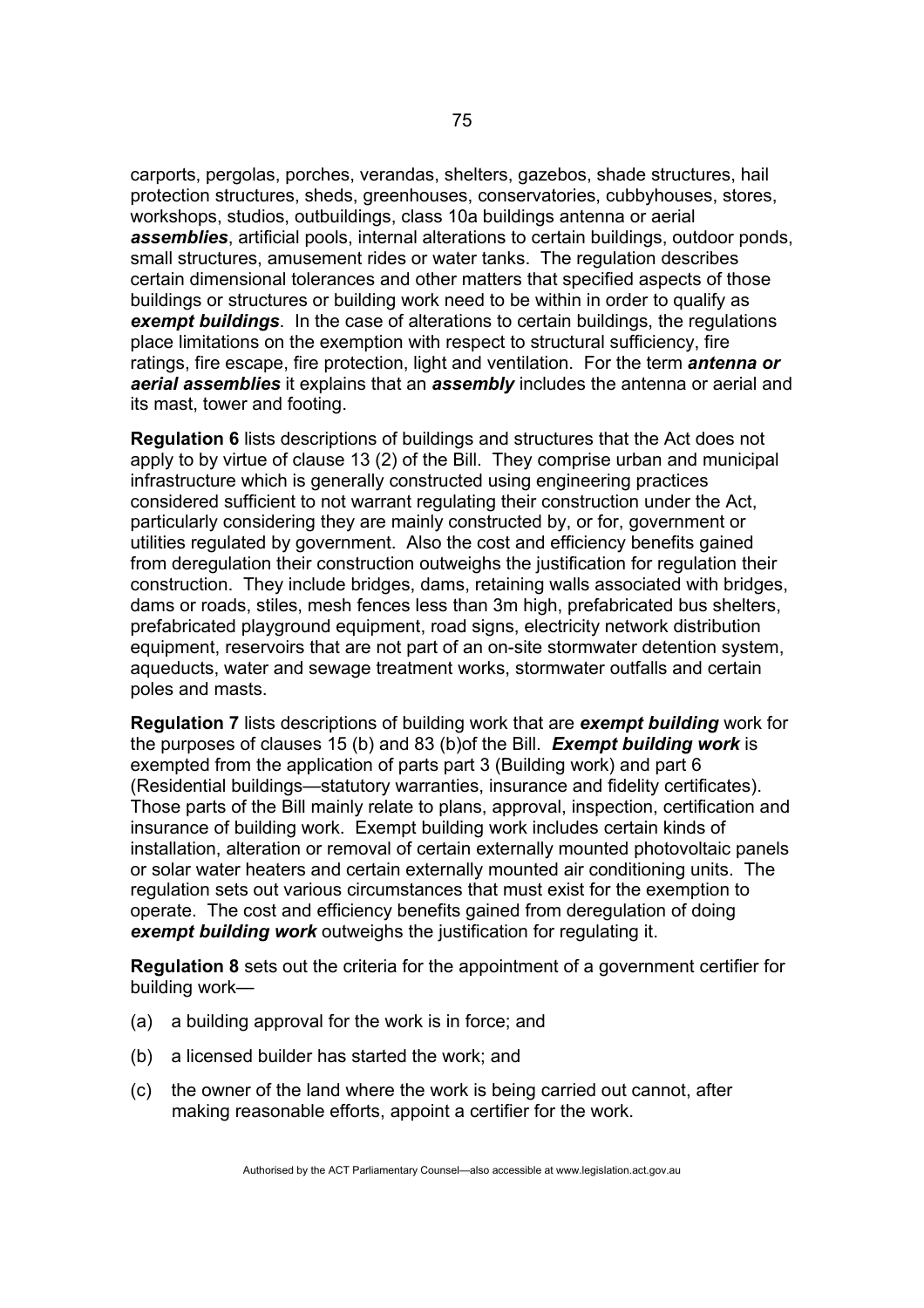carports, pergolas, porches, verandas, shelters, gazebos, shade structures, hail protection structures, sheds, greenhouses, conservatories, cubbyhouses, stores, workshops, studios, outbuildings, class 10a buildings antenna or aerial *assemblies*, artificial pools, internal alterations to certain buildings, outdoor ponds, small structures, amusement rides or water tanks. The regulation describes certain dimensional tolerances and other matters that specified aspects of those buildings or structures or building work need to be within in order to qualify as *exempt buildings*. In the case of alterations to certain buildings, the regulations place limitations on the exemption with respect to structural sufficiency, fire ratings, fire escape, fire protection, light and ventilation. For the term *antenna or aerial assemblies* it explains that an *assembly* includes the antenna or aerial and its mast, tower and footing.

**Regulation 6** lists descriptions of buildings and structures that the Act does not apply to by virtue of clause 13 (2) of the Bill. They comprise urban and municipal infrastructure which is generally constructed using engineering practices considered sufficient to not warrant regulating their construction under the Act, particularly considering they are mainly constructed by, or for, government or utilities regulated by government. Also the cost and efficiency benefits gained from deregulation their construction outweighs the justification for regulation their construction. They include bridges, dams, retaining walls associated with bridges, dams or roads, stiles, mesh fences less than 3m high, prefabricated bus shelters, prefabricated playground equipment, road signs, electricity network distribution equipment, reservoirs that are not part of an on-site stormwater detention system, aqueducts, water and sewage treatment works, stormwater outfalls and certain poles and masts.

**Regulation 7** lists descriptions of building work that are *exempt building* work for the purposes of clauses 15 (b) and 83 (b)of the Bill. *Exempt building work* is exempted from the application of parts part 3 (Building work) and part 6 (Residential buildings—statutory warranties, insurance and fidelity certificates). Those parts of the Bill mainly relate to plans, approval, inspection, certification and insurance of building work. Exempt building work includes certain kinds of installation, alteration or removal of certain externally mounted photovoltaic panels or solar water heaters and certain externally mounted air conditioning units. The regulation sets out various circumstances that must exist for the exemption to operate. The cost and efficiency benefits gained from deregulation of doing *exempt building work* outweighs the justification for regulating it.

**Regulation 8** sets out the criteria for the appointment of a government certifier for building work—

- (a) a building approval for the work is in force; and
- (b) a licensed builder has started the work; and
- (c) the owner of the land where the work is being carried out cannot, after making reasonable efforts, appoint a certifier for the work.

Authorised by the ACT Parliamentary Counsel—also accessible at www.legislation.act.gov.au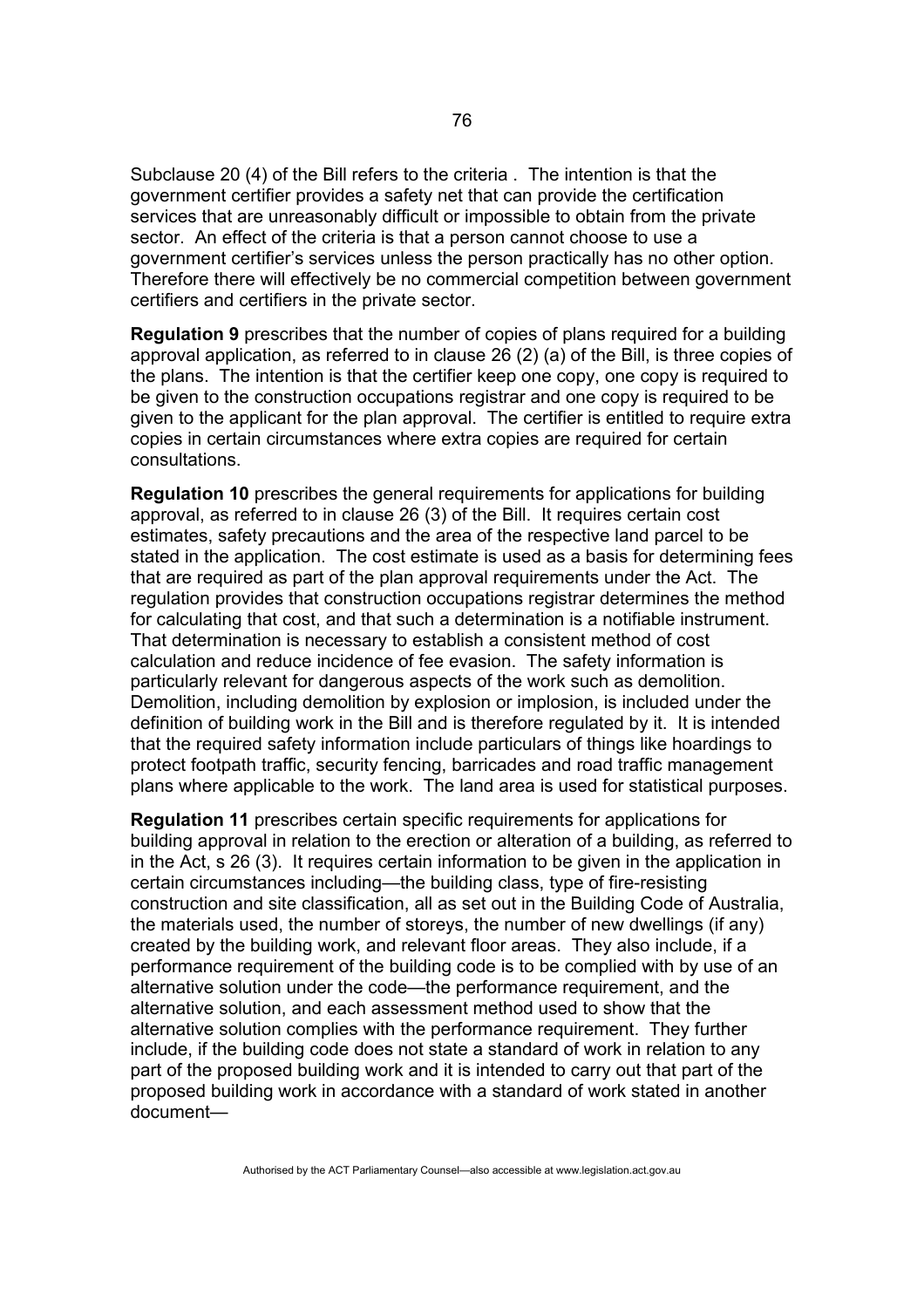Subclause 20 (4) of the Bill refers to the criteria . The intention is that the government certifier provides a safety net that can provide the certification services that are unreasonably difficult or impossible to obtain from the private sector. An effect of the criteria is that a person cannot choose to use a government certifier's services unless the person practically has no other option. Therefore there will effectively be no commercial competition between government certifiers and certifiers in the private sector.

**Regulation 9** prescribes that the number of copies of plans required for a building approval application, as referred to in clause 26 (2) (a) of the Bill, is three copies of the plans. The intention is that the certifier keep one copy, one copy is required to be given to the construction occupations registrar and one copy is required to be given to the applicant for the plan approval. The certifier is entitled to require extra copies in certain circumstances where extra copies are required for certain consultations.

**Regulation 10** prescribes the general requirements for applications for building approval, as referred to in clause 26 (3) of the Bill. It requires certain cost estimates, safety precautions and the area of the respective land parcel to be stated in the application. The cost estimate is used as a basis for determining fees that are required as part of the plan approval requirements under the Act. The regulation provides that construction occupations registrar determines the method for calculating that cost, and that such a determination is a notifiable instrument. That determination is necessary to establish a consistent method of cost calculation and reduce incidence of fee evasion. The safety information is particularly relevant for dangerous aspects of the work such as demolition. Demolition, including demolition by explosion or implosion, is included under the definition of building work in the Bill and is therefore regulated by it. It is intended that the required safety information include particulars of things like hoardings to protect footpath traffic, security fencing, barricades and road traffic management plans where applicable to the work. The land area is used for statistical purposes.

**Regulation 11** prescribes certain specific requirements for applications for building approval in relation to the erection or alteration of a building, as referred to in the Act, s 26 (3). It requires certain information to be given in the application in certain circumstances including—the building class, type of fire-resisting construction and site classification, all as set out in the Building Code of Australia, the materials used, the number of storeys, the number of new dwellings (if any) created by the building work, and relevant floor areas. They also include, if a performance requirement of the building code is to be complied with by use of an alternative solution under the code—the performance requirement, and the alternative solution, and each assessment method used to show that the alternative solution complies with the performance requirement. They further include, if the building code does not state a standard of work in relation to any part of the proposed building work and it is intended to carry out that part of the proposed building work in accordance with a standard of work stated in another document—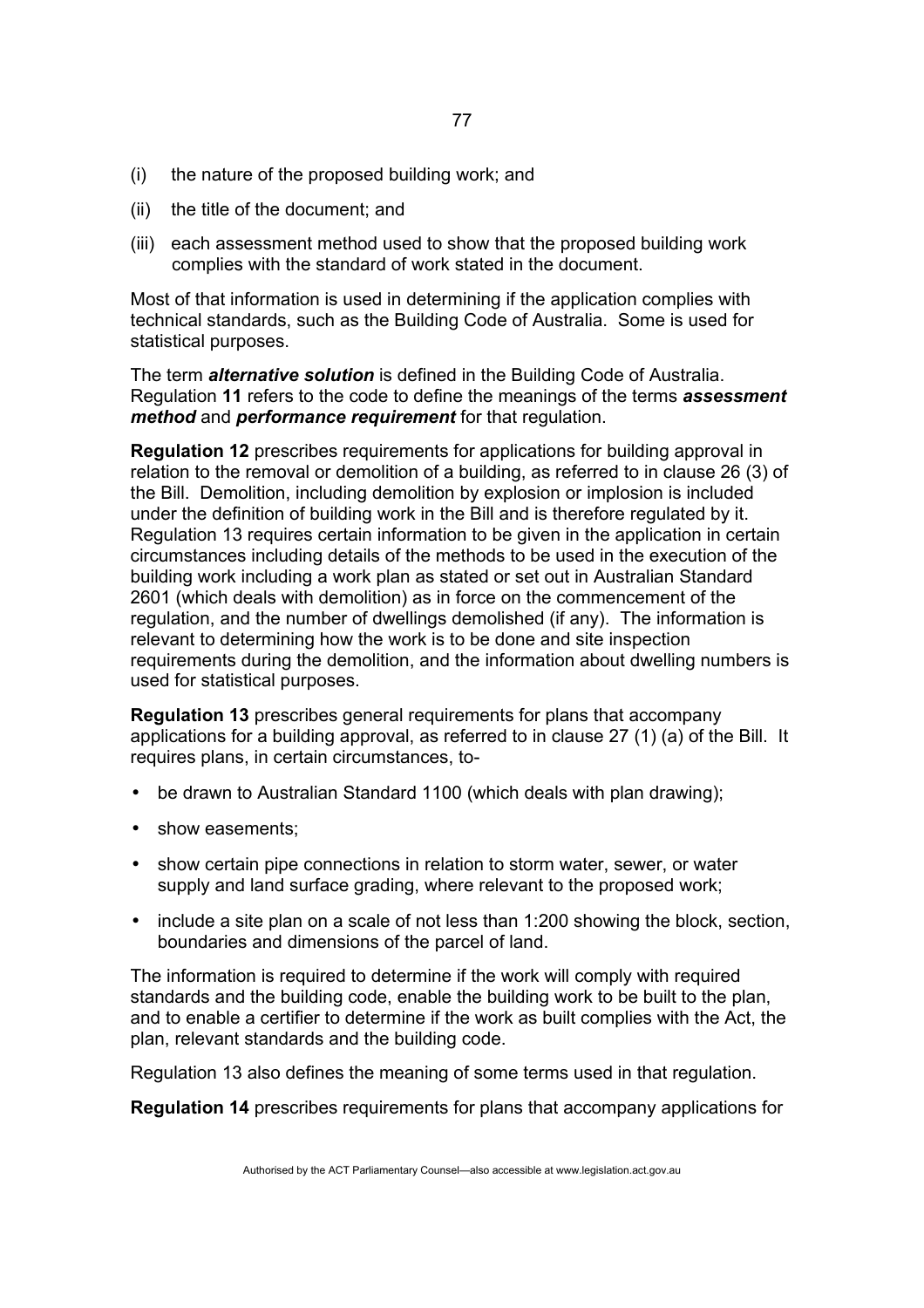- (i) the nature of the proposed building work; and
- (ii) the title of the document; and
- (iii) each assessment method used to show that the proposed building work complies with the standard of work stated in the document.

Most of that information is used in determining if the application complies with technical standards, such as the Building Code of Australia. Some is used for statistical purposes.

The term *alternative solution* is defined in the Building Code of Australia. Regulation **11** refers to the code to define the meanings of the terms *assessment method* and *performance requirement* for that regulation.

**Regulation 12** prescribes requirements for applications for building approval in relation to the removal or demolition of a building, as referred to in clause 26 (3) of the Bill. Demolition, including demolition by explosion or implosion is included under the definition of building work in the Bill and is therefore regulated by it. Regulation 13 requires certain information to be given in the application in certain circumstances including details of the methods to be used in the execution of the building work including a work plan as stated or set out in Australian Standard 2601 (which deals with demolition) as in force on the commencement of the regulation, and the number of dwellings demolished (if any). The information is relevant to determining how the work is to be done and site inspection requirements during the demolition, and the information about dwelling numbers is used for statistical purposes.

**Regulation 13** prescribes general requirements for plans that accompany applications for a building approval, as referred to in clause 27 (1) (a) of the Bill. It requires plans, in certain circumstances, to-

- be drawn to Australian Standard 1100 (which deals with plan drawing);
- show easements;
- show certain pipe connections in relation to storm water, sewer, or water supply and land surface grading, where relevant to the proposed work;
- include a site plan on a scale of not less than 1:200 showing the block, section, boundaries and dimensions of the parcel of land.

The information is required to determine if the work will comply with required standards and the building code, enable the building work to be built to the plan, and to enable a certifier to determine if the work as built complies with the Act, the plan, relevant standards and the building code.

Regulation 13 also defines the meaning of some terms used in that regulation.

**Regulation 14** prescribes requirements for plans that accompany applications for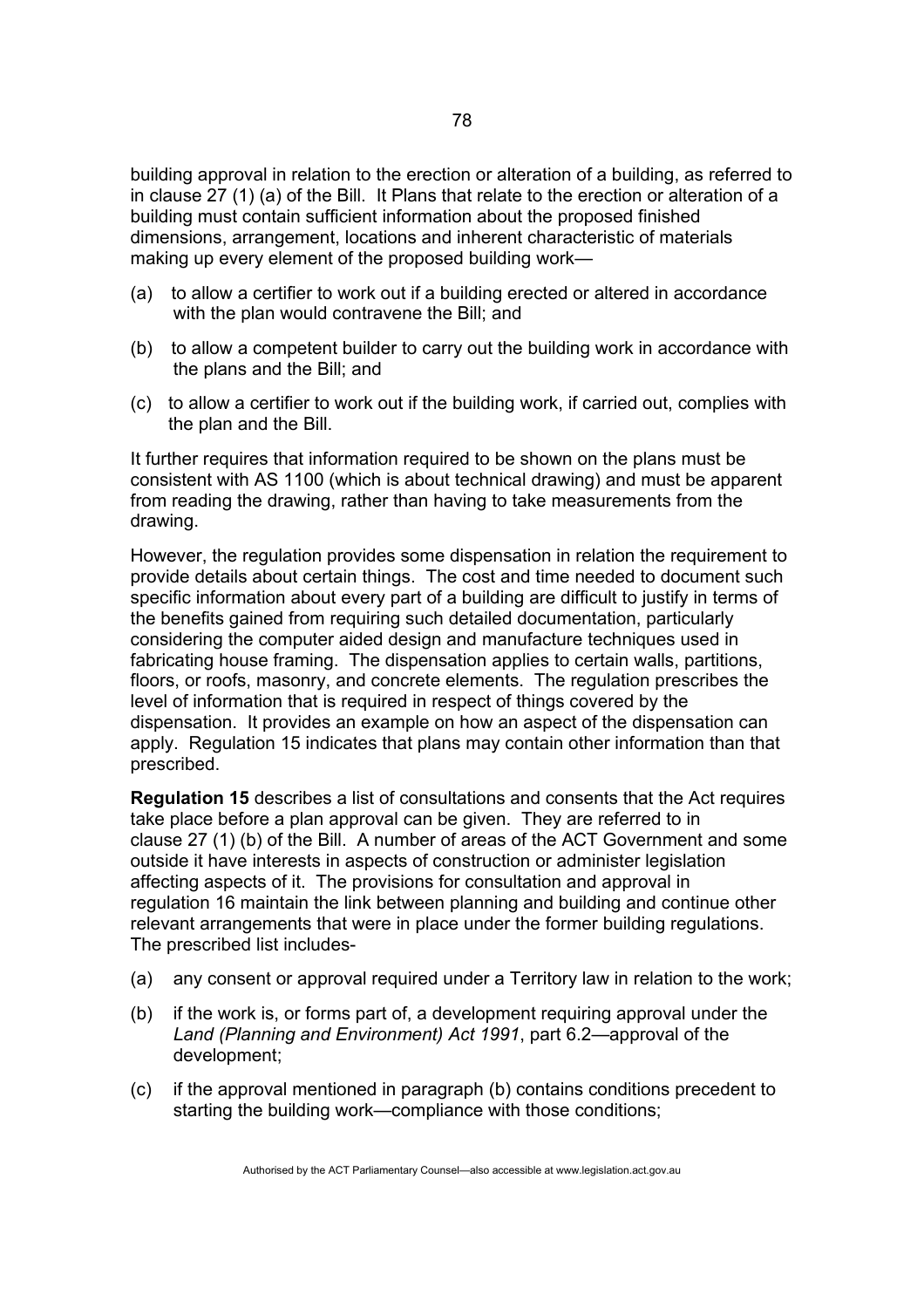building approval in relation to the erection or alteration of a building, as referred to in clause 27 (1) (a) of the Bill. It Plans that relate to the erection or alteration of a building must contain sufficient information about the proposed finished dimensions, arrangement, locations and inherent characteristic of materials making up every element of the proposed building work—

- (a) to allow a certifier to work out if a building erected or altered in accordance with the plan would contravene the Bill; and
- (b) to allow a competent builder to carry out the building work in accordance with the plans and the Bill; and
- (c) to allow a certifier to work out if the building work, if carried out, complies with the plan and the Bill.

It further requires that information required to be shown on the plans must be consistent with AS 1100 (which is about technical drawing) and must be apparent from reading the drawing, rather than having to take measurements from the drawing.

However, the regulation provides some dispensation in relation the requirement to provide details about certain things. The cost and time needed to document such specific information about every part of a building are difficult to justify in terms of the benefits gained from requiring such detailed documentation, particularly considering the computer aided design and manufacture techniques used in fabricating house framing. The dispensation applies to certain walls, partitions, floors, or roofs, masonry, and concrete elements. The regulation prescribes the level of information that is required in respect of things covered by the dispensation. It provides an example on how an aspect of the dispensation can apply. Regulation 15 indicates that plans may contain other information than that prescribed.

**Regulation 15** describes a list of consultations and consents that the Act requires take place before a plan approval can be given. They are referred to in clause 27 (1) (b) of the Bill. A number of areas of the ACT Government and some outside it have interests in aspects of construction or administer legislation affecting aspects of it. The provisions for consultation and approval in regulation 16 maintain the link between planning and building and continue other relevant arrangements that were in place under the former building regulations. The prescribed list includes-

- (a) any consent or approval required under a Territory law in relation to the work;
- (b) if the work is, or forms part of, a development requiring approval under the *Land (Planning and Environment) Act 1991*, part 6.2—approval of the development;
- (c) if the approval mentioned in paragraph (b) contains conditions precedent to starting the building work—compliance with those conditions;

Authorised by the ACT Parliamentary Counsel—also accessible at www.legislation.act.gov.au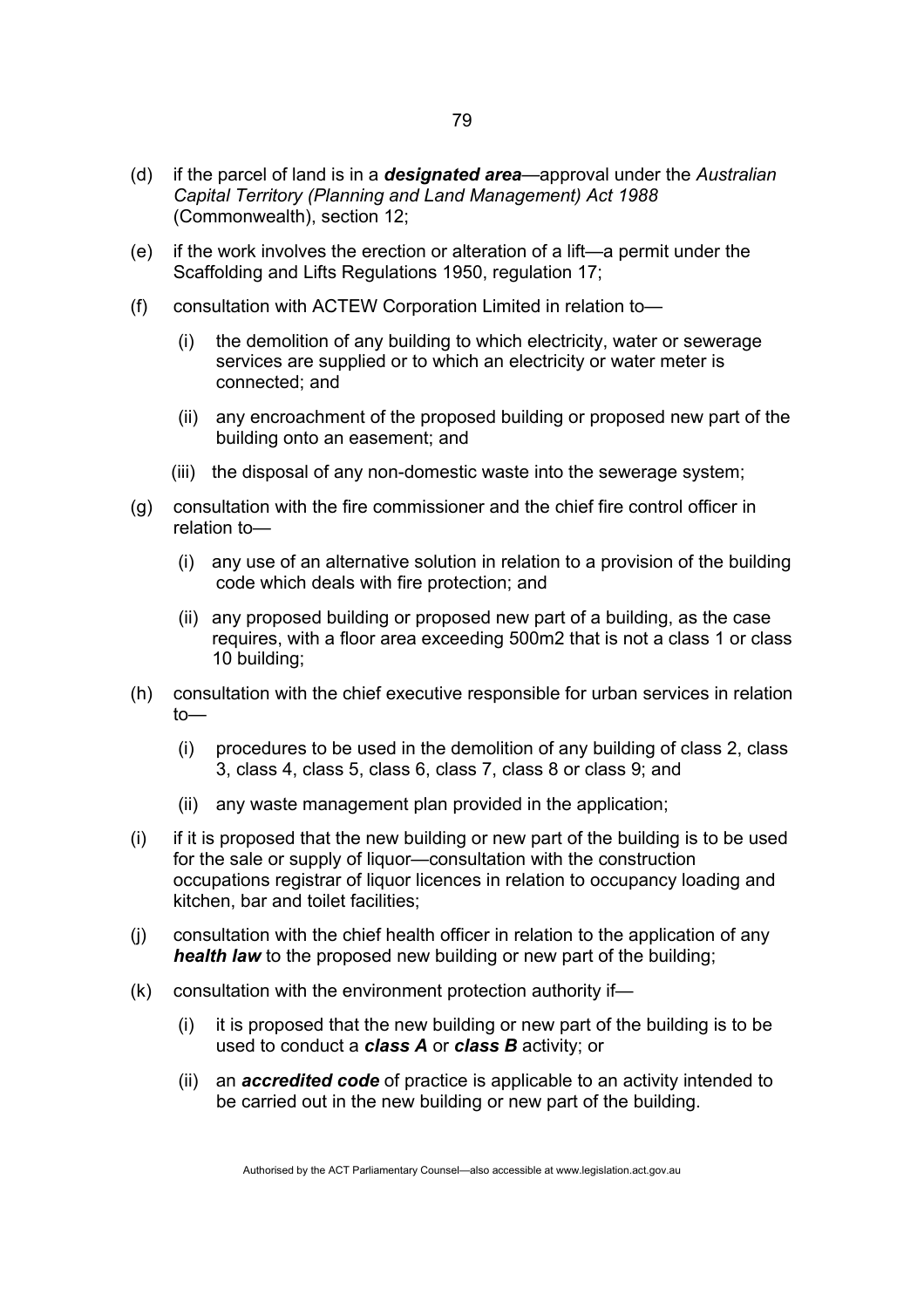- (d) if the parcel of land is in a *designated area*—approval under the *Australian Capital Territory (Planning and Land Management) Act 1988* (Commonwealth), section 12;
- (e) if the work involves the erection or alteration of a lift—a permit under the Scaffolding and Lifts Regulations 1950, regulation 17;
- (f) consultation with ACTEW Corporation Limited in relation to—
	- (i) the demolition of any building to which electricity, water or sewerage services are supplied or to which an electricity or water meter is connected; and
	- (ii) any encroachment of the proposed building or proposed new part of the building onto an easement; and
	- (iii) the disposal of any non-domestic waste into the sewerage system;
- (g) consultation with the fire commissioner and the chief fire control officer in relation to—
	- (i) any use of an alternative solution in relation to a provision of the building code which deals with fire protection; and
	- (ii) any proposed building or proposed new part of a building, as the case requires, with a floor area exceeding 500m2 that is not a class 1 or class 10 building;
- (h) consultation with the chief executive responsible for urban services in relation to—
	- (i) procedures to be used in the demolition of any building of class 2, class 3, class 4, class 5, class 6, class 7, class 8 or class 9; and
	- (ii) any waste management plan provided in the application;
- (i) if it is proposed that the new building or new part of the building is to be used for the sale or supply of liquor—consultation with the construction occupations registrar of liquor licences in relation to occupancy loading and kitchen, bar and toilet facilities;
- (j) consultation with the chief health officer in relation to the application of any *health law* to the proposed new building or new part of the building;
- (k) consultation with the environment protection authority if—
	- (i) it is proposed that the new building or new part of the building is to be used to conduct a *class A* or *class B* activity; or
	- (ii) an *accredited code* of practice is applicable to an activity intended to be carried out in the new building or new part of the building.

Authorised by the ACT Parliamentary Counsel—also accessible at www.legislation.act.gov.au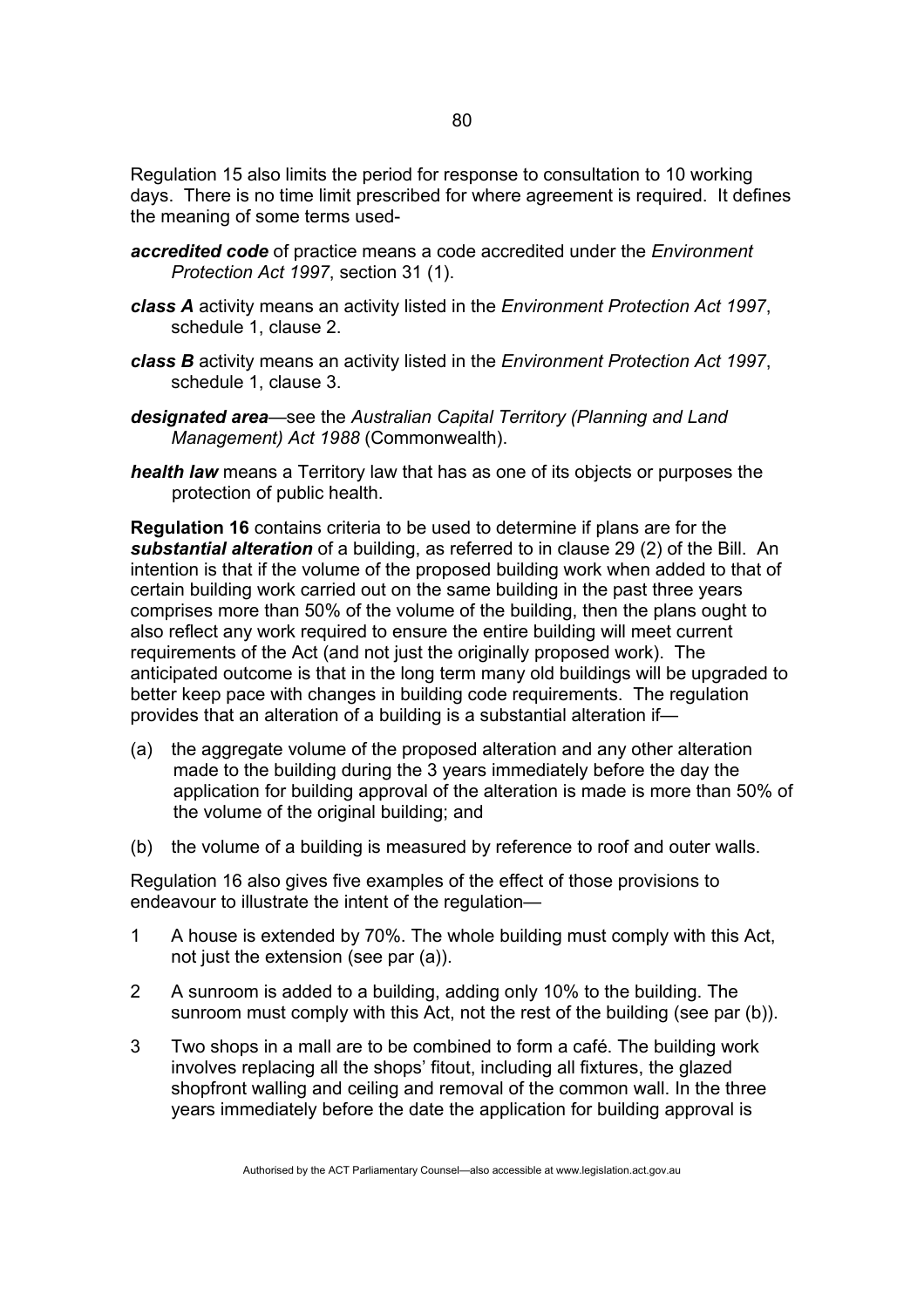Regulation 15 also limits the period for response to consultation to 10 working days. There is no time limit prescribed for where agreement is required. It defines the meaning of some terms used-

- *accredited code* of practice means a code accredited under the *Environment Protection Act 1997*, section 31 (1).
- *class A* activity means an activity listed in the *Environment Protection Act 1997*, schedule 1, clause 2.
- *class B* activity means an activity listed in the *Environment Protection Act 1997*, schedule 1, clause 3.
- *designated area*—see the *Australian Capital Territory (Planning and Land Management) Act 1988* (Commonwealth).
- *health law* means a Territory law that has as one of its objects or purposes the protection of public health.

**Regulation 16** contains criteria to be used to determine if plans are for the *substantial alteration* of a building, as referred to in clause 29 (2) of the Bill. An intention is that if the volume of the proposed building work when added to that of certain building work carried out on the same building in the past three years comprises more than 50% of the volume of the building, then the plans ought to also reflect any work required to ensure the entire building will meet current requirements of the Act (and not just the originally proposed work). The anticipated outcome is that in the long term many old buildings will be upgraded to better keep pace with changes in building code requirements. The regulation provides that an alteration of a building is a substantial alteration if—

- (a) the aggregate volume of the proposed alteration and any other alteration made to the building during the 3 years immediately before the day the application for building approval of the alteration is made is more than 50% of the volume of the original building; and
- (b) the volume of a building is measured by reference to roof and outer walls.

Regulation 16 also gives five examples of the effect of those provisions to endeavour to illustrate the intent of the regulation—

- 1 A house is extended by 70%. The whole building must comply with this Act, not just the extension (see par (a)).
- 2 A sunroom is added to a building, adding only 10% to the building. The sunroom must comply with this Act, not the rest of the building (see par (b)).
- 3 Two shops in a mall are to be combined to form a café. The building work involves replacing all the shops' fitout, including all fixtures, the glazed shopfront walling and ceiling and removal of the common wall. In the three years immediately before the date the application for building approval is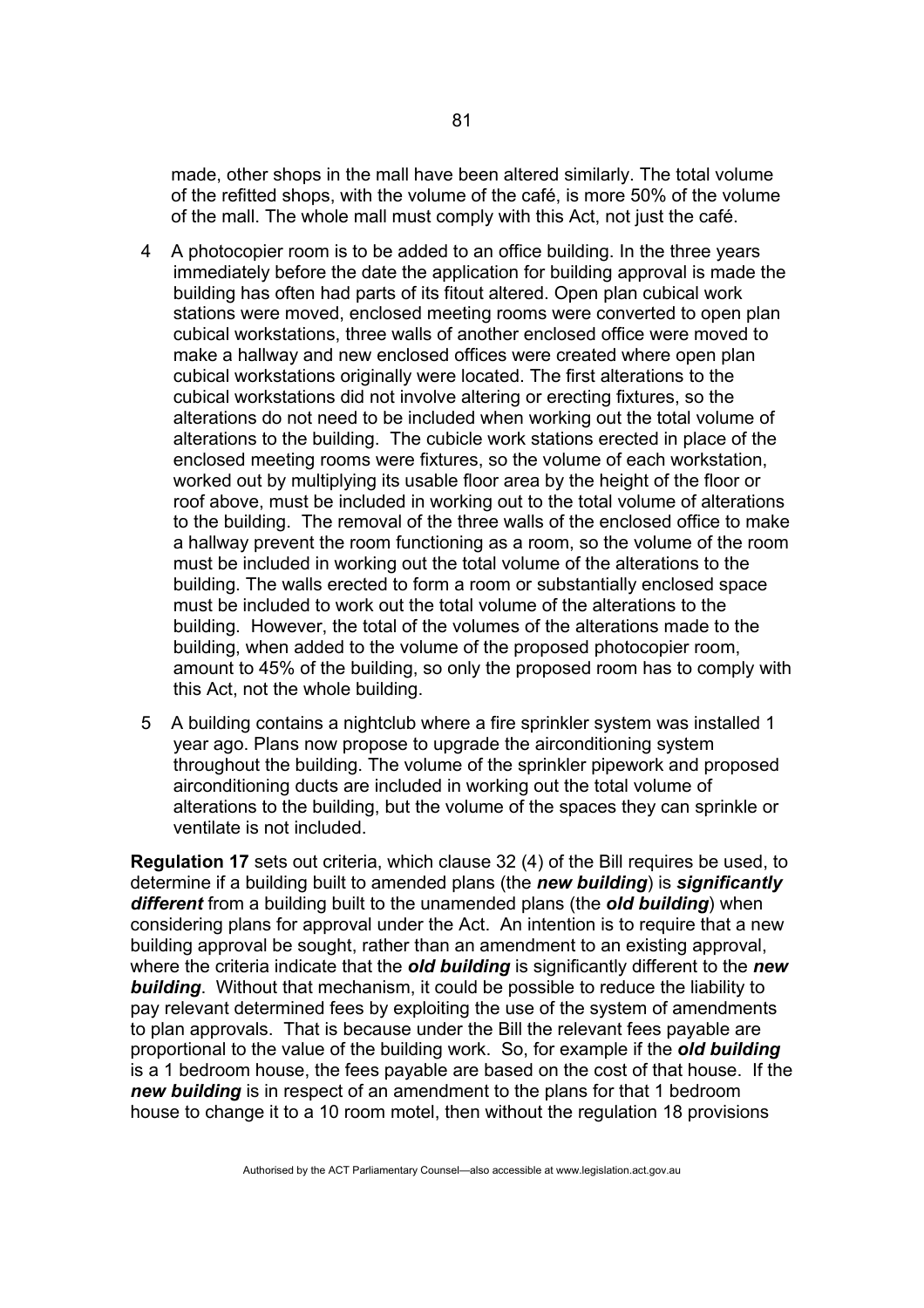made, other shops in the mall have been altered similarly. The total volume of the refitted shops, with the volume of the café, is more 50% of the volume of the mall. The whole mall must comply with this Act, not just the café.

- 4 A photocopier room is to be added to an office building. In the three years immediately before the date the application for building approval is made the building has often had parts of its fitout altered. Open plan cubical work stations were moved, enclosed meeting rooms were converted to open plan cubical workstations, three walls of another enclosed office were moved to make a hallway and new enclosed offices were created where open plan cubical workstations originally were located. The first alterations to the cubical workstations did not involve altering or erecting fixtures, so the alterations do not need to be included when working out the total volume of alterations to the building. The cubicle work stations erected in place of the enclosed meeting rooms were fixtures, so the volume of each workstation, worked out by multiplying its usable floor area by the height of the floor or roof above, must be included in working out to the total volume of alterations to the building. The removal of the three walls of the enclosed office to make a hallway prevent the room functioning as a room, so the volume of the room must be included in working out the total volume of the alterations to the building. The walls erected to form a room or substantially enclosed space must be included to work out the total volume of the alterations to the building. However, the total of the volumes of the alterations made to the building, when added to the volume of the proposed photocopier room, amount to 45% of the building, so only the proposed room has to comply with this Act, not the whole building.
- 5 A building contains a nightclub where a fire sprinkler system was installed 1 year ago. Plans now propose to upgrade the airconditioning system throughout the building. The volume of the sprinkler pipework and proposed airconditioning ducts are included in working out the total volume of alterations to the building, but the volume of the spaces they can sprinkle or ventilate is not included.

**Regulation 17** sets out criteria, which clause 32 (4) of the Bill requires be used, to determine if a building built to amended plans (the *new building*) is *significantly different* from a building built to the unamended plans (the *old building*) when considering plans for approval under the Act. An intention is to require that a new building approval be sought, rather than an amendment to an existing approval, where the criteria indicate that the *old building* is significantly different to the *new building*. Without that mechanism, it could be possible to reduce the liability to pay relevant determined fees by exploiting the use of the system of amendments to plan approvals. That is because under the Bill the relevant fees payable are proportional to the value of the building work. So, for example if the *old building* is a 1 bedroom house, the fees payable are based on the cost of that house. If the *new building* is in respect of an amendment to the plans for that 1 bedroom house to change it to a 10 room motel, then without the regulation 18 provisions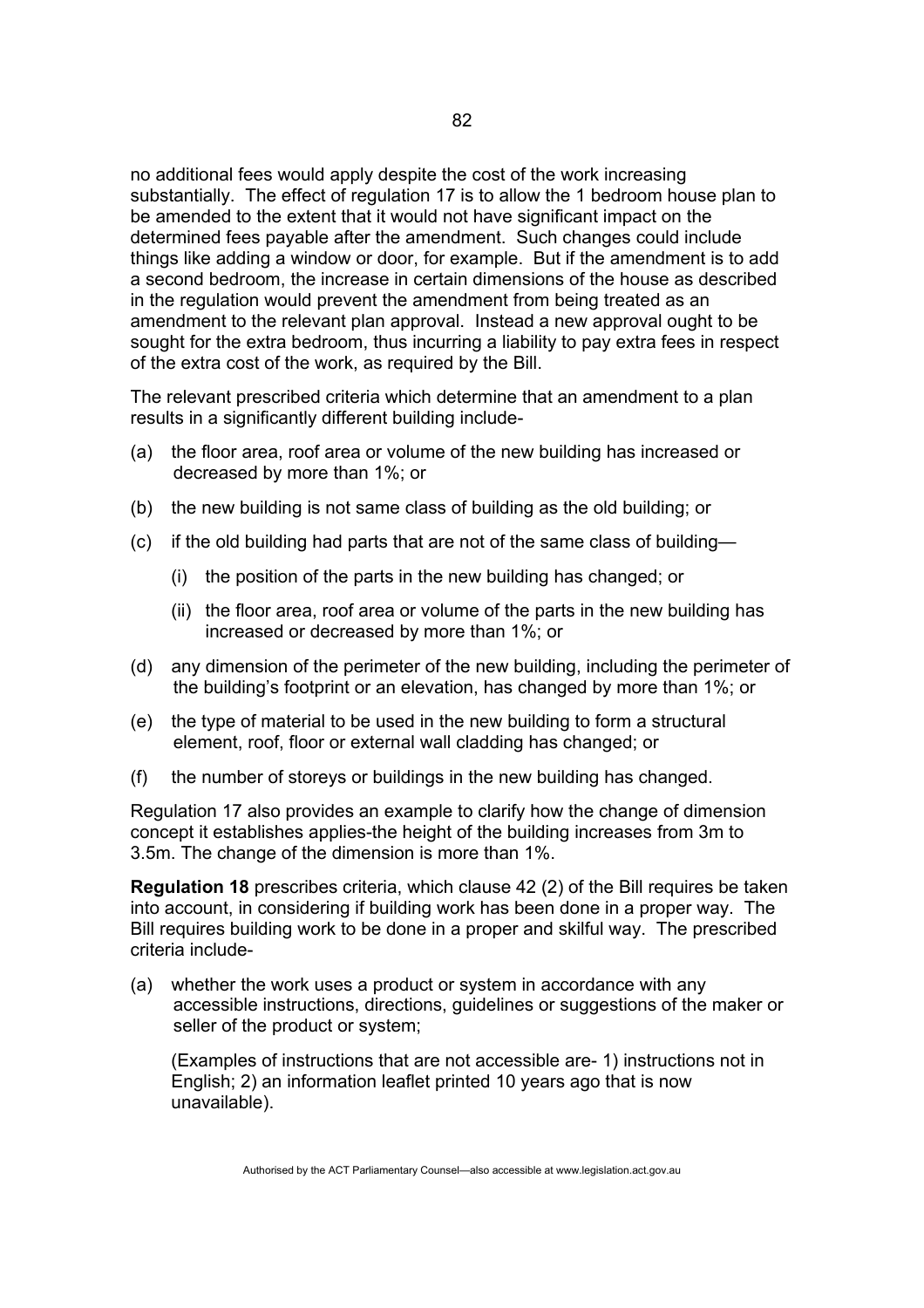no additional fees would apply despite the cost of the work increasing substantially. The effect of regulation 17 is to allow the 1 bedroom house plan to be amended to the extent that it would not have significant impact on the determined fees payable after the amendment. Such changes could include things like adding a window or door, for example. But if the amendment is to add a second bedroom, the increase in certain dimensions of the house as described in the regulation would prevent the amendment from being treated as an amendment to the relevant plan approval. Instead a new approval ought to be sought for the extra bedroom, thus incurring a liability to pay extra fees in respect of the extra cost of the work, as required by the Bill.

The relevant prescribed criteria which determine that an amendment to a plan results in a significantly different building include-

- (a) the floor area, roof area or volume of the new building has increased or decreased by more than 1%; or
- (b) the new building is not same class of building as the old building; or
- (c) if the old building had parts that are not of the same class of building—
	- (i) the position of the parts in the new building has changed; or
	- (ii) the floor area, roof area or volume of the parts in the new building has increased or decreased by more than 1%; or
- (d) any dimension of the perimeter of the new building, including the perimeter of the building's footprint or an elevation, has changed by more than 1%; or
- (e) the type of material to be used in the new building to form a structural element, roof, floor or external wall cladding has changed; or
- (f) the number of storeys or buildings in the new building has changed.

Regulation 17 also provides an example to clarify how the change of dimension concept it establishes applies-the height of the building increases from 3m to 3.5m. The change of the dimension is more than 1%.

**Regulation 18** prescribes criteria, which clause 42 (2) of the Bill requires be taken into account, in considering if building work has been done in a proper way. The Bill requires building work to be done in a proper and skilful way. The prescribed criteria include-

(a) whether the work uses a product or system in accordance with any accessible instructions, directions, guidelines or suggestions of the maker or seller of the product or system;

(Examples of instructions that are not accessible are- 1) instructions not in English; 2) an information leaflet printed 10 years ago that is now unavailable).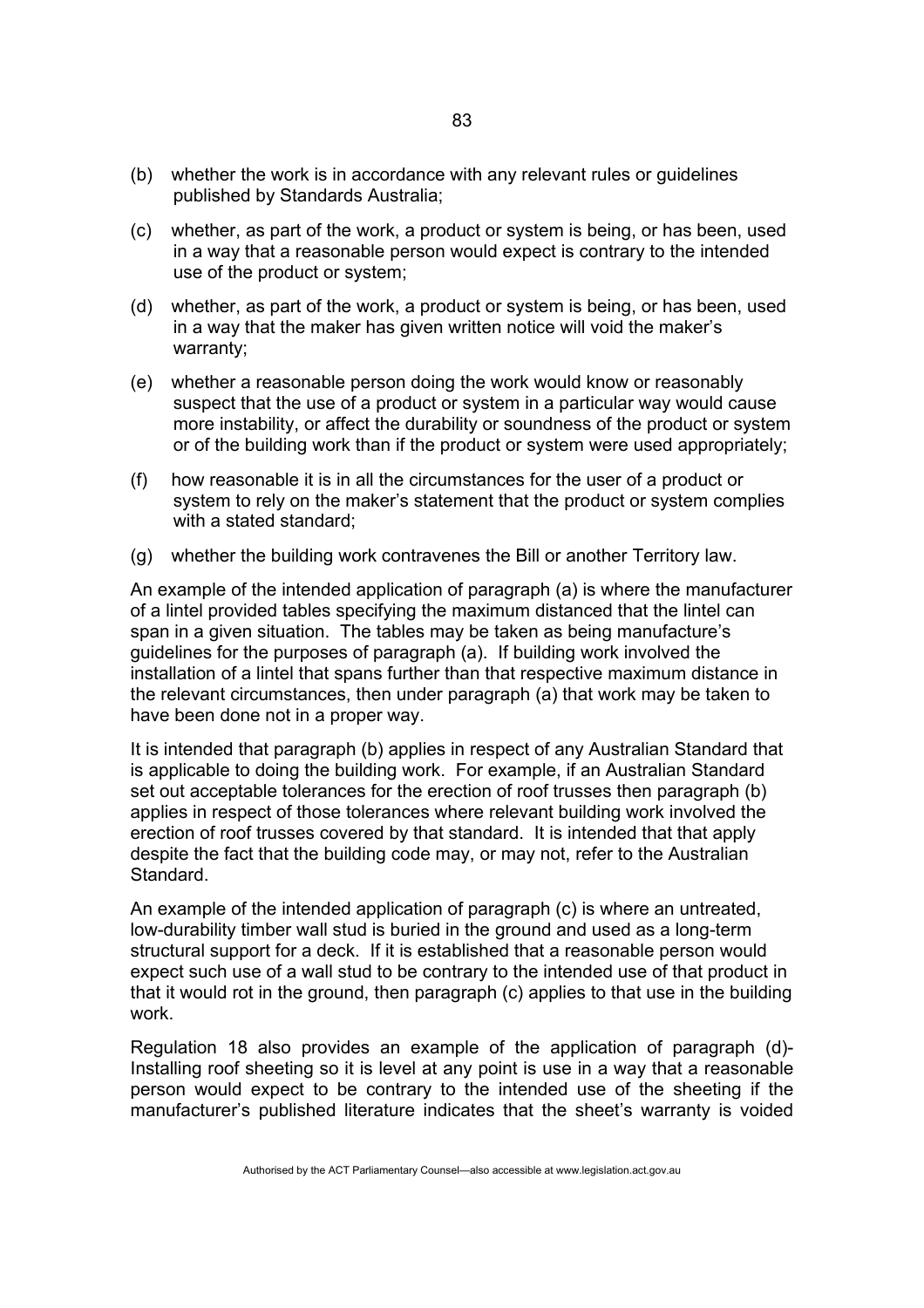- (b) whether the work is in accordance with any relevant rules or guidelines published by Standards Australia;
- (c) whether, as part of the work, a product or system is being, or has been, used in a way that a reasonable person would expect is contrary to the intended use of the product or system;
- (d) whether, as part of the work, a product or system is being, or has been, used in a way that the maker has given written notice will void the maker's warranty;
- (e) whether a reasonable person doing the work would know or reasonably suspect that the use of a product or system in a particular way would cause more instability, or affect the durability or soundness of the product or system or of the building work than if the product or system were used appropriately;
- (f) how reasonable it is in all the circumstances for the user of a product or system to rely on the maker's statement that the product or system complies with a stated standard:
- (g) whether the building work contravenes the Bill or another Territory law.

An example of the intended application of paragraph (a) is where the manufacturer of a lintel provided tables specifying the maximum distanced that the lintel can span in a given situation. The tables may be taken as being manufacture's guidelines for the purposes of paragraph (a). If building work involved the installation of a lintel that spans further than that respective maximum distance in the relevant circumstances, then under paragraph (a) that work may be taken to have been done not in a proper way.

It is intended that paragraph (b) applies in respect of any Australian Standard that is applicable to doing the building work. For example, if an Australian Standard set out acceptable tolerances for the erection of roof trusses then paragraph (b) applies in respect of those tolerances where relevant building work involved the erection of roof trusses covered by that standard. It is intended that that apply despite the fact that the building code may, or may not, refer to the Australian Standard.

An example of the intended application of paragraph (c) is where an untreated, low-durability timber wall stud is buried in the ground and used as a long-term structural support for a deck. If it is established that a reasonable person would expect such use of a wall stud to be contrary to the intended use of that product in that it would rot in the ground, then paragraph (c) applies to that use in the building work.

Regulation 18 also provides an example of the application of paragraph (d)- Installing roof sheeting so it is level at any point is use in a way that a reasonable person would expect to be contrary to the intended use of the sheeting if the manufacturer's published literature indicates that the sheet's warranty is voided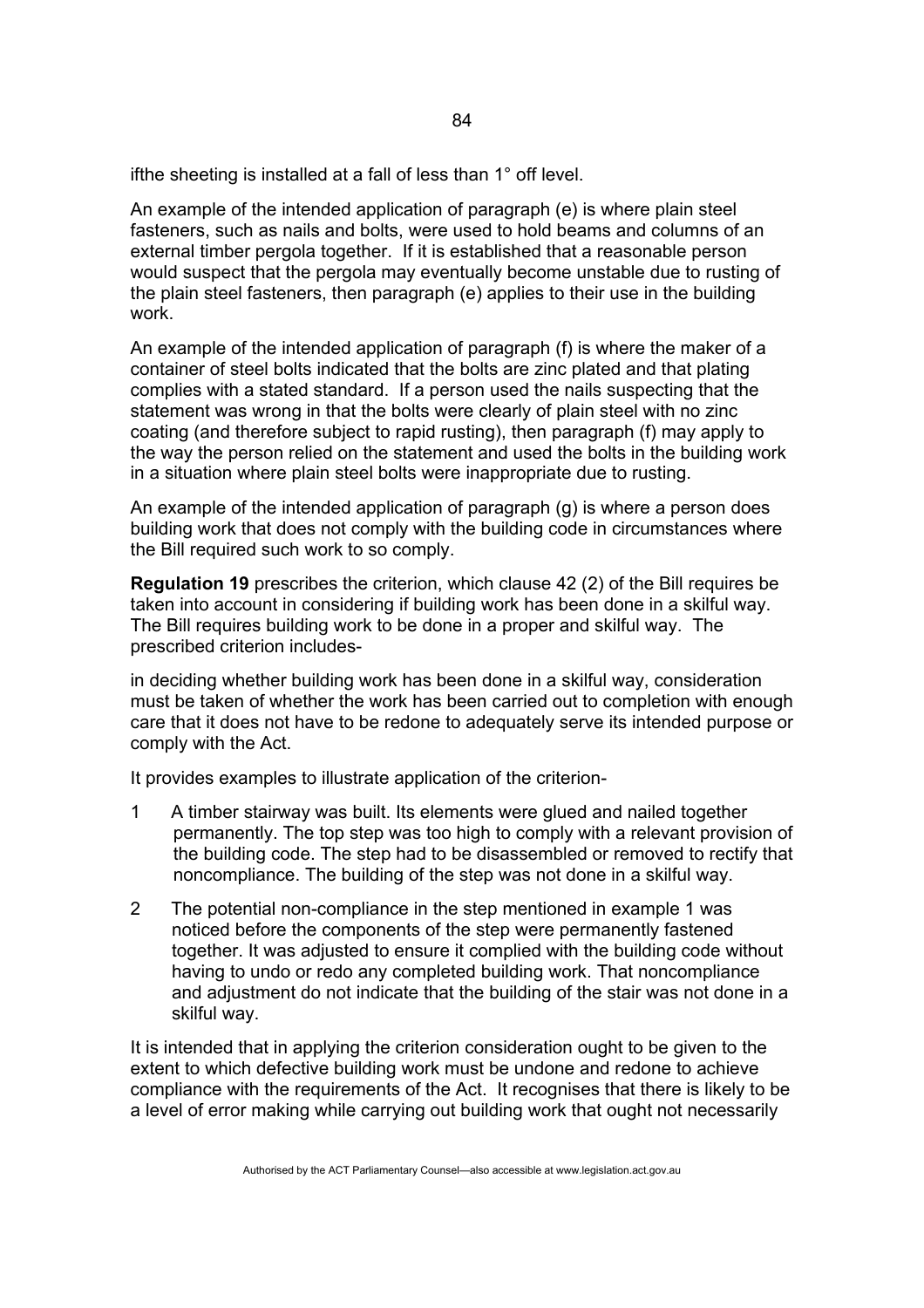ifthe sheeting is installed at a fall of less than 1° off level.

An example of the intended application of paragraph (e) is where plain steel fasteners, such as nails and bolts, were used to hold beams and columns of an external timber pergola together. If it is established that a reasonable person would suspect that the pergola may eventually become unstable due to rusting of the plain steel fasteners, then paragraph (e) applies to their use in the building work.

An example of the intended application of paragraph (f) is where the maker of a container of steel bolts indicated that the bolts are zinc plated and that plating complies with a stated standard. If a person used the nails suspecting that the statement was wrong in that the bolts were clearly of plain steel with no zinc coating (and therefore subject to rapid rusting), then paragraph (f) may apply to the way the person relied on the statement and used the bolts in the building work in a situation where plain steel bolts were inappropriate due to rusting.

An example of the intended application of paragraph (g) is where a person does building work that does not comply with the building code in circumstances where the Bill required such work to so comply.

**Regulation 19** prescribes the criterion, which clause 42 (2) of the Bill requires be taken into account in considering if building work has been done in a skilful way. The Bill requires building work to be done in a proper and skilful way. The prescribed criterion includes-

in deciding whether building work has been done in a skilful way, consideration must be taken of whether the work has been carried out to completion with enough care that it does not have to be redone to adequately serve its intended purpose or comply with the Act.

It provides examples to illustrate application of the criterion-

- 1 A timber stairway was built. Its elements were glued and nailed together permanently. The top step was too high to comply with a relevant provision of the building code. The step had to be disassembled or removed to rectify that noncompliance. The building of the step was not done in a skilful way.
- 2 The potential non-compliance in the step mentioned in example 1 was noticed before the components of the step were permanently fastened together. It was adjusted to ensure it complied with the building code without having to undo or redo any completed building work. That noncompliance and adjustment do not indicate that the building of the stair was not done in a skilful way.

It is intended that in applying the criterion consideration ought to be given to the extent to which defective building work must be undone and redone to achieve compliance with the requirements of the Act. It recognises that there is likely to be a level of error making while carrying out building work that ought not necessarily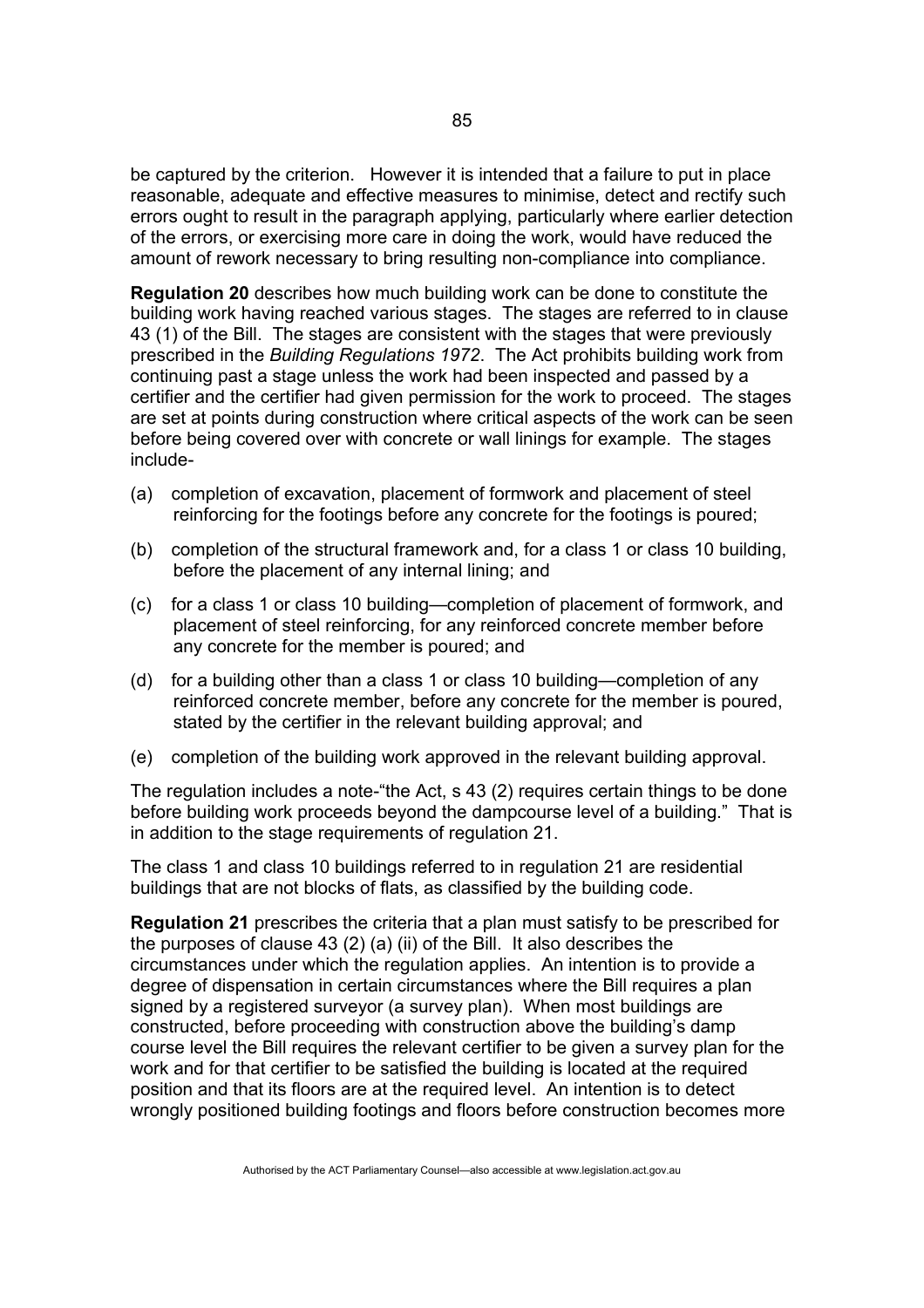be captured by the criterion. However it is intended that a failure to put in place reasonable, adequate and effective measures to minimise, detect and rectify such errors ought to result in the paragraph applying, particularly where earlier detection of the errors, or exercising more care in doing the work, would have reduced the amount of rework necessary to bring resulting non-compliance into compliance.

**Regulation 20** describes how much building work can be done to constitute the building work having reached various stages. The stages are referred to in clause 43 (1) of the Bill. The stages are consistent with the stages that were previously prescribed in the *Building Regulations 1972*. The Act prohibits building work from continuing past a stage unless the work had been inspected and passed by a certifier and the certifier had given permission for the work to proceed. The stages are set at points during construction where critical aspects of the work can be seen before being covered over with concrete or wall linings for example. The stages include-

- (a) completion of excavation, placement of formwork and placement of steel reinforcing for the footings before any concrete for the footings is poured;
- (b) completion of the structural framework and, for a class 1 or class 10 building, before the placement of any internal lining; and
- (c) for a class 1 or class 10 building—completion of placement of formwork, and placement of steel reinforcing, for any reinforced concrete member before any concrete for the member is poured; and
- (d) for a building other than a class 1 or class 10 building—completion of any reinforced concrete member, before any concrete for the member is poured, stated by the certifier in the relevant building approval; and
- (e) completion of the building work approved in the relevant building approval.

The regulation includes a note-"the Act, s 43 (2) requires certain things to be done before building work proceeds beyond the dampcourse level of a building." That is in addition to the stage requirements of regulation 21.

The class 1 and class 10 buildings referred to in regulation 21 are residential buildings that are not blocks of flats, as classified by the building code.

**Regulation 21** prescribes the criteria that a plan must satisfy to be prescribed for the purposes of clause 43 (2) (a) (ii) of the Bill. It also describes the circumstances under which the regulation applies. An intention is to provide a degree of dispensation in certain circumstances where the Bill requires a plan signed by a registered surveyor (a survey plan). When most buildings are constructed, before proceeding with construction above the building's damp course level the Bill requires the relevant certifier to be given a survey plan for the work and for that certifier to be satisfied the building is located at the required position and that its floors are at the required level. An intention is to detect wrongly positioned building footings and floors before construction becomes more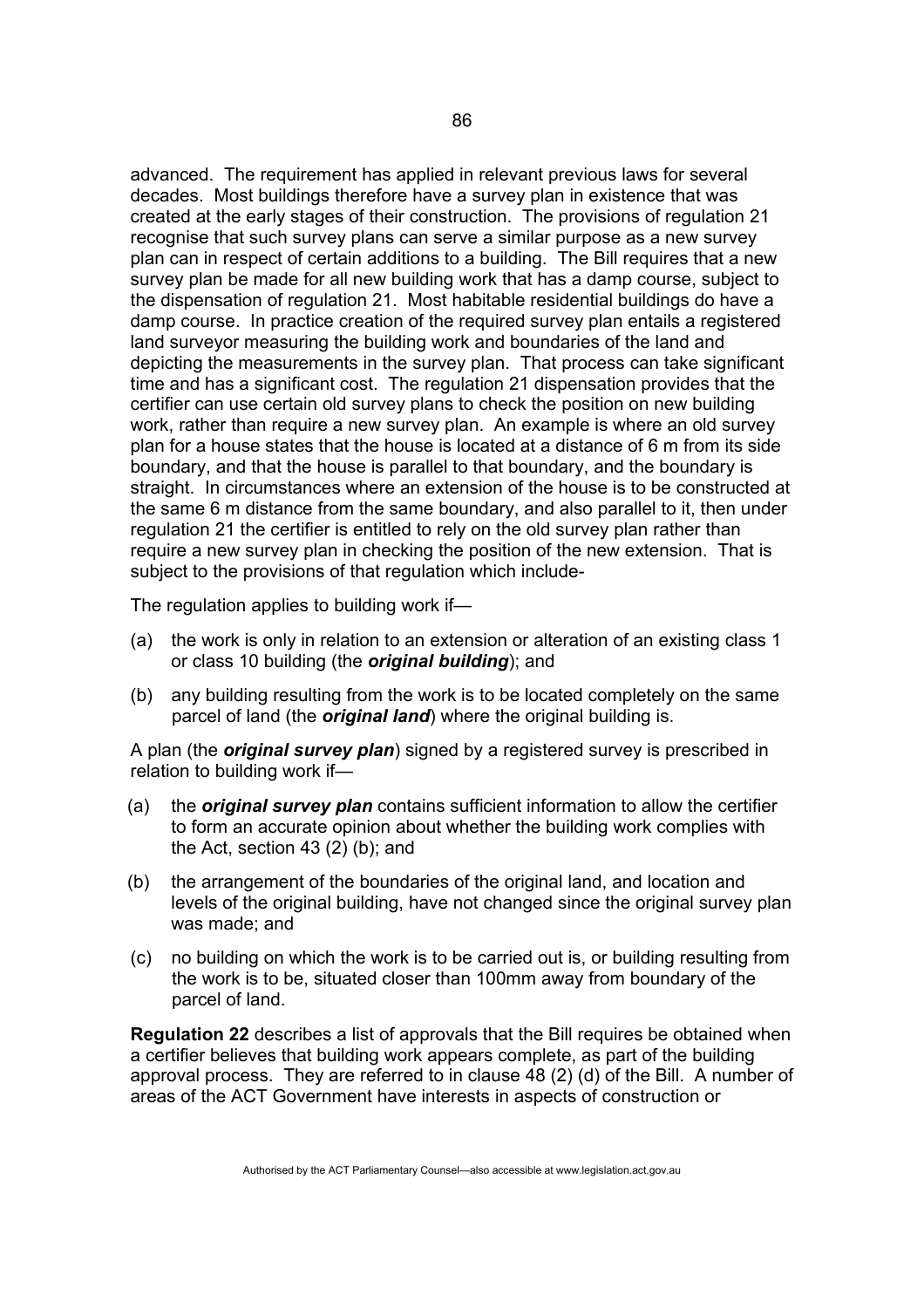advanced. The requirement has applied in relevant previous laws for several decades. Most buildings therefore have a survey plan in existence that was created at the early stages of their construction. The provisions of regulation 21 recognise that such survey plans can serve a similar purpose as a new survey plan can in respect of certain additions to a building. The Bill requires that a new survey plan be made for all new building work that has a damp course, subject to the dispensation of regulation 21. Most habitable residential buildings do have a damp course. In practice creation of the required survey plan entails a registered land surveyor measuring the building work and boundaries of the land and depicting the measurements in the survey plan. That process can take significant time and has a significant cost. The regulation 21 dispensation provides that the certifier can use certain old survey plans to check the position on new building work, rather than require a new survey plan. An example is where an old survey plan for a house states that the house is located at a distance of 6 m from its side boundary, and that the house is parallel to that boundary, and the boundary is straight. In circumstances where an extension of the house is to be constructed at the same 6 m distance from the same boundary, and also parallel to it, then under regulation 21 the certifier is entitled to rely on the old survey plan rather than require a new survey plan in checking the position of the new extension. That is subject to the provisions of that regulation which include-

The regulation applies to building work if—

- (a) the work is only in relation to an extension or alteration of an existing class 1 or class 10 building (the *original building*); and
- (b) any building resulting from the work is to be located completely on the same parcel of land (the *original land*) where the original building is.

A plan (the *original survey plan*) signed by a registered survey is prescribed in relation to building work if—

- (a) the *original survey plan* contains sufficient information to allow the certifier to form an accurate opinion about whether the building work complies with the Act, section 43 (2) (b); and
- (b) the arrangement of the boundaries of the original land, and location and levels of the original building, have not changed since the original survey plan was made; and
- (c) no building on which the work is to be carried out is, or building resulting from the work is to be, situated closer than 100mm away from boundary of the parcel of land.

**Regulation 22** describes a list of approvals that the Bill requires be obtained when a certifier believes that building work appears complete, as part of the building approval process. They are referred to in clause 48 (2) (d) of the Bill. A number of areas of the ACT Government have interests in aspects of construction or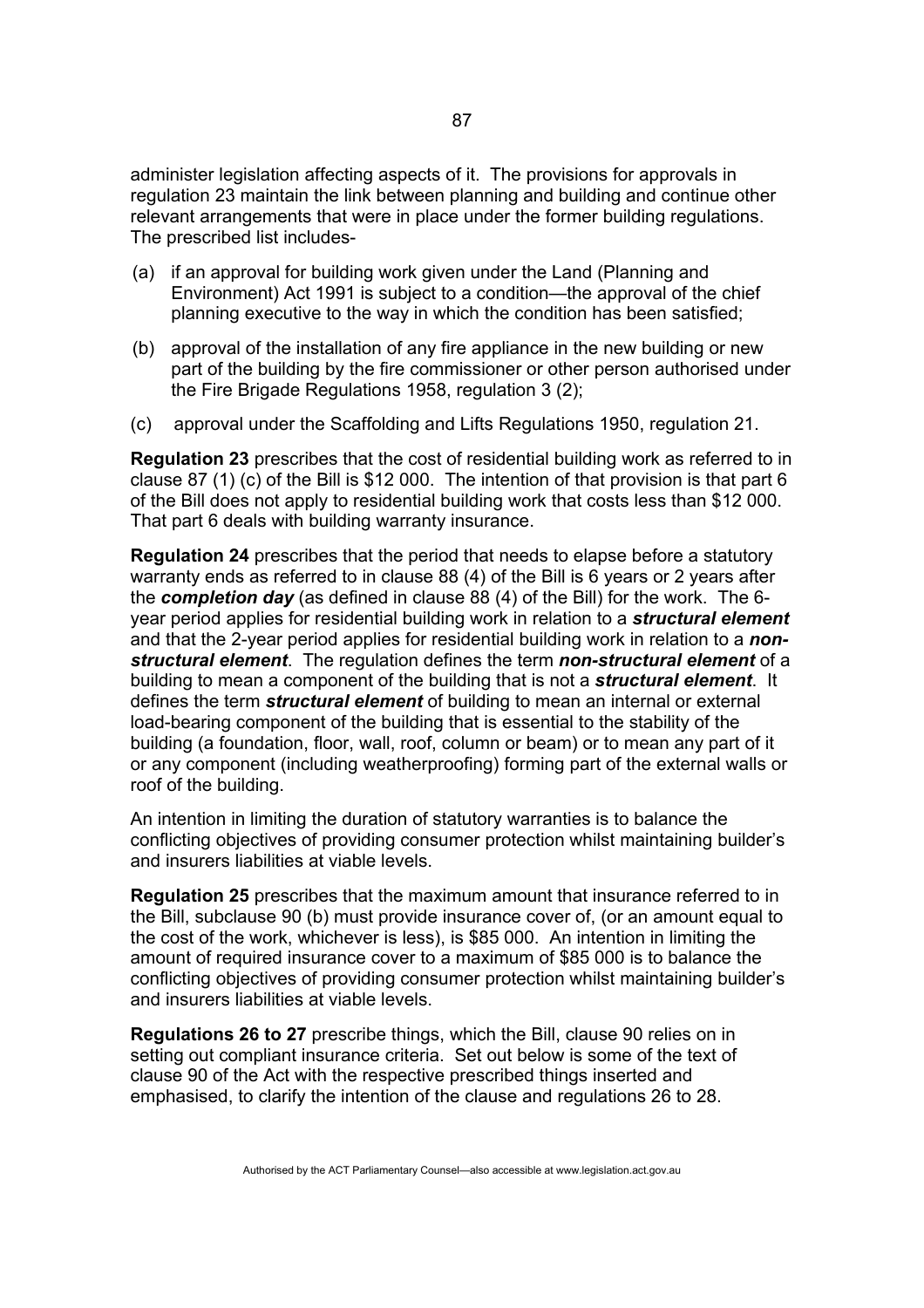administer legislation affecting aspects of it. The provisions for approvals in regulation 23 maintain the link between planning and building and continue other relevant arrangements that were in place under the former building regulations. The prescribed list includes-

- (a) if an approval for building work given under the Land (Planning and Environment) Act 1991 is subject to a condition—the approval of the chief planning executive to the way in which the condition has been satisfied;
- (b) approval of the installation of any fire appliance in the new building or new part of the building by the fire commissioner or other person authorised under the Fire Brigade Regulations 1958, regulation 3 (2);
- (c) approval under the Scaffolding and Lifts Regulations 1950, regulation 21.

**Regulation 23** prescribes that the cost of residential building work as referred to in clause 87 (1) (c) of the Bill is \$12 000. The intention of that provision is that part 6 of the Bill does not apply to residential building work that costs less than \$12 000. That part 6 deals with building warranty insurance.

**Regulation 24** prescribes that the period that needs to elapse before a statutory warranty ends as referred to in clause 88 (4) of the Bill is 6 years or 2 years after the *completion day* (as defined in clause 88 (4) of the Bill) for the work. The 6 year period applies for residential building work in relation to a *structural element* and that the 2-year period applies for residential building work in relation to a *nonstructural element*. The regulation defines the term *non-structural element* of a building to mean a component of the building that is not a *structural element*. It defines the term *structural element* of building to mean an internal or external load-bearing component of the building that is essential to the stability of the building (a foundation, floor, wall, roof, column or beam) or to mean any part of it or any component (including weatherproofing) forming part of the external walls or roof of the building.

An intention in limiting the duration of statutory warranties is to balance the conflicting objectives of providing consumer protection whilst maintaining builder's and insurers liabilities at viable levels.

**Regulation 25** prescribes that the maximum amount that insurance referred to in the Bill, subclause 90 (b) must provide insurance cover of, (or an amount equal to the cost of the work, whichever is less), is \$85 000. An intention in limiting the amount of required insurance cover to a maximum of \$85 000 is to balance the conflicting objectives of providing consumer protection whilst maintaining builder's and insurers liabilities at viable levels.

**Regulations 26 to 27** prescribe things, which the Bill, clause 90 relies on in setting out compliant insurance criteria. Set out below is some of the text of clause 90 of the Act with the respective prescribed things inserted and emphasised, to clarify the intention of the clause and regulations 26 to 28.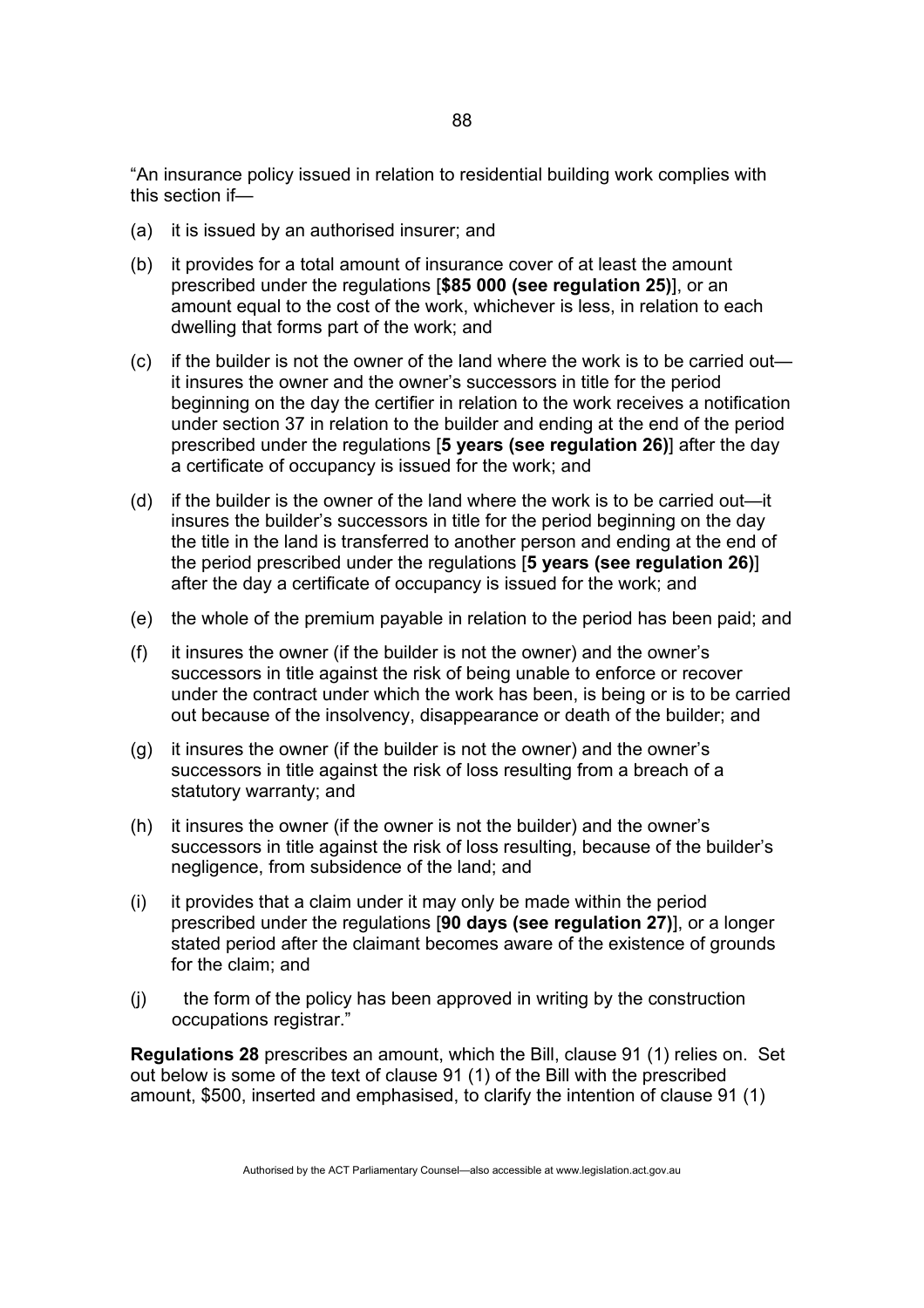"An insurance policy issued in relation to residential building work complies with this section if—

- (a) it is issued by an authorised insurer; and
- (b) it provides for a total amount of insurance cover of at least the amount prescribed under the regulations [**\$85 000 (see regulation 25)**], or an amount equal to the cost of the work, whichever is less, in relation to each dwelling that forms part of the work; and
- (c) if the builder is not the owner of the land where the work is to be carried out it insures the owner and the owner's successors in title for the period beginning on the day the certifier in relation to the work receives a notification under section 37 in relation to the builder and ending at the end of the period prescribed under the regulations [**5 years (see regulation 26)**] after the day a certificate of occupancy is issued for the work; and
- (d) if the builder is the owner of the land where the work is to be carried out—it insures the builder's successors in title for the period beginning on the day the title in the land is transferred to another person and ending at the end of the period prescribed under the regulations [**5 years (see regulation 26)**] after the day a certificate of occupancy is issued for the work; and
- (e) the whole of the premium payable in relation to the period has been paid; and
- (f) it insures the owner (if the builder is not the owner) and the owner's successors in title against the risk of being unable to enforce or recover under the contract under which the work has been, is being or is to be carried out because of the insolvency, disappearance or death of the builder; and
- (g) it insures the owner (if the builder is not the owner) and the owner's successors in title against the risk of loss resulting from a breach of a statutory warranty; and
- (h) it insures the owner (if the owner is not the builder) and the owner's successors in title against the risk of loss resulting, because of the builder's negligence, from subsidence of the land; and
- (i) it provides that a claim under it may only be made within the period prescribed under the regulations [**90 days (see regulation 27)**], or a longer stated period after the claimant becomes aware of the existence of grounds for the claim; and
- (j) the form of the policy has been approved in writing by the construction occupations registrar."

**Regulations 28** prescribes an amount, which the Bill, clause 91 (1) relies on. Set out below is some of the text of clause 91 (1) of the Bill with the prescribed amount, \$500, inserted and emphasised, to clarify the intention of clause 91 (1)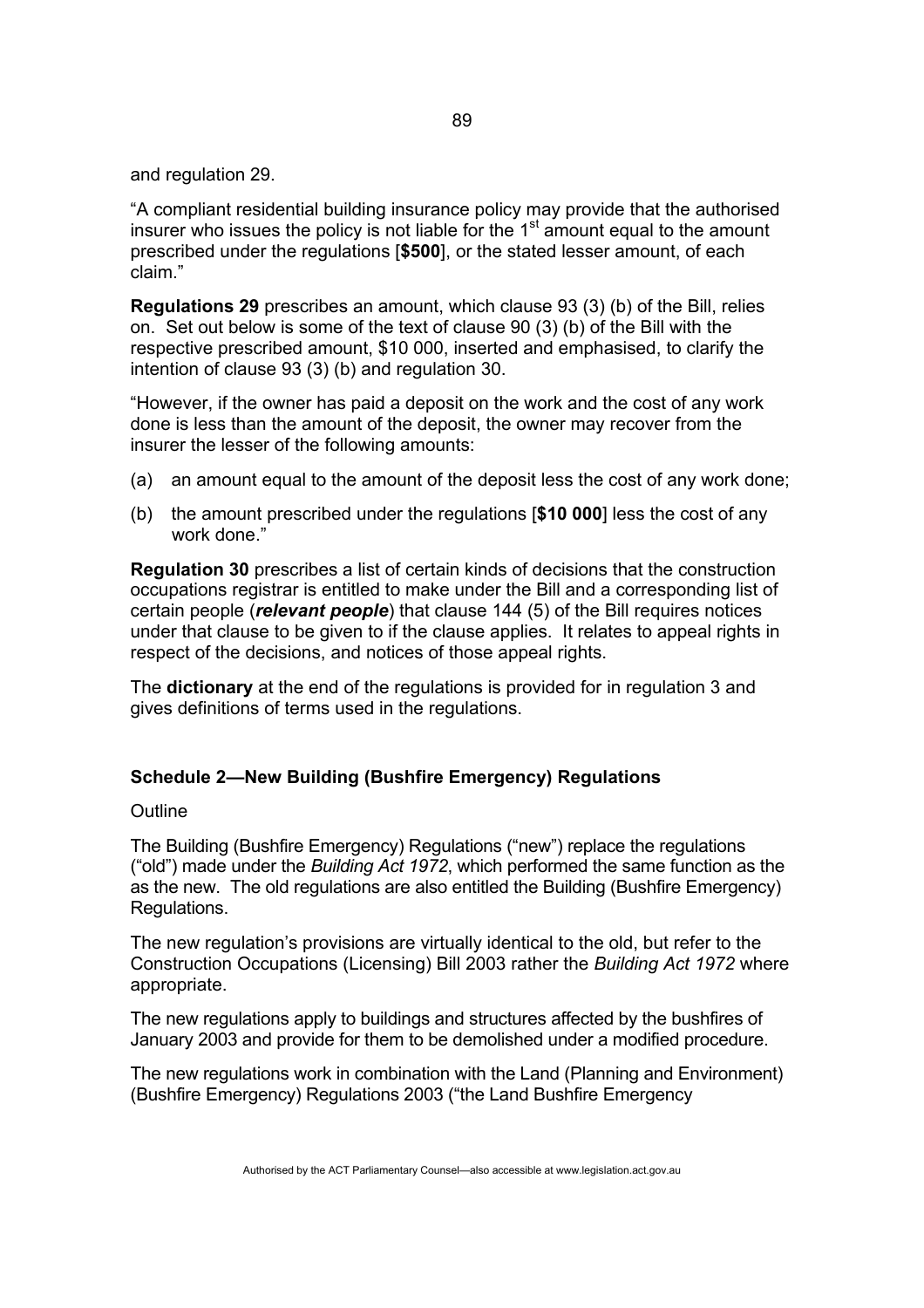and regulation 29.

"A compliant residential building insurance policy may provide that the authorised insurer who issues the policy is not liable for the  $1<sup>st</sup>$  amount equal to the amount prescribed under the regulations [**\$500**], or the stated lesser amount, of each claim."

**Regulations 29** prescribes an amount, which clause 93 (3) (b) of the Bill, relies on. Set out below is some of the text of clause 90 (3) (b) of the Bill with the respective prescribed amount, \$10 000, inserted and emphasised, to clarify the intention of clause 93 (3) (b) and regulation 30.

"However, if the owner has paid a deposit on the work and the cost of any work done is less than the amount of the deposit, the owner may recover from the insurer the lesser of the following amounts:

- (a) an amount equal to the amount of the deposit less the cost of any work done;
- (b) the amount prescribed under the regulations [**\$10 000**] less the cost of any work done."

**Regulation 30** prescribes a list of certain kinds of decisions that the construction occupations registrar is entitled to make under the Bill and a corresponding list of certain people (*relevant people*) that clause 144 (5) of the Bill requires notices under that clause to be given to if the clause applies. It relates to appeal rights in respect of the decisions, and notices of those appeal rights.

The **dictionary** at the end of the regulations is provided for in regulation 3 and gives definitions of terms used in the regulations.

# **Schedule 2—New Building (Bushfire Emergency) Regulations**

**Outline** 

The Building (Bushfire Emergency) Regulations ("new") replace the regulations ("old") made under the *Building Act 1972*, which performed the same function as the as the new. The old regulations are also entitled the Building (Bushfire Emergency) Regulations.

The new regulation's provisions are virtually identical to the old, but refer to the Construction Occupations (Licensing) Bill 2003 rather the *Building Act 1972* where appropriate.

The new regulations apply to buildings and structures affected by the bushfires of January 2003 and provide for them to be demolished under a modified procedure.

The new regulations work in combination with the Land (Planning and Environment) (Bushfire Emergency) Regulations 2003 ("the Land Bushfire Emergency